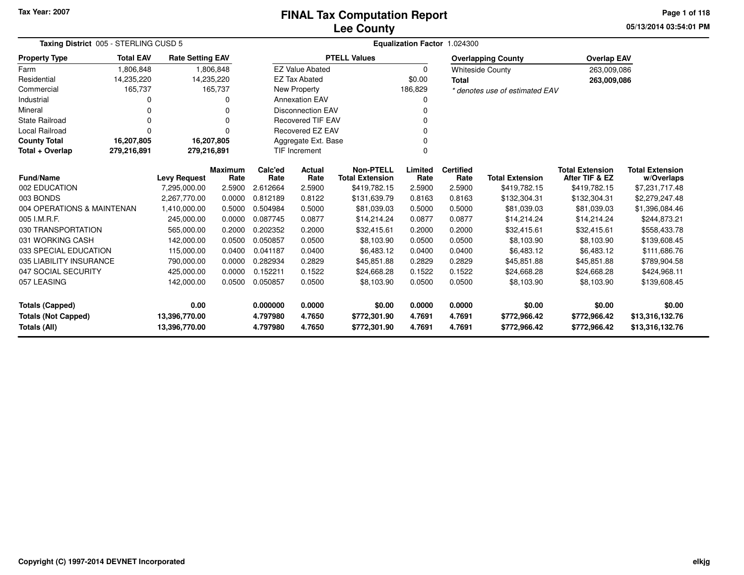## **Lee CountyFINAL Tax Computation Report**

**05/13/2014 03:54:01 PM Page 1 of 118**

| Taxing District 005 - STERLING CUSD 5<br><b>Rate Setting EAV</b> |                  |                                     |                        | Equalization Factor 1.024300 |                          |                                            |                  |                          |                                |                                          |                                      |
|------------------------------------------------------------------|------------------|-------------------------------------|------------------------|------------------------------|--------------------------|--------------------------------------------|------------------|--------------------------|--------------------------------|------------------------------------------|--------------------------------------|
| <b>Property Type</b>                                             | <b>Total EAV</b> |                                     |                        |                              |                          | <b>PTELL Values</b>                        |                  |                          | <b>Overlapping County</b>      | <b>Overlap EAV</b>                       |                                      |
| Farm                                                             | 1,806,848        |                                     | 1,806,848              |                              | <b>EZ Value Abated</b>   |                                            | 0                |                          | <b>Whiteside County</b>        | 263,009,086                              |                                      |
| Residential                                                      | 14,235,220       | 14,235,220                          |                        |                              | <b>EZ Tax Abated</b>     |                                            | \$0.00           | <b>Total</b>             |                                | 263,009,086                              |                                      |
| Commercial                                                       | 165,737          |                                     | 165,737                |                              | New Property             |                                            | 186,829          |                          | * denotes use of estimated EAV |                                          |                                      |
| Industrial                                                       | ი                |                                     | 0                      |                              | <b>Annexation EAV</b>    |                                            |                  |                          |                                |                                          |                                      |
| Mineral                                                          | 0                |                                     | 0                      |                              | <b>Disconnection EAV</b> |                                            |                  |                          |                                |                                          |                                      |
| <b>State Railroad</b>                                            | U                |                                     | $\Omega$               |                              | <b>Recovered TIF EAV</b> |                                            |                  |                          |                                |                                          |                                      |
| <b>Local Railroad</b>                                            | 0                |                                     | $\Omega$               |                              | Recovered EZ EAV         |                                            |                  |                          |                                |                                          |                                      |
| <b>County Total</b>                                              | 16,207,805       | 16,207,805                          |                        |                              | Aggregate Ext. Base      |                                            |                  |                          |                                |                                          |                                      |
| Total + Overlap                                                  | 279,216,891      | 279,216,891<br><b>TIF Increment</b> |                        |                              |                          |                                            |                  |                          |                                |                                          |                                      |
| <b>Fund/Name</b>                                                 |                  | <b>Levy Request</b>                 | <b>Maximum</b><br>Rate | Calc'ed<br>Rate              | <b>Actual</b><br>Rate    | <b>Non-PTELL</b><br><b>Total Extension</b> | Limited<br>Rate  | <b>Certified</b><br>Rate | <b>Total Extension</b>         | <b>Total Extension</b><br>After TIF & EZ | <b>Total Extension</b><br>w/Overlaps |
| 002 EDUCATION                                                    |                  | 7,295,000.00                        | 2.5900                 | 2.612664                     | 2.5900                   | \$419,782.15                               | 2.5900           | 2.5900                   | \$419,782.15                   | \$419,782.15                             | \$7,231,717.48                       |
| 003 BONDS                                                        |                  | 2.267.770.00                        | 0.0000                 | 0.812189                     | 0.8122                   | \$131,639.79                               | 0.8163           | 0.8163                   | \$132,304.31                   | \$132,304.31                             | \$2,279,247.48                       |
| 004 OPERATIONS & MAINTENAN                                       |                  | 1,410,000.00                        | 0.5000                 | 0.504984                     | 0.5000                   | \$81,039.03                                | 0.5000           | 0.5000                   | \$81,039.03                    | \$81,039.03                              | \$1,396,084.46                       |
| 005 I.M.R.F.                                                     |                  | 245,000.00                          | 0.0000                 | 0.087745                     | 0.0877                   | \$14,214.24                                | 0.0877           | 0.0877                   | \$14,214.24                    | \$14,214.24                              | \$244,873.21                         |
| 030 TRANSPORTATION                                               |                  | 565,000.00                          | 0.2000                 | 0.202352                     | 0.2000                   | \$32,415.61                                | 0.2000           | 0.2000                   | \$32,415.61                    | \$32,415.61                              | \$558,433.78                         |
| 031 WORKING CASH                                                 |                  | 142,000.00                          | 0.0500                 | 0.050857                     | 0.0500                   | \$8,103.90                                 | 0.0500           | 0.0500                   | \$8,103.90                     | \$8,103.90                               | \$139,608.45                         |
| 033 SPECIAL EDUCATION                                            |                  | 115,000.00                          | 0.0400                 | 0.041187                     | 0.0400                   | \$6,483.12                                 | 0.0400           | 0.0400                   | \$6,483.12                     | \$6,483.12                               | \$111,686.76                         |
| 035 LIABILITY INSURANCE                                          |                  | 790,000.00                          | 0.0000                 | 0.282934                     | 0.2829                   | \$45,851.88                                | 0.2829           | 0.2829                   | \$45,851.88                    | \$45,851.88                              | \$789,904.58                         |
| 047 SOCIAL SECURITY                                              |                  | 425.000.00                          | 0.0000                 | 0.152211                     | 0.1522                   | \$24,668.28                                | 0.1522           | 0.1522                   | \$24,668.28                    | \$24,668.28                              | \$424,968.11                         |
| 057 LEASING                                                      |                  | 142,000.00                          | 0.0500                 | 0.050857                     | 0.0500                   | \$8,103.90                                 | 0.0500           | 0.0500                   | \$8,103.90                     | \$8,103.90                               | \$139,608.45                         |
| <b>Totals (Capped)</b>                                           |                  | 0.00                                |                        | 0.000000                     | 0.0000                   | \$0.00                                     | 0.0000           | 0.0000                   | \$0.00                         | \$0.00                                   | \$0.00                               |
| <b>Totals (Not Capped)</b><br><b>Totals (All)</b>                |                  | 13,396,770.00<br>13,396,770.00      |                        | 4.797980<br>4.797980         | 4.7650<br>4.7650         | \$772,301.90<br>\$772,301.90               | 4.7691<br>4.7691 | 4.7691<br>4.7691         | \$772,966.42<br>\$772,966.42   | \$772,966.42<br>\$772,966.42             | \$13,316,132.76<br>\$13,316,132.76   |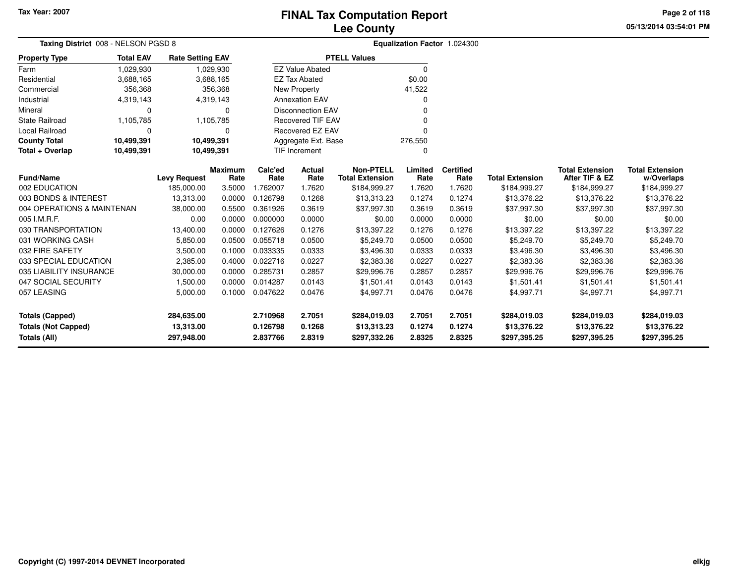**05/13/2014 03:54:01 PM Page 2 of 118**

| Taxing District 008 - NELSON PGSD 8 |                  |                         |                        |                 |                          | Equalization Factor 1.024300               |                 |                          |                        |                                          |                                      |
|-------------------------------------|------------------|-------------------------|------------------------|-----------------|--------------------------|--------------------------------------------|-----------------|--------------------------|------------------------|------------------------------------------|--------------------------------------|
| <b>Property Type</b>                | <b>Total EAV</b> | <b>Rate Setting EAV</b> |                        |                 |                          | <b>PTELL Values</b>                        |                 |                          |                        |                                          |                                      |
| Farm                                | 1,029,930        |                         | 1,029,930              |                 | <b>EZ Value Abated</b>   |                                            | $\Omega$        |                          |                        |                                          |                                      |
| Residential                         | 3,688,165        |                         | 3,688,165              |                 | <b>EZ Tax Abated</b>     |                                            | \$0.00          |                          |                        |                                          |                                      |
| Commercial                          | 356,368          |                         | 356,368                |                 | New Property             |                                            | 41,522          |                          |                        |                                          |                                      |
| Industrial                          | 4,319,143        |                         | 4,319,143              |                 | <b>Annexation EAV</b>    |                                            | 0               |                          |                        |                                          |                                      |
| Mineral                             | 0                |                         | 0                      |                 | <b>Disconnection EAV</b> |                                            |                 |                          |                        |                                          |                                      |
| <b>State Railroad</b>               | 1,105,785        |                         | 1,105,785              |                 | <b>Recovered TIF EAV</b> |                                            | 0               |                          |                        |                                          |                                      |
| Local Railroad                      | 0                |                         | $\Omega$               |                 | <b>Recovered EZ EAV</b>  |                                            |                 |                          |                        |                                          |                                      |
| <b>County Total</b>                 | 10,499,391       | 10,499,391              |                        |                 | Aggregate Ext. Base      |                                            | 276,550         |                          |                        |                                          |                                      |
| Total + Overlap                     | 10,499,391       | 10,499,391              |                        |                 | <b>TIF Increment</b>     |                                            | 0               |                          |                        |                                          |                                      |
| <b>Fund/Name</b>                    |                  | <b>Levy Request</b>     | <b>Maximum</b><br>Rate | Calc'ed<br>Rate | <b>Actual</b><br>Rate    | <b>Non-PTELL</b><br><b>Total Extension</b> | Limited<br>Rate | <b>Certified</b><br>Rate | <b>Total Extension</b> | <b>Total Extension</b><br>After TIF & EZ | <b>Total Extension</b><br>w/Overlaps |
| 002 EDUCATION                       |                  | 185,000.00              | 3.5000                 | 1.762007        | 1.7620                   | \$184,999.27                               | 1.7620          | 1.7620                   | \$184,999.27           | \$184,999.27                             | \$184,999.27                         |
| 003 BONDS & INTEREST                |                  | 13,313.00               | 0.0000                 | 0.126798        | 0.1268                   | \$13,313.23                                | 0.1274          | 0.1274                   | \$13,376.22            | \$13,376.22                              | \$13,376.22                          |
| 004 OPERATIONS & MAINTENAN          |                  | 38,000.00               | 0.5500                 | 0.361926        | 0.3619                   | \$37,997.30                                | 0.3619          | 0.3619                   | \$37,997.30            | \$37,997.30                              | \$37,997.30                          |
| 005 I.M.R.F.                        |                  | 0.00                    | 0.0000                 | 0.000000        | 0.0000                   | \$0.00                                     | 0.0000          | 0.0000                   | \$0.00                 | \$0.00                                   | \$0.00                               |
| 030 TRANSPORTATION                  |                  | 13,400.00               | 0.0000                 | 0.127626        | 0.1276                   | \$13,397.22                                | 0.1276          | 0.1276                   | \$13,397.22            | \$13,397.22                              | \$13,397.22                          |
| 031 WORKING CASH                    |                  | 5,850.00                | 0.0500                 | 0.055718        | 0.0500                   | \$5,249.70                                 | 0.0500          | 0.0500                   | \$5,249.70             | \$5,249.70                               | \$5,249.70                           |
| 032 FIRE SAFETY                     |                  | 3,500.00                | 0.1000                 | 0.033335        | 0.0333                   | \$3,496.30                                 | 0.0333          | 0.0333                   | \$3,496.30             | \$3,496.30                               | \$3,496.30                           |
| 033 SPECIAL EDUCATION               |                  | 2,385.00                | 0.4000                 | 0.022716        | 0.0227                   | \$2,383.36                                 | 0.0227          | 0.0227                   | \$2,383.36             | \$2,383.36                               | \$2,383.36                           |
| 035 LIABILITY INSURANCE             |                  | 30,000.00               | 0.0000                 | 0.285731        | 0.2857                   | \$29,996.76                                | 0.2857          | 0.2857                   | \$29,996.76            | \$29,996.76                              | \$29,996.76                          |
| 047 SOCIAL SECURITY                 |                  | 1,500.00                | 0.0000                 | 0.014287        | 0.0143                   | \$1,501.41                                 | 0.0143          | 0.0143                   | \$1,501.41             | \$1,501.41                               | \$1,501.41                           |
| 057 LEASING                         |                  | 5,000.00                | 0.1000                 | 0.047622        | 0.0476                   | \$4,997.71                                 | 0.0476          | 0.0476                   | \$4,997.71             | \$4,997.71                               | \$4,997.71                           |
|                                     |                  |                         |                        |                 |                          |                                            |                 |                          |                        |                                          |                                      |
| <b>Totals (Capped)</b>              |                  | 284,635.00              |                        | 2.710968        | 2.7051                   | \$284,019.03                               | 2.7051          | 2.7051                   | \$284,019.03           | \$284,019.03                             | \$284,019.03                         |
| <b>Totals (Not Capped)</b>          |                  | 13,313.00               |                        | 0.126798        | 0.1268                   | \$13,313.23                                | 0.1274          | 0.1274                   | \$13,376.22            | \$13,376.22                              | \$13,376.22                          |
| <b>Totals (All)</b>                 |                  | 297,948.00              |                        | 2.837766        | 2.8319                   | \$297,332.26                               | 2.8325          | 2.8325                   | \$297,395.25           | \$297,395.25                             | \$297,395.25                         |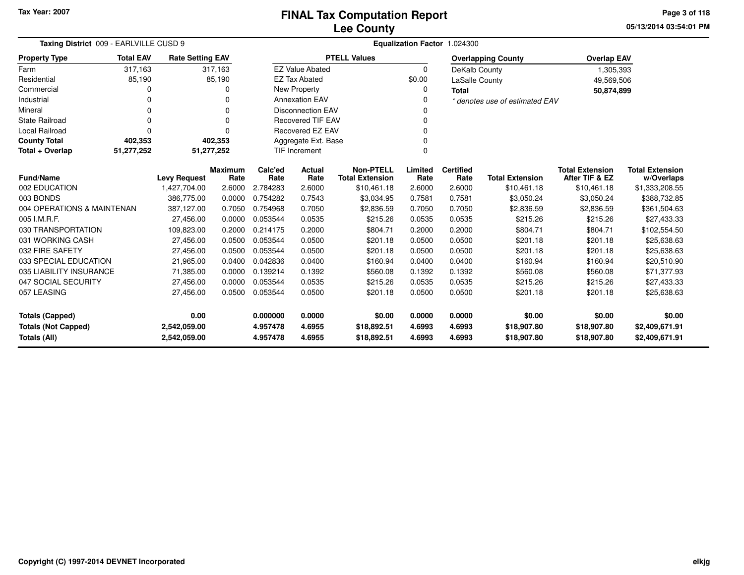**05/13/2014 03:54:01 PM Page 3 of 118**

| Taxing District 009 - EARLVILLE CUSD 9     | Equalization Factor 1.024300 |                        |                      |                          |                                            |                  |                          |                                |                                          |                                      |
|--------------------------------------------|------------------------------|------------------------|----------------------|--------------------------|--------------------------------------------|------------------|--------------------------|--------------------------------|------------------------------------------|--------------------------------------|
| <b>Total EAV</b><br><b>Property Type</b>   | <b>Rate Setting EAV</b>      |                        |                      |                          | <b>PTELL Values</b>                        |                  |                          | <b>Overlapping County</b>      | <b>Overlap EAV</b>                       |                                      |
| 317,163<br>Farm                            | 317,163                      |                        |                      | <b>EZ Value Abated</b>   |                                            | $\mathbf 0$      | DeKalb County            |                                | 1,305,393                                |                                      |
| 85,190<br>Residential                      | 85,190                       |                        |                      | <b>EZ Tax Abated</b>     |                                            | \$0.00           | <b>LaSalle County</b>    |                                | 49,569,506                               |                                      |
| Commercial<br>0                            |                              | 0                      |                      | <b>New Property</b>      |                                            | $\Omega$         | <b>Total</b>             |                                | 50,874,899                               |                                      |
| Industrial                                 |                              |                        |                      | <b>Annexation EAV</b>    |                                            | 0                |                          | * denotes use of estimated EAV |                                          |                                      |
| Mineral<br>$\Omega$                        |                              | $\Omega$               |                      | <b>Disconnection EAV</b> |                                            | $\Omega$         |                          |                                |                                          |                                      |
| <b>State Railroad</b><br>$\Omega$          |                              | 0                      |                      | <b>Recovered TIF EAV</b> |                                            | 0                |                          |                                |                                          |                                      |
| <b>Local Railroad</b><br>O                 |                              | n                      |                      | <b>Recovered EZ EAV</b>  |                                            | $\Omega$         |                          |                                |                                          |                                      |
| <b>County Total</b><br>402,353             | 402,353                      |                        |                      | Aggregate Ext. Base      |                                            | $\Omega$         |                          |                                |                                          |                                      |
| Total + Overlap<br>51,277,252              | 51,277,252                   |                        |                      | TIF Increment            |                                            | $\Omega$         |                          |                                |                                          |                                      |
| <b>Fund/Name</b>                           | <b>Levy Request</b>          | <b>Maximum</b><br>Rate | Calc'ed<br>Rate      | Actual<br>Rate           | <b>Non-PTELL</b><br><b>Total Extension</b> | Limited<br>Rate  | <b>Certified</b><br>Rate | <b>Total Extension</b>         | <b>Total Extension</b><br>After TIF & EZ | <b>Total Extension</b><br>w/Overlaps |
| 002 EDUCATION                              | 1,427,704.00                 | 2.6000                 | 2.784283             | 2.6000                   | \$10,461.18                                | 2.6000           | 2.6000                   | \$10,461.18                    | \$10,461.18                              | \$1,333,208.55                       |
| 003 BONDS                                  | 386,775.00                   | 0.0000                 | 0.754282             | 0.7543                   | \$3,034.95                                 | 0.7581           | 0.7581                   | \$3,050.24                     | \$3,050.24                               | \$388,732.85                         |
| 004 OPERATIONS & MAINTENAN                 | 387,127.00                   | 0.7050                 | 0.754968             | 0.7050                   | \$2,836.59                                 | 0.7050           | 0.7050                   | \$2,836.59                     | \$2,836.59                               | \$361,504.63                         |
| 005 I.M.R.F.                               | 27,456.00                    | 0.0000                 | 0.053544             | 0.0535                   | \$215.26                                   | 0.0535           | 0.0535                   | \$215.26                       | \$215.26                                 | \$27,433.33                          |
| 030 TRANSPORTATION                         | 109,823.00                   | 0.2000                 | 0.214175             | 0.2000                   | \$804.71                                   | 0.2000           | 0.2000                   | \$804.71                       | \$804.71                                 | \$102,554.50                         |
| 031 WORKING CASH                           | 27,456.00                    | 0.0500                 | 0.053544             | 0.0500                   | \$201.18                                   | 0.0500           | 0.0500                   | \$201.18                       | \$201.18                                 | \$25,638.63                          |
| 032 FIRE SAFETY                            | 27,456.00                    | 0.0500                 | 0.053544             | 0.0500                   | \$201.18                                   | 0.0500           | 0.0500                   | \$201.18                       | \$201.18                                 | \$25,638.63                          |
| 033 SPECIAL EDUCATION                      | 21,965.00                    | 0.0400                 | 0.042836             | 0.0400                   | \$160.94                                   | 0.0400           | 0.0400                   | \$160.94                       | \$160.94                                 | \$20,510.90                          |
| 035 LIABILITY INSURANCE                    | 71,385.00                    | 0.0000                 | 0.139214             | 0.1392                   | \$560.08                                   | 0.1392           | 0.1392                   | \$560.08                       | \$560.08                                 | \$71,377.93                          |
| 047 SOCIAL SECURITY                        | 27,456.00                    | 0.0000                 | 0.053544             | 0.0535                   | \$215.26                                   | 0.0535           | 0.0535                   | \$215.26                       | \$215.26                                 | \$27,433.33                          |
| 057 LEASING                                | 27,456.00                    | 0.0500                 | 0.053544             | 0.0500                   | \$201.18                                   | 0.0500           | 0.0500                   | \$201.18                       | \$201.18                                 | \$25,638.63                          |
| 0.00<br><b>Totals (Capped)</b>             |                              |                        | 0.000000             | 0.0000                   | \$0.00                                     | 0.0000           | 0.0000                   | \$0.00                         | \$0.00                                   | \$0.00                               |
| <b>Totals (Not Capped)</b><br>Totals (All) | 2,542,059.00<br>2,542,059.00 |                        | 4.957478<br>4.957478 | 4.6955<br>4.6955         | \$18,892.51<br>\$18,892.51                 | 4.6993<br>4.6993 | 4.6993<br>4.6993         | \$18,907.80<br>\$18,907.80     | \$18,907.80<br>\$18,907.80               | \$2,409,671.91<br>\$2,409,671.91     |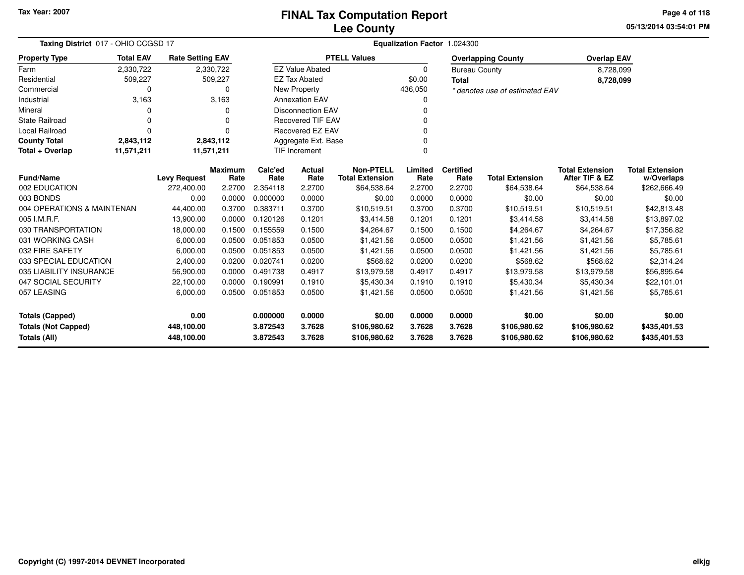**05/13/2014 03:54:01 PM Page 4 of 118**

| Taxing District 017 - OHIO CCGSD 17 | Equalization Factor 1.024300 |                         |                        |                 |                          |                                            |                 |                          |                                |                                          |                                      |
|-------------------------------------|------------------------------|-------------------------|------------------------|-----------------|--------------------------|--------------------------------------------|-----------------|--------------------------|--------------------------------|------------------------------------------|--------------------------------------|
| <b>Property Type</b>                | <b>Total EAV</b>             | <b>Rate Setting EAV</b> |                        |                 |                          | <b>PTELL Values</b>                        |                 |                          | <b>Overlapping County</b>      | <b>Overlap EAV</b>                       |                                      |
| Farm                                | 2,330,722                    |                         | 2,330,722              |                 | <b>EZ Value Abated</b>   |                                            | 0               | <b>Bureau County</b>     |                                | 8,728,099                                |                                      |
| Residential                         | 509,227                      |                         | 509,227                |                 | <b>EZ Tax Abated</b>     |                                            | \$0.00          | <b>Total</b>             |                                | 8,728,099                                |                                      |
| Commercial                          | 0                            |                         | 0                      |                 | New Property             |                                            | 436,050         |                          | * denotes use of estimated EAV |                                          |                                      |
| Industrial                          | 3,163                        |                         | 3,163                  |                 | <b>Annexation EAV</b>    |                                            | <sup>0</sup>    |                          |                                |                                          |                                      |
| Mineral                             | <sup>0</sup>                 |                         | O                      |                 | <b>Disconnection EAV</b> |                                            | <sup>0</sup>    |                          |                                |                                          |                                      |
| <b>State Railroad</b>               | $\Omega$                     |                         | 0                      |                 | <b>Recovered TIF EAV</b> |                                            | 0               |                          |                                |                                          |                                      |
| Local Railroad                      | $\Omega$                     |                         | $\Omega$               |                 | Recovered EZ EAV         |                                            | $\Omega$        |                          |                                |                                          |                                      |
| <b>County Total</b>                 | 2,843,112                    |                         | 2,843,112              |                 | Aggregate Ext. Base      |                                            | $\Omega$        |                          |                                |                                          |                                      |
| Total + Overlap                     | 11,571,211                   | 11,571,211              |                        |                 | TIF Increment            |                                            | $\Omega$        |                          |                                |                                          |                                      |
| <b>Fund/Name</b>                    |                              | <b>Levy Request</b>     | <b>Maximum</b><br>Rate | Calc'ed<br>Rate | Actual<br>Rate           | <b>Non-PTELL</b><br><b>Total Extension</b> | Limited<br>Rate | <b>Certified</b><br>Rate | <b>Total Extension</b>         | <b>Total Extension</b><br>After TIF & EZ | <b>Total Extension</b><br>w/Overlaps |
| 002 EDUCATION                       |                              | 272,400.00              | 2.2700                 | 2.354118        | 2.2700                   | \$64,538.64                                | 2.2700          | 2.2700                   | \$64,538.64                    | \$64,538.64                              | \$262,666.49                         |
| 003 BONDS                           |                              | 0.00                    | 0.0000                 | 0.000000        | 0.0000                   | \$0.00                                     | 0.0000          | 0.0000                   | \$0.00                         | \$0.00                                   | \$0.00                               |
| 004 OPERATIONS & MAINTENAN          |                              | 44,400.00               | 0.3700                 | 0.383711        | 0.3700                   | \$10,519.51                                | 0.3700          | 0.3700                   | \$10,519.51                    | \$10,519.51                              | \$42,813.48                          |
| 005 I.M.R.F.                        |                              | 13,900.00               | 0.0000                 | 0.120126        | 0.1201                   | \$3,414.58                                 | 0.1201          | 0.1201                   | \$3,414.58                     | \$3,414.58                               | \$13,897.02                          |
| 030 TRANSPORTATION                  |                              | 18,000.00               | 0.1500                 | 0.155559        | 0.1500                   | \$4,264.67                                 | 0.1500          | 0.1500                   | \$4,264.67                     | \$4,264.67                               | \$17,356.82                          |
| 031 WORKING CASH                    |                              | 6,000.00                | 0.0500                 | 0.051853        | 0.0500                   | \$1,421.56                                 | 0.0500          | 0.0500                   | \$1,421.56                     | \$1,421.56                               | \$5,785.61                           |
| 032 FIRE SAFETY                     |                              | 6,000.00                | 0.0500                 | 0.051853        | 0.0500                   | \$1,421.56                                 | 0.0500          | 0.0500                   | \$1,421.56                     | \$1,421.56                               | \$5,785.61                           |
| 033 SPECIAL EDUCATION               |                              | 2,400.00                | 0.0200                 | 0.020741        | 0.0200                   | \$568.62                                   | 0.0200          | 0.0200                   | \$568.62                       | \$568.62                                 | \$2,314.24                           |
| 035 LIABILITY INSURANCE             |                              | 56,900.00               | 0.0000                 | 0.491738        | 0.4917                   | \$13,979.58                                | 0.4917          | 0.4917                   | \$13,979.58                    | \$13,979.58                              | \$56,895.64                          |
| 047 SOCIAL SECURITY                 |                              | 22,100.00               | 0.0000                 | 0.190991        | 0.1910                   | \$5,430.34                                 | 0.1910          | 0.1910                   | \$5,430.34                     | \$5,430.34                               | \$22,101.01                          |
| 057 LEASING                         |                              | 6,000.00                | 0.0500                 | 0.051853        | 0.0500                   | \$1,421.56                                 | 0.0500          | 0.0500                   | \$1,421.56                     | \$1,421.56                               | \$5,785.61                           |
| <b>Totals (Capped)</b>              |                              | 0.00                    |                        | 0.000000        | 0.0000                   | \$0.00                                     | 0.0000          | 0.0000                   | \$0.00                         | \$0.00                                   | \$0.00                               |
| <b>Totals (Not Capped)</b>          |                              | 448,100.00              |                        | 3.872543        | 3.7628                   | \$106,980.62                               | 3.7628          | 3.7628                   | \$106,980.62                   | \$106,980.62                             | \$435,401.53                         |
| Totals (All)                        |                              | 448,100.00              |                        | 3.872543        | 3.7628                   | \$106,980.62                               | 3.7628          | 3.7628                   | \$106,980.62                   | \$106,980.62                             | \$435,401.53                         |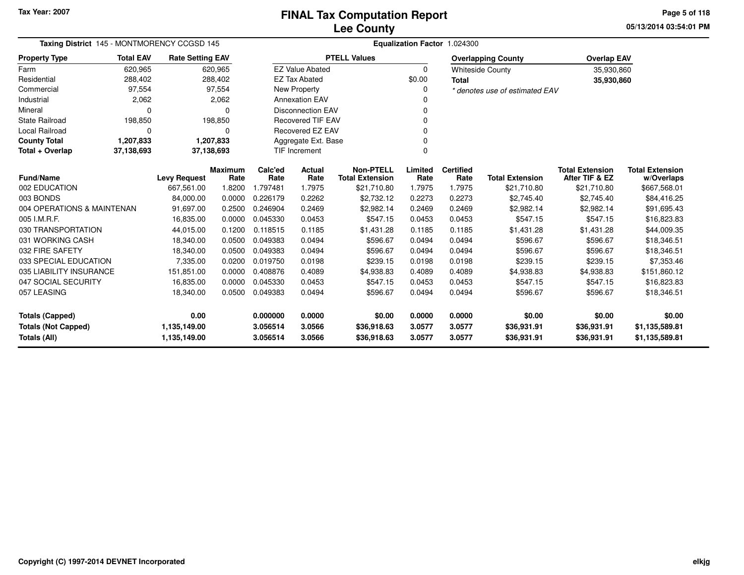**05/13/2014 03:54:01 PMPage 5 of 118**

| Taxing District 145 - MONTMORENCY CCGSD 145 |                  |                         |                | Equalization Factor 1.024300 |                          |                        |          |                  |                                |                        |                        |  |  |
|---------------------------------------------|------------------|-------------------------|----------------|------------------------------|--------------------------|------------------------|----------|------------------|--------------------------------|------------------------|------------------------|--|--|
| <b>Property Type</b>                        | <b>Total EAV</b> | <b>Rate Setting EAV</b> |                |                              |                          | <b>PTELL Values</b>    |          |                  | <b>Overlapping County</b>      | <b>Overlap EAV</b>     |                        |  |  |
| Farm                                        | 620,965          |                         | 620,965        |                              | <b>EZ Value Abated</b>   |                        | 0        |                  | <b>Whiteside County</b>        | 35,930,860             |                        |  |  |
| Residential                                 | 288,402          |                         | 288,402        |                              | <b>EZ Tax Abated</b>     |                        | \$0.00   | <b>Total</b>     |                                | 35,930,860             |                        |  |  |
| Commercial                                  | 97,554           |                         | 97,554         |                              | New Property             |                        | $\Omega$ |                  | * denotes use of estimated EAV |                        |                        |  |  |
| Industrial                                  | 2,062            |                         | 2,062          |                              | <b>Annexation EAV</b>    |                        |          |                  |                                |                        |                        |  |  |
| Mineral                                     | $\Omega$         |                         | O              |                              | <b>Disconnection EAV</b> |                        | 0        |                  |                                |                        |                        |  |  |
| <b>State Railroad</b>                       | 198,850          |                         | 198,850        |                              | <b>Recovered TIF EAV</b> |                        | 0        |                  |                                |                        |                        |  |  |
| <b>Local Railroad</b>                       | $\Omega$         |                         | $\Omega$       |                              | Recovered EZ EAV         |                        | $\Omega$ |                  |                                |                        |                        |  |  |
| <b>County Total</b>                         | 1,207,833        |                         | 1,207,833      |                              | Aggregate Ext. Base      |                        |          |                  |                                |                        |                        |  |  |
| Total + Overlap                             | 37,138,693       |                         | 37,138,693     |                              | <b>TIF Increment</b>     |                        | $\Omega$ |                  |                                |                        |                        |  |  |
|                                             |                  |                         | <b>Maximum</b> | Calc'ed                      | <b>Actual</b>            | <b>Non-PTELL</b>       | Limited  | <b>Certified</b> |                                | <b>Total Extension</b> | <b>Total Extension</b> |  |  |
| <b>Fund/Name</b><br>002 EDUCATION           |                  | <b>Levy Request</b>     | Rate           | Rate                         | Rate                     | <b>Total Extension</b> | Rate     | Rate             | <b>Total Extension</b>         | After TIF & EZ         | w/Overlaps             |  |  |
| 003 BONDS                                   |                  | 667.561.00              | 1.8200         | 1.797481                     | 1.7975                   | \$21,710.80            | 1.7975   | 1.7975<br>0.2273 | \$21,710.80<br>\$2,745.40      | \$21,710.80            | \$667,568.01           |  |  |
|                                             |                  | 84,000.00               | 0.0000         | 0.226179                     | 0.2262                   | \$2,732.12             | 0.2273   |                  |                                | \$2,745.40             | \$84,416.25            |  |  |
| 004 OPERATIONS & MAINTENAN                  |                  | 91,697.00               | 0.2500         | 0.246904                     | 0.2469                   | \$2,982.14             | 0.2469   | 0.2469           | \$2,982.14                     | \$2,982.14             | \$91,695.43            |  |  |
| 005 I.M.R.F.                                |                  | 16,835.00               | 0.0000         | 0.045330                     | 0.0453                   | \$547.15               | 0.0453   | 0.0453           | \$547.15                       | \$547.15               | \$16,823.83            |  |  |
| 030 TRANSPORTATION                          |                  | 44,015.00               | 0.1200         | 0.118515                     | 0.1185                   | \$1,431.28             | 0.1185   | 0.1185           | \$1,431.28                     | \$1,431.28             | \$44,009.35            |  |  |
| 031 WORKING CASH                            |                  | 18,340.00               | 0.0500         | 0.049383                     | 0.0494                   | \$596.67               | 0.0494   | 0.0494           | \$596.67                       | \$596.67               | \$18,346.51            |  |  |
| 032 FIRE SAFETY                             |                  | 18,340.00               | 0.0500         | 0.049383                     | 0.0494                   | \$596.67               | 0.0494   | 0.0494           | \$596.67                       | \$596.67               | \$18,346.51            |  |  |
| 033 SPECIAL EDUCATION                       |                  | 7,335.00                | 0.0200         | 0.019750                     | 0.0198                   | \$239.15               | 0.0198   | 0.0198           | \$239.15                       | \$239.15               | \$7,353.46             |  |  |
| 035 LIABILITY INSURANCE                     |                  | 151,851.00              | 0.0000         | 0.408876                     | 0.4089                   | \$4,938.83             | 0.4089   | 0.4089           | \$4,938.83                     | \$4,938.83             | \$151,860.12           |  |  |
| 047 SOCIAL SECURITY                         |                  | 16,835.00               | 0.0000         | 0.045330                     | 0.0453                   | \$547.15               | 0.0453   | 0.0453           | \$547.15                       | \$547.15               | \$16,823.83            |  |  |
| 057 LEASING                                 |                  | 18,340.00               | 0.0500         | 0.049383                     | 0.0494                   | \$596.67               | 0.0494   | 0.0494           | \$596.67                       | \$596.67               | \$18,346.51            |  |  |
| <b>Totals (Capped)</b>                      |                  | 0.00                    |                | 0.000000                     | 0.0000                   | \$0.00                 | 0.0000   | 0.0000           | \$0.00                         | \$0.00                 | \$0.00                 |  |  |
| <b>Totals (Not Capped)</b>                  |                  | 1,135,149.00            |                | 3.056514                     | 3.0566                   | \$36,918.63            | 3.0577   | 3.0577           | \$36,931.91                    | \$36,931.91            | \$1,135,589.81         |  |  |
| Totals (All)                                |                  | 1,135,149.00            |                | 3.056514                     | 3.0566                   | \$36,918.63            | 3.0577   | 3.0577           | \$36,931.91                    | \$36,931.91            | \$1,135,589.81         |  |  |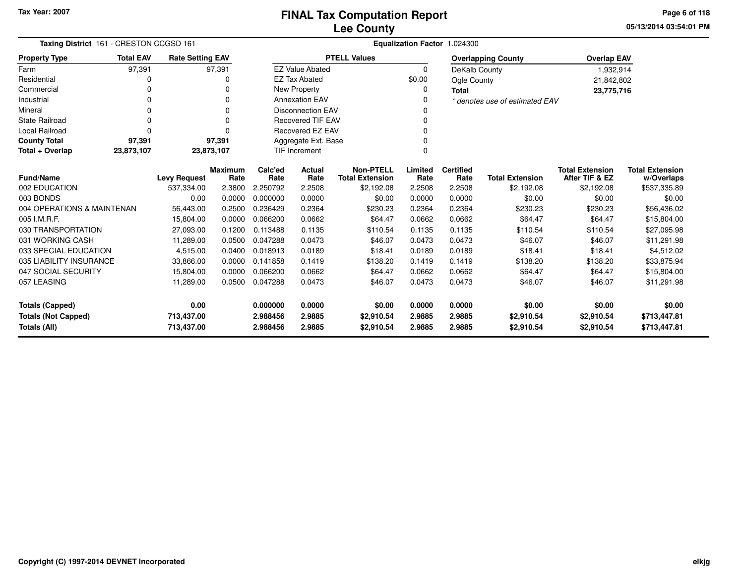**05/13/2014 03:54:01 PM Page 6 of 118**

| Taxing District 161 - CRESTON CCGSD 161 |                                                            |                     |                |          |                          |                        | Equalization Factor 1.024300 |                  |                                |                        |                        |
|-----------------------------------------|------------------------------------------------------------|---------------------|----------------|----------|--------------------------|------------------------|------------------------------|------------------|--------------------------------|------------------------|------------------------|
| <b>Property Type</b>                    | <b>Total EAV</b><br><b>Rate Setting EAV</b><br>97,391<br>0 |                     |                |          |                          | <b>PTELL Values</b>    |                              |                  | <b>Overlapping County</b>      | <b>Overlap EAV</b>     |                        |
| Farm                                    |                                                            |                     | 97,391         |          | <b>EZ Value Abated</b>   |                        | 0                            | DeKalb County    |                                | 1,932,914              |                        |
| Residential                             |                                                            |                     | 0              |          | <b>EZ Tax Abated</b>     |                        | \$0.00                       | Ogle County      |                                | 21,842,802             |                        |
| Commercial                              | 0                                                          |                     | $\Omega$       |          | New Property             |                        | 0                            | <b>Total</b>     |                                | 23,775,716             |                        |
| Industrial                              | 0                                                          |                     | $\Omega$       |          | <b>Annexation EAV</b>    |                        | 0                            |                  | * denotes use of estimated EAV |                        |                        |
| Mineral                                 | 0                                                          |                     | $\Omega$       |          | <b>Disconnection EAV</b> |                        | 0                            |                  |                                |                        |                        |
| <b>State Railroad</b>                   | 0                                                          |                     | $\Omega$       |          | <b>Recovered TIF EAV</b> |                        | 0                            |                  |                                |                        |                        |
| <b>Local Railroad</b>                   | 0                                                          |                     | $\Omega$       |          | <b>Recovered EZ EAV</b>  |                        | 0                            |                  |                                |                        |                        |
| <b>County Total</b>                     | 97,391                                                     |                     | 97,391         |          | Aggregate Ext. Base      |                        |                              |                  |                                |                        |                        |
| Total + Overlap                         | 23,873,107<br>23,873,107                                   |                     |                |          |                          |                        | 0                            |                  |                                |                        |                        |
|                                         |                                                            |                     | <b>Maximum</b> | Calc'ed  | <b>Actual</b>            | <b>Non-PTELL</b>       | Limited                      | <b>Certified</b> |                                | <b>Total Extension</b> | <b>Total Extension</b> |
| <b>Fund/Name</b>                        |                                                            | <b>Levy Request</b> | Rate           | Rate     | Rate                     | <b>Total Extension</b> | Rate                         | Rate             | <b>Total Extension</b>         | After TIF & EZ         | w/Overlaps             |
| 002 EDUCATION                           |                                                            | 537,334.00          | 2.3800         | 2.250792 | 2.2508                   | \$2,192.08             | 2.2508                       | 2.2508           | \$2,192.08                     | \$2,192.08             | \$537,335.89           |
| 003 BONDS                               |                                                            | 0.00                | 0.0000         | 0.000000 | 0.0000                   | \$0.00                 | 0.0000                       | 0.0000           | \$0.00                         | \$0.00                 | \$0.00                 |
| 004 OPERATIONS & MAINTENAN              |                                                            | 56,443.00           | 0.2500         | 0.236429 | 0.2364                   | \$230.23               | 0.2364                       | 0.2364           | \$230.23                       | \$230.23               | \$56,436.02            |
| 005 I.M.R.F.                            |                                                            | 15,804.00           | 0.0000         | 0.066200 | 0.0662                   | \$64.47                | 0.0662                       | 0.0662           | \$64.47                        | \$64.47                | \$15,804.00            |
| 030 TRANSPORTATION                      |                                                            | 27,093.00           | 0.1200         | 0.113488 | 0.1135                   | \$110.54               | 0.1135                       | 0.1135           | \$110.54                       | \$110.54               | \$27,095.98            |
| 031 WORKING CASH                        |                                                            | 11,289.00           | 0.0500         | 0.047288 | 0.0473                   | \$46.07                | 0.0473                       | 0.0473           | \$46.07                        | \$46.07                | \$11,291.98            |
| 033 SPECIAL EDUCATION                   |                                                            | 4,515.00            | 0.0400         | 0.018913 | 0.0189                   | \$18.41                | 0.0189                       | 0.0189           | \$18.41                        | \$18.41                | \$4,512.02             |
| 035 LIABILITY INSURANCE                 |                                                            | 33,866.00           | 0.0000         | 0.141858 | 0.1419                   | \$138.20               | 0.1419                       | 0.1419           | \$138.20                       | \$138.20               | \$33,875.94            |
| 047 SOCIAL SECURITY<br>15,804.00        |                                                            | 0.0000              | 0.066200       | 0.0662   | \$64.47                  | 0.0662                 | 0.0662                       | \$64.47          | \$64.47                        | \$15,804.00            |                        |
| 057 LEASING                             |                                                            | 11,289.00           | 0.0500         | 0.047288 | 0.0473                   | \$46.07                | 0.0473                       | 0.0473           | \$46.07                        | \$46.07                | \$11,291.98            |
| 0.00<br><b>Totals (Capped)</b>          |                                                            | 0.000000            | 0.0000         | \$0.00   | 0.0000                   | 0.0000                 | \$0.00                       | \$0.00           | \$0.00                         |                        |                        |
| <b>Totals (Not Capped)</b>              |                                                            | 713,437.00          |                | 2.988456 | 2.9885                   | \$2,910.54             | 2.9885                       | 2.9885           | \$2,910.54                     | \$2,910.54             | \$713,447.81           |
| Totals (All)<br>713,437.00              |                                                            |                     |                | 2.988456 | 2.9885                   | \$2.910.54             | 2.9885                       | 2.9885           | \$2,910.54                     | \$2,910.54             | \$713,447.81           |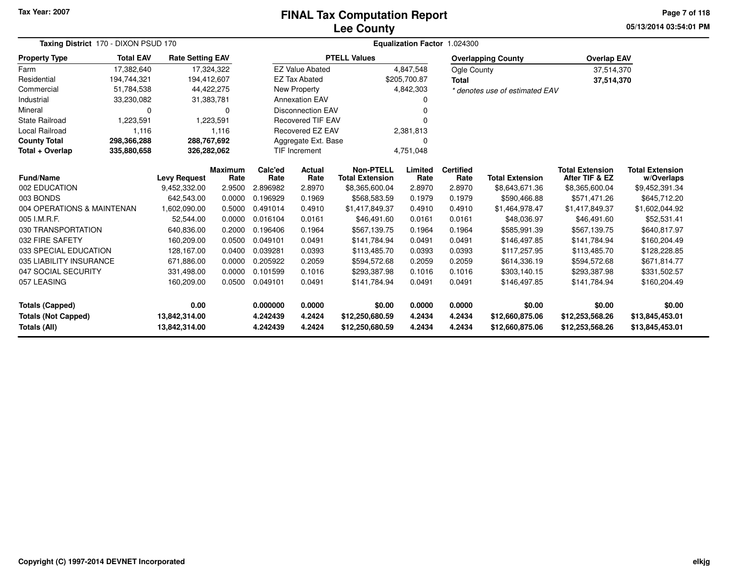#### **Lee CountyFINAL Tax Computation Report**

**05/13/2014 03:54:01 PMPage 7 of 118**

| Taxing District 170 - DIXON PSUD 170       |                  | Equalization Factor 1.024300   |                        |                      |                          |                                            |                  |                          |                                    |                                          |                                      |
|--------------------------------------------|------------------|--------------------------------|------------------------|----------------------|--------------------------|--------------------------------------------|------------------|--------------------------|------------------------------------|------------------------------------------|--------------------------------------|
| <b>Property Type</b>                       | <b>Total EAV</b> | <b>Rate Setting EAV</b>        |                        |                      |                          | <b>PTELL Values</b>                        |                  |                          | <b>Overlapping County</b>          | <b>Overlap EAV</b>                       |                                      |
| Farm                                       | 17,382,640       | 17,324,322                     |                        |                      | <b>EZ Value Abated</b>   |                                            | 4,847,548        | <b>Ogle County</b>       |                                    | 37,514,370                               |                                      |
| Residential                                | 194.744.321      | 194.412.607                    |                        |                      | <b>EZ Tax Abated</b>     |                                            | \$205.700.87     | <b>Total</b>             |                                    | 37,514,370                               |                                      |
| Commercial                                 | 51,784,538       | 44,422,275                     |                        |                      | New Property             |                                            | 4,842,303        |                          | * denotes use of estimated EAV     |                                          |                                      |
| Industrial                                 | 33,230,082       | 31,383,781                     |                        |                      | <b>Annexation EAV</b>    |                                            |                  |                          |                                    |                                          |                                      |
| Mineral                                    | $\Omega$         |                                | $\Omega$               |                      | <b>Disconnection EAV</b> |                                            |                  |                          |                                    |                                          |                                      |
| <b>State Railroad</b>                      | 1,223,591        |                                | 1,223,591              |                      | <b>Recovered TIF EAV</b> |                                            |                  |                          |                                    |                                          |                                      |
| <b>Local Railroad</b>                      | 1,116            |                                | 1,116                  |                      | <b>Recovered EZ EAV</b>  |                                            | 2,381,813        |                          |                                    |                                          |                                      |
| <b>County Total</b>                        | 298,366,288      | 288,767,692                    |                        |                      | Aggregate Ext. Base      |                                            |                  |                          |                                    |                                          |                                      |
| Total + Overlap                            | 335,880,658      | 326,282,062                    |                        |                      | <b>TIF Increment</b>     |                                            | 4,751,048        |                          |                                    |                                          |                                      |
| <b>Fund/Name</b>                           |                  | <b>Levy Request</b>            | <b>Maximum</b><br>Rate | Calc'ed<br>Rate      | <b>Actual</b><br>Rate    | <b>Non-PTELL</b><br><b>Total Extension</b> | Limited<br>Rate  | <b>Certified</b><br>Rate | <b>Total Extension</b>             | <b>Total Extension</b><br>After TIF & EZ | <b>Total Extension</b><br>w/Overlaps |
| 002 EDUCATION                              |                  | 9,452,332.00                   | 2.9500                 | 2.896982             | 2.8970                   | \$8,365,600.04                             | 2.8970           | 2.8970                   | \$8,643,671.36                     | \$8,365,600.04                           | \$9,452,391.34                       |
| 003 BONDS                                  |                  | 642,543.00                     | 0.0000                 | 0.196929             | 0.1969                   | \$568,583.59                               | 0.1979           | 0.1979                   | \$590,466.88                       | \$571,471.26                             | \$645,712.20                         |
| 004 OPERATIONS & MAINTENAN                 |                  | 1,602,090.00                   | 0.5000                 | 0.491014             | 0.4910                   | \$1,417,849.37                             | 0.4910           | 0.4910                   | \$1,464,978.47                     | \$1,417,849.37                           | \$1,602,044.92                       |
| 005 I.M.R.F.                               |                  | 52,544.00                      | 0.0000                 | 0.016104             | 0.0161                   | \$46,491.60                                | 0.0161           | 0.0161                   | \$48,036.97                        | \$46,491.60                              | \$52,531.41                          |
| 030 TRANSPORTATION                         |                  | 640,836.00                     | 0.2000                 | 0.196406             | 0.1964                   | \$567,139.75                               | 0.1964           | 0.1964                   | \$585,991.39                       | \$567,139.75                             | \$640,817.97                         |
| 032 FIRE SAFETY                            |                  | 160,209.00                     | 0.0500                 | 0.049101             | 0.0491                   | \$141,784.94                               | 0.0491           | 0.0491                   | \$146,497.85                       | \$141,784.94                             | \$160,204.49                         |
| 033 SPECIAL EDUCATION                      |                  | 128,167.00                     | 0.0400                 | 0.039281             | 0.0393                   | \$113,485.70                               | 0.0393           | 0.0393                   | \$117,257.95                       | \$113,485.70                             | \$128,228.85                         |
| 035 LIABILITY INSURANCE                    |                  | 671,886.00                     | 0.0000                 | 0.205922             | 0.2059                   | \$594,572.68                               | 0.2059           | 0.2059                   | \$614,336.19                       | \$594,572.68                             | \$671,814.77                         |
| 047 SOCIAL SECURITY                        |                  | 331,498.00                     | 0.0000                 | 0.101599             | 0.1016                   | \$293,387.98                               | 0.1016           | 0.1016                   | \$303,140.15                       | \$293,387.98                             | \$331,502.57                         |
| 057 LEASING                                |                  | 160,209.00                     | 0.0500                 | 0.049101             | 0.0491                   | \$141,784.94                               | 0.0491           | 0.0491                   | \$146,497.85                       | \$141,784.94                             | \$160,204.49                         |
| <b>Totals (Capped)</b>                     |                  | 0.00                           |                        | 0.000000             | 0.0000                   | \$0.00                                     | 0.0000           | 0.0000                   | \$0.00                             | \$0.00                                   | \$0.00                               |
| <b>Totals (Not Capped)</b><br>Totals (All) |                  | 13,842,314.00<br>13,842,314.00 |                        | 4.242439<br>4.242439 | 4.2424<br>4.2424         | \$12,250,680.59<br>\$12,250,680.59         | 4.2434<br>4.2434 | 4.2434<br>4.2434         | \$12,660,875.06<br>\$12,660,875.06 | \$12,253,568.26<br>\$12,253,568.26       | \$13,845,453.01<br>\$13,845,453.01   |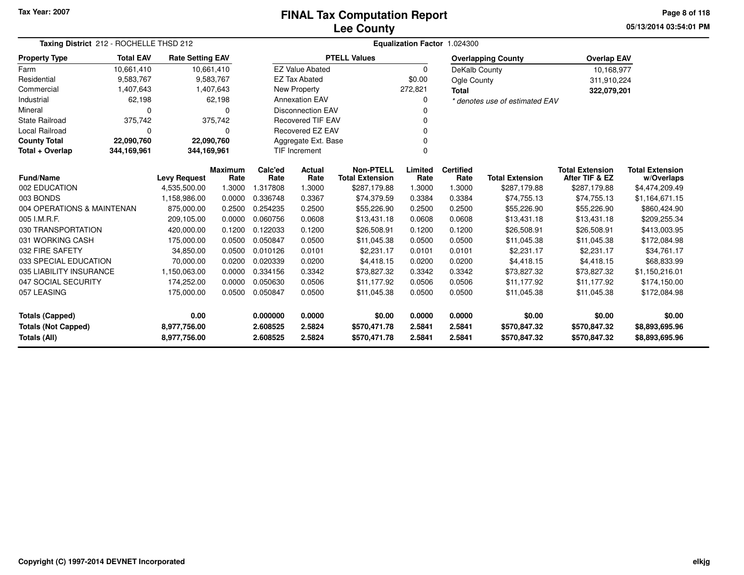# **Lee CountyFINAL Tax Computation Report**

**05/13/2014 03:54:01 PM Page 8 of 118**

| Taxing District 212 - ROCHELLE THSD 212    |                                                                                                   |                     |                |          |                          |                        |          | Equalization Factor 1.024300 |                                |                        |                        |
|--------------------------------------------|---------------------------------------------------------------------------------------------------|---------------------|----------------|----------|--------------------------|------------------------|----------|------------------------------|--------------------------------|------------------------|------------------------|
| <b>Property Type</b>                       | <b>Total EAV</b><br><b>Rate Setting EAV</b><br>10.661.410<br>10,661,410<br>9,583,767<br>9,583,767 |                     |                |          |                          | <b>PTELL Values</b>    |          |                              | <b>Overlapping County</b>      | <b>Overlap EAV</b>     |                        |
| Farm                                       |                                                                                                   |                     |                |          | <b>EZ Value Abated</b>   |                        | $\Omega$ | DeKalb County                |                                | 10,168,977             |                        |
| Residential                                |                                                                                                   |                     |                |          | <b>EZ Tax Abated</b>     |                        | \$0.00   | Ogle County                  |                                | 311,910,224            |                        |
| Commercial                                 | 1,407,643                                                                                         |                     | 1,407,643      |          | New Property             |                        | 272,821  | <b>Total</b>                 |                                | 322,079,201            |                        |
| Industrial                                 | 62,198                                                                                            |                     | 62,198         |          | <b>Annexation EAV</b>    |                        | 0        |                              | * denotes use of estimated EAV |                        |                        |
| Mineral                                    | 0                                                                                                 |                     | n              |          | <b>Disconnection EAV</b> |                        | 0        |                              |                                |                        |                        |
| <b>State Railroad</b>                      | 375,742                                                                                           |                     | 375,742        |          | <b>Recovered TIF EAV</b> |                        | 0        |                              |                                |                        |                        |
| <b>Local Railroad</b>                      | 0                                                                                                 |                     | $\Omega$       |          | Recovered EZ EAV         |                        | 0        |                              |                                |                        |                        |
| <b>County Total</b>                        | 22,090,760                                                                                        | 22,090,760          |                |          | Aggregate Ext. Base      |                        | 0        |                              |                                |                        |                        |
| Total + Overlap                            | 344,169,961                                                                                       | 344,169,961         |                |          | <b>TIF Increment</b>     |                        | $\Omega$ |                              |                                |                        |                        |
|                                            |                                                                                                   |                     | <b>Maximum</b> | Calc'ed  | <b>Actual</b>            | <b>Non-PTELL</b>       | Limited  | <b>Certified</b>             |                                | <b>Total Extension</b> | <b>Total Extension</b> |
| <b>Fund/Name</b>                           |                                                                                                   | <b>Levy Request</b> | Rate           | Rate     | Rate                     | <b>Total Extension</b> | Rate     | Rate                         | <b>Total Extension</b>         | After TIF & EZ         | w/Overlaps             |
| 002 EDUCATION                              |                                                                                                   | 4,535,500.00        | 1.3000         | 1.317808 | 1.3000                   | \$287,179.88           | 1.3000   | 1.3000                       | \$287,179.88                   | \$287,179.88           | \$4,474,209.49         |
| 003 BONDS                                  |                                                                                                   | 1,158,986.00        | 0.0000         | 0.336748 | 0.3367                   | \$74,379.59            | 0.3384   | 0.3384                       | \$74,755.13                    | \$74,755.13            | \$1,164,671.15         |
| 004 OPERATIONS & MAINTENAN                 |                                                                                                   | 875,000.00          | 0.2500         | 0.254235 | 0.2500                   | \$55,226.90            | 0.2500   | 0.2500                       | \$55,226.90                    | \$55,226.90            | \$860,424.90           |
| 005 I.M.R.F.                               |                                                                                                   | 209,105.00          | 0.0000         | 0.060756 | 0.0608                   | \$13,431.18            | 0.0608   | 0.0608                       | \$13,431.18                    | \$13,431.18            | \$209,255.34           |
| 030 TRANSPORTATION                         |                                                                                                   | 420,000.00          | 0.1200         | 0.122033 | 0.1200                   | \$26,508.91            | 0.1200   | 0.1200                       | \$26,508.91                    | \$26,508.91            | \$413,003.95           |
| 031 WORKING CASH                           |                                                                                                   | 175,000.00          | 0.0500         | 0.050847 | 0.0500                   | \$11,045.38            | 0.0500   | 0.0500                       | \$11,045.38                    | \$11,045.38            | \$172,084.98           |
| 032 FIRE SAFETY                            |                                                                                                   | 34,850.00           | 0.0500         | 0.010126 | 0.0101                   | \$2,231.17             | 0.0101   | 0.0101                       | \$2,231.17                     | \$2,231.17             | \$34,761.17            |
| 033 SPECIAL EDUCATION                      |                                                                                                   | 70,000.00           | 0.0200         | 0.020339 | 0.0200                   | \$4,418.15             | 0.0200   | 0.0200                       | \$4,418.15                     | \$4,418.15             | \$68,833.99            |
| 035 LIABILITY INSURANCE                    |                                                                                                   | 1,150,063.00        | 0.0000         | 0.334156 | 0.3342                   | \$73,827.32            | 0.3342   | 0.3342                       | \$73.827.32                    | \$73.827.32            | \$1,150,216.01         |
| 047 SOCIAL SECURITY                        |                                                                                                   | 174,252.00          | 0.0000         | 0.050630 | 0.0506                   | \$11,177.92            | 0.0506   | 0.0506                       | \$11,177.92                    | \$11,177.92            | \$174,150.00           |
| 057 LEASING                                |                                                                                                   | 175,000.00          | 0.0500         | 0.050847 | 0.0500                   | \$11,045.38            | 0.0500   | 0.0500                       | \$11,045.38                    | \$11,045.38            | \$172,084.98           |
| 0.00<br><b>Totals (Capped)</b>             |                                                                                                   |                     | 0.000000       | 0.0000   | \$0.00                   | 0.0000                 | 0.0000   | \$0.00                       | \$0.00                         | \$0.00                 |                        |
| <b>Totals (Not Capped)</b><br>8,977,756.00 |                                                                                                   |                     | 2.608525       | 2.5824   | \$570,471.78             | 2.5841                 | 2.5841   | \$570,847.32                 | \$570,847.32                   | \$8,893,695.96         |                        |
| Totals (All)<br>8,977,756.00               |                                                                                                   |                     |                | 2.608525 | 2.5824                   | \$570,471.78           | 2.5841   | 2.5841                       | \$570,847.32                   | \$570,847.32           | \$8,893,695.96         |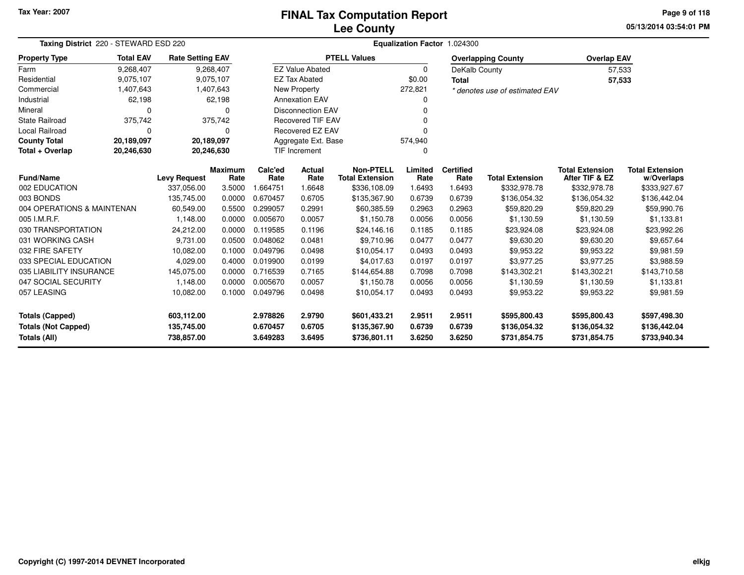# **Lee CountyFINAL Tax Computation Report**

**05/13/2014 03:54:01 PM Page 9 of 118**

| Taxing District 220 - STEWARD ESD 220 | Equalization Factor 1.024300                                          |                     |                        |                 |                          |                                            |                 |                          |                                |                                          |                                      |
|---------------------------------------|-----------------------------------------------------------------------|---------------------|------------------------|-----------------|--------------------------|--------------------------------------------|-----------------|--------------------------|--------------------------------|------------------------------------------|--------------------------------------|
| <b>Property Type</b>                  | <b>Total EAV</b><br><b>Rate Setting EAV</b><br>9,268,407<br>9,075,107 |                     |                        |                 |                          | <b>PTELL Values</b>                        |                 |                          | <b>Overlapping County</b>      | <b>Overlap EAV</b>                       |                                      |
| Farm                                  |                                                                       |                     | 9,268,407              |                 | <b>EZ Value Abated</b>   |                                            | $\Omega$        | DeKalb County            |                                | 57,533                                   |                                      |
| Residential                           |                                                                       |                     | 9,075,107              |                 | <b>EZ Tax Abated</b>     |                                            | \$0.00          | <b>Total</b>             |                                | 57,533                                   |                                      |
| Commercial                            | 1,407,643                                                             |                     | 1,407,643              |                 | <b>New Property</b>      |                                            | 272,821         |                          | * denotes use of estimated EAV |                                          |                                      |
| Industrial                            | 62,198                                                                |                     | 62,198                 |                 | <b>Annexation EAV</b>    |                                            | 0               |                          |                                |                                          |                                      |
| Mineral                               | $\Omega$                                                              |                     | 0                      |                 | <b>Disconnection EAV</b> |                                            | n               |                          |                                |                                          |                                      |
| <b>State Railroad</b>                 | 375,742                                                               |                     | 375,742                |                 | <b>Recovered TIF EAV</b> |                                            | 0               |                          |                                |                                          |                                      |
| <b>Local Railroad</b>                 | $\Omega$                                                              |                     | 0                      |                 | Recovered EZ EAV         |                                            | n               |                          |                                |                                          |                                      |
| <b>County Total</b>                   | 20,189,097                                                            | 20,189,097          |                        |                 | Aggregate Ext. Base      |                                            | 574,940         |                          |                                |                                          |                                      |
| Total + Overlap                       | 20,246,630                                                            | 20,246,630          |                        |                 | <b>TIF Increment</b>     |                                            | 0               |                          |                                |                                          |                                      |
| <b>Fund/Name</b>                      |                                                                       | <b>Levy Request</b> | <b>Maximum</b><br>Rate | Calc'ed<br>Rate | Actual<br>Rate           | <b>Non-PTELL</b><br><b>Total Extension</b> | Limited<br>Rate | <b>Certified</b><br>Rate | <b>Total Extension</b>         | <b>Total Extension</b><br>After TIF & EZ | <b>Total Extension</b><br>w/Overlaps |
| 002 EDUCATION                         |                                                                       | 337,056.00          | 3.5000                 | 1.664751        | 1.6648                   | \$336,108.09                               | 1.6493          | 1.6493                   | \$332,978.78                   | \$332,978.78                             | \$333,927.67                         |
| 003 BONDS                             |                                                                       | 135,745.00          | 0.0000                 | 0.670457        | 0.6705                   | \$135,367.90                               | 0.6739          | 0.6739                   | \$136,054.32                   | \$136,054.32                             | \$136,442.04                         |
| 004 OPERATIONS & MAINTENAN            |                                                                       | 60,549.00           | 0.5500                 | 0.299057        | 0.2991                   | \$60,385.59                                | 0.2963          | 0.2963                   | \$59,820.29                    | \$59,820.29                              | \$59,990.76                          |
| 005 I.M.R.F.                          |                                                                       | 1,148.00            | 0.0000                 | 0.005670        | 0.0057                   | \$1,150.78                                 | 0.0056          | 0.0056                   | \$1,130.59                     | \$1,130.59                               | \$1,133.81                           |
| 030 TRANSPORTATION                    |                                                                       | 24,212.00           | 0.0000                 | 0.119585        | 0.1196                   | \$24,146.16                                | 0.1185          | 0.1185                   | \$23,924.08                    | \$23,924.08                              | \$23,992.26                          |
| 031 WORKING CASH                      |                                                                       | 9,731.00            | 0.0500                 | 0.048062        | 0.0481                   | \$9,710.96                                 | 0.0477          | 0.0477                   | \$9,630.20                     | \$9,630.20                               | \$9,657.64                           |
| 032 FIRE SAFETY                       |                                                                       | 10,082.00           | 0.1000                 | 0.049796        | 0.0498                   | \$10,054.17                                | 0.0493          | 0.0493                   | \$9,953.22                     | \$9,953.22                               | \$9,981.59                           |
| 033 SPECIAL EDUCATION                 |                                                                       | 4,029.00            | 0.4000                 | 0.019900        | 0.0199                   | \$4,017.63                                 | 0.0197          | 0.0197                   | \$3,977.25                     | \$3,977.25                               | \$3,988.59                           |
| 035 LIABILITY INSURANCE               |                                                                       | 145,075.00          | 0.0000                 | 0.716539        | 0.7165                   | \$144,654.88                               | 0.7098          | 0.7098                   | \$143,302.21                   | \$143,302.21                             | \$143,710.58                         |
| 047 SOCIAL SECURITY                   |                                                                       | 1,148.00            | 0.0000                 | 0.005670        | 0.0057                   | \$1,150.78                                 | 0.0056          | 0.0056                   | \$1,130.59                     | \$1,130.59                               | \$1,133.81                           |
| 057 LEASING                           |                                                                       | 10,082.00           | 0.1000                 | 0.049796        | 0.0498                   | \$10,054.17                                | 0.0493          | 0.0493                   | \$9,953.22                     | \$9,953.22                               | \$9,981.59                           |
| <b>Totals (Capped)</b>                |                                                                       | 603,112.00          |                        | 2.978826        | 2.9790                   | \$601,433.21                               | 2.9511          | 2.9511                   | \$595,800.43                   | \$595,800.43                             | \$597,498.30                         |
| <b>Totals (Not Capped)</b>            |                                                                       | 135,745.00          |                        | 0.670457        | 0.6705                   | \$135,367.90                               | 0.6739          | 0.6739                   | \$136,054.32                   | \$136,054.32                             | \$136,442.04                         |
| <b>Totals (All)</b>                   |                                                                       | 738,857.00          |                        | 3.649283        | 3.6495                   | \$736,801.11                               | 3.6250          | 3.6250                   | \$731,854.75                   | \$731,854.75                             | \$733,940.34                         |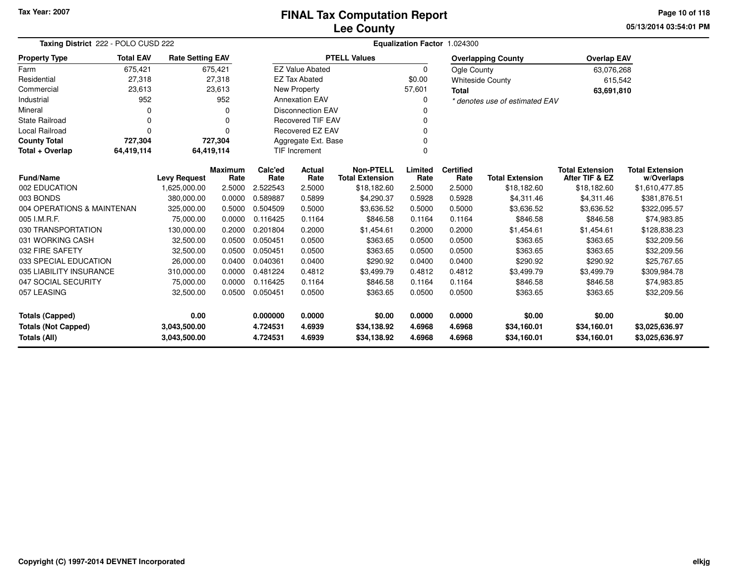## **Lee CountyFINAL Tax Computation Report**

**05/13/2014 03:54:01 PMPage 10 of 118**

|                              | Taxing District 222 - POLO CUSD 222                                                   |                                     |                |                  |                          |                                       |                | Equalization Factor 1.024300 |                                       |                                          |                              |
|------------------------------|---------------------------------------------------------------------------------------|-------------------------------------|----------------|------------------|--------------------------|---------------------------------------|----------------|------------------------------|---------------------------------------|------------------------------------------|------------------------------|
| <b>Property Type</b>         | <b>Total EAV</b><br><b>Rate Setting EAV</b><br>675,421<br>675.421<br>27,318<br>27,318 |                                     |                |                  |                          | <b>PTELL Values</b>                   |                |                              | <b>Overlapping County</b>             | <b>Overlap EAV</b>                       |                              |
| Farm                         |                                                                                       |                                     |                |                  | <b>EZ Value Abated</b>   |                                       | 0              | Ogle County                  |                                       | 63,076,268                               |                              |
| Residential                  |                                                                                       |                                     |                |                  | <b>EZ Tax Abated</b>     |                                       | \$0.00         |                              | <b>Whiteside County</b>               | 615,542                                  |                              |
| Commercial                   | 23,613                                                                                |                                     | 23,613         |                  | New Property             |                                       | 57,601         | <b>Total</b>                 |                                       | 63,691,810                               |                              |
| Industrial                   | 952                                                                                   |                                     | 952            |                  | <b>Annexation EAV</b>    |                                       | 0              |                              | * denotes use of estimated EAV        |                                          |                              |
| Mineral                      | 0                                                                                     |                                     | 0              |                  | <b>Disconnection EAV</b> |                                       | 0              |                              |                                       |                                          |                              |
| <b>State Railroad</b>        | 0                                                                                     |                                     | $\Omega$       |                  | <b>Recovered TIF EAV</b> |                                       | 0              |                              |                                       |                                          |                              |
| Local Railroad               | $\Omega$                                                                              |                                     | 0              |                  | Recovered EZ EAV         |                                       | 0              |                              |                                       |                                          |                              |
| <b>County Total</b>          | 727,304                                                                               |                                     | 727,304        |                  | Aggregate Ext. Base      |                                       | 0              |                              |                                       |                                          |                              |
| Total + Overlap              | 64,419,114                                                                            | 64,419,114                          |                |                  | TIF Increment            |                                       | $\Omega$       |                              |                                       |                                          |                              |
| <b>Fund/Name</b>             |                                                                                       |                                     | <b>Maximum</b> | Calc'ed          | Actual                   | <b>Non-PTELL</b>                      | Limited        | <b>Certified</b>             |                                       | <b>Total Extension</b><br>After TIF & EZ | <b>Total Extension</b>       |
| 002 EDUCATION                |                                                                                       | <b>Levy Request</b><br>1,625,000.00 | Rate<br>2.5000 | Rate<br>2.522543 | Rate<br>2.5000           | <b>Total Extension</b><br>\$18,182.60 | Rate<br>2.5000 | Rate<br>2.5000               | <b>Total Extension</b><br>\$18,182.60 | \$18,182.60                              | w/Overlaps<br>\$1,610,477.85 |
| 003 BONDS                    |                                                                                       | 380.000.00                          | 0.0000         | 0.589887         | 0.5899                   | \$4,290.37                            | 0.5928         | 0.5928                       | \$4,311.46                            | \$4,311.46                               | \$381,876.51                 |
| 004 OPERATIONS & MAINTENAN   |                                                                                       | 325,000.00                          | 0.5000         | 0.504509         | 0.5000                   | \$3,636.52                            | 0.5000         | 0.5000                       | \$3,636.52                            | \$3,636.52                               | \$322,095.57                 |
| 005 I.M.R.F.                 |                                                                                       | 75,000.00                           | 0.0000         | 0.116425         | 0.1164                   | \$846.58                              | 0.1164         | 0.1164                       | \$846.58                              | \$846.58                                 | \$74,983.85                  |
| 030 TRANSPORTATION           |                                                                                       | 130,000.00                          | 0.2000         | 0.201804         | 0.2000                   | \$1,454.61                            | 0.2000         | 0.2000                       | \$1,454.61                            | \$1,454.61                               | \$128,838.23                 |
| 031 WORKING CASH             |                                                                                       | 32,500.00                           | 0.0500         | 0.050451         | 0.0500                   | \$363.65                              | 0.0500         | 0.0500                       | \$363.65                              | \$363.65                                 | \$32,209.56                  |
| 032 FIRE SAFETY              |                                                                                       | 32,500.00                           | 0.0500         | 0.050451         | 0.0500                   | \$363.65                              | 0.0500         | 0.0500                       | \$363.65                              | \$363.65                                 | \$32,209.56                  |
| 033 SPECIAL EDUCATION        |                                                                                       | 26,000.00                           | 0.0400         | 0.040361         | 0.0400                   | \$290.92                              | 0.0400         | 0.0400                       | \$290.92                              | \$290.92                                 | \$25,767.65                  |
| 035 LIABILITY INSURANCE      |                                                                                       | 310,000.00                          | 0.0000         | 0.481224         | 0.4812                   | \$3,499.79                            | 0.4812         | 0.4812                       | \$3,499.79                            | \$3,499.79                               | \$309,984.78                 |
| 047 SOCIAL SECURITY          |                                                                                       | 75,000.00                           | 0.0000         | 0.116425         | 0.1164                   | \$846.58                              | 0.1164         | 0.1164                       | \$846.58                              | \$846.58                                 | \$74,983.85                  |
| 057 LEASING                  |                                                                                       | 32,500.00                           | 0.0500         | 0.050451         | 0.0500                   | \$363.65                              | 0.0500         | 0.0500                       | \$363.65                              | \$363.65                                 | \$32,209.56                  |
|                              |                                                                                       |                                     |                |                  |                          |                                       |                |                              |                                       |                                          |                              |
| 0.00<br>Totals (Capped)      |                                                                                       |                                     | 0.000000       | 0.0000           | \$0.00                   | 0.0000                                | 0.0000         | \$0.00                       | \$0.00                                | \$0.00                                   |                              |
| <b>Totals (Not Capped)</b>   |                                                                                       | 3.043.500.00                        |                | 4.724531         | 4.6939                   | \$34,138.92                           | 4.6968         | 4.6968                       | \$34,160.01                           | \$34,160.01                              | \$3,025,636.97               |
| Totals (All)<br>3,043,500.00 |                                                                                       |                                     |                | 4.724531         | 4.6939                   | \$34,138.92                           | 4.6968         | 4.6968                       | \$34,160.01                           | \$34,160.01                              | \$3,025,636.97               |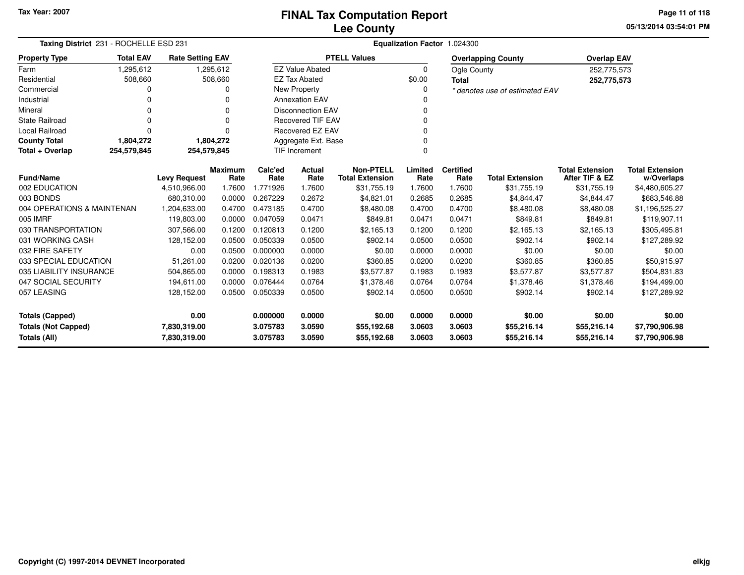**05/13/2014 03:54:01 PMPage 11 of 118**

| Taxing District 231 - ROCHELLE ESD 231                                                                                                             |                                                                                  |                     |                 | Equalization Factor 1.024300 |                          |                                            |                 |                          |                                |                                          |                                      |  |
|----------------------------------------------------------------------------------------------------------------------------------------------------|----------------------------------------------------------------------------------|---------------------|-----------------|------------------------------|--------------------------|--------------------------------------------|-----------------|--------------------------|--------------------------------|------------------------------------------|--------------------------------------|--|
| <b>Property Type</b>                                                                                                                               | <b>Total EAV</b><br><b>Rate Setting EAV</b><br>1,295,612<br>1,295,612<br>508,660 |                     |                 |                              |                          | <b>PTELL Values</b>                        |                 |                          | <b>Overlapping County</b>      | <b>Overlap EAV</b>                       |                                      |  |
| Farm                                                                                                                                               |                                                                                  |                     |                 |                              | <b>EZ Value Abated</b>   |                                            | $\Omega$        | Ogle County              |                                | 252,775,573                              |                                      |  |
| Residential                                                                                                                                        | 508,660                                                                          |                     |                 |                              | <b>EZ Tax Abated</b>     |                                            | \$0.00          | <b>Total</b>             |                                | 252,775,573                              |                                      |  |
| Commercial                                                                                                                                         | 0                                                                                |                     | U               |                              | <b>New Property</b>      |                                            | 0               |                          | * denotes use of estimated EAV |                                          |                                      |  |
| Industrial                                                                                                                                         |                                                                                  |                     |                 |                              | <b>Annexation EAV</b>    |                                            |                 |                          |                                |                                          |                                      |  |
| Mineral                                                                                                                                            | <sup>0</sup>                                                                     |                     | $\Omega$        |                              | <b>Disconnection EAV</b> |                                            | 0               |                          |                                |                                          |                                      |  |
| <b>State Railroad</b>                                                                                                                              |                                                                                  |                     | $\Omega$        |                              | <b>Recovered TIF EAV</b> |                                            | $\Omega$        |                          |                                |                                          |                                      |  |
| Local Railroad                                                                                                                                     | $\Omega$                                                                         |                     | 0               |                              | <b>Recovered EZ EAV</b>  |                                            | 0               |                          |                                |                                          |                                      |  |
| <b>County Total</b>                                                                                                                                | 1,804,272                                                                        |                     | 1,804,272       |                              | Aggregate Ext. Base      |                                            |                 |                          |                                |                                          |                                      |  |
| Total + Overlap                                                                                                                                    | 254,579,845                                                                      | 254,579,845         |                 |                              | TIF Increment            |                                            | $\Omega$        |                          |                                |                                          |                                      |  |
| <b>Fund/Name</b>                                                                                                                                   |                                                                                  | <b>Levy Request</b> | Maximum<br>Rate | Calc'ed<br>Rate              | Actual<br>Rate           | <b>Non-PTELL</b><br><b>Total Extension</b> | Limited<br>Rate | <b>Certified</b><br>Rate | <b>Total Extension</b>         | <b>Total Extension</b><br>After TIF & EZ | <b>Total Extension</b><br>w/Overlaps |  |
| 002 EDUCATION                                                                                                                                      |                                                                                  | 4,510,966.00        | 1.7600          | 1.771926                     | 1.7600                   | \$31,755.19                                | 1.7600          | 1.7600                   | \$31,755.19                    | \$31,755.19                              | \$4,480,605.27                       |  |
| 003 BONDS                                                                                                                                          |                                                                                  | 680,310.00          | 0.0000          | 0.267229                     | 0.2672                   | \$4,821.01                                 | 0.2685          | 0.2685                   | \$4,844.47                     | \$4,844.47                               | \$683,546.88                         |  |
| 004 OPERATIONS & MAINTENAN                                                                                                                         |                                                                                  | 1,204,633.00        | 0.4700          | 0.473185                     | 0.4700                   | \$8,480.08                                 | 0.4700          | 0.4700                   | \$8,480.08                     | \$8,480.08                               | \$1,196,525.27                       |  |
| 005 IMRF                                                                                                                                           |                                                                                  | 119,803.00          | 0.0000          | 0.047059                     | 0.0471                   | \$849.81                                   | 0.0471          | 0.0471                   | \$849.81                       | \$849.81                                 | \$119,907.11                         |  |
| 030 TRANSPORTATION                                                                                                                                 |                                                                                  | 307,566.00          | 0.1200          | 0.120813                     | 0.1200                   | \$2,165.13                                 | 0.1200          | 0.1200                   | \$2,165.13                     | \$2,165.13                               | \$305,495.81                         |  |
| 031 WORKING CASH                                                                                                                                   |                                                                                  | 128,152.00          | 0.0500          | 0.050339                     | 0.0500                   | \$902.14                                   | 0.0500          | 0.0500                   | \$902.14                       | \$902.14                                 | \$127,289.92                         |  |
| 032 FIRE SAFETY                                                                                                                                    |                                                                                  | 0.00                | 0.0500          | 0.000000                     | 0.0000                   | \$0.00                                     | 0.0000          | 0.0000                   | \$0.00                         | \$0.00                                   | \$0.00                               |  |
| 033 SPECIAL EDUCATION                                                                                                                              |                                                                                  | 51,261.00           | 0.0200          | 0.020136                     | 0.0200                   | \$360.85                                   | 0.0200          | 0.0200                   | \$360.85                       | \$360.85                                 | \$50,915.97                          |  |
| 035 LIABILITY INSURANCE                                                                                                                            |                                                                                  | 504,865.00          | 0.0000          | 0.198313                     | 0.1983                   | \$3,577.87                                 | 0.1983          | 0.1983                   | \$3,577.87                     | \$3,577.87                               | \$504,831.83                         |  |
| 047 SOCIAL SECURITY                                                                                                                                |                                                                                  | 194,611.00          | 0.0000          | 0.076444                     | 0.0764                   | \$1,378.46                                 | 0.0764          | 0.0764                   | \$1,378.46                     | \$1,378.46                               | \$194,499.00                         |  |
| 057 LEASING                                                                                                                                        |                                                                                  | 128,152.00          | 0.0500          | 0.050339                     | 0.0500                   | \$902.14                                   | 0.0500          | 0.0500                   | \$902.14                       | \$902.14                                 | \$127,289.92                         |  |
| 0.00<br><b>Totals (Capped)</b>                                                                                                                     |                                                                                  |                     | 0.000000        | 0.0000                       | \$0.00                   | 0.0000                                     | 0.0000          | \$0.00                   | \$0.00                         | \$0.00                                   |                                      |  |
|                                                                                                                                                    |                                                                                  |                     |                 | 3.075783                     | 3.0590                   |                                            | 3.0603          | 3.0603                   | \$55,216.14                    | \$55,216.14                              | \$7,790,906.98                       |  |
| <b>Totals (Not Capped)</b><br>7,830,319.00<br>\$55,192.68<br>Totals (All)<br>7,830,319.00<br>3.075783<br>3.0590<br>\$55,192.68<br>3.0603<br>3.0603 |                                                                                  |                     |                 | \$55,216.14                  | \$55,216.14              | \$7,790,906.98                             |                 |                          |                                |                                          |                                      |  |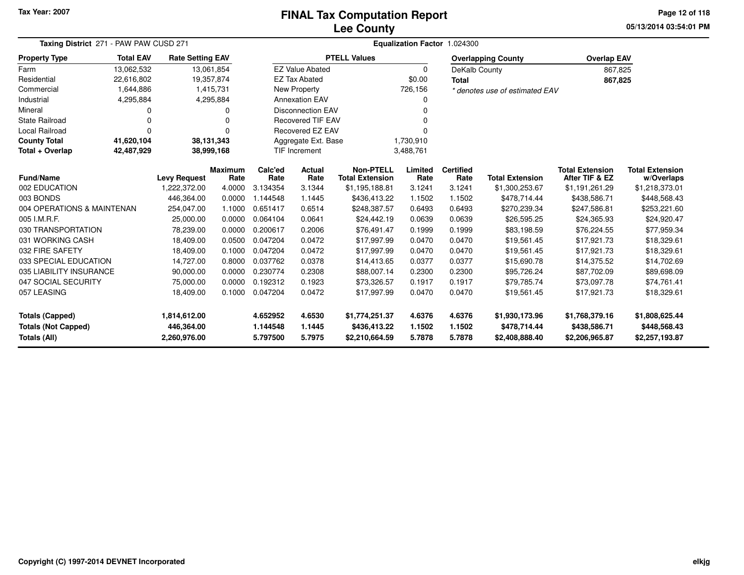# **Lee CountyFINAL Tax Computation Report**

**05/13/2014 03:54:01 PM Page 12 of 118**

| Taxing District 271 - PAW PAW CUSD 271 |                                                                                                     |                     |                        |                 |                          |                                            |                 | Equalization Factor 1.024300 |                                |                                          |                                      |
|----------------------------------------|-----------------------------------------------------------------------------------------------------|---------------------|------------------------|-----------------|--------------------------|--------------------------------------------|-----------------|------------------------------|--------------------------------|------------------------------------------|--------------------------------------|
| <b>Property Type</b>                   | <b>Total EAV</b><br><b>Rate Setting EAV</b><br>13,062,532<br>13,061,854<br>22,616,802<br>19,357,874 |                     |                        |                 |                          | <b>PTELL Values</b>                        |                 |                              | <b>Overlapping County</b>      | <b>Overlap EAV</b>                       |                                      |
| Farm                                   |                                                                                                     |                     |                        |                 | <b>EZ Value Abated</b>   |                                            | 0               | DeKalb County                |                                | 867,825                                  |                                      |
| Residential                            |                                                                                                     |                     |                        |                 | <b>EZ Tax Abated</b>     |                                            | \$0.00          | <b>Total</b>                 |                                | 867,825                                  |                                      |
| Commercial                             | 1,644,886                                                                                           |                     | 1,415,731              |                 | <b>New Property</b>      |                                            | 726,156         |                              | * denotes use of estimated EAV |                                          |                                      |
| Industrial                             | 4,295,884                                                                                           |                     | 4,295,884              |                 | <b>Annexation EAV</b>    |                                            | ი               |                              |                                |                                          |                                      |
| Mineral                                | 0                                                                                                   |                     | 0                      |                 | <b>Disconnection EAV</b> |                                            | n               |                              |                                |                                          |                                      |
| <b>State Railroad</b>                  | 0                                                                                                   |                     | $\Omega$               |                 | <b>Recovered TIF EAV</b> |                                            |                 |                              |                                |                                          |                                      |
| Local Railroad                         | 0                                                                                                   |                     | $\Omega$               |                 | <b>Recovered EZ EAV</b>  |                                            |                 |                              |                                |                                          |                                      |
| <b>County Total</b>                    | 41,620,104                                                                                          | 38,131,343          |                        |                 | Aggregate Ext. Base      |                                            | 1,730,910       |                              |                                |                                          |                                      |
| Total + Overlap                        | 42,487,929                                                                                          | 38,999,168          |                        |                 | <b>TIF Increment</b>     |                                            | 3,488,761       |                              |                                |                                          |                                      |
| <b>Fund/Name</b>                       |                                                                                                     | <b>Levy Request</b> | <b>Maximum</b><br>Rate | Calc'ed<br>Rate | Actual<br>Rate           | <b>Non-PTELL</b><br><b>Total Extension</b> | Limited<br>Rate | <b>Certified</b><br>Rate     | <b>Total Extension</b>         | <b>Total Extension</b><br>After TIF & EZ | <b>Total Extension</b><br>w/Overlaps |
| 002 EDUCATION                          |                                                                                                     | 1,222,372.00        | 4.0000                 | 3.134354        | 3.1344                   | \$1,195,188.81                             | 3.1241          | 3.1241                       | \$1,300,253.67                 | \$1,191,261.29                           | \$1,218,373.01                       |
| 003 BONDS                              |                                                                                                     | 446,364.00          | 0.0000                 | 1.144548        | 1.1445                   | \$436,413.22                               | 1.1502          | 1.1502                       | \$478,714.44                   | \$438,586.71                             | \$448,568.43                         |
| 004 OPERATIONS & MAINTENAN             |                                                                                                     | 254,047.00          | 1.1000                 | 0.651417        | 0.6514                   | \$248,387.57                               | 0.6493          | 0.6493                       | \$270,239.34                   | \$247,586.81                             | \$253,221.60                         |
| 005 I.M.R.F.                           |                                                                                                     | 25,000.00           | 0.0000                 | 0.064104        | 0.0641                   | \$24,442.19                                | 0.0639          | 0.0639                       | \$26,595.25                    | \$24,365.93                              | \$24,920.47                          |
| 030 TRANSPORTATION                     |                                                                                                     | 78,239.00           | 0.0000                 | 0.200617        | 0.2006                   | \$76,491.47                                | 0.1999          | 0.1999                       | \$83,198.59                    | \$76,224.55                              | \$77,959.34                          |
| 031 WORKING CASH                       |                                                                                                     | 18,409.00           | 0.0500                 | 0.047204        | 0.0472                   | \$17,997.99                                | 0.0470          | 0.0470                       | \$19,561.45                    | \$17,921.73                              | \$18,329.61                          |
| 032 FIRE SAFETY                        |                                                                                                     | 18,409.00           | 0.1000                 | 0.047204        | 0.0472                   | \$17,997.99                                | 0.0470          | 0.0470                       | \$19,561.45                    | \$17,921.73                              | \$18,329.61                          |
| 033 SPECIAL EDUCATION                  |                                                                                                     | 14,727.00           | 0.8000                 | 0.037762        | 0.0378                   | \$14,413.65                                | 0.0377          | 0.0377                       | \$15,690.78                    | \$14,375.52                              | \$14,702.69                          |
| 035 LIABILITY INSURANCE                |                                                                                                     | 90,000.00           | 0.0000                 | 0.230774        | 0.2308                   | \$88,007.14                                | 0.2300          | 0.2300                       | \$95,726.24                    | \$87,702.09                              | \$89,698.09                          |
| 047 SOCIAL SECURITY                    |                                                                                                     | 75,000.00           | 0.0000                 | 0.192312        | 0.1923                   | \$73,326.57                                | 0.1917          | 0.1917                       | \$79,785.74                    | \$73,097.78                              | \$74,761.41                          |
| 057 LEASING                            |                                                                                                     | 18,409.00           | 0.1000                 | 0.047204        | 0.0472                   | \$17,997.99                                | 0.0470          | 0.0470                       | \$19,561.45                    | \$17,921.73                              | \$18,329.61                          |
| <b>Totals (Capped)</b>                 |                                                                                                     | 1,814,612.00        |                        | 4.652952        | 4.6530                   | \$1,774,251.37                             | 4.6376          | 4.6376                       | \$1,930,173.96                 | \$1,768,379.16                           | \$1,808,625.44                       |
| <b>Totals (Not Capped)</b>             |                                                                                                     | 446,364.00          |                        | 1.144548        | 1.1445                   | \$436,413.22                               | 1.1502          | 1.1502                       | \$478,714.44                   | \$438,586.71                             | \$448,568.43                         |
| Totals (All)                           |                                                                                                     | 2,260,976.00        |                        | 5.797500        | 5.7975                   | \$2,210,664.59                             | 5.7878          | 5.7878                       | \$2,408,888.40                 | \$2,206,965.87                           | \$2,257,193.87                       |

۰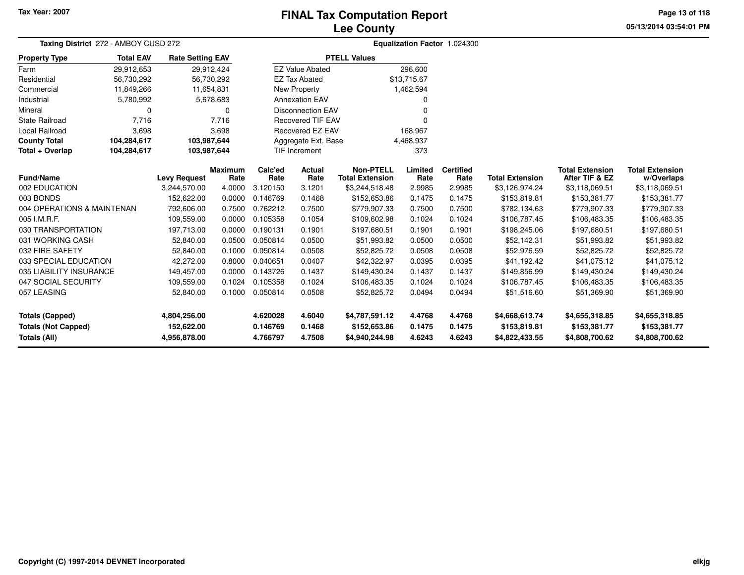## **Lee CountyFINAL Tax Computation Report**

**05/13/2014 03:54:01 PMPage 13 of 118**

| Taxing District 272 - AMBOY CUSD 272 |                            | Equalization Factor 1.024300 |                |          |                          |                        |             |                  |                        |                        |                        |
|--------------------------------------|----------------------------|------------------------------|----------------|----------|--------------------------|------------------------|-------------|------------------|------------------------|------------------------|------------------------|
| <b>Property Type</b>                 | <b>Total EAV</b>           | <b>Rate Setting EAV</b>      |                |          |                          | <b>PTELL Values</b>    |             |                  |                        |                        |                        |
| Farm                                 | 29,912,653                 | 29,912,424                   |                |          | <b>EZ Value Abated</b>   |                        | 296,600     |                  |                        |                        |                        |
| Residential                          | 56,730,292                 | 56,730,292                   |                |          | <b>EZ Tax Abated</b>     |                        | \$13,715.67 |                  |                        |                        |                        |
| Commercial                           | 11,849,266                 | 11,654,831                   |                |          | <b>New Property</b>      |                        | 1,462,594   |                  |                        |                        |                        |
| Industrial                           | 5,780,992                  |                              | 5,678,683      |          | <b>Annexation EAV</b>    |                        |             |                  |                        |                        |                        |
| Mineral                              | 0                          |                              | 0              |          | <b>Disconnection EAV</b> |                        | 0           |                  |                        |                        |                        |
| <b>State Railroad</b>                | 7,716                      |                              | 7.716          |          | <b>Recovered TIF EAV</b> |                        | $\Omega$    |                  |                        |                        |                        |
| Local Railroad                       | 3,698                      |                              | 3,698          |          | <b>Recovered EZ EAV</b>  |                        | 168.967     |                  |                        |                        |                        |
| <b>County Total</b>                  | 104,284,617                | 103,987,644                  |                |          | Aggregate Ext. Base      |                        | 4,468,937   |                  |                        |                        |                        |
| Total + Overlap                      | 104,284,617<br>103,987,644 |                              |                |          | <b>TIF Increment</b>     |                        | 373         |                  |                        |                        |                        |
|                                      |                            |                              | <b>Maximum</b> | Calc'ed  | <b>Actual</b>            | <b>Non-PTELL</b>       | Limited     | <b>Certified</b> |                        | <b>Total Extension</b> | <b>Total Extension</b> |
| <b>Fund/Name</b>                     |                            | <b>Levy Request</b>          | Rate           | Rate     | Rate                     | <b>Total Extension</b> | Rate        | Rate             | <b>Total Extension</b> | After TIF & EZ         | w/Overlaps             |
| 002 EDUCATION                        |                            | 3,244,570.00                 | 4.0000         | 3.120150 | 3.1201                   | \$3,244,518.48         | 2.9985      | 2.9985           | \$3,126,974.24         | \$3,118,069.51         | \$3,118,069.51         |
| 003 BONDS                            |                            | 152,622.00                   | 0.0000         | 0.146769 | 0.1468                   | \$152,653.86           | 0.1475      | 0.1475           | \$153,819.81           | \$153,381.77           | \$153,381.77           |
| 004 OPERATIONS & MAINTENAN           |                            | 792,606.00                   | 0.7500         | 0.762212 | 0.7500                   | \$779,907.33           | 0.7500      | 0.7500           | \$782,134.63           | \$779,907.33           | \$779,907.33           |
| 005 I.M.R.F.                         |                            | 109,559.00                   | 0.0000         | 0.105358 | 0.1054                   | \$109,602.98           | 0.1024      | 0.1024           | \$106,787.45           | \$106,483.35           | \$106,483.35           |
| 030 TRANSPORTATION                   |                            | 197,713.00                   | 0.0000         | 0.190131 | 0.1901                   | \$197,680.51           | 0.1901      | 0.1901           | \$198,245.06           | \$197,680.51           | \$197,680.51           |
| 031 WORKING CASH                     |                            | 52,840.00                    | 0.0500         | 0.050814 | 0.0500                   | \$51,993.82            | 0.0500      | 0.0500           | \$52,142.31            | \$51,993.82            | \$51,993.82            |
| 032 FIRE SAFETY                      |                            | 52,840.00                    | 0.1000         | 0.050814 | 0.0508                   | \$52,825.72            | 0.0508      | 0.0508           | \$52,976.59            | \$52,825.72            | \$52,825.72            |
| 033 SPECIAL EDUCATION                |                            | 42,272.00                    | 0.8000         | 0.040651 | 0.0407                   | \$42,322.97            | 0.0395      | 0.0395           | \$41,192.42            | \$41,075.12            | \$41,075.12            |
| 035 LIABILITY INSURANCE              |                            | 149,457.00                   | 0.0000         | 0.143726 | 0.1437                   | \$149,430.24           | 0.1437      | 0.1437           | \$149,856.99           | \$149,430.24           | \$149,430.24           |
| 047 SOCIAL SECURITY                  |                            | 109,559.00                   | 0.1024         | 0.105358 | 0.1024                   | \$106,483.35           | 0.1024      | 0.1024           | \$106,787.45           | \$106,483.35           | \$106,483.35           |
| 057 LEASING                          |                            | 52,840.00                    | 0.1000         | 0.050814 | 0.0508                   | \$52,825.72            | 0.0494      | 0.0494           | \$51,516.60            | \$51,369.90            | \$51,369.90            |
| <b>Totals (Capped)</b>               |                            | 4,804,256.00                 |                | 4.620028 | 4.6040                   | \$4,787,591.12         | 4.4768      | 4.4768           | \$4,668,613.74         | \$4,655,318.85         | \$4,655,318.85         |
| <b>Totals (Not Capped)</b>           |                            | 152,622.00                   |                | 0.146769 | 0.1468                   | \$152,653.86           | 0.1475      | 0.1475           | \$153,819.81           | \$153,381.77           | \$153,381.77           |
| <b>Totals (All)</b>                  |                            | 4,956,878.00                 |                | 4.766797 | 4.7508                   | \$4,940,244.98         | 4.6243      | 4.6243           | \$4,822,433.55         | \$4,808,700.62         | \$4,808,700.62         |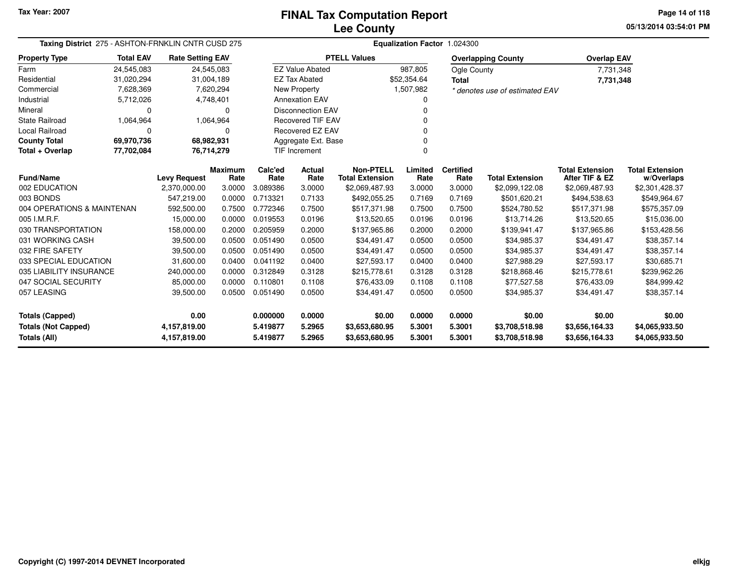**05/13/2014 03:54:01 PM Page 14 of 118**

|                            | Taxing District 275 - ASHTON-FRNKLIN CNTR CUSD 275<br><b>Total EAV</b><br><b>Rate Setting EAV</b> |                     |                 |                 |                          |                                            |                 | Equalization Factor 1.024300 |                                |                                          |                                      |
|----------------------------|---------------------------------------------------------------------------------------------------|---------------------|-----------------|-----------------|--------------------------|--------------------------------------------|-----------------|------------------------------|--------------------------------|------------------------------------------|--------------------------------------|
| <b>Property Type</b>       |                                                                                                   |                     |                 |                 |                          | <b>PTELL Values</b>                        |                 |                              | <b>Overlapping County</b>      | <b>Overlap EAV</b>                       |                                      |
| Farm                       | 24,545,083                                                                                        | 24,545,083          |                 |                 | <b>EZ Value Abated</b>   |                                            | 987,805         | Ogle County                  |                                | 7,731,348                                |                                      |
| Residential                | 31,020,294                                                                                        | 31,004,189          |                 |                 | <b>EZ Tax Abated</b>     |                                            | \$52,354.64     | <b>Total</b>                 |                                | 7,731,348                                |                                      |
| Commercial                 | 7,628,369                                                                                         |                     | 7,620,294       |                 | New Property             |                                            | 1,507,982       |                              | * denotes use of estimated EAV |                                          |                                      |
| Industrial                 | 5,712,026                                                                                         |                     | 4,748,401       |                 | <b>Annexation EAV</b>    |                                            | $\Omega$        |                              |                                |                                          |                                      |
| Mineral                    | 0                                                                                                 |                     | 0               |                 | <b>Disconnection EAV</b> |                                            |                 |                              |                                |                                          |                                      |
| <b>State Railroad</b>      | 1,064,964                                                                                         |                     | 1,064,964       |                 | <b>Recovered TIF EAV</b> |                                            |                 |                              |                                |                                          |                                      |
| Local Railroad             | $\Omega$                                                                                          |                     | 0               |                 | <b>Recovered EZ EAV</b>  |                                            |                 |                              |                                |                                          |                                      |
| <b>County Total</b>        | 69,970,736                                                                                        | 68,982,931          |                 |                 | Aggregate Ext. Base      |                                            |                 |                              |                                |                                          |                                      |
| Total + Overlap            | 77,702,084                                                                                        | 76,714,279          |                 |                 | <b>TIF Increment</b>     |                                            | $\Omega$        |                              |                                |                                          |                                      |
| <b>Fund/Name</b>           |                                                                                                   | <b>Levy Request</b> | Maximum<br>Rate | Calc'ed<br>Rate | <b>Actual</b><br>Rate    | <b>Non-PTELL</b><br><b>Total Extension</b> | Limited<br>Rate | <b>Certified</b><br>Rate     | <b>Total Extension</b>         | <b>Total Extension</b><br>After TIF & EZ | <b>Total Extension</b><br>w/Overlaps |
| 002 EDUCATION              |                                                                                                   | 2,370,000.00        | 3.0000          | 3.089386        | 3.0000                   | \$2,069,487.93                             | 3.0000          | 3.0000                       | \$2,099,122.08                 | \$2,069,487.93                           | \$2,301,428.37                       |
| 003 BONDS                  |                                                                                                   | 547.219.00          | 0.0000          | 0.713321        | 0.7133                   | \$492,055.25                               | 0.7169          | 0.7169                       | \$501,620.21                   | \$494,538.63                             | \$549,964.67                         |
| 004 OPERATIONS & MAINTENAN |                                                                                                   | 592,500.00          | 0.7500          | 0.772346        | 0.7500                   | \$517,371.98                               | 0.7500          | 0.7500                       | \$524,780.52                   | \$517,371.98                             | \$575,357.09                         |
| 005 I.M.R.F.               |                                                                                                   | 15,000.00           | 0.0000          | 0.019553        | 0.0196                   | \$13,520.65                                | 0.0196          | 0.0196                       | \$13,714.26                    | \$13,520.65                              | \$15,036.00                          |
| 030 TRANSPORTATION         |                                                                                                   | 158,000.00          | 0.2000          | 0.205959        | 0.2000                   | \$137,965.86                               | 0.2000          | 0.2000                       | \$139,941.47                   | \$137,965.86                             | \$153,428.56                         |
| 031 WORKING CASH           |                                                                                                   | 39,500.00           | 0.0500          | 0.051490        | 0.0500                   | \$34,491.47                                | 0.0500          | 0.0500                       | \$34,985.37                    | \$34,491.47                              | \$38,357.14                          |
| 032 FIRE SAFETY            |                                                                                                   | 39,500.00           | 0.0500          | 0.051490        | 0.0500                   | \$34,491.47                                | 0.0500          | 0.0500                       | \$34,985.37                    | \$34,491.47                              | \$38,357.14                          |
| 033 SPECIAL EDUCATION      |                                                                                                   | 31,600.00           | 0.0400          | 0.041192        | 0.0400                   | \$27,593.17                                | 0.0400          | 0.0400                       | \$27,988.29                    | \$27,593.17                              | \$30,685.71                          |
| 035 LIABILITY INSURANCE    |                                                                                                   | 240,000.00          | 0.0000          | 0.312849        | 0.3128                   | \$215,778.61                               | 0.3128          | 0.3128                       | \$218,868.46                   | \$215,778.61                             | \$239,962.26                         |
| 047 SOCIAL SECURITY        |                                                                                                   | 85,000.00           | 0.0000          | 0.110801        | 0.1108                   | \$76,433.09                                | 0.1108          | 0.1108                       | \$77,527.58                    | \$76,433.09                              | \$84,999.42                          |
| 057 LEASING                |                                                                                                   | 39,500.00           | 0.0500          | 0.051490        | 0.0500                   | \$34,491.47                                | 0.0500          | 0.0500                       | \$34,985.37                    | \$34,491.47                              | \$38,357.14                          |
| <b>Totals (Capped)</b>     |                                                                                                   | 0.00                |                 | 0.000000        | 0.0000                   | \$0.00                                     | 0.0000          | 0.0000                       | \$0.00                         | \$0.00                                   | \$0.00                               |
| <b>Totals (Not Capped)</b> |                                                                                                   | 4,157,819.00        |                 | 5.419877        | 5.2965                   | \$3,653,680.95                             | 5.3001          | 5.3001                       | \$3,708,518.98                 | \$3,656,164.33                           | \$4,065,933.50                       |
| Totals (All)               |                                                                                                   | 4,157,819.00        |                 | 5.419877        | 5.2965                   | \$3,653,680.95                             | 5.3001          | 5.3001                       | \$3,708,518.98                 | \$3,656,164.33                           | \$4,065,933.50                       |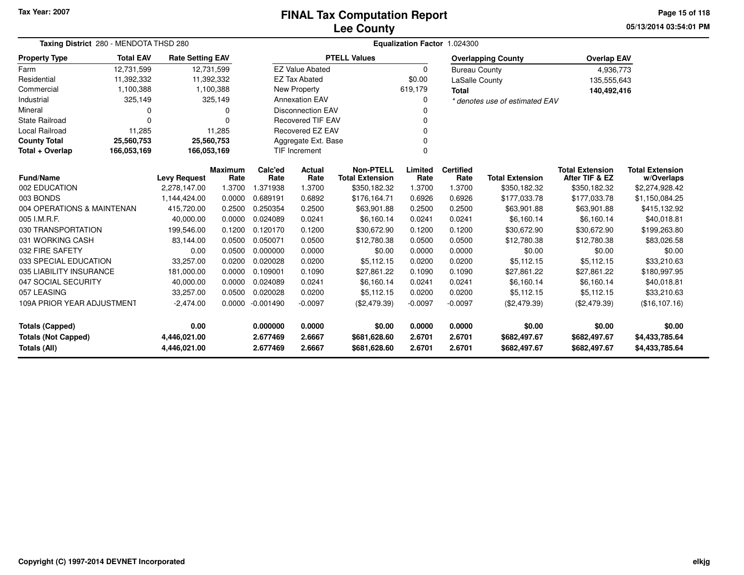## **Lee CountyFINAL Tax Computation Report**

**05/13/2014 03:54:01 PMPage 15 of 118**

| Taxing District 280 - MENDOTA THSD 280                                     |                  |                         |                        | Equalization Factor 1.024300 |                          |                                            |                  |                          |                                |                                          |                                      |  |  |
|----------------------------------------------------------------------------|------------------|-------------------------|------------------------|------------------------------|--------------------------|--------------------------------------------|------------------|--------------------------|--------------------------------|------------------------------------------|--------------------------------------|--|--|
| <b>Property Type</b>                                                       | <b>Total EAV</b> | <b>Rate Setting EAV</b> |                        |                              |                          | <b>PTELL Values</b>                        |                  |                          | <b>Overlapping County</b>      | <b>Overlap EAV</b>                       |                                      |  |  |
| Farm                                                                       | 12,731,599       |                         | 12,731,599             |                              | <b>EZ Value Abated</b>   |                                            | $\Omega$         | <b>Bureau County</b>     |                                | 4,936,773                                |                                      |  |  |
| Residential                                                                | 11,392,332       |                         | 11,392,332             |                              | <b>EZ Tax Abated</b>     |                                            | \$0.00           | LaSalle County           |                                | 135,555,643                              |                                      |  |  |
| Commercial                                                                 | 1,100,388        |                         | 1,100,388              |                              | New Property             |                                            | 619,179          | <b>Total</b>             |                                | 140,492,416                              |                                      |  |  |
| Industrial                                                                 | 325,149          |                         | 325,149                |                              | <b>Annexation EAV</b>    |                                            | 0                |                          | * denotes use of estimated EAV |                                          |                                      |  |  |
| Mineral                                                                    | 0                |                         | $\Omega$               |                              | <b>Disconnection EAV</b> |                                            |                  |                          |                                |                                          |                                      |  |  |
| <b>State Railroad</b>                                                      | $\Omega$         |                         | $\Omega$               |                              | <b>Recovered TIF EAV</b> |                                            |                  |                          |                                |                                          |                                      |  |  |
| Local Railroad                                                             | 11,285           |                         | 11,285                 |                              | <b>Recovered EZ EAV</b>  |                                            |                  |                          |                                |                                          |                                      |  |  |
| <b>County Total</b>                                                        | 25,560,753       |                         | 25,560,753             |                              | Aggregate Ext. Base      |                                            | 0                |                          |                                |                                          |                                      |  |  |
| Total + Overlap                                                            | 166,053,169      | 166,053,169             |                        |                              | <b>TIF Increment</b>     |                                            | n                |                          |                                |                                          |                                      |  |  |
| <b>Fund/Name</b>                                                           |                  | <b>Levy Request</b>     | <b>Maximum</b><br>Rate | Calc'ed<br>Rate              | <b>Actual</b><br>Rate    | <b>Non-PTELL</b><br><b>Total Extension</b> | Limited<br>Rate  | <b>Certified</b><br>Rate | <b>Total Extension</b>         | <b>Total Extension</b><br>After TIF & EZ | <b>Total Extension</b><br>w/Overlaps |  |  |
| 002 EDUCATION                                                              |                  | 2,278,147.00            | 1.3700                 | 1.371938                     | 1.3700                   | \$350,182.32                               | 1.3700           | 1.3700                   | \$350,182.32                   | \$350,182.32                             | \$2,274,928.42                       |  |  |
| 003 BONDS                                                                  |                  | 1,144,424.00            | 0.0000                 | 0.689191                     | 0.6892                   | \$176,164.71                               | 0.6926           | 0.6926                   | \$177,033.78                   | \$177,033.78                             | \$1,150,084.25                       |  |  |
| 004 OPERATIONS & MAINTENAN                                                 |                  | 415,720.00              | 0.2500                 | 0.250354                     | 0.2500                   | \$63,901.88                                | 0.2500           | 0.2500                   | \$63,901.88                    | \$63,901.88                              | \$415,132.92                         |  |  |
| 005 I.M.R.F.                                                               |                  | 40,000.00               | 0.0000                 | 0.024089                     | 0.0241                   | \$6,160.14                                 | 0.0241           | 0.0241                   | \$6,160.14                     | \$6,160.14                               | \$40,018.81                          |  |  |
| 030 TRANSPORTATION                                                         |                  | 199,546.00              | 0.1200                 | 0.120170                     | 0.1200                   | \$30,672.90                                | 0.1200           | 0.1200                   | \$30,672.90                    | \$30,672.90                              | \$199,263.80                         |  |  |
| 031 WORKING CASH                                                           |                  | 83,144.00               | 0.0500                 | 0.050071                     | 0.0500                   | \$12,780.38                                | 0.0500           | 0.0500                   | \$12,780.38                    | \$12,780.38                              | \$83,026.58                          |  |  |
| 032 FIRE SAFETY                                                            |                  | 0.00                    | 0.0500                 | 0.000000                     | 0.0000                   | \$0.00                                     | 0.0000           | 0.0000                   | \$0.00                         | \$0.00                                   | \$0.00                               |  |  |
| 033 SPECIAL EDUCATION                                                      |                  | 33,257.00               | 0.0200                 | 0.020028                     | 0.0200                   | \$5,112.15                                 | 0.0200           | 0.0200                   | \$5,112.15                     | \$5,112.15                               | \$33,210.63                          |  |  |
| 035 LIABILITY INSURANCE                                                    |                  | 181,000.00              | 0.0000                 | 0.109001                     | 0.1090                   | \$27.861.22                                | 0.1090           | 0.1090                   | \$27,861.22                    | \$27,861.22                              | \$180,997.95                         |  |  |
| 047 SOCIAL SECURITY                                                        |                  | 40,000.00               | 0.0000                 | 0.024089                     | 0.0241                   | \$6,160.14                                 | 0.0241           | 0.0241                   | \$6,160.14                     | \$6,160.14                               | \$40,018.81                          |  |  |
| 057 LEASING                                                                |                  | 33,257.00               | 0.0500                 | 0.020028                     | 0.0200                   | \$5,112.15                                 | 0.0200           | 0.0200                   | \$5,112.15                     | \$5,112.15                               | \$33,210.63                          |  |  |
| 109A PRIOR YEAR ADJUSTMENT<br>$-2,474.00$                                  |                  | 0.0000                  | $-0.001490$            | $-0.0097$                    | (\$2,479.39)             | $-0.0097$                                  | $-0.0097$        | (\$2,479.39)             | (\$2,479.39)                   | (\$16,107.16)                            |                                      |  |  |
| 0.00<br><b>Totals (Capped)</b>                                             |                  |                         | 0.000000               | 0.0000                       | \$0.00                   | 0.0000                                     | 0.0000           | \$0.00                   | \$0.00                         | \$0.00                                   |                                      |  |  |
| <b>Totals (Not Capped)</b><br>4,446,021.00<br>Totals (All)<br>4,446,021.00 |                  |                         |                        | 2.677469<br>2.677469         | 2.6667<br>2.6667         | \$681,628.60<br>\$681,628.60               | 2.6701<br>2.6701 | 2.6701<br>2.6701         | \$682,497.67<br>\$682,497.67   | \$682,497.67<br>\$682,497.67             | \$4,433,785.64<br>\$4,433,785.64     |  |  |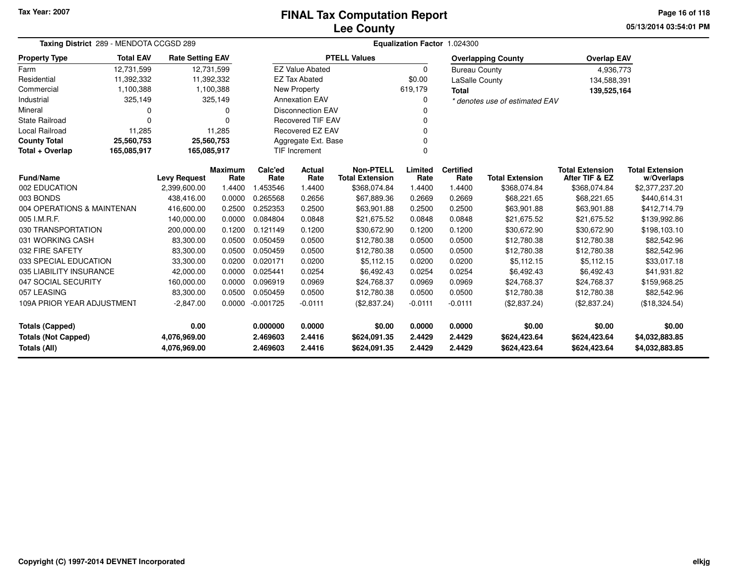## **Lee CountyFINAL Tax Computation Report**

**05/13/2014 03:54:01 PMPage 16 of 118**

|                                                    | Taxing District 289 - MENDOTA CCGSD 289 |                              |                        |                      | Equalization Factor 1.024300 |                                            |                  |                          |                                |                                          |                                      |  |
|----------------------------------------------------|-----------------------------------------|------------------------------|------------------------|----------------------|------------------------------|--------------------------------------------|------------------|--------------------------|--------------------------------|------------------------------------------|--------------------------------------|--|
| <b>Property Type</b>                               | <b>Total EAV</b>                        | <b>Rate Setting EAV</b>      |                        |                      |                              | <b>PTELL Values</b>                        |                  |                          | <b>Overlapping County</b>      | <b>Overlap EAV</b>                       |                                      |  |
| Farm                                               | 12,731,599                              |                              | 12,731,599             |                      | <b>EZ Value Abated</b>       |                                            | $\Omega$         | <b>Bureau County</b>     |                                | 4,936,773                                |                                      |  |
| Residential                                        | 11,392,332                              |                              | 11,392,332             |                      | <b>EZ Tax Abated</b>         |                                            | \$0.00           | LaSalle County           |                                | 134,588,391                              |                                      |  |
| Commercial                                         | 1,100,388                               |                              | 1,100,388              |                      | <b>New Property</b>          |                                            | 619,179          | <b>Total</b>             |                                | 139,525,164                              |                                      |  |
| Industrial                                         | 325,149                                 |                              | 325,149                |                      | <b>Annexation EAV</b>        |                                            | $\Omega$         |                          | * denotes use of estimated EAV |                                          |                                      |  |
| Mineral                                            | 0                                       |                              | 0                      |                      | <b>Disconnection EAV</b>     |                                            |                  |                          |                                |                                          |                                      |  |
| <b>State Railroad</b>                              | $\Omega$                                |                              | $\Omega$               |                      | <b>Recovered TIF EAV</b>     |                                            | n                |                          |                                |                                          |                                      |  |
| <b>Local Railroad</b>                              | 11,285                                  |                              | 11,285                 |                      | <b>Recovered EZ EAV</b>      |                                            |                  |                          |                                |                                          |                                      |  |
| <b>County Total</b>                                | 25,560,753                              |                              | 25,560,753             |                      | Aggregate Ext. Base          |                                            | 0                |                          |                                |                                          |                                      |  |
| Total + Overlap                                    | 165,085,917                             | 165,085,917                  |                        |                      | <b>TIF Increment</b>         |                                            | $\Omega$         |                          |                                |                                          |                                      |  |
| <b>Fund/Name</b>                                   |                                         | <b>Levy Request</b>          | <b>Maximum</b><br>Rate | Calc'ed<br>Rate      | Actual<br>Rate               | <b>Non-PTELL</b><br><b>Total Extension</b> | Limited<br>Rate  | <b>Certified</b><br>Rate | <b>Total Extension</b>         | <b>Total Extension</b><br>After TIF & EZ | <b>Total Extension</b><br>w/Overlaps |  |
| 002 EDUCATION                                      |                                         | 2,399,600.00                 | 1.4400                 | 1.453546             | 1.4400                       | \$368,074.84                               | 1.4400           | 1.4400                   | \$368,074.84                   | \$368,074.84                             | \$2,377,237.20                       |  |
| 003 BONDS                                          |                                         | 438.416.00                   | 0.0000                 | 0.265568             | 0.2656                       | \$67,889.36                                | 0.2669           | 0.2669                   | \$68,221.65                    | \$68,221.65                              | \$440,614.31                         |  |
| 004 OPERATIONS & MAINTENAN<br>0.2500<br>416,600.00 |                                         |                              | 0.252353               | 0.2500               | \$63,901.88                  | 0.2500                                     | 0.2500           | \$63,901.88              | \$63,901.88                    | \$412,714.79                             |                                      |  |
| 005 I.M.R.F.                                       |                                         | 140.000.00                   | 0.0000                 | 0.084804             | 0.0848                       | \$21,675.52                                | 0.0848           | 0.0848                   | \$21,675.52                    | \$21,675.52                              | \$139,992.86                         |  |
| 030 TRANSPORTATION                                 |                                         | 200,000.00                   | 0.1200                 | 0.121149             | 0.1200                       | \$30,672.90                                | 0.1200           | 0.1200                   | \$30,672.90                    | \$30,672.90                              | \$198,103.10                         |  |
| 031 WORKING CASH                                   |                                         | 83,300.00                    | 0.0500                 | 0.050459             | 0.0500                       | \$12,780.38                                | 0.0500           | 0.0500                   | \$12,780.38                    | \$12,780.38                              | \$82,542.96                          |  |
| 032 FIRE SAFETY                                    |                                         | 83.300.00                    | 0.0500                 | 0.050459             | 0.0500                       | \$12,780.38                                | 0.0500           | 0.0500                   | \$12,780.38                    | \$12,780.38                              | \$82,542.96                          |  |
| 033 SPECIAL EDUCATION                              |                                         | 33,300.00                    | 0.0200                 | 0.020171             | 0.0200                       | \$5,112.15                                 | 0.0200           | 0.0200                   | \$5,112.15                     | \$5,112.15                               | \$33,017.18                          |  |
| 035 LIABILITY INSURANCE                            |                                         | 42,000.00                    | 0.0000                 | 0.025441             | 0.0254                       | \$6,492.43                                 | 0.0254           | 0.0254                   | \$6,492.43                     | \$6,492.43                               | \$41,931.82                          |  |
| 047 SOCIAL SECURITY                                |                                         | 160,000.00                   | 0.0000                 | 0.096919             | 0.0969                       | \$24,768.37                                | 0.0969           | 0.0969                   | \$24,768.37                    | \$24,768.37                              | \$159,968.25                         |  |
| 057 LEASING                                        |                                         | 83,300.00                    | 0.0500                 | 0.050459             | 0.0500                       | \$12,780.38                                | 0.0500           | 0.0500                   | \$12,780.38                    | \$12,780.38                              | \$82,542.96                          |  |
| 109A PRIOR YEAR ADJUSTMENT<br>$-2,847.00$          |                                         | 0.0000                       | $-0.001725$            | $-0.0111$            | (\$2,837.24)                 | $-0.0111$                                  | $-0.0111$        | (\$2,837.24)             | (\$2,837.24)                   | (\$18,324.54)                            |                                      |  |
| 0.00<br><b>Totals (Capped)</b>                     |                                         |                              |                        | 0.000000             | 0.0000                       | \$0.00                                     | 0.0000           | 0.0000                   | \$0.00                         | \$0.00                                   | \$0.00                               |  |
| <b>Totals (Not Capped)</b><br>Totals (All)         |                                         | 4,076,969.00<br>4,076,969.00 |                        | 2.469603<br>2.469603 | 2.4416<br>2.4416             | \$624,091.35<br>\$624,091.35               | 2.4429<br>2.4429 | 2.4429<br>2.4429         | \$624,423.64<br>\$624,423.64   | \$624,423.64<br>\$624,423.64             | \$4,032,883.85<br>\$4,032,883.85     |  |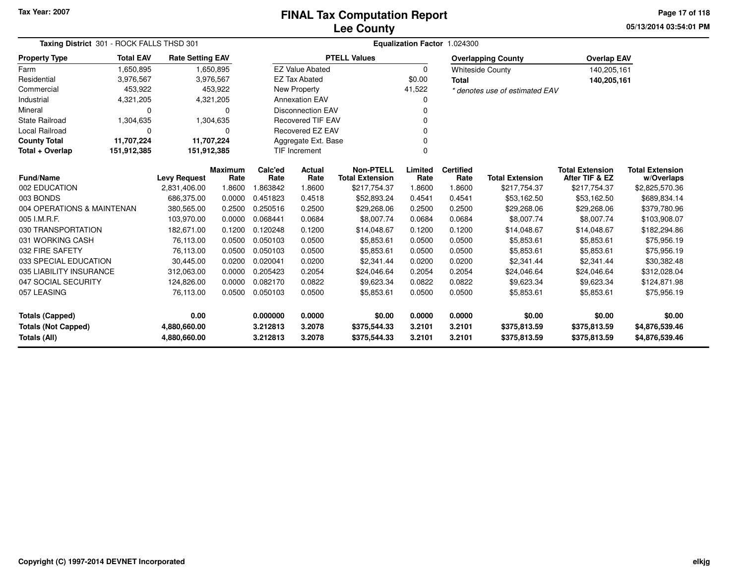# **Lee CountyFINAL Tax Computation Report**

**05/13/2014 03:54:01 PM Page 17 of 118**

|                            | Taxing District 301 - ROCK FALLS THSD 301 |                         |                        |                 |                          |                                            | Equalization Factor 1.024300 |                          |                                |                                          |                                      |
|----------------------------|-------------------------------------------|-------------------------|------------------------|-----------------|--------------------------|--------------------------------------------|------------------------------|--------------------------|--------------------------------|------------------------------------------|--------------------------------------|
| <b>Property Type</b>       | <b>Total EAV</b>                          | <b>Rate Setting EAV</b> |                        |                 |                          | <b>PTELL Values</b>                        |                              |                          | <b>Overlapping County</b>      | <b>Overlap EAV</b>                       |                                      |
| Farm                       | 1,650,895                                 |                         | 1,650,895              |                 | <b>EZ Value Abated</b>   |                                            | $\Omega$                     |                          | <b>Whiteside County</b>        | 140,205,161                              |                                      |
| Residential                | 3,976,567                                 | 3,976,567               |                        |                 | <b>EZ Tax Abated</b>     |                                            | \$0.00                       | <b>Total</b>             |                                | 140,205,161                              |                                      |
| Commercial                 | 453,922                                   |                         | 453,922                |                 | <b>New Property</b>      |                                            | 41,522                       |                          | * denotes use of estimated EAV |                                          |                                      |
| Industrial                 | 4,321,205                                 | 4,321,205               |                        |                 | <b>Annexation EAV</b>    |                                            | 0                            |                          |                                |                                          |                                      |
| Mineral                    | $\Omega$                                  |                         | $\Omega$               |                 | <b>Disconnection EAV</b> |                                            | $\Omega$                     |                          |                                |                                          |                                      |
| <b>State Railroad</b>      | 1,304,635                                 |                         | 1,304,635              |                 | <b>Recovered TIF EAV</b> |                                            | $\mathbf 0$                  |                          |                                |                                          |                                      |
| Local Railroad             | 0                                         |                         | $\mathbf 0$            |                 | Recovered EZ EAV         |                                            | 0                            |                          |                                |                                          |                                      |
| <b>County Total</b>        | 11,707,224                                | 11,707,224              |                        |                 | Aggregate Ext. Base      |                                            | 0                            |                          |                                |                                          |                                      |
| Total + Overlap            | 151,912,385                               | 151,912,385             |                        |                 | <b>TIF Increment</b>     |                                            | $\mathbf 0$                  |                          |                                |                                          |                                      |
| <b>Fund/Name</b>           |                                           | <b>Levy Request</b>     | <b>Maximum</b><br>Rate | Calc'ed<br>Rate | Actual<br>Rate           | <b>Non-PTELL</b><br><b>Total Extension</b> | Limited<br>Rate              | <b>Certified</b><br>Rate | <b>Total Extension</b>         | <b>Total Extension</b><br>After TIF & EZ | <b>Total Extension</b><br>w/Overlaps |
| 002 EDUCATION              |                                           | 2,831,406.00            | 1.8600                 | 1.863842        | 1.8600                   | \$217,754.37                               | 1.8600                       | 1.8600                   | \$217,754.37                   | \$217,754.37                             | \$2,825,570.36                       |
| 003 BONDS                  |                                           | 686,375.00              | 0.0000                 | 0.451823        | 0.4518                   | \$52,893.24                                | 0.4541                       | 0.4541                   | \$53,162.50                    | \$53,162.50                              | \$689,834.14                         |
| 004 OPERATIONS & MAINTENAN |                                           | 380,565.00              | 0.2500                 | 0.250516        | 0.2500                   | \$29,268.06                                | 0.2500                       | 0.2500                   | \$29,268.06                    | \$29,268.06                              | \$379,780.96                         |
| 005 I.M.R.F.               |                                           | 103.970.00              | 0.0000                 | 0.068441        | 0.0684                   | \$8.007.74                                 | 0.0684                       | 0.0684                   | \$8.007.74                     | \$8,007.74                               | \$103,908.07                         |
| 030 TRANSPORTATION         |                                           | 182,671.00              | 0.1200                 | 0.120248        | 0.1200                   | \$14,048.67                                | 0.1200                       | 0.1200                   | \$14,048.67                    | \$14,048.67                              | \$182,294.86                         |
| 031 WORKING CASH           |                                           | 76,113.00               | 0.0500                 | 0.050103        | 0.0500                   | \$5,853.61                                 | 0.0500                       | 0.0500                   | \$5,853.61                     | \$5,853.61                               | \$75,956.19                          |
| 032 FIRE SAFETY            |                                           | 76,113.00               | 0.0500                 | 0.050103        | 0.0500                   | \$5,853.61                                 | 0.0500                       | 0.0500                   | \$5,853.61                     | \$5,853.61                               | \$75,956.19                          |
| 033 SPECIAL EDUCATION      |                                           | 30,445.00               | 0.0200                 | 0.020041        | 0.0200                   | \$2,341.44                                 | 0.0200                       | 0.0200                   | \$2,341.44                     | \$2,341.44                               | \$30,382.48                          |
| 035 LIABILITY INSURANCE    |                                           | 312,063.00              | 0.0000                 | 0.205423        | 0.2054                   | \$24,046.64                                | 0.2054                       | 0.2054                   | \$24,046.64                    | \$24,046.64                              | \$312,028.04                         |
| 047 SOCIAL SECURITY        |                                           | 124,826.00              | 0.0000                 | 0.082170        | 0.0822                   | \$9,623.34                                 | 0.0822                       | 0.0822                   | \$9,623.34                     | \$9,623.34                               | \$124,871.98                         |
| 057 LEASING                |                                           | 76,113.00               | 0.0500                 | 0.050103        | 0.0500                   | \$5,853.61                                 | 0.0500                       | 0.0500                   | \$5,853.61                     | \$5,853.61                               | \$75,956.19                          |
| <b>Totals (Capped)</b>     |                                           | 0.00                    |                        | 0.000000        | 0.0000                   | \$0.00                                     | 0.0000                       | 0.0000                   | \$0.00                         | \$0.00                                   | \$0.00                               |
| <b>Totals (Not Capped)</b> |                                           | 4,880,660.00            |                        | 3.212813        | 3.2078                   | \$375,544.33                               | 3.2101                       | 3.2101                   | \$375,813.59                   | \$375,813.59                             | \$4,876,539.46                       |
| <b>Totals (All)</b>        |                                           | 4,880,660.00            |                        | 3.212813        | 3.2078                   | \$375,544.33                               | 3.2101                       | 3.2101                   | \$375,813.59                   | \$375,813.59                             | \$4,876,539.46                       |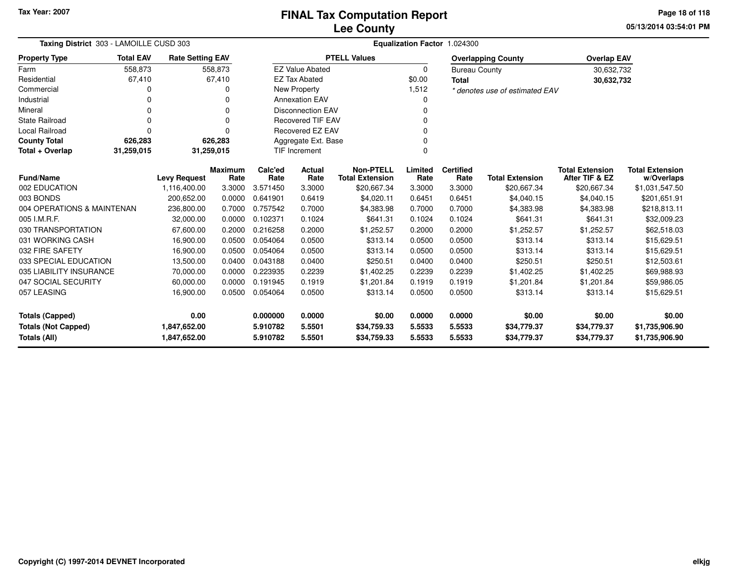**05/13/2014 03:54:01 PMPage 18 of 118**

| Taxing District 303 - LAMOILLE CUSD 303    |                                        |                              |                        |                      | Equalization Factor 1.024300 |                                            |                  |                          |                                |                                          |                                      |
|--------------------------------------------|----------------------------------------|------------------------------|------------------------|----------------------|------------------------------|--------------------------------------------|------------------|--------------------------|--------------------------------|------------------------------------------|--------------------------------------|
| <b>Property Type</b>                       | <b>Total EAV</b>                       | <b>Rate Setting EAV</b>      |                        |                      |                              | <b>PTELL Values</b>                        |                  |                          | <b>Overlapping County</b>      | <b>Overlap EAV</b>                       |                                      |
| Farm                                       | 558,873                                |                              | 558,873                |                      | <b>EZ Value Abated</b>       |                                            | $\mathbf 0$      | <b>Bureau County</b>     |                                | 30,632,732                               |                                      |
| Residential                                | 67,410                                 |                              | 67,410                 |                      | <b>EZ Tax Abated</b>         |                                            | \$0.00           | <b>Total</b>             |                                | 30,632,732                               |                                      |
| Commercial                                 | 0                                      |                              | o                      |                      | <b>New Property</b>          |                                            | 1,512            |                          | * denotes use of estimated EAV |                                          |                                      |
| Industrial                                 | 0                                      |                              |                        |                      | <b>Annexation EAV</b>        |                                            |                  |                          |                                |                                          |                                      |
| Mineral                                    | O                                      |                              | 0                      |                      | <b>Disconnection EAV</b>     |                                            | 0                |                          |                                |                                          |                                      |
| <b>State Railroad</b>                      | $\Omega$                               |                              | 0                      |                      | <b>Recovered TIF EAV</b>     |                                            |                  |                          |                                |                                          |                                      |
| <b>Local Railroad</b>                      | Recovered EZ EAV<br>$\Omega$<br>U<br>0 |                              |                        |                      |                              |                                            |                  |                          |                                |                                          |                                      |
| <b>County Total</b>                        | 626,283                                |                              | 626,283                |                      | Aggregate Ext. Base          |                                            |                  |                          |                                |                                          |                                      |
| Total + Overlap                            | 31,259,015                             | 31,259,015                   |                        |                      | <b>TIF Increment</b>         |                                            | $\Omega$         |                          |                                |                                          |                                      |
| <b>Fund/Name</b>                           |                                        | <b>Levy Request</b>          | <b>Maximum</b><br>Rate | Calc'ed<br>Rate      | Actual<br>Rate               | <b>Non-PTELL</b><br><b>Total Extension</b> | Limited<br>Rate  | <b>Certified</b><br>Rate | <b>Total Extension</b>         | <b>Total Extension</b><br>After TIF & EZ | <b>Total Extension</b><br>w/Overlaps |
| 002 EDUCATION                              |                                        | 1,116,400.00                 | 3.3000                 | 3.571450             | 3.3000                       | \$20,667.34                                | 3.3000           | 3.3000                   | \$20,667.34                    | \$20,667.34                              | \$1,031,547.50                       |
| 003 BONDS                                  |                                        | 200,652.00                   | 0.0000                 | 0.641901             | 0.6419                       | \$4,020.11                                 | 0.6451           | 0.6451                   | \$4,040.15                     | \$4,040.15                               | \$201,651.91                         |
| 004 OPERATIONS & MAINTENAN                 |                                        | 236,800.00                   | 0.7000                 | 0.757542             | 0.7000                       | \$4,383.98                                 | 0.7000           | 0.7000                   | \$4,383.98                     | \$4,383.98                               | \$218,813.11                         |
| 005 I.M.R.F.                               |                                        | 32,000.00                    | 0.0000                 | 0.102371             | 0.1024                       | \$641.31                                   | 0.1024           | 0.1024                   | \$641.31                       | \$641.31                                 | \$32,009.23                          |
| 030 TRANSPORTATION                         |                                        | 67,600.00                    | 0.2000                 | 0.216258             | 0.2000                       | \$1,252.57                                 | 0.2000           | 0.2000                   | \$1,252.57                     | \$1,252.57                               | \$62,518.03                          |
| 031 WORKING CASH                           |                                        | 16,900.00                    | 0.0500                 | 0.054064             | 0.0500                       | \$313.14                                   | 0.0500           | 0.0500                   | \$313.14                       | \$313.14                                 | \$15,629.51                          |
| 032 FIRE SAFETY                            |                                        | 16,900.00                    | 0.0500                 | 0.054064             | 0.0500                       | \$313.14                                   | 0.0500           | 0.0500                   | \$313.14                       | \$313.14                                 | \$15,629.51                          |
| 033 SPECIAL EDUCATION                      |                                        | 13,500.00                    | 0.0400                 | 0.043188             | 0.0400                       | \$250.51                                   | 0.0400           | 0.0400                   | \$250.51                       | \$250.51                                 | \$12,503.61                          |
| 035 LIABILITY INSURANCE                    |                                        | 70,000.00                    | 0.0000                 | 0.223935             | 0.2239                       | \$1,402.25                                 | 0.2239           | 0.2239                   | \$1,402.25                     | \$1,402.25                               | \$69,988.93                          |
| 047 SOCIAL SECURITY                        |                                        | 60,000.00                    | 0.0000                 | 0.191945             | 0.1919                       | \$1,201.84                                 | 0.1919           | 0.1919                   | \$1,201.84                     | \$1,201.84                               | \$59,986.05                          |
| 057 LEASING                                |                                        | 16,900.00                    | 0.0500                 | 0.054064             | 0.0500                       | \$313.14                                   | 0.0500           | 0.0500                   | \$313.14                       | \$313.14                                 | \$15,629.51                          |
| <b>Totals (Capped)</b>                     |                                        | 0.00                         |                        | 0.000000             | 0.0000                       | \$0.00                                     | 0.0000           | 0.0000                   | \$0.00                         | \$0.00                                   | \$0.00                               |
| <b>Totals (Not Capped)</b><br>Totals (All) |                                        | 1,847,652.00<br>1,847,652.00 |                        | 5.910782<br>5.910782 | 5.5501<br>5.5501             | \$34,759.33<br>\$34,759.33                 | 5.5533<br>5.5533 | 5.5533<br>5.5533         | \$34,779.37<br>\$34,779.37     | \$34,779.37<br>\$34,779.37               | \$1,735,906.90<br>\$1,735,906.90     |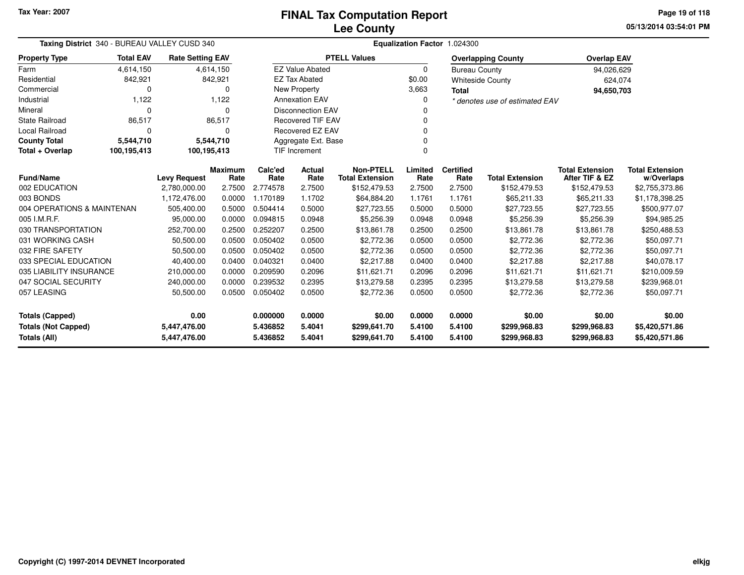**05/13/2014 03:54:01 PM Page 19 of 118**

| Taxing District 340 - BUREAU VALLEY CUSD 340 |                  |                                  |                | Equalization Factor 1.024300 |                          |                        |          |                      |                                |                        |                        |  |
|----------------------------------------------|------------------|----------------------------------|----------------|------------------------------|--------------------------|------------------------|----------|----------------------|--------------------------------|------------------------|------------------------|--|
| <b>Property Type</b>                         | <b>Total EAV</b> | <b>Rate Setting EAV</b>          |                |                              |                          | <b>PTELL Values</b>    |          |                      | <b>Overlapping County</b>      | <b>Overlap EAV</b>     |                        |  |
| Farm                                         | 4,614,150        |                                  | 4,614,150      |                              | <b>EZ Value Abated</b>   |                        | $\Omega$ | <b>Bureau County</b> |                                | 94,026,629             |                        |  |
| Residential                                  | 842,921          |                                  | 842,921        |                              | <b>EZ Tax Abated</b>     |                        | \$0.00   |                      | <b>Whiteside County</b>        | 624,074                |                        |  |
| Commercial                                   | $\Omega$         |                                  | 0              |                              | <b>New Property</b>      |                        | 3,663    | <b>Total</b>         |                                | 94,650,703             |                        |  |
| Industrial                                   | 1,122            |                                  | 1,122          |                              | <b>Annexation EAV</b>    |                        |          |                      | * denotes use of estimated EAV |                        |                        |  |
| Mineral                                      | $\Omega$         |                                  | $\Omega$       |                              | <b>Disconnection EAV</b> |                        |          |                      |                                |                        |                        |  |
| <b>State Railroad</b>                        | 86,517           |                                  | 86,517         |                              | <b>Recovered TIF EAV</b> |                        |          |                      |                                |                        |                        |  |
| <b>Local Railroad</b>                        | $\Omega$         |                                  | $\Omega$       |                              | <b>Recovered EZ EAV</b>  |                        |          |                      |                                |                        |                        |  |
| <b>County Total</b>                          | 5,544,710        | 5,544,710<br>Aggregate Ext. Base |                |                              |                          |                        |          |                      |                                |                        |                        |  |
| Total + Overlap                              | 100,195,413      | 100,195,413                      |                |                              | TIF Increment            |                        | $\Omega$ |                      |                                |                        |                        |  |
|                                              |                  |                                  | <b>Maximum</b> | Calc'ed                      | Actual                   | <b>Non-PTELL</b>       | Limited  | <b>Certified</b>     |                                | <b>Total Extension</b> | <b>Total Extension</b> |  |
| <b>Fund/Name</b>                             |                  | <b>Levy Request</b>              | Rate           | Rate                         | Rate                     | <b>Total Extension</b> | Rate     | Rate                 | <b>Total Extension</b>         | After TIF & EZ         | w/Overlaps             |  |
| 002 EDUCATION                                |                  | 2,780,000.00                     | 2.7500         | 2.774578                     | 2.7500                   | \$152,479.53           | 2.7500   | 2.7500               | \$152,479.53                   | \$152,479.53           | \$2,755,373.86         |  |
| 003 BONDS                                    |                  | 1,172,476.00                     | 0.0000         | 1.170189                     | 1.1702                   | \$64,884.20            | 1.1761   | 1.1761               | \$65,211.33                    | \$65,211.33            | \$1,178,398.25         |  |
| 004 OPERATIONS & MAINTENAN                   |                  | 505,400.00                       | 0.5000         | 0.504414                     | 0.5000                   | \$27,723.55            | 0.5000   | 0.5000               | \$27,723.55                    | \$27,723.55            | \$500,977.07           |  |
| 005 I.M.R.F.                                 |                  | 95,000.00                        | 0.0000         | 0.094815                     | 0.0948                   | \$5,256.39             | 0.0948   | 0.0948               | \$5,256.39                     | \$5,256.39             | \$94,985.25            |  |
| 030 TRANSPORTATION                           |                  | 252,700.00                       | 0.2500         | 0.252207                     | 0.2500                   | \$13,861.78            | 0.2500   | 0.2500               | \$13,861.78                    | \$13,861.78            | \$250,488.53           |  |
| 031 WORKING CASH                             |                  | 50,500.00                        | 0.0500         | 0.050402                     | 0.0500                   | \$2,772.36             | 0.0500   | 0.0500               | \$2,772.36                     | \$2,772.36             | \$50,097.71            |  |
| 032 FIRE SAFETY                              |                  | 50,500.00                        | 0.0500         | 0.050402                     | 0.0500                   | \$2,772.36             | 0.0500   | 0.0500               | \$2,772.36                     | \$2,772.36             | \$50,097.71            |  |
| 033 SPECIAL EDUCATION                        |                  | 40,400.00                        | 0.0400         | 0.040321                     | 0.0400                   | \$2,217.88             | 0.0400   | 0.0400               | \$2,217.88                     | \$2,217.88             | \$40,078.17            |  |
| 035 LIABILITY INSURANCE                      |                  | 210,000.00                       | 0.0000         | 0.209590                     | 0.2096                   | \$11,621.71            | 0.2096   | 0.2096               | \$11,621.71                    | \$11,621.71            | \$210,009.59           |  |
| 047 SOCIAL SECURITY                          |                  | 240,000.00                       | 0.0000         | 0.239532                     | 0.2395                   | \$13,279.58            | 0.2395   | 0.2395               | \$13,279.58                    | \$13,279.58            | \$239,968.01           |  |
| 057 LEASING                                  |                  | 50,500.00                        | 0.0500         | 0.050402                     | 0.0500                   | \$2,772.36             | 0.0500   | 0.0500               | \$2,772.36                     | \$2,772.36             | \$50,097.71            |  |
| <b>Totals (Capped)</b>                       |                  | 0.00                             |                | 0.000000                     | 0.0000                   | \$0.00                 | 0.0000   | 0.0000               | \$0.00                         | \$0.00                 | \$0.00                 |  |
| <b>Totals (Not Capped)</b><br>5,447,476.00   |                  |                                  |                | 5.436852                     | 5.4041                   | \$299,641.70           | 5.4100   | 5.4100               | \$299,968.83                   | \$299,968.83           | \$5,420,571.86         |  |
| <b>Totals (All)</b>                          |                  | 5,447,476.00                     |                | 5.436852                     | 5.4041                   | \$299,641.70           | 5.4100   | 5.4100               | \$299,968.83                   | \$299,968.83           | \$5,420,571.86         |  |

 $\overline{\phantom{0}}$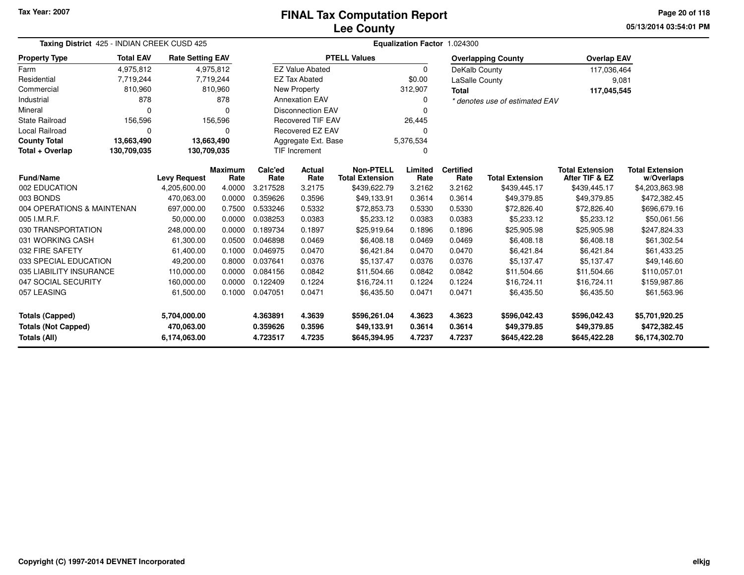**05/13/2014 03:54:01 PMPage 20 of 118**

| Taxing District 425 - INDIAN CREEK CUSD 425                                                                                         |             |                         |                                          | Equalization Factor 1.024300 |                          |                           |                  |                  |                                |                                          |                            |
|-------------------------------------------------------------------------------------------------------------------------------------|-------------|-------------------------|------------------------------------------|------------------------------|--------------------------|---------------------------|------------------|------------------|--------------------------------|------------------------------------------|----------------------------|
| <b>Total EAV</b><br><b>Property Type</b>                                                                                            |             | <b>Rate Setting EAV</b> |                                          |                              |                          | <b>PTELL Values</b>       |                  |                  | <b>Overlapping County</b>      | <b>Overlap EAV</b>                       |                            |
| Farm                                                                                                                                | 4,975,812   |                         | 4,975,812                                |                              | <b>EZ Value Abated</b>   |                           | 0                | DeKalb County    |                                | 117,036,464                              |                            |
| Residential                                                                                                                         | 7,719,244   |                         | 7,719,244                                |                              | <b>EZ Tax Abated</b>     |                           | \$0.00           | LaSalle County   |                                | 9,081                                    |                            |
| Commercial                                                                                                                          | 810,960     |                         | 810,960                                  |                              | New Property             |                           | 312,907          | <b>Total</b>     |                                | 117,045,545                              |                            |
| Industrial                                                                                                                          | 878         |                         | 878                                      |                              | <b>Annexation EAV</b>    |                           | 0                |                  | * denotes use of estimated EAV |                                          |                            |
| Mineral                                                                                                                             | $\Omega$    |                         | $\Omega$                                 |                              | <b>Disconnection EAV</b> |                           | n                |                  |                                |                                          |                            |
| <b>State Railroad</b>                                                                                                               | 156,596     |                         | 156,596                                  |                              | <b>Recovered TIF EAV</b> |                           | 26,445           |                  |                                |                                          |                            |
| Local Railroad                                                                                                                      | 0           |                         | $\Omega$                                 |                              | <b>Recovered EZ EAV</b>  |                           | U                |                  |                                |                                          |                            |
| <b>County Total</b>                                                                                                                 | 13,663,490  | 13,663,490              |                                          |                              | Aggregate Ext. Base      |                           | 5,376,534        |                  |                                |                                          |                            |
| Total + Overlap                                                                                                                     | 130,709,035 |                         | <b>TIF Increment</b><br>130,709,035<br>n |                              |                          |                           |                  |                  |                                |                                          |                            |
| <b>Fund/Name</b>                                                                                                                    |             |                         | <b>Maximum</b>                           | Calc'ed                      | Actual                   | <b>Non-PTELL</b>          | Limited          | <b>Certified</b> |                                | <b>Total Extension</b><br>After TIF & EZ | <b>Total Extension</b>     |
| 002 EDUCATION                                                                                                                       |             | <b>Levy Request</b>     | Rate<br>4.0000                           | Rate                         | Rate                     | <b>Total Extension</b>    | Rate             | Rate<br>3.2162   | <b>Total Extension</b>         |                                          | w/Overlaps                 |
|                                                                                                                                     |             | 4,205,600.00            |                                          | 3.217528                     | 3.2175                   | \$439,622.79              | 3.2162<br>0.3614 | 0.3614           | \$439,445.17<br>\$49,379.85    | \$439,445.17<br>\$49,379.85              | \$4,203,863.98             |
| 003 BONDS<br>470,063.00<br>0.0000<br>0.359626<br>0.3596<br>004 OPERATIONS & MAINTENAN<br>0.533246<br>697,000.00<br>0.7500<br>0.5332 |             | \$49,133.91             |                                          |                              |                          |                           | \$472,382.45     |                  |                                |                                          |                            |
|                                                                                                                                     |             |                         |                                          |                              |                          | \$72,853.73               | 0.5330           | 0.5330           | \$72,826.40                    | \$72,826.40                              | \$696,679.16               |
| 005 I.M.R.F.<br>030 TRANSPORTATION                                                                                                  |             | 50.000.00<br>248,000.00 | 0.0000<br>0.0000                         | 0.038253<br>0.189734         | 0.0383<br>0.1897         | \$5,233.12<br>\$25,919.64 | 0.0383<br>0.1896 | 0.0383<br>0.1896 | \$5,233.12                     | \$5,233.12                               | \$50,061.56                |
| 031 WORKING CASH                                                                                                                    |             | 61,300.00               | 0.0500                                   | 0.046898                     | 0.0469                   | \$6,408.18                | 0.0469           | 0.0469           | \$25,905.98<br>\$6,408.18      | \$25,905.98<br>\$6,408.18                | \$247,824.33               |
| 032 FIRE SAFETY                                                                                                                     |             | 61,400.00               | 0.1000                                   | 0.046975                     | 0.0470                   | \$6,421.84                | 0.0470           | 0.0470           | \$6,421.84                     | \$6,421.84                               | \$61,302.54<br>\$61,433.25 |
| 033 SPECIAL EDUCATION                                                                                                               |             | 49,200.00               | 0.8000                                   | 0.037641                     | 0.0376                   | \$5,137.47                | 0.0376           | 0.0376           | \$5,137.47                     | \$5,137.47                               | \$49,146.60                |
| 035 LIABILITY INSURANCE                                                                                                             |             | 110,000.00              | 0.0000                                   | 0.084156                     | 0.0842                   | \$11,504.66               | 0.0842           | 0.0842           | \$11,504.66                    | \$11,504.66                              | \$110,057.01               |
|                                                                                                                                     |             |                         | 0.0000                                   | 0.122409                     | 0.1224                   | \$16,724.11               | 0.1224           | 0.1224           | \$16,724.11                    | \$16,724.11                              | \$159,987.86               |
| 047 SOCIAL SECURITY<br>160,000.00                                                                                                   |             | 0.1000                  | 0.047051                                 | 0.0471                       | \$6,435.50               | 0.0471                    | 0.0471           | \$6,435.50       | \$6,435.50                     | \$61,563.96                              |                            |
| 057 LEASING<br>61,500.00                                                                                                            |             |                         |                                          |                              |                          |                           |                  |                  |                                |                                          |                            |
| Totals (Capped)<br>5,704,000.00                                                                                                     |             |                         |                                          | 4.363891                     | 4.3639                   | \$596,261.04              | 4.3623           | 4.3623           | \$596,042.43                   | \$596,042.43                             | \$5,701,920.25             |
| <b>Totals (Not Capped)</b><br>470,063.00                                                                                            |             |                         |                                          | 0.359626                     | 0.3596                   | \$49,133.91               | 0.3614           | 0.3614           | \$49,379.85                    | \$49,379.85                              | \$472,382.45               |
| Totals (All)                                                                                                                        |             | 6,174,063.00            |                                          | 4.723517                     | 4.7235                   | \$645,394.95              | 4.7237           | 4.7237           | \$645,422.28                   | \$645,422.28                             | \$6,174,302.70             |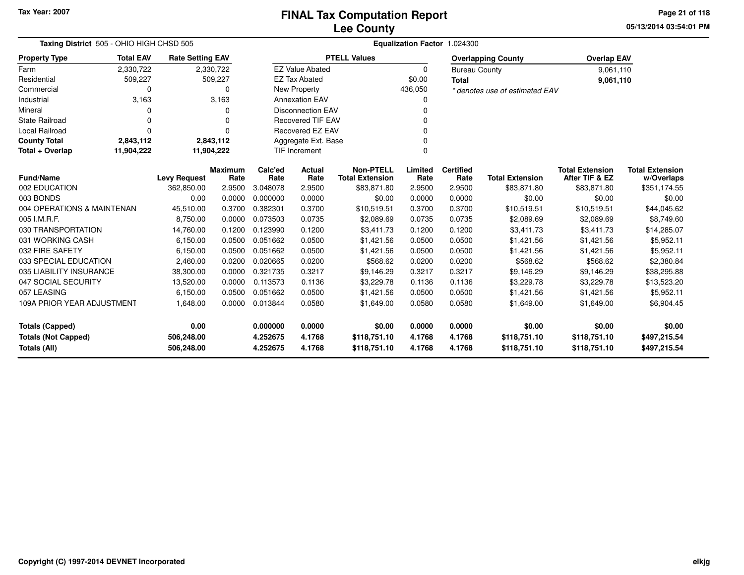**05/13/2014 03:54:01 PM Page 21 of 118**

| Taxing District 505 - OHIO HIGH CHSD 505<br><b>Rate Setting EAV</b> |                                                              |                     |                        | Equalization Factor 1.024300 |                          |                                            |                 |                          |                                |                                          |                                      |  |
|---------------------------------------------------------------------|--------------------------------------------------------------|---------------------|------------------------|------------------------------|--------------------------|--------------------------------------------|-----------------|--------------------------|--------------------------------|------------------------------------------|--------------------------------------|--|
| <b>Property Type</b>                                                | <b>Total EAV</b><br>2,330,722<br>509,227                     |                     |                        |                              |                          | <b>PTELL Values</b>                        |                 |                          | <b>Overlapping County</b>      | <b>Overlap EAV</b>                       |                                      |  |
| Farm                                                                |                                                              |                     | 2,330,722              |                              | <b>EZ Value Abated</b>   |                                            | 0               | <b>Bureau County</b>     |                                | 9,061,110                                |                                      |  |
| Residential                                                         |                                                              |                     | 509,227                |                              | <b>EZ Tax Abated</b>     |                                            | \$0.00          | <b>Total</b>             |                                | 9,061,110                                |                                      |  |
| Commercial                                                          | 0                                                            |                     | $\Omega$               |                              | New Property             |                                            | 436,050         |                          | * denotes use of estimated EAV |                                          |                                      |  |
| Industrial                                                          | 3,163                                                        |                     | 3,163                  |                              | <b>Annexation EAV</b>    |                                            | 0               |                          |                                |                                          |                                      |  |
| Mineral                                                             | O                                                            |                     | O                      |                              | <b>Disconnection EAV</b> |                                            |                 |                          |                                |                                          |                                      |  |
| <b>State Railroad</b>                                               | 0                                                            |                     | $\Omega$               |                              | <b>Recovered TIF EAV</b> |                                            |                 |                          |                                |                                          |                                      |  |
| Local Railroad                                                      | 0                                                            |                     | $\Omega$               |                              | Recovered EZ EAV         |                                            | 0               |                          |                                |                                          |                                      |  |
| <b>County Total</b>                                                 | 2,843,112                                                    |                     | 2,843,112              |                              | Aggregate Ext. Base      |                                            |                 |                          |                                |                                          |                                      |  |
| Total + Overlap                                                     | <b>TIF Increment</b><br>11,904,222<br>11,904,222<br>$\Omega$ |                     |                        |                              |                          |                                            |                 |                          |                                |                                          |                                      |  |
| <b>Fund/Name</b>                                                    |                                                              | <b>Levy Request</b> | <b>Maximum</b><br>Rate | Calc'ed<br>Rate              | Actual<br>Rate           | <b>Non-PTELL</b><br><b>Total Extension</b> | Limited<br>Rate | <b>Certified</b><br>Rate | <b>Total Extension</b>         | <b>Total Extension</b><br>After TIF & EZ | <b>Total Extension</b><br>w/Overlaps |  |
| 002 EDUCATION                                                       |                                                              | 362,850.00          | 2.9500                 | 3.048078                     | 2.9500                   | \$83,871.80                                | 2.9500          | 2.9500                   | \$83,871.80                    | \$83,871.80                              | \$351,174.55                         |  |
| 003 BONDS                                                           |                                                              | 0.00                | 0.0000                 | 0.000000                     | 0.0000                   | \$0.00                                     | 0.0000          | 0.0000                   | \$0.00                         | \$0.00                                   | \$0.00                               |  |
| 004 OPERATIONS & MAINTENAN                                          |                                                              | 45,510.00           | 0.3700                 | 0.382301                     | 0.3700                   | \$10,519.51                                | 0.3700          | 0.3700                   | \$10,519.51                    | \$10,519.51                              | \$44,045.62                          |  |
| 005 I.M.R.F.                                                        |                                                              | 8,750.00            | 0.0000                 | 0.073503                     | 0.0735                   | \$2,089.69                                 | 0.0735          | 0.0735                   | \$2,089.69                     | \$2,089.69                               | \$8,749.60                           |  |
| 030 TRANSPORTATION                                                  |                                                              | 14,760.00           | 0.1200                 | 0.123990                     | 0.1200                   | \$3,411.73                                 | 0.1200          | 0.1200                   | \$3,411.73                     | \$3,411.73                               | \$14,285.07                          |  |
| 031 WORKING CASH                                                    |                                                              | 6,150.00            | 0.0500                 | 0.051662                     | 0.0500                   | \$1,421.56                                 | 0.0500          | 0.0500                   | \$1,421.56                     | \$1,421.56                               | \$5,952.11                           |  |
| 032 FIRE SAFETY                                                     |                                                              | 6,150.00            | 0.0500                 | 0.051662                     | 0.0500                   | \$1,421.56                                 | 0.0500          | 0.0500                   | \$1,421.56                     | \$1,421.56                               | \$5,952.11                           |  |
| 033 SPECIAL EDUCATION                                               |                                                              | 2,460.00            | 0.0200                 | 0.020665                     | 0.0200                   | \$568.62                                   | 0.0200          | 0.0200                   | \$568.62                       | \$568.62                                 | \$2,380.84                           |  |
| 035 LIABILITY INSURANCE                                             |                                                              | 38,300.00           | 0.0000                 | 0.321735                     | 0.3217                   | \$9,146.29                                 | 0.3217          | 0.3217                   | \$9,146.29                     | \$9,146.29                               | \$38,295.88                          |  |
| 047 SOCIAL SECURITY                                                 |                                                              | 13,520.00           | 0.0000                 | 0.113573                     | 0.1136                   | \$3,229.78                                 | 0.1136          | 0.1136                   | \$3,229.78                     | \$3,229.78                               | \$13,523.20                          |  |
| 057 LEASING                                                         |                                                              | 6,150.00            | 0.0500                 | 0.051662                     | 0.0500                   | \$1,421.56                                 | 0.0500          | 0.0500                   | \$1,421.56                     | \$1,421.56                               | \$5,952.11                           |  |
| 109A PRIOR YEAR ADJUSTMENT                                          |                                                              | 1,648.00            | 0.0000                 | 0.013844                     | 0.0580                   | \$1,649.00                                 | 0.0580          | 0.0580                   | \$1,649.00                     | \$1,649.00                               | \$6,904.45                           |  |
| 0.00<br><b>Totals (Capped)</b>                                      |                                                              |                     |                        | 0.000000                     | 0.0000                   | \$0.00                                     | 0.0000          | 0.0000                   | \$0.00                         | \$0.00                                   | \$0.00                               |  |
| <b>Totals (Not Capped)</b><br>506,248.00                            |                                                              |                     |                        | 4.252675                     | 4.1768                   | \$118,751.10                               | 4.1768          | 4.1768                   | \$118,751.10                   | \$118,751.10                             | \$497,215.54                         |  |
| Totals (All)                                                        |                                                              | 506,248.00          |                        | 4.252675                     | 4.1768                   | \$118,751.10                               | 4.1768          | 4.1768                   | \$118,751.10                   | \$118,751.10                             | \$497,215.54                         |  |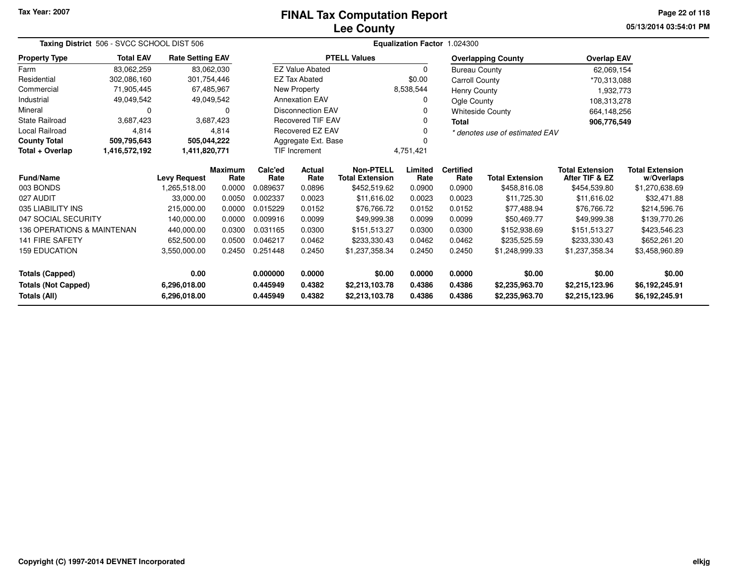# **Lee CountyFINAL Tax Computation Report**

**05/13/2014 03:54:01 PM Page 22 of 118**

| Taxing District 506 - SVCC SCHOOL DIST 506<br><b>Total EAV</b><br><b>Rate Setting EAV</b> |               |                     |                        |                 |                          |                                            |                 | Equalization Factor 1.024300 |                                |                                          |                                      |  |
|-------------------------------------------------------------------------------------------|---------------|---------------------|------------------------|-----------------|--------------------------|--------------------------------------------|-----------------|------------------------------|--------------------------------|------------------------------------------|--------------------------------------|--|
| <b>Property Type</b>                                                                      |               |                     |                        |                 |                          | <b>PTELL Values</b>                        |                 |                              | <b>Overlapping County</b>      | <b>Overlap EAV</b>                       |                                      |  |
| Farm                                                                                      | 83,062,259    |                     | 83,062,030             |                 | <b>EZ Value Abated</b>   |                                            | $\Omega$        | <b>Bureau County</b>         |                                | 62,069,154                               |                                      |  |
| Residential                                                                               | 302,086,160   | 301,754,446         |                        |                 | <b>EZ Tax Abated</b>     |                                            | \$0.00          | <b>Carroll County</b>        |                                | *70,313,088                              |                                      |  |
| Commercial                                                                                | 71,905,445    |                     | 67,485,967             |                 | New Property             |                                            | 8,538,544       | Henry County                 |                                | 1,932,773                                |                                      |  |
| Industrial                                                                                | 49,049,542    |                     | 49,049,542             |                 | <b>Annexation EAV</b>    |                                            |                 | Ogle County                  |                                | 108,313,278                              |                                      |  |
| Mineral                                                                                   | 0             |                     | 0                      |                 | <b>Disconnection EAV</b> |                                            |                 |                              | <b>Whiteside County</b>        | 664,148,256                              |                                      |  |
| <b>State Railroad</b>                                                                     | 3,687,423     |                     | 3,687,423              |                 | <b>Recovered TIF EAV</b> |                                            |                 | <b>Total</b>                 |                                | 906,776,549                              |                                      |  |
| <b>Local Railroad</b>                                                                     | 4,814         |                     | 4,814                  |                 | Recovered EZ EAV         |                                            |                 |                              | * denotes use of estimated EAV |                                          |                                      |  |
| <b>County Total</b>                                                                       | 509,795,643   | 505,044,222         |                        |                 | Aggregate Ext. Base      |                                            |                 |                              |                                |                                          |                                      |  |
| Total + Overlap                                                                           | 1,416,572,192 | 1,411,820,771       |                        |                 | <b>TIF Increment</b>     |                                            | 4,751,421       |                              |                                |                                          |                                      |  |
| <b>Fund/Name</b>                                                                          |               | <b>Levy Request</b> | <b>Maximum</b><br>Rate | Calc'ed<br>Rate | Actual<br>Rate           | <b>Non-PTELL</b><br><b>Total Extension</b> | Limited<br>Rate | <b>Certified</b><br>Rate     | <b>Total Extension</b>         | <b>Total Extension</b><br>After TIF & EZ | <b>Total Extension</b><br>w/Overlaps |  |
| 003 BONDS                                                                                 |               | 1,265,518.00        | 0.0000                 | 0.089637        | 0.0896                   | \$452,519.62                               | 0.0900          | 0.0900                       | \$458,816.08                   | \$454,539.80                             | \$1,270,638.69                       |  |
| 027 AUDIT                                                                                 |               | 33,000.00           | 0.0050                 | 0.002337        | 0.0023                   | \$11,616.02                                | 0.0023          | 0.0023                       | \$11,725.30                    | \$11,616.02                              | \$32,471.88                          |  |
| 035 LIABILITY INS                                                                         |               | 215,000.00          | 0.0000                 | 0.015229        | 0.0152                   | \$76,766.72                                | 0.0152          | 0.0152                       | \$77,488.94                    | \$76,766.72                              | \$214,596.76                         |  |
| 047 SOCIAL SECURITY                                                                       |               | 140,000.00          | 0.0000                 | 0.009916        | 0.0099                   | \$49,999.38                                | 0.0099          | 0.0099                       | \$50,469.77                    | \$49,999.38                              | \$139,770.26                         |  |
| 136 OPERATIONS & MAINTENAN                                                                |               | 440,000.00          | 0.0300                 | 0.031165        | 0.0300                   | \$151,513.27                               | 0.0300          | 0.0300                       | \$152,938.69                   | \$151,513.27                             | \$423,546.23                         |  |
| <b>141 FIRE SAFETY</b>                                                                    |               | 652,500.00          | 0.0500                 | 0.046217        | 0.0462                   | \$233,330.43                               | 0.0462          | 0.0462                       | \$235,525.59                   | \$233,330.43                             | \$652,261.20                         |  |
| <b>159 EDUCATION</b>                                                                      |               | 3,550,000.00        | 0.2450                 | 0.251448        | 0.2450                   | \$1,237,358.34                             | 0.2450          | 0.2450                       | \$1,248,999.33                 | \$3,458,960.89<br>\$1,237,358.34         |                                      |  |
| <b>Totals (Capped)</b>                                                                    |               | 0.00                |                        | 0.000000        | 0.0000                   | \$0.00                                     | 0.0000          | 0.0000                       | \$0.00                         | \$0.00                                   | \$0.00                               |  |
| <b>Totals (Not Capped)</b>                                                                |               | 6,296,018.00        |                        | 0.445949        | 0.4382                   | \$2,213,103.78                             | 0.4386          | 0.4386                       | \$2,235,963.70                 | \$6,192,245.91<br>\$2,215,123.96         |                                      |  |
| <b>Totals (All)</b><br>6,296,018.00                                                       |               |                     | 0.445949               | 0.4382          | \$2,213,103.78           | 0.4386                                     | 0.4386          | \$2,235,963.70               | \$2,215,123.96                 | \$6,192,245.91                           |                                      |  |

 $\overline{\phantom{0}}$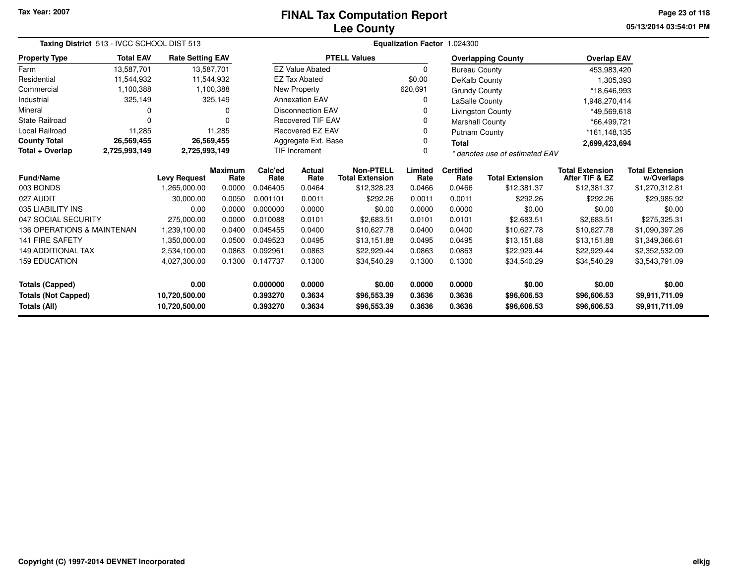## **Lee CountyFINAL Tax Computation Report**

**05/13/2014 03:54:01 PM Page 23 of 118**

|                            | Taxing District 513 - IVCC SCHOOL DIST 513<br><b>Total EAV</b><br><b>Rate Setting EAV</b><br>13,587,701 |               |                 |                 |                          |                                            |                 | Equalization Factor 1.024300 |                                |                                          |                                      |  |
|----------------------------|---------------------------------------------------------------------------------------------------------|---------------|-----------------|-----------------|--------------------------|--------------------------------------------|-----------------|------------------------------|--------------------------------|------------------------------------------|--------------------------------------|--|
| <b>Property Type</b>       |                                                                                                         |               |                 |                 |                          | <b>PTELL Values</b>                        |                 |                              | <b>Overlapping County</b>      | <b>Overlap EAV</b>                       |                                      |  |
| Farm                       | 13,587,701                                                                                              |               |                 |                 | <b>EZ Value Abated</b>   |                                            | $\Omega$        | <b>Bureau County</b>         |                                | 453,983,420                              |                                      |  |
| Residential                | 11,544,932                                                                                              |               | 11,544,932      |                 | <b>EZ Tax Abated</b>     |                                            | \$0.00          | DeKalb County                |                                | 1,305,393                                |                                      |  |
| Commercial                 | 1,100,388                                                                                               |               | 1,100,388       |                 | New Property             |                                            | 620,691         | <b>Grundy County</b>         |                                | *18,646,993                              |                                      |  |
| Industrial                 | 325,149                                                                                                 |               | 325,149         |                 | <b>Annexation EAV</b>    |                                            | 0               | LaSalle County               |                                | 1,948,270,414                            |                                      |  |
| Mineral                    | 0                                                                                                       |               | 0               |                 | <b>Disconnection EAV</b> |                                            | $\Omega$        |                              | Livingston County              | *49,569,618                              |                                      |  |
| State Railroad             | $\Omega$                                                                                                |               |                 |                 | <b>Recovered TIF EAV</b> |                                            | 0               | <b>Marshall County</b>       |                                | *66,499,721                              |                                      |  |
| Local Railroad             | 11,285                                                                                                  |               | 11,285          |                 | Recovered EZ EAV         |                                            | $\Omega$        | <b>Putnam County</b>         |                                | *161,148,135                             |                                      |  |
| <b>County Total</b>        | 26,569,455                                                                                              |               | 26,569,455      |                 | Aggregate Ext. Base      |                                            | 0               | <b>Total</b>                 |                                | 2,699,423,694                            |                                      |  |
| Total + Overlap            | 2,725,993,149                                                                                           | 2,725,993,149 |                 |                 | TIF Increment            |                                            | 0               |                              | * denotes use of estimated EAV |                                          |                                      |  |
| <b>Fund/Name</b>           | <b>Levy Request</b><br>1,265,000.00                                                                     |               | Maximum<br>Rate | Calc'ed<br>Rate | Actual<br>Rate           | <b>Non-PTELL</b><br><b>Total Extension</b> | Limited<br>Rate | <b>Certified</b><br>Rate     | <b>Total Extension</b>         | <b>Total Extension</b><br>After TIF & EZ | <b>Total Extension</b><br>w/Overlaps |  |
| 003 BONDS                  |                                                                                                         |               | 0.0000          | 0.046405        | 0.0464                   | \$12,328.23                                | 0.0466          | 0.0466                       | \$12,381.37                    | \$12,381.37                              | \$1,270,312.81                       |  |
| 027 AUDIT                  |                                                                                                         | 30,000.00     | 0.0050          | 0.001101        | 0.0011                   | \$292.26                                   | 0.0011          | 0.0011                       | \$292.26                       | \$292.26                                 | \$29,985.92                          |  |
| 035 LIABILITY INS          |                                                                                                         | 0.00          | 0.0000          | 0.000000        | 0.0000                   | \$0.00                                     | 0.0000          | 0.0000                       | \$0.00                         | \$0.00                                   | \$0.00                               |  |
| 047 SOCIAL SECURITY        |                                                                                                         | 275,000.00    | 0.0000          | 0.010088        | 0.0101                   | \$2,683.51                                 | 0.0101          | 0.0101                       | \$2,683.51                     | \$2,683.51                               | \$275,325.31                         |  |
| 136 OPERATIONS & MAINTENAN |                                                                                                         | 1,239,100.00  | 0.0400          | 0.045455        | 0.0400                   | \$10,627.78                                | 0.0400          | 0.0400                       | \$10,627.78                    | \$10.627.78                              | \$1,090,397.26                       |  |
| 141 FIRE SAFETY            |                                                                                                         | 1,350,000.00  | 0.0500          | 0.049523        | 0.0495                   | \$13,151.88                                | 0.0495          | 0.0495                       | \$13,151.88                    | \$13,151.88                              | \$1,349,366.61                       |  |
| <b>149 ADDITIONAL TAX</b>  |                                                                                                         | 2,534,100.00  | 0.0863          | 0.092961        | 0.0863                   | \$22,929.44                                | 0.0863          | 0.0863                       | \$22,929.44                    | \$22,929.44                              | \$2,352,532.09                       |  |
| <b>159 EDUCATION</b>       |                                                                                                         | 4,027,300.00  | 0.1300          | 0.147737        | 0.1300                   | \$34,540.29                                | 0.1300          | 0.1300                       | \$34,540.29                    | \$34,540.29                              | \$3,543,791.09                       |  |
| <b>Totals (Capped)</b>     |                                                                                                         | 0.00          |                 | 0.000000        | 0.0000                   | \$0.00                                     | 0.0000          | 0.0000                       | \$0.00                         | \$0.00                                   | \$0.00                               |  |
| <b>Totals (Not Capped)</b> |                                                                                                         | 10,720,500.00 |                 | 0.393270        | 0.3634                   | \$96,553.39                                | 0.3636          | 0.3636                       | \$96,606.53                    | \$96,606.53                              | \$9,911,711.09                       |  |
| Totals (All)               |                                                                                                         | 10,720,500.00 |                 | 0.393270        | 0.3634                   | \$96,553.39                                | 0.3636          | 0.3636                       | \$96,606.53                    | \$96,606.53                              | \$9,911,711.09                       |  |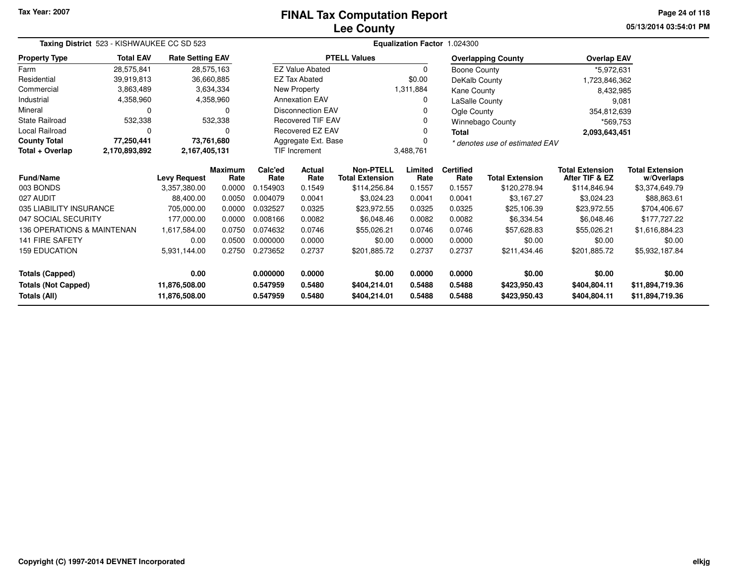# **Lee CountyFINAL Tax Computation Report**

**05/13/2014 03:54:01 PM Page 24 of 118**

| Taxing District 523 - KISHWAUKEE CC SD 523<br><b>Total EAV</b><br><b>Rate Setting EAV</b> |                                                                                                                                                                                        |                     |                        |                 |                          |                                            |                 | Equalization Factor 1.024300 |                                |                                          |                                      |  |  |
|-------------------------------------------------------------------------------------------|----------------------------------------------------------------------------------------------------------------------------------------------------------------------------------------|---------------------|------------------------|-----------------|--------------------------|--------------------------------------------|-----------------|------------------------------|--------------------------------|------------------------------------------|--------------------------------------|--|--|
| <b>Property Type</b>                                                                      |                                                                                                                                                                                        |                     |                        |                 |                          | <b>PTELL Values</b>                        |                 |                              | <b>Overlapping County</b>      | <b>Overlap EAV</b>                       |                                      |  |  |
| Farm                                                                                      | 28,575,841<br>39,919,813<br>3,863,489<br>4,358,960<br>0<br>532,338<br>0<br>77,250,441<br>2,170,893,892<br>035 LIABILITY INSURANCE<br>047 SOCIAL SECURITY<br>136 OPERATIONS & MAINTENAN |                     | 28,575,163             |                 | <b>EZ Value Abated</b>   |                                            | 0               | Boone County                 |                                | *5,972,631                               |                                      |  |  |
| Residential                                                                               |                                                                                                                                                                                        |                     | 36,660,885             |                 | <b>EZ Tax Abated</b>     |                                            | \$0.00          | DeKalb County                |                                | 1,723,846,362                            |                                      |  |  |
| Commercial                                                                                |                                                                                                                                                                                        |                     | 3,634,334              |                 | New Property             |                                            | 1,311,884       | <b>Kane County</b>           |                                | 8,432,985                                |                                      |  |  |
| Industrial                                                                                |                                                                                                                                                                                        |                     | 4,358,960              |                 | <b>Annexation EAV</b>    |                                            | 0               | LaSalle County               |                                |                                          | 9,081                                |  |  |
| Mineral                                                                                   |                                                                                                                                                                                        |                     | 0                      |                 | <b>Disconnection EAV</b> |                                            |                 | Ogle County                  |                                | 354,812,639                              |                                      |  |  |
| <b>State Railroad</b>                                                                     |                                                                                                                                                                                        |                     | 532,338                |                 | <b>Recovered TIF EAV</b> |                                            | 0               |                              | <b>Winnebago County</b>        | *569,753                                 |                                      |  |  |
| <b>Local Railroad</b>                                                                     |                                                                                                                                                                                        |                     | $\Omega$               |                 | <b>Recovered EZ EAV</b>  |                                            | 0               | <b>Total</b>                 |                                | 2,093,643,451                            |                                      |  |  |
| <b>County Total</b>                                                                       |                                                                                                                                                                                        |                     | 73,761,680             |                 | Aggregate Ext. Base      |                                            |                 |                              | * denotes use of estimated EAV |                                          |                                      |  |  |
| Total + Overlap                                                                           |                                                                                                                                                                                        | 2,167,405,131       |                        |                 | <b>TIF Increment</b>     |                                            | 3,488,761       |                              |                                |                                          |                                      |  |  |
| <b>Fund/Name</b>                                                                          |                                                                                                                                                                                        | <b>Levy Request</b> | <b>Maximum</b><br>Rate | Calc'ed<br>Rate | Actual<br>Rate           | <b>Non-PTELL</b><br><b>Total Extension</b> | Limited<br>Rate | <b>Certified</b><br>Rate     | <b>Total Extension</b>         | <b>Total Extension</b><br>After TIF & EZ | <b>Total Extension</b><br>w/Overlaps |  |  |
| 003 BONDS                                                                                 |                                                                                                                                                                                        | 3,357,380.00        | 0.0000                 | 0.154903        | 0.1549                   | \$114,256.84                               | 0.1557          | 0.1557                       | \$120,278.94                   | \$114,846.94                             | \$3,374,649.79                       |  |  |
| 027 AUDIT                                                                                 |                                                                                                                                                                                        | 88,400.00           | 0.0050                 | 0.004079        | 0.0041                   | \$3,024.23                                 | 0.0041          | 0.0041                       | \$3,167.27                     | \$3,024.23                               | \$88,863.61                          |  |  |
|                                                                                           |                                                                                                                                                                                        | 705,000.00          | 0.0000                 | 0.032527        | 0.0325                   | \$23,972.55                                | 0.0325          | 0.0325                       | \$25,106.39                    | \$23,972.55                              | \$704,406.67                         |  |  |
|                                                                                           |                                                                                                                                                                                        | 177,000.00          | 0.0000                 | 0.008166        | 0.0082                   | \$6,048.46                                 | 0.0082          | 0.0082                       | \$6,334.54                     | \$6,048.46                               | \$177,727.22                         |  |  |
|                                                                                           |                                                                                                                                                                                        | 1,617,584.00        | 0.0750                 | 0.074632        | 0.0746                   | \$55,026.21                                | 0.0746          | 0.0746                       | \$57,628.83                    | \$55,026.21                              | \$1,616,884.23                       |  |  |
| <b>141 FIRE SAFETY</b>                                                                    |                                                                                                                                                                                        | 0.00                | 0.0500                 | 0.000000        | 0.0000                   | \$0.00                                     | 0.0000          | 0.0000                       | \$0.00                         | \$0.00                                   | \$0.00                               |  |  |
| <b>159 EDUCATION</b>                                                                      |                                                                                                                                                                                        | 5,931,144.00        | 0.2750                 | 0.273652        | 0.2737                   | \$201,885.72                               | 0.2737          | 0.2737                       | \$211,434.46                   | \$201,885.72                             | \$5,932,187.84                       |  |  |
| <b>Totals (Capped)</b>                                                                    |                                                                                                                                                                                        | 0.00                |                        | 0.000000        | 0.0000                   | \$0.00                                     | 0.0000          | 0.0000                       | \$0.00                         | \$0.00                                   | \$0.00                               |  |  |
| <b>Totals (Not Capped)</b>                                                                | 0.5480<br>11,876,508.00<br>0.547959<br>\$404,214.01<br>0.5488<br>0.5488<br>\$423,950.43<br>\$404,804.11                                                                                |                     | \$11,894,719.36        |                 |                          |                                            |                 |                              |                                |                                          |                                      |  |  |
| Totals (All)                                                                              |                                                                                                                                                                                        | 11,876,508.00       |                        | 0.547959        | 0.5480                   | \$404,214.01                               | 0.5488          | 0.5488                       | \$423,950.43                   | \$404,804.11                             | \$11,894,719.36                      |  |  |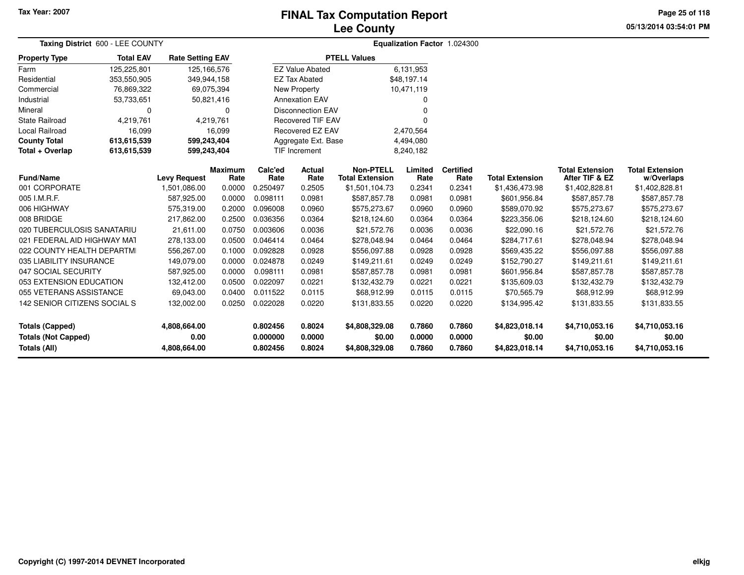## **Lee CountyFINAL Tax Computation Report**

**05/13/2014 03:54:01 PMPage 25 of 118**

| Taxing District 600 - LEE COUNTY           |                  |                         |                        |                      |                          |                                     |                  | Equalization Factor 1.024300 |                          |                                          |                                      |
|--------------------------------------------|------------------|-------------------------|------------------------|----------------------|--------------------------|-------------------------------------|------------------|------------------------------|--------------------------|------------------------------------------|--------------------------------------|
| <b>Property Type</b>                       | <b>Total EAV</b> | <b>Rate Setting EAV</b> |                        |                      |                          | <b>PTELL Values</b>                 |                  |                              |                          |                                          |                                      |
| Farm                                       | 125,225,801      | 125, 166, 576           |                        |                      | <b>EZ Value Abated</b>   |                                     | 6,131,953        |                              |                          |                                          |                                      |
| Residential                                | 353,550,905      | 349,944,158             |                        |                      | <b>EZ Tax Abated</b>     |                                     | \$48,197.14      |                              |                          |                                          |                                      |
| Commercial                                 | 76,869,322       |                         | 69,075,394             |                      | New Property             |                                     | 10,471,119       |                              |                          |                                          |                                      |
| Industrial                                 | 53,733,651       |                         | 50,821,416             |                      | <b>Annexation EAV</b>    |                                     | ŋ                |                              |                          |                                          |                                      |
| Mineral                                    | 0                |                         | 0                      |                      | <b>Disconnection EAV</b> |                                     |                  |                              |                          |                                          |                                      |
| <b>State Railroad</b>                      | 4,219,761        |                         | 4,219,761              |                      | <b>Recovered TIF EAV</b> |                                     |                  |                              |                          |                                          |                                      |
| <b>Local Railroad</b>                      | 16,099           |                         | 16,099                 |                      | Recovered EZ EAV         |                                     | 2,470,564        |                              |                          |                                          |                                      |
| <b>County Total</b>                        | 613,615,539      | 599,243,404             |                        |                      | Aggregate Ext. Base      |                                     | 4,494,080        |                              |                          |                                          |                                      |
| Total + Overlap                            | 613,615,539      | 599,243,404             |                        |                      | TIF Increment            |                                     | 8,240,182        |                              |                          |                                          |                                      |
| <b>Fund/Name</b>                           |                  | <b>Levy Request</b>     | <b>Maximum</b><br>Rate | Calc'ed<br>Rate      | Actual<br>Rate           | Non-PTELL<br><b>Total Extension</b> | Limited<br>Rate  | <b>Certified</b><br>Rate     | <b>Total Extension</b>   | <b>Total Extension</b><br>After TIF & EZ | <b>Total Extension</b><br>w/Overlaps |
| 001 CORPORATE                              |                  | 1,501,086.00            | 0.0000                 | 0.250497             | 0.2505                   | \$1,501,104.73                      | 0.2341           | 0.2341                       | \$1,436,473.98           | \$1,402,828.81                           | \$1,402,828.81                       |
| 005 I.M.R.F.                               |                  | 587,925.00              | 0.0000                 | 0.098111             | 0.0981                   | \$587,857.78                        | 0.0981           | 0.0981                       | \$601,956.84             | \$587,857.78                             | \$587,857.78                         |
| 006 HIGHWAY                                |                  | 575,319.00              | 0.2000                 | 0.096008             | 0.0960                   | \$575,273.67                        | 0.0960           | 0.0960                       | \$589,070.92             | \$575,273.67                             | \$575,273.67                         |
| 008 BRIDGE                                 |                  | 217,862.00              | 0.2500                 | 0.036356             | 0.0364                   | \$218,124.60                        | 0.0364           | 0.0364                       | \$223,356.06             | \$218,124.60                             | \$218,124.60                         |
| 020 TUBERCULOSIS SANATARIU                 |                  | 21,611.00               | 0.0750                 | 0.003606             | 0.0036                   | \$21,572.76                         | 0.0036           | 0.0036                       | \$22,090.16              | \$21,572.76                              | \$21,572.76                          |
| 021 FEDERAL AID HIGHWAY MAT                |                  | 278,133.00              | 0.0500                 | 0.046414             | 0.0464                   | \$278,048.94                        | 0.0464           | 0.0464                       | \$284,717.61             | \$278,048.94                             | \$278,048.94                         |
| 022 COUNTY HEALTH DEPARTMI                 |                  | 556,267.00              | 0.1000                 | 0.092828             | 0.0928                   | \$556,097.88                        | 0.0928           | 0.0928                       | \$569,435.22             | \$556,097.88                             | \$556,097.88                         |
| 035 LIABILITY INSURANCE                    |                  | 149,079.00              | 0.0000                 | 0.024878             | 0.0249                   | \$149,211.61                        | 0.0249           | 0.0249                       | \$152,790.27             | \$149,211.61                             | \$149,211.61                         |
| 047 SOCIAL SECURITY                        |                  | 587,925.00              | 0.0000                 | 0.098111             | 0.0981                   | \$587,857.78                        | 0.0981           | 0.0981                       | \$601,956.84             | \$587,857.78                             | \$587,857.78                         |
| 053 EXTENSION EDUCATION                    |                  | 132,412.00              | 0.0500                 | 0.022097             | 0.0221                   | \$132,432.79                        | 0.0221           | 0.0221                       | \$135,609.03             | \$132,432.79                             | \$132,432.79                         |
| 055 VETERANS ASSISTANCE                    |                  | 69,043.00               | 0.0400                 | 0.011522             | 0.0115                   | \$68,912.99                         | 0.0115           | 0.0115                       | \$70,565.79              | \$68,912.99                              | \$68,912.99                          |
| 142 SENIOR CITIZENS SOCIAL S               |                  | 132,002.00              | 0.0250                 | 0.022028             | 0.0220                   | \$131,833.55                        | 0.0220           | 0.0220                       | \$134,995.42             | \$131,833.55                             | \$131,833.55                         |
| <b>Totals (Capped)</b>                     |                  | 4,808,664.00            |                        | 0.802456             | 0.8024                   | \$4,808,329.08                      | 0.7860           | 0.7860                       | \$4,823,018.14           | \$4,710,053.16                           | \$4,710,053.16                       |
| <b>Totals (Not Capped)</b><br>Totals (All) |                  | 0.00<br>4,808,664.00    |                        | 0.000000<br>0.802456 | 0.0000<br>0.8024         | \$0.00<br>\$4,808,329.08            | 0.0000<br>0.7860 | 0.0000<br>0.7860             | \$0.00<br>\$4,823,018.14 | \$0.00<br>\$4,710,053.16                 | \$0.00<br>\$4,710,053.16             |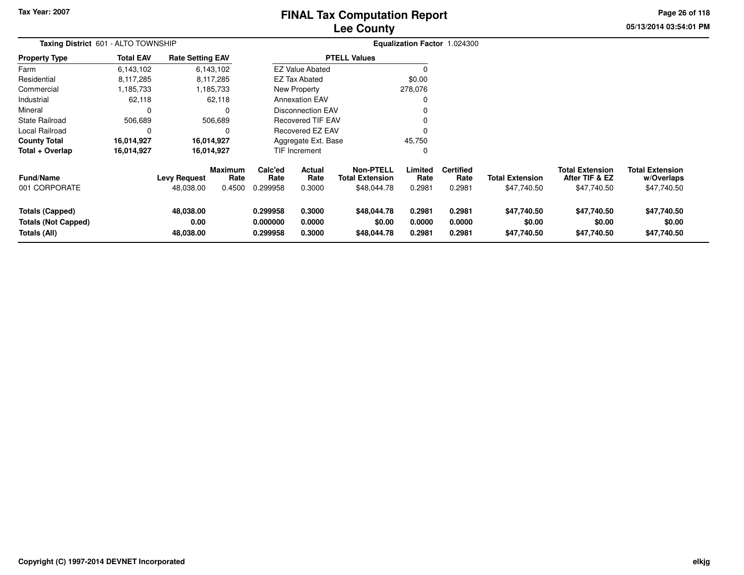# **Lee CountyFINAL Tax Computation Report**

**05/13/2014 03:54:01 PM Page 26 of 118**

| Taxing District 601 - ALTO TOWNSHIP                                  |                  |                                  |                                  |                                  |                            |                                                           |                            | Equalization Factor 1.024300       |                                       |                                                         |                                                     |
|----------------------------------------------------------------------|------------------|----------------------------------|----------------------------------|----------------------------------|----------------------------|-----------------------------------------------------------|----------------------------|------------------------------------|---------------------------------------|---------------------------------------------------------|-----------------------------------------------------|
| <b>Property Type</b>                                                 | <b>Total EAV</b> | <b>Rate Setting EAV</b>          |                                  |                                  |                            | <b>PTELL Values</b>                                       |                            |                                    |                                       |                                                         |                                                     |
| Farm                                                                 | 6,143,102        |                                  | 6,143,102                        |                                  | <b>EZ Value Abated</b>     |                                                           |                            |                                    |                                       |                                                         |                                                     |
| Residential                                                          | 8,117,285        |                                  | 8,117,285                        |                                  | <b>EZ Tax Abated</b>       |                                                           | \$0.00                     |                                    |                                       |                                                         |                                                     |
| Commercial                                                           | 1,185,733        |                                  | 1,185,733                        |                                  | New Property               |                                                           | 278,076                    |                                    |                                       |                                                         |                                                     |
| Industrial                                                           | 62,118           |                                  | 62,118                           |                                  | <b>Annexation EAV</b>      |                                                           |                            |                                    |                                       |                                                         |                                                     |
| Mineral                                                              | 0                |                                  | 0                                |                                  | Disconnection EAV          |                                                           |                            |                                    |                                       |                                                         |                                                     |
| State Railroad                                                       | 506,689          |                                  | 506,689                          |                                  | <b>Recovered TIF EAV</b>   |                                                           |                            |                                    |                                       |                                                         |                                                     |
| Local Railroad                                                       | 0                |                                  | 0                                |                                  | <b>Recovered EZ EAV</b>    |                                                           |                            |                                    |                                       |                                                         |                                                     |
| <b>County Total</b>                                                  | 16,014,927       |                                  | 16,014,927                       |                                  | Aggregate Ext. Base        |                                                           | 45,750                     |                                    |                                       |                                                         |                                                     |
| Total + Overlap                                                      | 16,014,927       |                                  | 16,014,927                       |                                  | <b>TIF Increment</b>       |                                                           |                            |                                    |                                       |                                                         |                                                     |
| <b>Fund/Name</b><br>001 CORPORATE                                    |                  | <b>Levy Request</b><br>48,038.00 | <b>Maximum</b><br>Rate<br>0.4500 | Calc'ed<br>Rate<br>0.299958      | Actual<br>Rate<br>0.3000   | <b>Non-PTELL</b><br><b>Total Extension</b><br>\$48,044.78 | Limited<br>Rate<br>0.2981  | <b>Certified</b><br>Rate<br>0.2981 | <b>Total Extension</b><br>\$47,740.50 | <b>Total Extension</b><br>After TIF & EZ<br>\$47,740.50 | <b>Total Extension</b><br>w/Overlaps<br>\$47,740.50 |
| <b>Totals (Capped)</b><br><b>Totals (Not Capped)</b><br>Totals (All) |                  | 48,038.00<br>0.00<br>48,038.00   |                                  | 0.299958<br>0.000000<br>0.299958 | 0.3000<br>0.0000<br>0.3000 | \$48,044.78<br>\$0.00<br>\$48,044.78                      | 0.2981<br>0.0000<br>0.2981 | 0.2981<br>0.0000<br>0.2981         | \$47,740.50<br>\$0.00<br>\$47,740.50  | \$47,740.50<br>\$0.00<br>\$47,740.50                    | \$47,740.50<br>\$0.00<br>\$47,740.50                |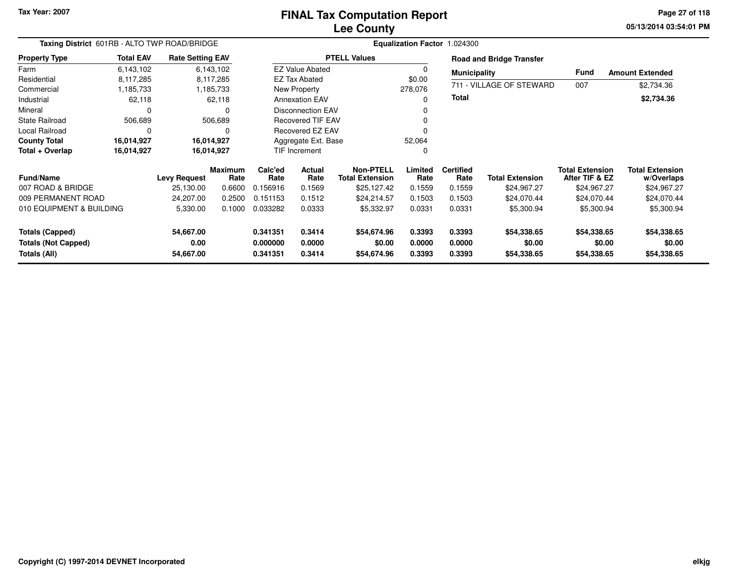## **Lee CountyFINAL Tax Computation Report**

**05/13/2014 03:54:01 PM Page 27 of 118**

| Taxing District 601RB - ALTO TWP ROAD/BRIDGE<br><b>Rate Setting EAV</b> |                  |                                |                        |                                  |                            | Equalization Factor 1.024300               |                            |                            |                                      |                                          |                                      |
|-------------------------------------------------------------------------|------------------|--------------------------------|------------------------|----------------------------------|----------------------------|--------------------------------------------|----------------------------|----------------------------|--------------------------------------|------------------------------------------|--------------------------------------|
| <b>Property Type</b>                                                    | <b>Total EAV</b> |                                |                        |                                  |                            | <b>PTELL Values</b>                        |                            |                            | <b>Road and Bridge Transfer</b>      |                                          |                                      |
| Farm                                                                    | 6,143,102        |                                | 6,143,102              |                                  | <b>EZ Value Abated</b>     |                                            |                            | <b>Municipality</b>        |                                      | <b>Fund</b>                              | <b>Amount Extended</b>               |
| Residential                                                             | 8,117,285        |                                | 8,117,285              |                                  | <b>EZ Tax Abated</b>       |                                            | \$0.00                     |                            |                                      |                                          |                                      |
| Commercial                                                              | 1,185,733        |                                | 1,185,733              |                                  | New Property               |                                            | 278,076                    |                            | 711 - VILLAGE OF STEWARD             | 007                                      | \$2,734.36                           |
| Industrial                                                              | 62,118           |                                | 62,118                 |                                  | <b>Annexation EAV</b>      |                                            |                            | <b>Total</b>               |                                      |                                          | \$2,734.36                           |
| Mineral                                                                 | 0                |                                | 0                      |                                  | <b>Disconnection EAV</b>   |                                            |                            |                            |                                      |                                          |                                      |
| <b>State Railroad</b>                                                   | 506,689          |                                | 506,689                |                                  | <b>Recovered TIF EAV</b>   |                                            |                            |                            |                                      |                                          |                                      |
| Local Railroad                                                          | 0                |                                | O                      |                                  | <b>Recovered EZ EAV</b>    |                                            |                            |                            |                                      |                                          |                                      |
| <b>County Total</b>                                                     | 16,014,927       |                                | 16,014,927             |                                  | Aggregate Ext. Base        |                                            | 52,064                     |                            |                                      |                                          |                                      |
| Total + Overlap                                                         | 16,014,927       |                                | 16,014,927             |                                  | <b>TIF Increment</b>       |                                            |                            |                            |                                      |                                          |                                      |
| <b>Fund/Name</b>                                                        |                  | <b>Levy Request</b>            | <b>Maximum</b><br>Rate | Calc'ed<br>Rate                  | <b>Actual</b><br>Rate      | <b>Non-PTELL</b><br><b>Total Extension</b> | Limited<br>Rate            | <b>Certified</b><br>Rate   | <b>Total Extension</b>               | <b>Total Extension</b><br>After TIF & EZ | <b>Total Extension</b><br>w/Overlaps |
| 007 ROAD & BRIDGE                                                       |                  | 25,130.00                      | 0.6600                 | 0.156916                         | 0.1569                     | \$25,127.42                                | 0.1559                     | 0.1559                     | \$24,967.27                          | \$24,967.27                              | \$24,967.27                          |
| 009 PERMANENT ROAD                                                      |                  | 24,207.00                      | 0.2500                 | 0.151153                         | 0.1512                     | \$24,214.57                                | 0.1503                     | 0.1503                     | \$24,070.44                          | \$24,070.44                              | \$24,070.44                          |
| 010 EQUIPMENT & BUILDING                                                |                  | 5,330.00                       | 0.1000                 | 0.033282                         | 0.0333                     | \$5,332.97                                 | 0.0331                     | 0.0331                     | \$5,300.94                           | \$5,300.94                               | \$5,300.94                           |
| <b>Totals (Capped)</b><br><b>Totals (Not Capped)</b><br>Totals (All)    |                  | 54,667.00<br>0.00<br>54,667.00 |                        | 0.341351<br>0.000000<br>0.341351 | 0.3414<br>0.0000<br>0.3414 | \$54,674.96<br>\$0.00<br>\$54,674.96       | 0.3393<br>0.0000<br>0.3393 | 0.3393<br>0.0000<br>0.3393 | \$54,338.65<br>\$0.00<br>\$54,338.65 | \$54,338.65<br>\$0.00<br>\$54,338.65     | \$54,338.65<br>\$0.00<br>\$54,338.65 |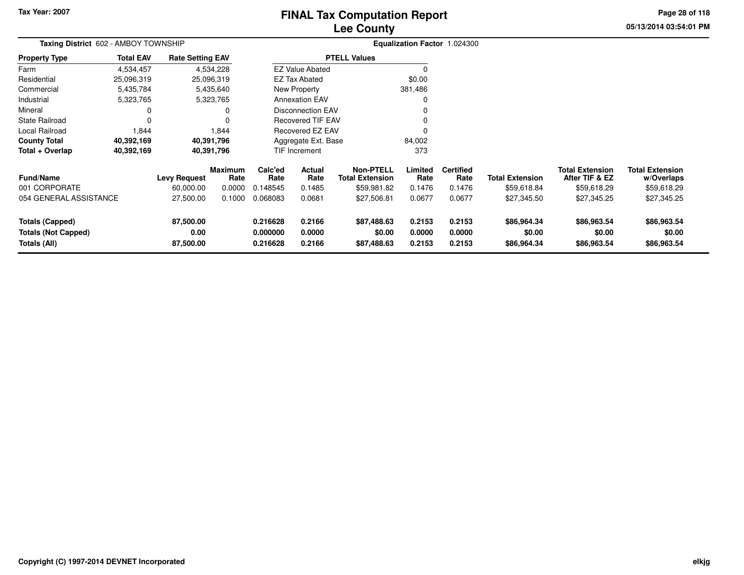# **Lee CountyFINAL Tax Computation Report**

**05/13/2014 03:54:01 PM Page 28 of 118**

| Taxing District 602 - AMBOY TOWNSHIP                          |                  |                                |                        |                                  |                            |                                            |                            | Equalization Factor 1.024300 |                                      |                                          |                                      |
|---------------------------------------------------------------|------------------|--------------------------------|------------------------|----------------------------------|----------------------------|--------------------------------------------|----------------------------|------------------------------|--------------------------------------|------------------------------------------|--------------------------------------|
| <b>Property Type</b>                                          | <b>Total EAV</b> | <b>Rate Setting EAV</b>        |                        |                                  |                            | <b>PTELL Values</b>                        |                            |                              |                                      |                                          |                                      |
| Farm                                                          | 4,534,457        |                                | 4,534,228              |                                  | <b>EZ Value Abated</b>     |                                            | 0                          |                              |                                      |                                          |                                      |
| Residential                                                   | 25,096,319       | 25,096,319                     |                        |                                  | EZ Tax Abated              |                                            | \$0.00                     |                              |                                      |                                          |                                      |
| Commercial                                                    | 5,435,784        |                                | 5,435,640              |                                  | <b>New Property</b>        |                                            | 381,486                    |                              |                                      |                                          |                                      |
| Industrial                                                    | 5,323,765        |                                | 5,323,765              |                                  | <b>Annexation EAV</b>      |                                            |                            |                              |                                      |                                          |                                      |
| Mineral                                                       | 0                |                                | 0                      |                                  | <b>Disconnection EAV</b>   |                                            |                            |                              |                                      |                                          |                                      |
| <b>State Railroad</b>                                         | $\mathbf 0$      |                                | 0                      |                                  | <b>Recovered TIF EAV</b>   |                                            |                            |                              |                                      |                                          |                                      |
| Local Railroad                                                | 1,844            |                                | 1,844                  |                                  | <b>Recovered EZ EAV</b>    |                                            |                            |                              |                                      |                                          |                                      |
| <b>County Total</b>                                           | 40,392,169       | 40,391,796                     |                        |                                  | Aggregate Ext. Base        |                                            | 84,002                     |                              |                                      |                                          |                                      |
| Total + Overlap                                               | 40,392,169       | 40,391,796                     |                        |                                  | TIF Increment              |                                            | 373                        |                              |                                      |                                          |                                      |
| <b>Fund/Name</b>                                              |                  | <b>Levy Request</b>            | <b>Maximum</b><br>Rate | Calc'ed<br>Rate                  | Actual<br>Rate             | <b>Non-PTELL</b><br><b>Total Extension</b> | Limited<br>Rate            | <b>Certified</b><br>Rate     | <b>Total Extension</b>               | <b>Total Extension</b><br>After TIF & EZ | <b>Total Extension</b><br>w/Overlaps |
| 001 CORPORATE                                                 |                  | 60,000.00                      | 0.0000                 | 0.148545                         | 0.1485                     | \$59,981.82                                | 0.1476                     | 0.1476                       | \$59,618.84                          | \$59,618.29                              | \$59,618.29                          |
| 054 GENERAL ASSISTANCE                                        |                  | 27,500.00                      | 0.1000                 | 0.068083                         | 0.0681                     | \$27,506.81                                | 0.0677                     | 0.0677                       | \$27,345.50                          | \$27,345.25                              | \$27,345.25                          |
| Totals (Capped)<br><b>Totals (Not Capped)</b><br>Totals (All) |                  | 87,500.00<br>0.00<br>87,500.00 |                        | 0.216628<br>0.000000<br>0.216628 | 0.2166<br>0.0000<br>0.2166 | \$87,488.63<br>\$0.00<br>\$87,488.63       | 0.2153<br>0.0000<br>0.2153 | 0.2153<br>0.0000<br>0.2153   | \$86,964.34<br>\$0.00<br>\$86,964.34 | \$86,963.54<br>\$0.00<br>\$86,963.54     | \$86,963.54<br>\$0.00<br>\$86,963.54 |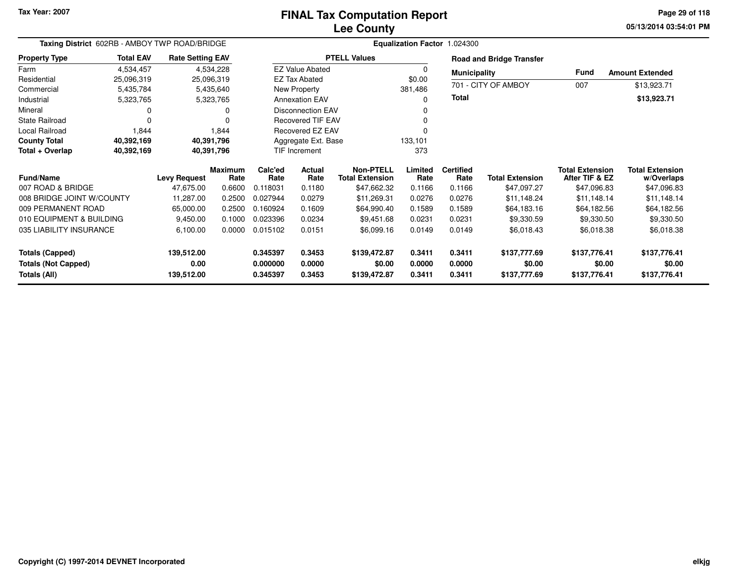## **Lee CountyFINAL Tax Computation Report**

**05/13/2014 03:54:01 PM Page 29 of 118**

| Taxing District 602RB - AMBOY TWP ROAD/BRIDGE |                  |                         |                        |                 |                          |                                            | Equalization Factor 1.024300 |                          |                                 |                                          |                                      |
|-----------------------------------------------|------------------|-------------------------|------------------------|-----------------|--------------------------|--------------------------------------------|------------------------------|--------------------------|---------------------------------|------------------------------------------|--------------------------------------|
| <b>Property Type</b>                          | <b>Total EAV</b> | <b>Rate Setting EAV</b> |                        |                 |                          | <b>PTELL Values</b>                        |                              |                          | <b>Road and Bridge Transfer</b> |                                          |                                      |
| Farm                                          | 4,534,457        |                         | 4,534,228              |                 | <b>EZ Value Abated</b>   |                                            | 0                            | <b>Municipality</b>      |                                 | <b>Fund</b>                              | <b>Amount Extended</b>               |
| Residential                                   | 25,096,319       |                         | 25,096,319             |                 | <b>EZ Tax Abated</b>     |                                            | \$0.00                       |                          | 701 - CITY OF AMBOY             |                                          |                                      |
| Commercial                                    | 5,435,784        |                         | 5,435,640              |                 | New Property             |                                            | 381,486                      |                          |                                 | 007                                      | \$13,923.71                          |
| Industrial                                    | 5,323,765        |                         | 5,323,765              |                 | <b>Annexation EAV</b>    |                                            | 0                            | <b>Total</b>             |                                 |                                          | \$13,923.71                          |
| Mineral                                       | 0                |                         |                        |                 | Disconnection EAV        |                                            | 0                            |                          |                                 |                                          |                                      |
| <b>State Railroad</b>                         | $\mathbf 0$      |                         |                        |                 | <b>Recovered TIF EAV</b> |                                            | 0                            |                          |                                 |                                          |                                      |
| Local Railroad                                | 1,844            |                         | 1,844                  |                 | Recovered EZ EAV         |                                            |                              |                          |                                 |                                          |                                      |
| <b>County Total</b>                           | 40,392,169       |                         | 40,391,796             |                 | Aggregate Ext. Base      |                                            | 133,101                      |                          |                                 |                                          |                                      |
| Total + Overlap                               | 40,392,169       |                         | 40,391,796             |                 | <b>TIF Increment</b>     |                                            | 373                          |                          |                                 |                                          |                                      |
| <b>Fund/Name</b>                              |                  | <b>Levy Request</b>     | <b>Maximum</b><br>Rate | Calc'ed<br>Rate | Actual<br>Rate           | <b>Non-PTELL</b><br><b>Total Extension</b> | Limited<br>Rate              | <b>Certified</b><br>Rate | <b>Total Extension</b>          | <b>Total Extension</b><br>After TIF & EZ | <b>Total Extension</b><br>w/Overlaps |
| 007 ROAD & BRIDGE                             |                  | 47,675.00               | 0.6600                 | 0.118031        | 0.1180                   | \$47,662.32                                | 0.1166                       | 0.1166                   | \$47,097.27                     | \$47,096.83                              | \$47,096.83                          |
| 008 BRIDGE JOINT W/COUNTY                     |                  | 11,287.00               | 0.2500                 | 0.027944        | 0.0279                   | \$11,269.31                                | 0.0276                       | 0.0276                   | \$11,148.24                     | \$11,148.14                              | \$11,148.14                          |
| 009 PERMANENT ROAD                            |                  | 65,000.00               | 0.2500                 | 0.160924        | 0.1609                   | \$64,990.40                                | 0.1589                       | 0.1589                   | \$64,183.16                     | \$64,182.56                              | \$64,182.56                          |
| 010 EQUIPMENT & BUILDING                      |                  | 9,450.00                | 0.1000                 | 0.023396        | 0.0234                   | \$9,451.68                                 | 0.0231                       | 0.0231                   | \$9,330.59                      | \$9,330.50                               | \$9,330.50                           |
| 035 LIABILITY INSURANCE                       |                  | 6,100.00                | 0.0000                 | 0.015102        | 0.0151                   | \$6,099.16                                 | 0.0149                       | 0.0149                   | \$6,018.43                      | \$6,018.38                               | \$6,018.38                           |
| <b>Totals (Capped)</b>                        |                  | 139,512.00              |                        | 0.345397        | 0.3453                   | \$139,472.87                               | 0.3411                       | 0.3411                   | \$137,777.69                    | \$137,776.41                             | \$137,776.41                         |
| <b>Totals (Not Capped)</b>                    |                  | 0.00                    |                        | 0.000000        | 0.0000                   | \$0.00                                     | 0.0000                       | 0.0000                   | \$0.00                          | \$0.00                                   | \$0.00                               |
| Totals (All)                                  |                  | 139,512.00              |                        | 0.345397        | 0.3453                   | \$139,472.87                               | 0.3411                       | 0.3411                   | \$137,777.69                    | \$137,776.41                             | \$137,776.41                         |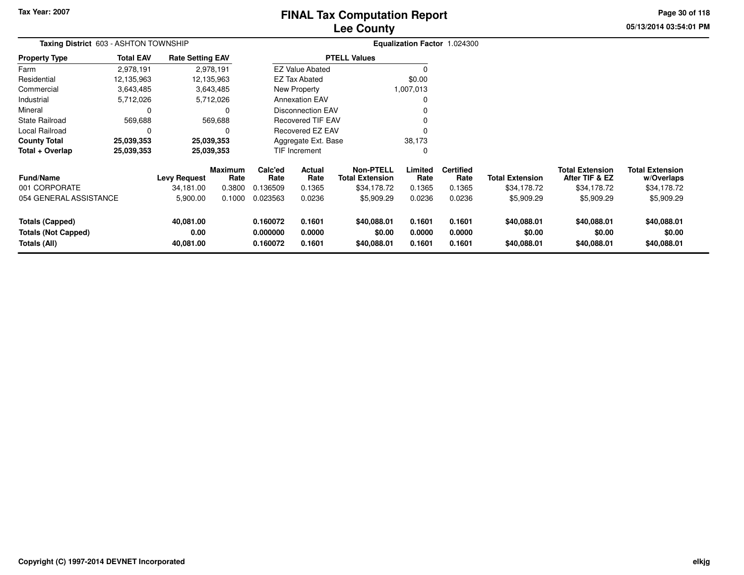# **Lee CountyFINAL Tax Computation Report**

**05/13/2014 03:54:01 PM Page 30 of 118**

| <b>Taxing District 603 - ASHTON TOWNSHIP</b>                         |                  |                                  |                                  |                                  |                                 |                                                    |                            | Equalization Factor 1.024300       |                                       |                                                         |                                                     |
|----------------------------------------------------------------------|------------------|----------------------------------|----------------------------------|----------------------------------|---------------------------------|----------------------------------------------------|----------------------------|------------------------------------|---------------------------------------|---------------------------------------------------------|-----------------------------------------------------|
| <b>Property Type</b>                                                 | <b>Total EAV</b> | <b>Rate Setting EAV</b>          |                                  |                                  |                                 | <b>PTELL Values</b>                                |                            |                                    |                                       |                                                         |                                                     |
| Farm                                                                 | 2,978,191        |                                  | 2,978,191                        |                                  | <b>EZ Value Abated</b>          |                                                    |                            |                                    |                                       |                                                         |                                                     |
| Residential                                                          | 12,135,963       | 12,135,963                       |                                  |                                  | EZ Tax Abated                   |                                                    | \$0.00                     |                                    |                                       |                                                         |                                                     |
| Commercial                                                           | 3,643,485        |                                  | 3,643,485                        |                                  | New Property                    |                                                    | 1,007,013                  |                                    |                                       |                                                         |                                                     |
| Industrial                                                           | 5,712,026        |                                  | 5,712,026                        |                                  | <b>Annexation EAV</b>           |                                                    | 0                          |                                    |                                       |                                                         |                                                     |
| Mineral                                                              | 0                |                                  | 0                                |                                  | <b>Disconnection EAV</b>        |                                                    |                            |                                    |                                       |                                                         |                                                     |
| <b>State Railroad</b>                                                | 569,688          |                                  | 569,688                          |                                  | <b>Recovered TIF EAV</b>        |                                                    | 0                          |                                    |                                       |                                                         |                                                     |
| Local Railroad                                                       | $\Omega$         |                                  | $\Omega$                         |                                  | <b>Recovered EZ EAV</b>         |                                                    |                            |                                    |                                       |                                                         |                                                     |
| <b>County Total</b>                                                  | 25,039,353       | 25,039,353                       |                                  |                                  | Aggregate Ext. Base             |                                                    | 38,173                     |                                    |                                       |                                                         |                                                     |
| Total + Overlap                                                      | 25,039,353       | 25,039,353                       |                                  |                                  | TIF Increment                   |                                                    | 0                          |                                    |                                       |                                                         |                                                     |
| <b>Fund/Name</b><br>001 CORPORATE                                    |                  | <b>Levy Request</b><br>34.181.00 | <b>Maximum</b><br>Rate<br>0.3800 | Calc'ed<br>Rate<br>0.136509      | <b>Actual</b><br>Rate<br>0.1365 | Non-PTELL<br><b>Total Extension</b><br>\$34,178.72 | Limited<br>Rate<br>0.1365  | <b>Certified</b><br>Rate<br>0.1365 | <b>Total Extension</b><br>\$34,178.72 | <b>Total Extension</b><br>After TIF & EZ<br>\$34,178.72 | <b>Total Extension</b><br>w/Overlaps<br>\$34,178.72 |
| 054 GENERAL ASSISTANCE                                               |                  | 5,900.00                         | 0.1000                           | 0.023563                         | 0.0236                          | \$5,909.29                                         | 0.0236                     | 0.0236                             | \$5,909.29                            | \$5,909.29                                              | \$5,909.29                                          |
| <b>Totals (Capped)</b><br><b>Totals (Not Capped)</b><br>Totals (All) |                  | 40,081.00<br>0.00<br>40,081.00   |                                  | 0.160072<br>0.000000<br>0.160072 | 0.1601<br>0.0000<br>0.1601      | \$40,088.01<br>\$0.00<br>\$40,088.01               | 0.1601<br>0.0000<br>0.1601 | 0.1601<br>0.0000<br>0.1601         | \$40,088.01<br>\$0.00<br>\$40,088.01  | \$40,088.01<br>\$0.00<br>\$40,088.01                    | \$40,088.01<br>\$0.00<br>\$40,088.01                |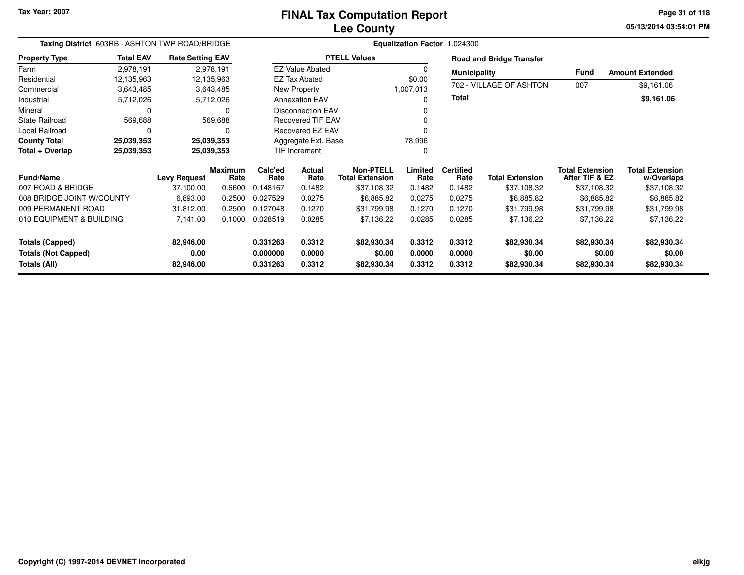# **Lee CountyFINAL Tax Computation Report**

**05/13/2014 03:54:01 PM Page 31 of 118**

| Taxing District 603RB - ASHTON TWP ROAD/BRIDGE                             |                                                 |                                              |                                            |                                         |                                                                                      |                                                                  |                                     | Equalization Factor 1.024300                 |                                                     |                                                                       |                                                                   |
|----------------------------------------------------------------------------|-------------------------------------------------|----------------------------------------------|--------------------------------------------|-----------------------------------------|--------------------------------------------------------------------------------------|------------------------------------------------------------------|-------------------------------------|----------------------------------------------|-----------------------------------------------------|-----------------------------------------------------------------------|-------------------------------------------------------------------|
| <b>Property Type</b>                                                       | <b>Total EAV</b>                                | <b>Rate Setting EAV</b>                      |                                            |                                         |                                                                                      | <b>PTELL Values</b>                                              |                                     |                                              | <b>Road and Bridge Transfer</b>                     |                                                                       |                                                                   |
| Farm<br>Residential<br>Commercial                                          | 2,978,191<br>12,135,963<br>3,643,485            | 12,135,963                                   | 2,978,191<br>3,643,485                     |                                         | <b>EZ Value Abated</b><br><b>EZ Tax Abated</b><br>New Property                       |                                                                  | 0<br>\$0.00<br>1,007,013            | <b>Municipality</b>                          | 702 - VILLAGE OF ASHTON                             | Fund<br>007                                                           | <b>Amount Extended</b><br>\$9,161.06                              |
| Industrial<br>Mineral                                                      | 5,712,026<br>0                                  |                                              | 5,712,026<br>0                             |                                         | <b>Annexation EAV</b><br><b>Disconnection EAV</b>                                    |                                                                  |                                     | <b>Total</b>                                 |                                                     |                                                                       | \$9,161.06                                                        |
| State Railroad<br>Local Railroad<br><b>County Total</b><br>Total + Overlap | 569,688<br>$\Omega$<br>25,039,353<br>25,039,353 | 25,039,353<br>25,039,353                     | 569,688<br>0                               |                                         | <b>Recovered TIF EAV</b><br>Recovered EZ EAV<br>Aggregate Ext. Base<br>TIF Increment |                                                                  | 78,996<br>0                         |                                              |                                                     |                                                                       |                                                                   |
| <b>Fund/Name</b><br>007 ROAD & BRIDGE<br>008 BRIDGE JOINT W/COUNTY         |                                                 | <b>Levy Request</b><br>37,100.00<br>6,893.00 | <b>Maximum</b><br>Rate<br>0.6600<br>0.2500 | Calc'ed<br>Rate<br>0.148167<br>0.027529 | Actual<br>Rate<br>0.1482<br>0.0275                                                   | Non-PTELL<br><b>Total Extension</b><br>\$37,108.32<br>\$6,885.82 | Limited<br>Rate<br>0.1482<br>0.0275 | <b>Certified</b><br>Rate<br>0.1482<br>0.0275 | <b>Total Extension</b><br>\$37,108.32<br>\$6,885.82 | <b>Total Extension</b><br>After TIF & EZ<br>\$37,108.32<br>\$6,885.82 | <b>Total Extension</b><br>w/Overlaps<br>\$37,108.32<br>\$6,885.82 |
| 009 PERMANENT ROAD<br>010 EQUIPMENT & BUILDING                             |                                                 | 31,812.00<br>7,141.00                        | 0.2500<br>0.1000                           | 0.127048<br>0.028519                    | 0.1270<br>0.0285                                                                     | \$31,799.98<br>\$7,136.22                                        | 0.1270<br>0.0285                    | 0.1270<br>0.0285                             | \$31,799.98<br>\$7,136.22                           | \$31,799.98<br>\$7,136.22                                             | \$31,799.98<br>\$7,136.22                                         |
| <b>Totals (Capped)</b><br><b>Totals (Not Capped)</b><br>Totals (All)       |                                                 | 82,946.00<br>0.00<br>82,946.00               |                                            | 0.331263<br>0.000000<br>0.331263        | 0.3312<br>0.0000<br>0.3312                                                           | \$82,930.34<br>\$0.00<br>\$82,930.34                             | 0.3312<br>0.0000<br>0.3312          | 0.3312<br>0.0000<br>0.3312                   | \$82,930.34<br>\$0.00<br>\$82,930.34                | \$82,930.34<br>\$0.00<br>\$82,930.34                                  | \$82,930.34<br>\$0.00<br>\$82,930.34                              |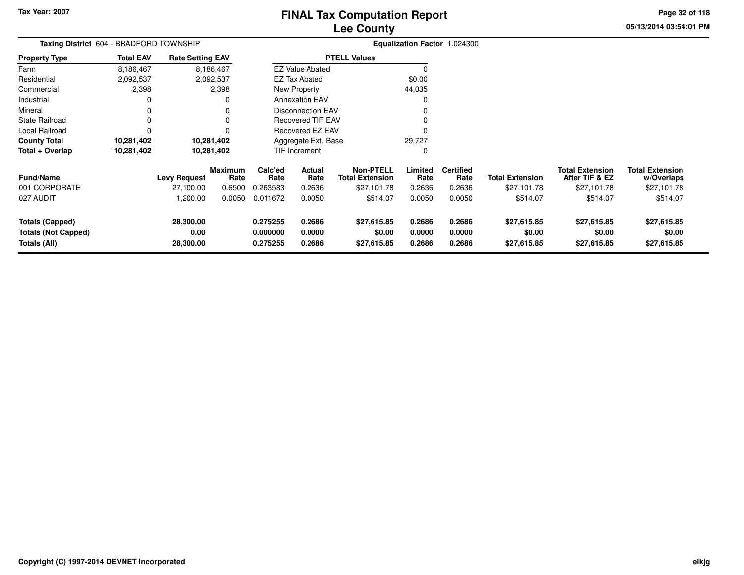# **Lee CountyFINAL Tax Computation Report**

**05/13/2014 03:54:01 PM Page 32 of 118**

| Taxing District 604 - BRADFORD TOWNSHIP                              |                  |                                |                        |                                  |                            |                                            |                            | Equalization Factor 1.024300 |                                      |                                          |                                      |
|----------------------------------------------------------------------|------------------|--------------------------------|------------------------|----------------------------------|----------------------------|--------------------------------------------|----------------------------|------------------------------|--------------------------------------|------------------------------------------|--------------------------------------|
| <b>Property Type</b>                                                 | <b>Total EAV</b> | <b>Rate Setting EAV</b>        |                        |                                  |                            | <b>PTELL Values</b>                        |                            |                              |                                      |                                          |                                      |
| Farm                                                                 | 8,186,467        |                                | 8,186,467              |                                  | <b>EZ Value Abated</b>     |                                            | 0                          |                              |                                      |                                          |                                      |
| Residential                                                          | 2,092,537        |                                | 2,092,537              |                                  | <b>EZ Tax Abated</b>       |                                            | \$0.00                     |                              |                                      |                                          |                                      |
| Commercial                                                           | 2,398            |                                | 2,398                  |                                  | New Property               |                                            | 44,035                     |                              |                                      |                                          |                                      |
| Industrial                                                           |                  |                                | 0                      |                                  | <b>Annexation EAV</b>      |                                            |                            |                              |                                      |                                          |                                      |
| Mineral                                                              |                  |                                | 0                      |                                  | <b>Disconnection EAV</b>   |                                            |                            |                              |                                      |                                          |                                      |
| <b>State Railroad</b>                                                | $\Omega$         |                                | 0                      |                                  | <b>Recovered TIF EAV</b>   |                                            |                            |                              |                                      |                                          |                                      |
| Local Railroad                                                       | $\Omega$         |                                | n                      |                                  | Recovered EZ EAV           |                                            |                            |                              |                                      |                                          |                                      |
| <b>County Total</b>                                                  | 10,281,402       | 10,281,402                     |                        |                                  | Aggregate Ext. Base        |                                            | 29,727                     |                              |                                      |                                          |                                      |
| Total + Overlap                                                      | 10,281,402       |                                | 10,281,402             |                                  | TIF Increment              |                                            | 0                          |                              |                                      |                                          |                                      |
| <b>Fund/Name</b>                                                     |                  | <b>Levy Request</b>            | <b>Maximum</b><br>Rate | Calc'ed<br>Rate                  | Actual<br>Rate             | <b>Non-PTELL</b><br><b>Total Extension</b> | Limited<br>Rate            | <b>Certified</b><br>Rate     | <b>Total Extension</b>               | <b>Total Extension</b><br>After TIF & EZ | <b>Total Extension</b><br>w/Overlaps |
| 001 CORPORATE                                                        |                  | 27,100.00                      | 0.6500                 | 0.263583                         | 0.2636                     | \$27,101.78                                | 0.2636                     | 0.2636                       | \$27,101.78                          | \$27,101.78                              | \$27,101.78                          |
| 027 AUDIT                                                            |                  | 1,200.00                       | 0.0050                 | 0.011672                         | 0.0050                     | \$514.07                                   | 0.0050                     | 0.0050                       | \$514.07                             | \$514.07                                 | \$514.07                             |
| <b>Totals (Capped)</b><br><b>Totals (Not Capped)</b><br>Totals (All) |                  | 28,300.00<br>0.00<br>28,300.00 |                        | 0.275255<br>0.000000<br>0.275255 | 0.2686<br>0.0000<br>0.2686 | \$27,615.85<br>\$0.00<br>\$27,615.85       | 0.2686<br>0.0000<br>0.2686 | 0.2686<br>0.0000<br>0.2686   | \$27,615.85<br>\$0.00<br>\$27,615.85 | \$27,615.85<br>\$0.00<br>\$27,615.85     | \$27,615.85<br>\$0.00<br>\$27,615.85 |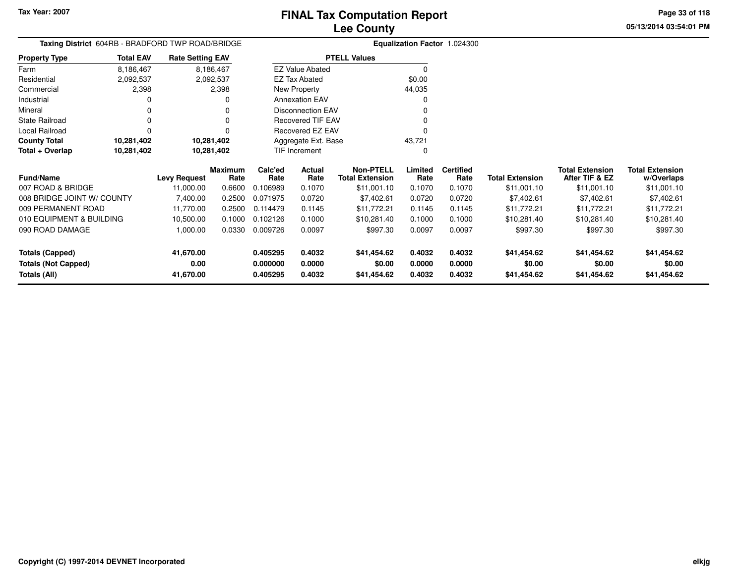**05/13/2014 03:54:01 PM Page 33 of 118**

| Taxing District 604RB - BRADFORD TWP ROAD/BRIDGE |                  |                         |                 |                 |                          |                                            |                 | <b>Equalization Factor 1.024300</b> |                        |                                          |                                      |
|--------------------------------------------------|------------------|-------------------------|-----------------|-----------------|--------------------------|--------------------------------------------|-----------------|-------------------------------------|------------------------|------------------------------------------|--------------------------------------|
| Property Type                                    | <b>Total EAV</b> | <b>Rate Setting EAV</b> |                 |                 |                          | <b>PTELL Values</b>                        |                 |                                     |                        |                                          |                                      |
| Farm                                             | 8,186,467        |                         | 8,186,467       |                 | <b>EZ Value Abated</b>   |                                            | 0               |                                     |                        |                                          |                                      |
| Residential                                      | 2,092,537        |                         | 2,092,537       |                 | <b>EZ Tax Abated</b>     |                                            | \$0.00          |                                     |                        |                                          |                                      |
| Commercial                                       | 2,398            |                         | 2,398           |                 | New Property             |                                            | 44,035          |                                     |                        |                                          |                                      |
| Industrial                                       | O                |                         |                 |                 | <b>Annexation EAV</b>    |                                            | O               |                                     |                        |                                          |                                      |
| Mineral                                          | 0                |                         |                 |                 | <b>Disconnection EAV</b> |                                            |                 |                                     |                        |                                          |                                      |
| State Railroad                                   | 0                |                         |                 |                 | <b>Recovered TIF EAV</b> |                                            |                 |                                     |                        |                                          |                                      |
| Local Railroad                                   | 0                |                         |                 |                 | Recovered EZ EAV         |                                            | 0               |                                     |                        |                                          |                                      |
| <b>County Total</b>                              | 10,281,402       | 10,281,402              |                 |                 | Aggregate Ext. Base      |                                            | 43,721          |                                     |                        |                                          |                                      |
| Total + Overlap                                  | 10,281,402       | 10,281,402              |                 |                 | TIF Increment            |                                            | O               |                                     |                        |                                          |                                      |
| Fund/Name                                        |                  | <b>Levy Request</b>     | Maximum<br>Rate | Calc'ed<br>Rate | Actual<br>Rate           | <b>Non-PTELL</b><br><b>Total Extension</b> | Limited<br>Rate | <b>Certified</b><br>Rate            | <b>Total Extension</b> | <b>Total Extension</b><br>After TIF & EZ | <b>Total Extension</b><br>w/Overlaps |
| 007 ROAD & BRIDGE                                |                  | 11,000.00               | 0.6600          | 0.106989        | 0.1070                   | \$11,001.10                                | 0.1070          | 0.1070                              | \$11,001.10            | \$11,001.10                              | \$11,001.10                          |
| 008 BRIDGE JOINT W/ COUNTY                       |                  | 7,400.00                | 0.2500          | 0.071975        | 0.0720                   | \$7,402.61                                 | 0.0720          | 0.0720                              | \$7,402.61             | \$7,402.61                               | \$7,402.61                           |
| 009 PERMANENT ROAD                               |                  | 11,770.00               | 0.2500          | 0.114479        | 0.1145                   | \$11,772.21                                | 0.1145          | 0.1145                              | \$11,772.21            | \$11,772.21                              | \$11,772.21                          |
| 010 EQUIPMENT & BUILDING                         |                  | 10,500.00               | 0.1000          | 0.102126        | 0.1000                   | \$10,281.40                                | 0.1000          | 0.1000                              | \$10,281.40            | \$10,281.40                              | \$10,281.40                          |
| 090 ROAD DAMAGE                                  |                  | 1,000.00                | 0.0330          | 0.009726        | 0.0097                   | \$997.30                                   | 0.0097          | 0.0097                              | \$997.30               | \$997.30                                 | \$997.30                             |
| <b>Totals (Capped)</b>                           |                  | 41,670.00               |                 | 0.405295        | 0.4032                   | \$41,454.62                                | 0.4032          | 0.4032                              | \$41,454.62            | \$41,454.62                              | \$41,454.62                          |
| <b>Totals (Not Capped)</b>                       |                  | 0.00                    |                 | 0.000000        | 0.0000                   | \$0.00                                     | 0.0000          | 0.0000                              | \$0.00                 | \$0.00                                   | \$0.00                               |
| Totals (All)                                     |                  | 41,670.00               |                 | 0.405295        | 0.4032                   | \$41,454.62                                | 0.4032          | 0.4032                              | \$41,454.62            | \$41,454.62                              | \$41,454.62                          |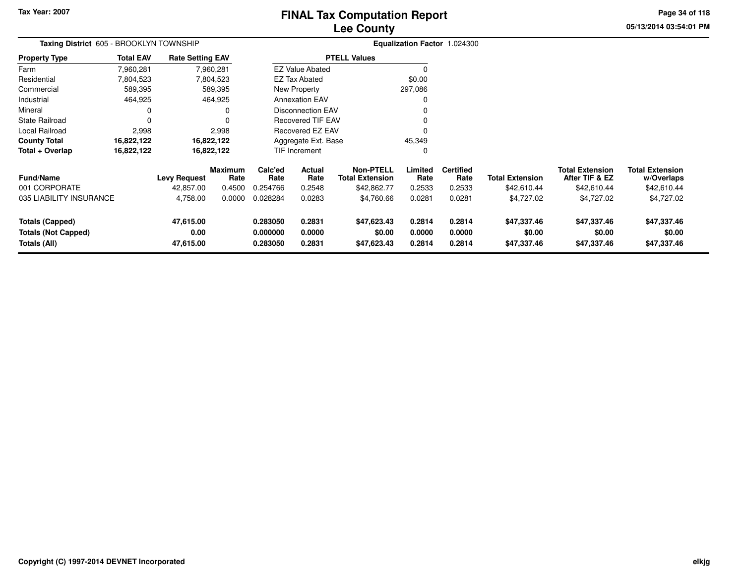# **Lee CountyFINAL Tax Computation Report**

**05/13/2014 03:54:01 PMPage 34 of 118**

| Taxing District 605 - BROOKLYN TOWNSHIP                              |                  |                                |                 |                                  |                            |                                            |                            | Equalization Factor 1.024300 |                                      |                                          |                                      |
|----------------------------------------------------------------------|------------------|--------------------------------|-----------------|----------------------------------|----------------------------|--------------------------------------------|----------------------------|------------------------------|--------------------------------------|------------------------------------------|--------------------------------------|
| <b>Property Type</b>                                                 | <b>Total EAV</b> | <b>Rate Setting EAV</b>        |                 |                                  |                            | <b>PTELL Values</b>                        |                            |                              |                                      |                                          |                                      |
| Farm                                                                 | 7,960,281        |                                | 7,960,281       |                                  | <b>EZ Value Abated</b>     |                                            |                            |                              |                                      |                                          |                                      |
| Residential                                                          | 7,804,523        |                                | 7,804,523       |                                  | EZ Tax Abated              |                                            | \$0.00                     |                              |                                      |                                          |                                      |
| Commercial                                                           | 589,395          |                                | 589,395         |                                  | New Property               |                                            | 297,086                    |                              |                                      |                                          |                                      |
| Industrial                                                           | 464,925          |                                | 464,925         |                                  | <b>Annexation EAV</b>      |                                            |                            |                              |                                      |                                          |                                      |
| Mineral                                                              |                  |                                |                 |                                  | <b>Disconnection EAV</b>   |                                            |                            |                              |                                      |                                          |                                      |
| <b>State Railroad</b>                                                | $\Omega$         |                                |                 |                                  | <b>Recovered TIF EAV</b>   |                                            |                            |                              |                                      |                                          |                                      |
| Local Railroad                                                       | 2,998            |                                | 2,998           |                                  | Recovered EZ EAV           |                                            |                            |                              |                                      |                                          |                                      |
| <b>County Total</b>                                                  | 16,822,122       |                                | 16,822,122      |                                  | Aggregate Ext. Base        |                                            | 45,349                     |                              |                                      |                                          |                                      |
| Total + Overlap                                                      | 16,822,122       |                                | 16,822,122      |                                  | <b>TIF Increment</b>       |                                            | 0                          |                              |                                      |                                          |                                      |
| <b>Fund/Name</b>                                                     |                  | <b>Levy Request</b>            | Maximum<br>Rate | Calc'ed<br>Rate                  | <b>Actual</b><br>Rate      | <b>Non-PTELL</b><br><b>Total Extension</b> | Limited<br>Rate            | <b>Certified</b><br>Rate     | <b>Total Extension</b>               | <b>Total Extension</b><br>After TIF & EZ | <b>Total Extension</b><br>w/Overlaps |
| 001 CORPORATE                                                        |                  | 42,857.00                      | 0.4500          | 0.254766                         | 0.2548                     | \$42,862.77                                | 0.2533                     | 0.2533                       | \$42,610.44                          | \$42,610.44                              | \$42,610.44                          |
| 035 LIABILITY INSURANCE                                              |                  | 4,758.00                       | 0.0000          | 0.028284                         | 0.0283                     | \$4,760.66                                 | 0.0281                     | 0.0281                       | \$4,727.02                           | \$4,727.02                               | \$4,727.02                           |
| <b>Totals (Capped)</b><br><b>Totals (Not Capped)</b><br>Totals (All) |                  | 47,615.00<br>0.00<br>47,615.00 |                 | 0.283050<br>0.000000<br>0.283050 | 0.2831<br>0.0000<br>0.2831 | \$47,623.43<br>\$0.00<br>\$47,623.43       | 0.2814<br>0.0000<br>0.2814 | 0.2814<br>0.0000<br>0.2814   | \$47,337.46<br>\$0.00<br>\$47,337.46 | \$47,337.46<br>\$0.00<br>\$47,337.46     | \$47,337.46<br>\$0.00<br>\$47,337.46 |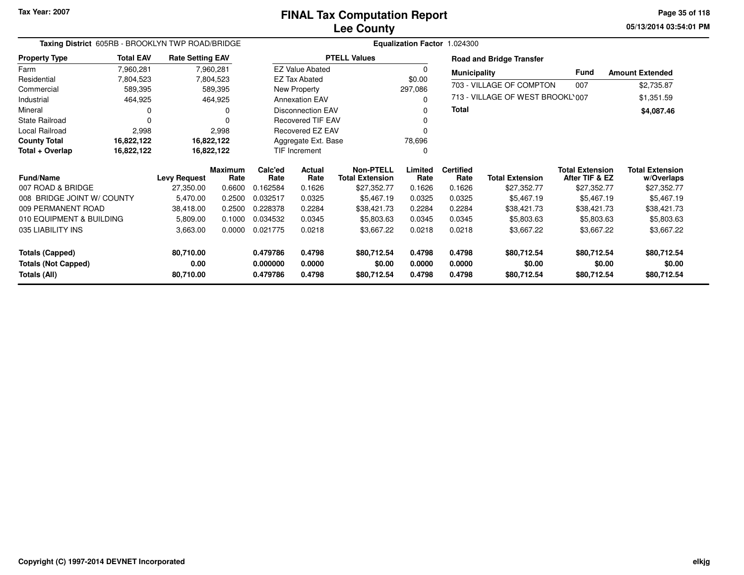**05/13/2014 03:54:01 PM Page 35 of 118**

| Taxing District 605RB - BROOKLYN TWP ROAD/BRIDGE |                  |                         |                        |                 | Equalization Factor 1.024300 |                                            |                 |                          |                                  |                                          |                                      |
|--------------------------------------------------|------------------|-------------------------|------------------------|-----------------|------------------------------|--------------------------------------------|-----------------|--------------------------|----------------------------------|------------------------------------------|--------------------------------------|
| <b>Property Type</b>                             | <b>Total EAV</b> | <b>Rate Setting EAV</b> |                        |                 |                              | <b>PTELL Values</b>                        |                 |                          | <b>Road and Bridge Transfer</b>  |                                          |                                      |
| Farm                                             | 7,960,281        |                         | 7,960,281              |                 | <b>EZ Value Abated</b>       |                                            | 0               | <b>Municipality</b>      |                                  | <b>Fund</b>                              | <b>Amount Extended</b>               |
| Residential                                      | 7,804,523        |                         | 7,804,523              |                 | <b>EZ Tax Abated</b>         |                                            | \$0.00          |                          | 703 - VILLAGE OF COMPTON         | 007                                      |                                      |
| Commercial                                       | 589,395          |                         | 589,395                |                 | New Property                 |                                            | 297,086         |                          |                                  |                                          | \$2,735.87                           |
| Industrial                                       | 464,925          |                         | 464,925                |                 | <b>Annexation EAV</b>        |                                            | 0               |                          | 713 - VILLAGE OF WEST BROOKL'007 |                                          | \$1,351.59                           |
| Mineral                                          | 0                |                         | O                      |                 | <b>Disconnection EAV</b>     |                                            | 0               | Total                    |                                  |                                          | \$4,087.46                           |
| <b>State Railroad</b>                            | $\Omega$         |                         | U                      |                 | <b>Recovered TIF EAV</b>     |                                            | 0               |                          |                                  |                                          |                                      |
| Local Railroad                                   | 2,998            |                         | 2,998                  |                 | Recovered EZ EAV             |                                            | 0               |                          |                                  |                                          |                                      |
| <b>County Total</b>                              | 16,822,122       |                         | 16,822,122             |                 | Aggregate Ext. Base          |                                            | 78,696          |                          |                                  |                                          |                                      |
| Total + Overlap                                  | 16,822,122       |                         | 16,822,122             |                 | TIF Increment                |                                            | 0               |                          |                                  |                                          |                                      |
| <b>Fund/Name</b>                                 |                  | <b>Levy Request</b>     | <b>Maximum</b><br>Rate | Calc'ed<br>Rate | Actual<br>Rate               | <b>Non-PTELL</b><br><b>Total Extension</b> | Limited<br>Rate | <b>Certified</b><br>Rate | <b>Total Extension</b>           | <b>Total Extension</b><br>After TIF & EZ | <b>Total Extension</b><br>w/Overlaps |
| 007 ROAD & BRIDGE                                |                  | 27,350.00               | 0.6600                 | 0.162584        | 0.1626                       | \$27,352.77                                | 0.1626          | 0.1626                   | \$27,352.77                      | \$27,352.77                              | \$27,352.77                          |
| 008 BRIDGE JOINT W/ COUNTY                       |                  | 5,470.00                | 0.2500                 | 0.032517        | 0.0325                       | \$5,467.19                                 | 0.0325          | 0.0325                   | \$5,467.19                       | \$5,467.19                               | \$5,467.19                           |
| 009 PERMANENT ROAD                               |                  | 38,418.00               | 0.2500                 | 0.228378        | 0.2284                       | \$38,421.73                                | 0.2284          | 0.2284                   | \$38,421.73                      | \$38,421.73                              | \$38,421.73                          |
| 010 EQUIPMENT & BUILDING                         |                  | 5,809.00                | 0.1000                 | 0.034532        | 0.0345                       | \$5,803.63                                 | 0.0345          | 0.0345                   | \$5,803.63                       | \$5,803.63                               | \$5,803.63                           |
| 035 LIABILITY INS                                |                  | 3,663.00                | 0.0000                 | 0.021775        | 0.0218                       | \$3,667.22                                 | 0.0218          | 0.0218                   | \$3,667.22                       | \$3,667.22                               | \$3,667.22                           |
| <b>Totals (Capped)</b>                           |                  | 80,710.00               |                        | 0.479786        | 0.4798                       | \$80,712.54                                | 0.4798          | 0.4798                   | \$80,712.54                      | \$80,712.54                              | \$80,712.54                          |
| <b>Totals (Not Capped)</b>                       |                  | 0.00                    |                        | 0.000000        | 0.0000                       | \$0.00                                     | 0.0000          | 0.0000                   | \$0.00                           | \$0.00                                   | \$0.00                               |
| Totals (All)                                     |                  | 80,710.00               |                        | 0.479786        | 0.4798                       | \$80,712.54                                | 0.4798          | 0.4798                   | \$80,712.54                      | \$80,712.54                              | \$80,712.54                          |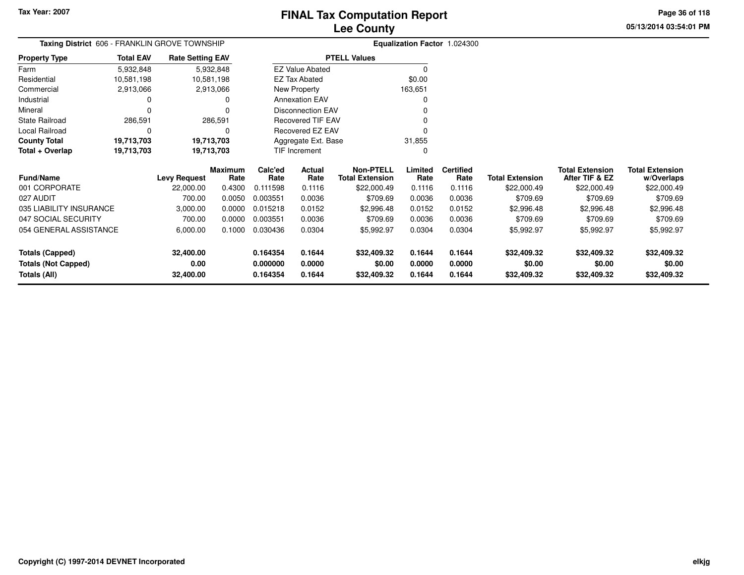**05/13/2014 03:54:01 PMPage 36 of 118**

# **Equalization Factor** 1.024300

|                      | <b>Taxing District</b> 606 - FRANKLIN GROVE TOWNSHIP |                         |                          | <b>Equalization Factor 1</b> |
|----------------------|------------------------------------------------------|-------------------------|--------------------------|------------------------------|
| <b>Property Type</b> | <b>Total EAV</b>                                     | <b>Rate Setting EAV</b> | <b>PTELL Values</b>      |                              |
| Farm                 | 5,932,848                                            | 5,932,848               | <b>EZ Value Abated</b>   | O                            |
| Residential          | 10,581,198                                           | 10,581,198              | EZ Tax Abated            | \$0.00                       |
| Commercial           | 2,913,066                                            | 2,913,066               | New Property             | 163,651                      |
| Industrial           | 0                                                    | 0                       | <b>Annexation EAV</b>    | 0                            |
| Mineral              | 0                                                    | 0                       | <b>Disconnection EAV</b> | 0                            |
| State Railroad       | 286.591                                              | 286,591                 | <b>Recovered TIF EAV</b> | 0                            |
| Local Railroad       | 0                                                    | $\Omega$                | Recovered EZ EAV         | 0                            |
| <b>County Total</b>  | 19,713,703                                           | 19,713,703              | Aggregate Ext. Base      | 31,855                       |
| Total + Overlap      | 19,713,703                                           | 19,713,703              | <b>TIF Increment</b>     | 0                            |

| <b>Fund/Name</b>           | <b>Levy Request</b> | <b>Maximum</b><br>Rate | Calc'ed<br>Rate | <b>Actual</b><br>Rate | Non-PTELL<br><b>Total Extension</b> | Limited<br>Rate | <b>Certified</b><br>Rate | Total Extension | <b>Total Extension</b><br>After TIF & EZ | <b>Total Extension</b><br>w/Overlaps |
|----------------------------|---------------------|------------------------|-----------------|-----------------------|-------------------------------------|-----------------|--------------------------|-----------------|------------------------------------------|--------------------------------------|
| 001 CORPORATE              | 22,000.00           | 0.4300                 | 0.111598        | 0.1116                | \$22,000.49                         | 0.1116          | 0.1116                   | \$22,000.49     | \$22,000.49                              | \$22,000.49                          |
| 027 AUDIT                  | 700.00              | 0.0050                 | 0.003551        | 0.0036                | \$709.69                            | 0.0036          | 0.0036                   | \$709.69        | \$709.69                                 | \$709.69                             |
| 035 LIABILITY INSURANCE    | 3,000.00            | 0.0000                 | 0.015218        | 0.0152                | \$2,996.48                          | 0.0152          | 0.0152                   | \$2,996.48      | \$2,996.48                               | \$2,996.48                           |
| 047 SOCIAL SECURITY        | 700.00              | 0.0000                 | 0.003551        | 0.0036                | \$709.69                            | 0.0036          | 0.0036                   | \$709.69        | \$709.69                                 | \$709.69                             |
| 054 GENERAL ASSISTANCE     | 6,000.00            | 0.1000                 | 0.030436        | 0.0304                | \$5,992.97                          | 0.0304          | 0.0304                   | \$5,992.97      | \$5,992.97                               | \$5,992.97                           |
| Totals (Capped)            | 32,400.00           |                        | 0.164354        | 0.1644                | \$32,409.32                         | 0.1644          | 0.1644                   | \$32,409.32     | \$32,409.32                              | \$32,409.32                          |
| <b>Totals (Not Capped)</b> | 0.00                |                        | 0.000000        | 0.0000                | \$0.00                              | 0.0000          | 0.0000                   | \$0.00          | \$0.00                                   | \$0.00                               |
| Totals (All)               | 32,400.00           |                        | 0.164354        | 0.1644                | \$32,409.32                         | 0.1644          | 0.1644                   | \$32,409.32     | \$32,409.32                              | \$32,409.32                          |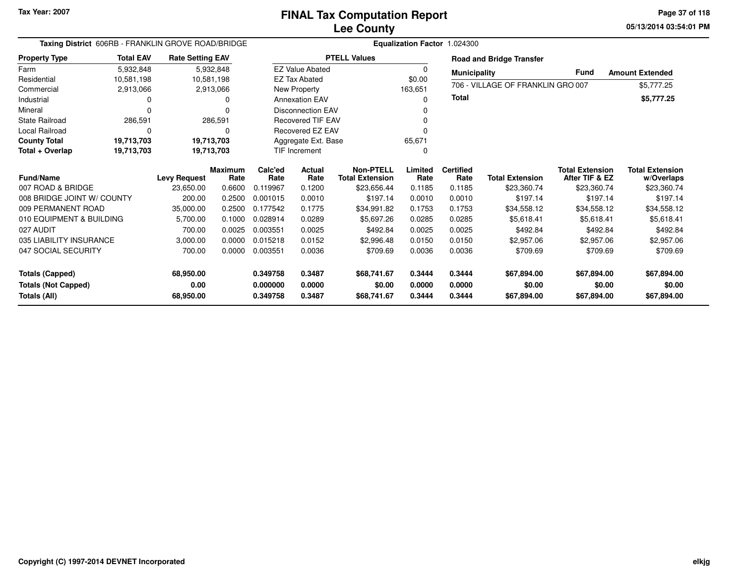**05/13/2014 03:54:01 PMPage 37 of 118**

| Taxing District 606RB - FRANKLIN GROVE ROAD/BRIDGE |                  |                                  |                |                  | Equalization Factor 1.024300 |                                       |                 |                     |                                   |                                          |                           |  |
|----------------------------------------------------|------------------|----------------------------------|----------------|------------------|------------------------------|---------------------------------------|-----------------|---------------------|-----------------------------------|------------------------------------------|---------------------------|--|
| <b>Property Type</b>                               | <b>Total EAV</b> | <b>Rate Setting EAV</b>          |                |                  |                              | <b>PTELL Values</b>                   |                 |                     | <b>Road and Bridge Transfer</b>   |                                          |                           |  |
| Farm                                               | 5,932,848        |                                  | 5,932,848      |                  | <b>EZ Value Abated</b>       |                                       | 0               | <b>Municipality</b> |                                   | <b>Fund</b>                              | <b>Amount Extended</b>    |  |
| Residential                                        | 10,581,198       |                                  | 10,581,198     |                  | <b>EZ Tax Abated</b>         |                                       | \$0.00          |                     | 706 - VILLAGE OF FRANKLIN GRO 007 |                                          |                           |  |
| Commercial                                         | 2,913,066        |                                  | 2,913,066      |                  | New Property                 |                                       | 163,651         |                     |                                   |                                          | \$5,777.25                |  |
| Industrial                                         |                  |                                  | o              |                  | <b>Annexation EAV</b>        |                                       | 0               | Total               |                                   |                                          | \$5,777.25                |  |
| Mineral                                            |                  |                                  |                |                  | <b>Disconnection EAV</b>     |                                       |                 |                     |                                   |                                          |                           |  |
| <b>State Railroad</b>                              | 286,591          |                                  | 286,591        |                  | <b>Recovered TIF EAV</b>     |                                       |                 |                     |                                   |                                          |                           |  |
| Local Railroad                                     | O                |                                  | 0              |                  | <b>Recovered EZ EAV</b>      |                                       | 0               |                     |                                   |                                          |                           |  |
| <b>County Total</b>                                | 19,713,703       |                                  | 19,713,703     |                  | Aggregate Ext. Base          |                                       | 65,671          |                     |                                   |                                          |                           |  |
| Total + Overlap                                    | 19,713,703       |                                  | 19,713,703     |                  | <b>TIF Increment</b>         |                                       | 0               |                     |                                   |                                          |                           |  |
| <b>Fund/Name</b>                                   |                  |                                  | <b>Maximum</b> | Calc'ed          | Actual                       | <b>Non-PTELL</b>                      | Limited<br>Rate | <b>Certified</b>    | <b>Total Extension</b>            | <b>Total Extension</b><br>After TIF & EZ | <b>Total Extension</b>    |  |
| 007 ROAD & BRIDGE                                  |                  | <b>Levy Request</b><br>23,650.00 | Rate<br>0.6600 | Rate<br>0.119967 | Rate<br>0.1200               | <b>Total Extension</b><br>\$23,656.44 | 0.1185          | Rate<br>0.1185      | \$23,360.74                       | \$23,360.74                              | w/Overlaps<br>\$23,360.74 |  |
| 008 BRIDGE JOINT W/ COUNTY                         |                  | 200.00                           | 0.2500         | 0.001015         | 0.0010                       | \$197.14                              | 0.0010          | 0.0010              | \$197.14                          | \$197.14                                 | \$197.14                  |  |
| 009 PERMANENT ROAD                                 |                  |                                  |                | 0.177542         | 0.1775                       |                                       | 0.1753          | 0.1753              |                                   |                                          |                           |  |
|                                                    |                  | 35,000.00                        | 0.2500         |                  |                              | \$34,991.82                           |                 |                     | \$34,558.12                       | \$34,558.12                              | \$34,558.12               |  |
| 010 EQUIPMENT & BUILDING                           |                  | 5,700.00                         | 0.1000         | 0.028914         | 0.0289                       | \$5,697.26                            | 0.0285          | 0.0285              | \$5,618.41                        | \$5,618.41                               | \$5,618.41                |  |
| 027 AUDIT                                          |                  | 700.00                           | 0.0025         | 0.003551         | 0.0025                       | \$492.84                              | 0.0025          | 0.0025              | \$492.84                          | \$492.84                                 | \$492.84                  |  |
| 035 LIABILITY INSURANCE                            |                  | 3,000.00                         | 0.0000         | 0.015218         | 0.0152                       | \$2,996.48                            | 0.0150          | 0.0150              | \$2,957.06                        | \$2,957.06                               | \$2,957.06                |  |
| 047 SOCIAL SECURITY                                |                  | 700.00                           | 0.0000         | 0.003551         | 0.0036                       | \$709.69                              | 0.0036          | 0.0036              | \$709.69                          | \$709.69                                 | \$709.69                  |  |
| <b>Totals (Capped)</b>                             |                  | 68,950.00                        |                | 0.349758         | 0.3487                       | \$68,741.67                           | 0.3444          | 0.3444              | \$67,894.00                       | \$67,894.00                              | \$67,894.00               |  |
| <b>Totals (Not Capped)</b>                         |                  | 0.00                             |                | 0.000000         | 0.0000                       | \$0.00                                | 0.0000          | 0.0000              | \$0.00                            | \$0.00                                   | \$0.00                    |  |
| 68,950.00<br>Totals (All)                          |                  |                                  |                | 0.349758         | 0.3487                       | \$68,741.67                           | 0.3444          | 0.3444              | \$67,894.00                       | \$67,894.00                              | \$67,894.00               |  |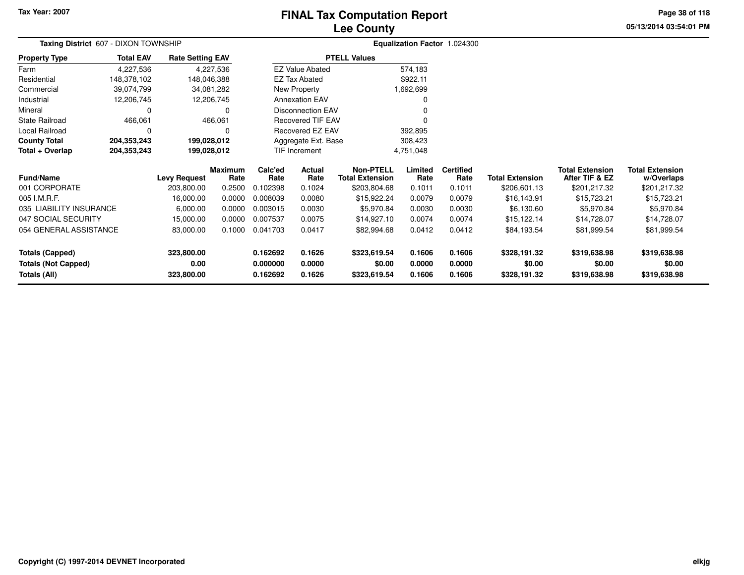#### **Lee CountyFINAL Tax Computation Report**

**05/13/2014 03:54:01 PM Page 38 of 118**

| Taxing District 607 - DIXON TOWNSHIP |                  | Equalization Factor 1.024300 |                 |                 |                          |                                            |                 |                          |                        |                                          |                                      |
|--------------------------------------|------------------|------------------------------|-----------------|-----------------|--------------------------|--------------------------------------------|-----------------|--------------------------|------------------------|------------------------------------------|--------------------------------------|
| <b>Property Type</b>                 | <b>Total EAV</b> | <b>Rate Setting EAV</b>      |                 |                 |                          | <b>PTELL Values</b>                        |                 |                          |                        |                                          |                                      |
| Farm                                 | 4,227,536        |                              | 4,227,536       |                 | <b>EZ Value Abated</b>   |                                            | 574,183         |                          |                        |                                          |                                      |
| Residential                          | 148,378,102      | 148,046,388                  |                 |                 | <b>EZ Tax Abated</b>     |                                            | \$922.11        |                          |                        |                                          |                                      |
| Commercial                           | 39,074,799       | 34,081,282                   |                 |                 | New Property             |                                            | 1,692,699       |                          |                        |                                          |                                      |
| Industrial                           | 12,206,745       | 12,206,745                   |                 |                 | <b>Annexation EAV</b>    |                                            |                 |                          |                        |                                          |                                      |
| Mineral                              | 0                |                              | 0               |                 | <b>Disconnection EAV</b> |                                            |                 |                          |                        |                                          |                                      |
| <b>State Railroad</b>                | 466,061          |                              | 466,061         |                 | <b>Recovered TIF EAV</b> |                                            |                 |                          |                        |                                          |                                      |
| Local Railroad                       | 0                |                              | 0               |                 | <b>Recovered EZ EAV</b>  |                                            | 392,895         |                          |                        |                                          |                                      |
| <b>County Total</b>                  | 204,353,243      | 199,028,012                  |                 |                 | Aggregate Ext. Base      |                                            | 308,423         |                          |                        |                                          |                                      |
| Total + Overlap                      | 204,353,243      | 199,028,012                  |                 |                 | TIF Increment            |                                            | 4,751,048       |                          |                        |                                          |                                      |
| <b>Fund/Name</b>                     |                  | <b>Levy Request</b>          | Maximum<br>Rate | Calc'ed<br>Rate | Actual<br>Rate           | <b>Non-PTELL</b><br><b>Total Extension</b> | Limited<br>Rate | <b>Certified</b><br>Rate | <b>Total Extension</b> | <b>Total Extension</b><br>After TIF & EZ | <b>Total Extension</b><br>w/Overlaps |
| 001 CORPORATE                        |                  | 203,800.00                   | 0.2500          | 0.102398        | 0.1024                   | \$203,804.68                               | 0.1011          | 0.1011                   | \$206,601.13           | \$201,217.32                             | \$201,217.32                         |
| 005 I.M.R.F.                         |                  | 16,000.00                    | 0.0000          | 0.008039        | 0.0080                   | \$15,922.24                                | 0.0079          | 0.0079                   | \$16,143.91            | \$15,723.21                              | \$15,723.21                          |
| 035 LIABILITY INSURANCE              |                  | 6,000.00                     | 0.0000          | 0.003015        | 0.0030                   | \$5,970.84                                 | 0.0030          | 0.0030                   | \$6,130.60             | \$5,970.84                               | \$5,970.84                           |
| 047 SOCIAL SECURITY                  |                  | 15,000.00                    | 0.0000          | 0.007537        | 0.0075                   | \$14,927.10                                | 0.0074          | 0.0074                   | \$15,122.14            | \$14,728.07                              | \$14,728.07                          |
| 054 GENERAL ASSISTANCE               |                  | 83,000.00                    | 0.1000          | 0.041703        | 0.0417                   | \$82,994.68                                | 0.0412          | 0.0412                   | \$84,193.54            | \$81,999.54                              | \$81,999.54                          |
| <b>Totals (Capped)</b>               |                  | 323,800.00                   |                 | 0.162692        | 0.1626                   | \$323,619.54                               | 0.1606          | 0.1606                   | \$328,191.32           | \$319,638.98                             | \$319,638.98                         |
| <b>Totals (Not Capped)</b>           |                  | 0.00                         |                 | 0.000000        | 0.0000                   | \$0.00                                     | 0.0000          | 0.0000                   | \$0.00                 | \$0.00                                   | \$0.00                               |
| Totals (All)                         |                  | 323,800.00                   |                 | 0.162692        | 0.1626                   | \$323,619.54                               | 0.1606          | 0.1606                   | \$328,191.32           | \$319,638.98                             | \$319,638.98                         |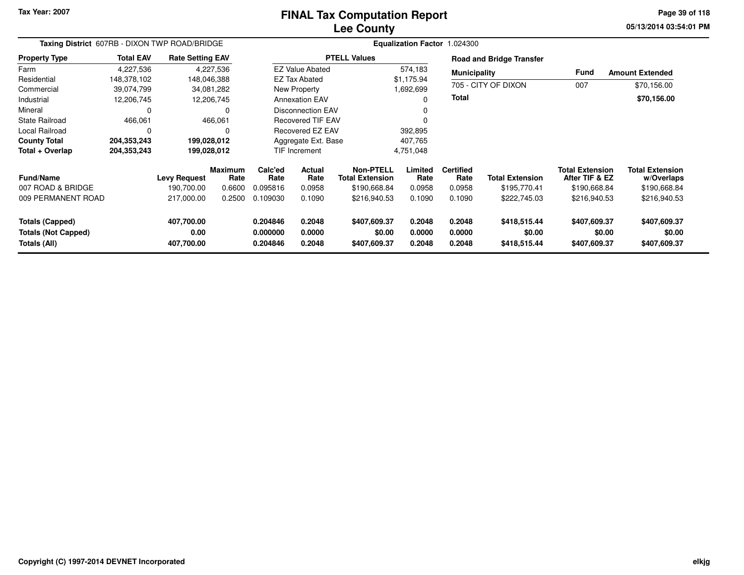#### **Lee CountyFINAL Tax Computation Report**

**05/13/2014 03:54:01 PM Page 39 of 118**

| Taxing District 607RB - DIXON TWP ROAD/BRIDGE |                  |                         |                        |                 |                          |                                     | Equalization Factor 1.024300 |                          |                                 |                                          |                                      |
|-----------------------------------------------|------------------|-------------------------|------------------------|-----------------|--------------------------|-------------------------------------|------------------------------|--------------------------|---------------------------------|------------------------------------------|--------------------------------------|
| <b>Property Type</b>                          | <b>Total EAV</b> | <b>Rate Setting EAV</b> |                        |                 |                          | <b>PTELL Values</b>                 |                              |                          | <b>Road and Bridge Transfer</b> |                                          |                                      |
| Farm                                          | 4,227,536        |                         | 4,227,536              |                 | <b>EZ Value Abated</b>   |                                     | 574,183                      | <b>Municipality</b>      |                                 | Fund                                     | <b>Amount Extended</b>               |
| Residential                                   | 148,378,102      | 148,046,388             |                        |                 | <b>EZ Tax Abated</b>     |                                     | \$1,175.94                   |                          |                                 |                                          |                                      |
| Commercial                                    | 39,074,799       | 34,081,282              |                        |                 | New Property             |                                     | 1,692,699                    |                          | 705 - CITY OF DIXON             | 007                                      | \$70,156.00                          |
| Industrial                                    | 12,206,745       | 12,206,745              |                        |                 | <b>Annexation EAV</b>    |                                     | 0                            | <b>Total</b>             |                                 |                                          | \$70,156.00                          |
| Mineral                                       |                  |                         |                        |                 | <b>Disconnection EAV</b> |                                     | 0                            |                          |                                 |                                          |                                      |
| <b>State Railroad</b>                         | 466,061          |                         | 466,061                |                 | <b>Recovered TIF EAV</b> |                                     | $\Omega$                     |                          |                                 |                                          |                                      |
| <b>Local Railroad</b>                         |                  |                         |                        |                 | Recovered EZ EAV         |                                     | 392,895                      |                          |                                 |                                          |                                      |
| <b>County Total</b>                           | 204,353,243      | 199,028,012             |                        |                 | Aggregate Ext. Base      |                                     | 407,765                      |                          |                                 |                                          |                                      |
| Total + Overlap                               | 204,353,243      | 199,028,012             |                        |                 | TIF Increment            |                                     | 4,751,048                    |                          |                                 |                                          |                                      |
| <b>Fund/Name</b>                              |                  | <b>Levy Request</b>     | <b>Maximum</b><br>Rate | Calc'ed<br>Rate | Actual<br>Rate           | Non-PTELL<br><b>Total Extension</b> | Limited<br>Rate              | <b>Certified</b><br>Rate | <b>Total Extension</b>          | <b>Total Extension</b><br>After TIF & EZ | <b>Total Extension</b><br>w/Overlaps |
| 007 ROAD & BRIDGE                             |                  | 190,700.00              | 0.6600                 | 0.095816        | 0.0958                   | \$190,668.84                        | 0.0958                       | 0.0958                   | \$195,770.41                    | \$190,668.84                             | \$190,668.84                         |
| 009 PERMANENT ROAD                            |                  | 217,000.00              | 0.2500                 | 0.109030        | 0.1090                   | \$216,940.53                        | 0.1090                       | 0.1090                   | \$222,745.03                    | \$216,940.53                             | \$216,940.53                         |
| <b>Totals (Capped)</b>                        |                  | 407,700.00              |                        | 0.204846        | 0.2048                   | \$407,609.37                        | 0.2048                       | 0.2048                   | \$418,515.44                    | \$407,609.37                             | \$407,609.37                         |
| <b>Totals (Not Capped)</b>                    |                  | 0.00                    |                        | 0.000000        | 0.0000                   | \$0.00                              | 0.0000                       | 0.0000                   | \$0.00                          | \$0.00                                   | \$0.00                               |
| Totals (All)                                  |                  | 407,700.00              |                        | 0.204846        | 0.2048                   | \$407,609.37                        | 0.2048                       | 0.2048                   | \$418,515.44                    | \$407,609.37                             | \$407,609.37                         |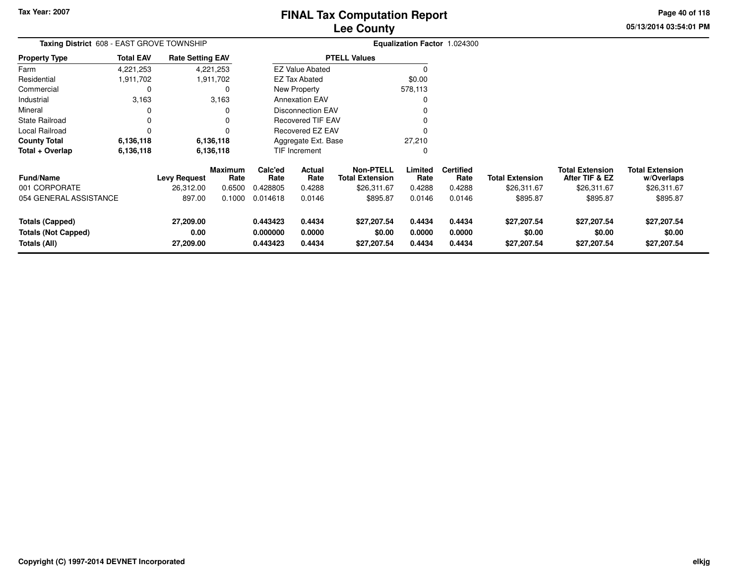**05/13/2014 03:54:01 PM Page 40 of 118**

| <b>Taxing District</b> 608 - EAST GROVE TOWNSHIP |                  |                         |                 |                      |                          |                                            |                  | Equalization Factor 1.024300 |                        |                                          |                                      |
|--------------------------------------------------|------------------|-------------------------|-----------------|----------------------|--------------------------|--------------------------------------------|------------------|------------------------------|------------------------|------------------------------------------|--------------------------------------|
| <b>Property Type</b>                             | <b>Total EAV</b> | <b>Rate Setting EAV</b> |                 | <b>PTELL Values</b>  |                          |                                            |                  |                              |                        |                                          |                                      |
| Farm                                             | 4,221,253        |                         | 4,221,253       |                      | <b>EZ Value Abated</b>   |                                            | 0                |                              |                        |                                          |                                      |
| Residential                                      | 1,911,702        |                         | 1,911,702       |                      | EZ Tax Abated            |                                            | \$0.00           |                              |                        |                                          |                                      |
| Commercial                                       | 0                |                         | 0               |                      | New Property             |                                            | 578,113          |                              |                        |                                          |                                      |
| Industrial                                       | 3,163            |                         | 3,163           |                      | <b>Annexation EAV</b>    |                                            | $\Omega$         |                              |                        |                                          |                                      |
| Mineral                                          | 0                |                         | 0               |                      | <b>Disconnection EAV</b> |                                            |                  |                              |                        |                                          |                                      |
| <b>State Railroad</b>                            | 0                |                         | 0               |                      | <b>Recovered TIF EAV</b> |                                            |                  |                              |                        |                                          |                                      |
| Local Railroad                                   |                  |                         | 0               |                      | Recovered EZ EAV         |                                            |                  |                              |                        |                                          |                                      |
| <b>County Total</b>                              | 6,136,118        |                         | 6,136,118       |                      | Aggregate Ext. Base      |                                            | 27,210           |                              |                        |                                          |                                      |
| Total + Overlap                                  | 6,136,118        |                         | 6,136,118       |                      | TIF Increment            |                                            | 0                |                              |                        |                                          |                                      |
| <b>Fund/Name</b>                                 |                  | <b>Levy Request</b>     | Maximum<br>Rate | Calc'ed<br>Rate      | Actual<br>Rate           | <b>Non-PTELL</b><br><b>Total Extension</b> | Limited<br>Rate  | <b>Certified</b><br>Rate     | <b>Total Extension</b> | <b>Total Extension</b><br>After TIF & EZ | <b>Total Extension</b><br>w/Overlaps |
| 001 CORPORATE                                    |                  | 26,312.00               | 0.6500          | 0.428805             | 0.4288                   | \$26,311.67                                | 0.4288           | 0.4288                       | \$26,311.67            | \$26,311.67                              | \$26,311.67                          |
| 054 GENERAL ASSISTANCE                           |                  | 897.00                  | 0.1000          | 0.014618             | 0.0146                   | \$895.87                                   | 0.0146           | 0.0146                       | \$895.87               | \$895.87                                 | \$895.87                             |
| Totals (Capped)                                  |                  | 27,209.00               |                 | 0.443423             | 0.4434                   | \$27,207.54                                | 0.4434           | 0.4434                       | \$27,207.54            | \$27,207.54                              | \$27,207.54                          |
| <b>Totals (Not Capped)</b><br>Totals (All)       |                  | 0.00<br>27,209.00       |                 | 0.000000<br>0.443423 | 0.0000<br>0.4434         | \$0.00<br>\$27,207.54                      | 0.0000<br>0.4434 | 0.0000<br>0.4434             | \$0.00<br>\$27,207.54  | \$0.00<br>\$27,207.54                    | \$0.00<br>\$27,207.54                |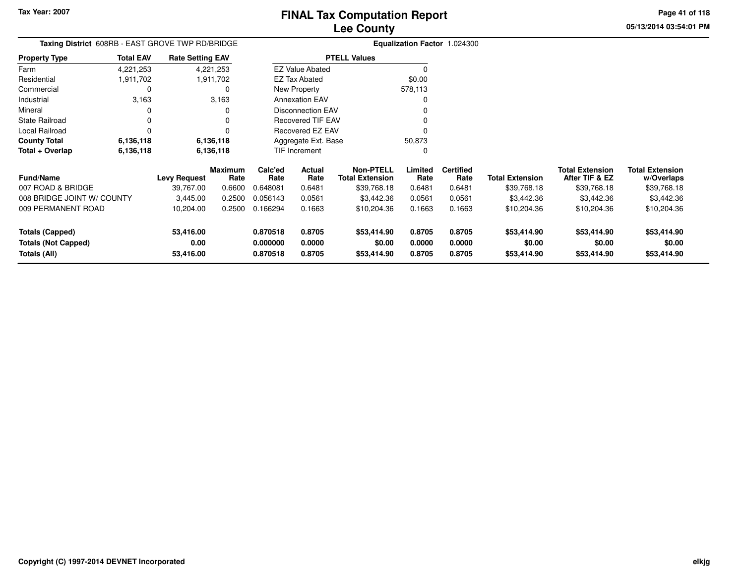**05/13/2014 03:54:01 PMPage 41 of 118**

# **Equalization Factor** 1.024300

|                      |                  | Taxing District 608RB - EAST GROVE TWP RD/BRIDGE |                          | <b>Equalization Factor</b> |
|----------------------|------------------|--------------------------------------------------|--------------------------|----------------------------|
| <b>Property Type</b> | <b>Total EAV</b> | <b>Rate Setting EAV</b>                          | <b>PTELL Values</b>      |                            |
| Farm                 | 4,221,253        | 4,221,253                                        | <b>EZ Value Abated</b>   | $^{(1)}$                   |
| Residential          | 1,911,702        | 1,911,702                                        | EZ Tax Abated            | \$0.00                     |
| Commercial           | 0                | 0                                                | New Property             | 578,113                    |
| Industrial           | 3,163            | 3,163                                            | <b>Annexation EAV</b>    | 0                          |
| Mineral              | 0                | 0                                                | <b>Disconnection EAV</b> | 0                          |
| State Railroad       | 0                | 0                                                | <b>Recovered TIF EAV</b> | 0                          |
| Local Railroad       | 0                |                                                  | Recovered EZ EAV         | 0                          |
| <b>County Total</b>  | 6,136,118        | 6,136,118                                        | Aggregate Ext. Base      | 50,873                     |
| Total + Overlap      | 6,136,118        | 6,136,118                                        | <b>TIF Increment</b>     | 0                          |

| <b>Fund/Name</b>           | <b>Levy Request</b> | <b>Maximum</b><br>Rate | Calc'ed<br>Rate | Actual<br>Rate | Non-PTELL<br><b>Total Extension</b> | Limited<br>Rate | <b>Certified</b><br>Rate | <b>Total Extension</b> | <b>Total Extension</b><br>After TIF & EZ | <b>Total Extension</b><br>w/Overlaps |
|----------------------------|---------------------|------------------------|-----------------|----------------|-------------------------------------|-----------------|--------------------------|------------------------|------------------------------------------|--------------------------------------|
| 007 ROAD & BRIDGE          | 39.767.00           | 0.6600                 | 0.648081        | 0.6481         | \$39,768.18                         | 0.6481          | 0.6481                   | \$39,768.18            | \$39,768.18                              | \$39,768.18                          |
| 008 BRIDGE JOINT W/ COUNTY | 3.445.00            | 0.2500                 | 0.056143        | 0.0561         | \$3,442.36                          | 0.0561          | 0.0561                   | \$3,442.36             | \$3,442.36                               | \$3,442.36                           |
| 009 PERMANENT ROAD         | 10.204.00           | 0.2500                 | 0.166294        | 0.1663         | \$10,204.36                         | 0.1663          | 0.1663                   | \$10,204.36            | \$10,204.36                              | \$10,204.36                          |
| Totals (Capped)            | 53.416.00           |                        | 0.870518        | 0.8705         | \$53,414.90                         | 0.8705          | 0.8705                   | \$53,414.90            | \$53,414.90                              | \$53,414.90                          |
| <b>Totals (Not Capped)</b> | 0.00                |                        | 0.000000        | 0.0000         | \$0.00                              | 0.0000          | 0.0000                   | \$0.00                 | \$0.00                                   | \$0.00                               |
| Totals (All)               | 53,416.00           |                        | 0.870518        | 0.8705         | \$53,414.90                         | 0.8705          | 0.8705                   | \$53,414.90            | \$53,414.90                              | \$53,414.90                          |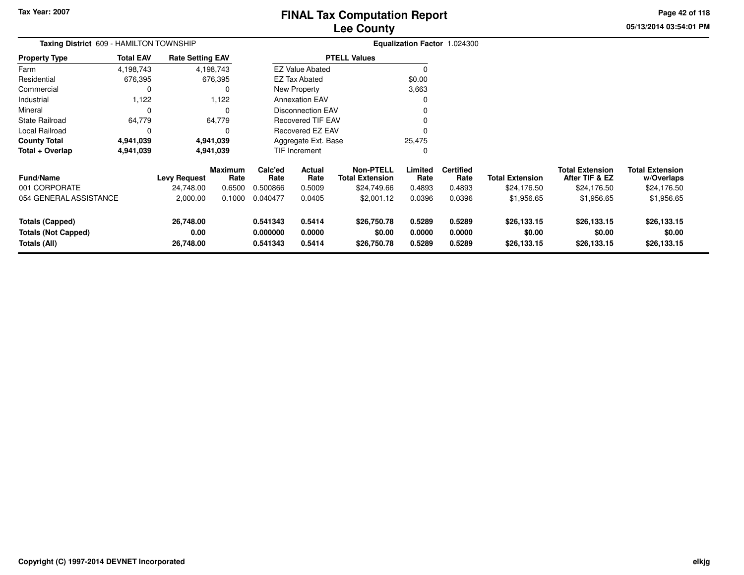**05/13/2014 03:54:01 PM Page 42 of 118**

| Taxing District 609 - HAMILTON TOWNSHIP                              |                  | Equalization Factor 1.024300   |                 |                                  |                            |                                            |                            |                            |                                      |                                          |                                      |
|----------------------------------------------------------------------|------------------|--------------------------------|-----------------|----------------------------------|----------------------------|--------------------------------------------|----------------------------|----------------------------|--------------------------------------|------------------------------------------|--------------------------------------|
| <b>Property Type</b>                                                 | <b>Total EAV</b> | <b>Rate Setting EAV</b>        |                 |                                  |                            | <b>PTELL Values</b>                        |                            |                            |                                      |                                          |                                      |
| Farm                                                                 | 4,198,743        |                                | 4,198,743       |                                  | <b>EZ Value Abated</b>     |                                            | $\Omega$                   |                            |                                      |                                          |                                      |
| Residential                                                          | 676,395          |                                | 676,395         |                                  | EZ Tax Abated              |                                            | \$0.00                     |                            |                                      |                                          |                                      |
| Commercial                                                           |                  |                                | 0               |                                  | New Property               |                                            | 3,663                      |                            |                                      |                                          |                                      |
| Industrial                                                           | 1,122            |                                | 1,122           |                                  | <b>Annexation EAV</b>      |                                            | 0                          |                            |                                      |                                          |                                      |
| Mineral                                                              |                  |                                | 0               |                                  | <b>Disconnection EAV</b>   |                                            |                            |                            |                                      |                                          |                                      |
| <b>State Railroad</b>                                                | 64,779           |                                | 64,779          |                                  | <b>Recovered TIF EAV</b>   |                                            |                            |                            |                                      |                                          |                                      |
| Local Railroad                                                       |                  |                                | n               |                                  | <b>Recovered EZ EAV</b>    |                                            | O                          |                            |                                      |                                          |                                      |
| <b>County Total</b>                                                  | 4,941,039        |                                | 4,941,039       |                                  | Aggregate Ext. Base        |                                            | 25,475                     |                            |                                      |                                          |                                      |
| Total + Overlap                                                      | 4,941,039        |                                | 4,941,039       |                                  | TIF Increment              |                                            | 0                          |                            |                                      |                                          |                                      |
| <b>Fund/Name</b>                                                     |                  | <b>Levy Request</b>            | Maximum<br>Rate | Calc'ed<br>Rate                  | Actual<br>Rate             | <b>Non-PTELL</b><br><b>Total Extension</b> | Limited<br>Rate            | <b>Certified</b><br>Rate   | <b>Total Extension</b>               | <b>Total Extension</b><br>After TIF & EZ | <b>Total Extension</b><br>w/Overlaps |
| 001 CORPORATE                                                        |                  | 24,748.00                      | 0.6500          | 0.500866                         | 0.5009                     | \$24,749.66                                | 0.4893                     | 0.4893                     | \$24,176.50                          | \$24,176.50                              | \$24,176.50                          |
| 054 GENERAL ASSISTANCE                                               |                  | 2,000.00                       | 0.1000          | 0.040477                         | 0.0405                     | \$2,001.12                                 | 0.0396                     | 0.0396                     | \$1,956.65                           | \$1,956.65                               | \$1,956.65                           |
| <b>Totals (Capped)</b><br><b>Totals (Not Capped)</b><br>Totals (All) |                  | 26,748.00<br>0.00<br>26,748.00 |                 | 0.541343<br>0.000000<br>0.541343 | 0.5414<br>0.0000<br>0.5414 | \$26,750.78<br>\$0.00<br>\$26,750.78       | 0.5289<br>0.0000<br>0.5289 | 0.5289<br>0.0000<br>0.5289 | \$26,133.15<br>\$0.00<br>\$26,133.15 | \$26,133.15<br>\$0.00<br>\$26,133.15     | \$26,133.15<br>\$0.00<br>\$26,133.15 |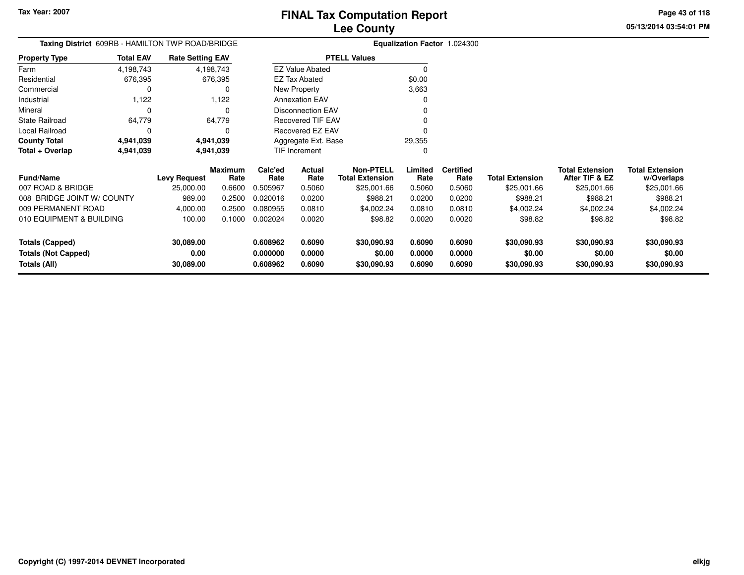# **FINAL Tax Computation Report**

**05/13/2014 03:54:01 PMPage 43 of 118**

## **Lee County**

|                      |                  | Taxing District 609RB - HAMILTON TWP ROAD/BRIDGE |                          | Equalization Factor 1.024300 |
|----------------------|------------------|--------------------------------------------------|--------------------------|------------------------------|
| <b>Property Type</b> | <b>Total EAV</b> | <b>Rate Setting EAV</b>                          | <b>PTELL Values</b>      |                              |
| Farm                 | 4,198,743        | 4,198,743                                        | <b>EZ Value Abated</b>   |                              |
| Residential          | 676,395          | 676,395                                          | <b>EZ Tax Abated</b>     | \$0.00                       |
| Commercial           | O                | 0                                                | New Property             | 3,663                        |
| Industrial           | 1.122            | 1.122                                            | <b>Annexation EAV</b>    |                              |
| Mineral              |                  | 0                                                | <b>Disconnection EAV</b> |                              |
| State Railroad       | 64,779           | 64.779                                           | Recovered TIF EAV        |                              |
| Local Railroad       | 0                | 0                                                | <b>Recovered EZ EAV</b>  |                              |
| <b>County Total</b>  | 4,941,039        | 4,941,039                                        | Aggregate Ext. Base      | 29.355                       |
| Total + Overlap      | 4,941,039        | 4,941,039                                        | <b>TIF Increment</b>     |                              |
|                      |                  |                                                  |                          |                              |

| <b>Fund/Name</b>           | <b>Levy Request</b> | <b>Maximum</b><br>Rate | Calc'ed<br>Rate | Actual<br>Rate | Non-PTELL<br><b>Total Extension</b> | Limited<br>Rate | <b>Certified</b><br>Rate | <b>Total Extension</b> | <b>Total Extension</b><br>After TIF & EZ | <b>Total Extension</b><br>w/Overlaps |
|----------------------------|---------------------|------------------------|-----------------|----------------|-------------------------------------|-----------------|--------------------------|------------------------|------------------------------------------|--------------------------------------|
| 007 ROAD & BRIDGE          | 25,000.00           | 0.6600                 | 0.505967        | 0.5060         | \$25,001.66                         | 0.5060          | 0.5060                   | \$25,001.66            | \$25,001.66                              | \$25,001.66                          |
| 008 BRIDGE JOINT W/ COUNTY | 989.00              | 0.2500                 | 0.020016        | 0.0200         | \$988.21                            | 0.0200          | 0.0200                   | \$988.21               | \$988.21                                 | \$988.21                             |
| 009 PERMANENT ROAD         | 4.000.00            | 0.2500                 | 0.080955        | 0.0810         | \$4,002.24                          | 0.0810          | 0.0810                   | \$4,002.24             | \$4,002.24                               | \$4.002.24                           |
| 010 EQUIPMENT & BUILDING   | 100.00              | 0.1000                 | 0.002024        | 0.0020         | \$98.82                             | 0.0020          | 0.0020                   | \$98.82                | \$98.82                                  | \$98.82                              |
| Totals (Capped)            | 30,089.00           |                        | 0.608962        | 0.6090         | \$30,090.93                         | 0.6090          | 0.6090                   | \$30,090.93            | \$30,090.93                              | \$30,090.93                          |
| <b>Totals (Not Capped)</b> | 0.00                |                        | 0.000000        | 0.0000         | \$0.00                              | 0.0000          | 0.0000                   | \$0.00                 | \$0.00                                   | \$0.00                               |
| Totals (All)               | 30,089.00           |                        | 0.608962        | 0.6090         | \$30,090.93                         | 0.6090          | 0.6090                   | \$30,090.93            | \$30,090.93                              | \$30,090.93                          |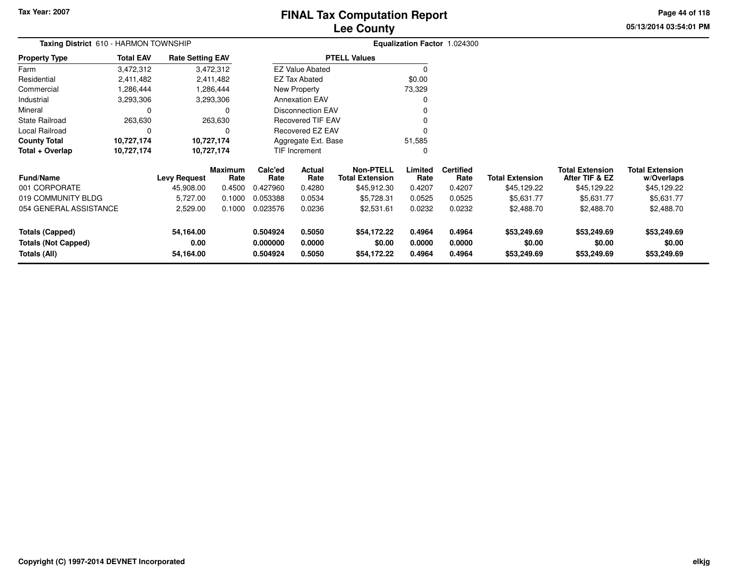### **Lee CountyFINAL Tax Computation Report**

**05/13/2014 03:54:01 PM Page 44 of 118**

| Taxing District 610 - HARMON TOWNSHIP      |                  |                         |                 |                      |                          | Equalization Factor 1.024300               |                  |                          |                        |                                          |                                      |
|--------------------------------------------|------------------|-------------------------|-----------------|----------------------|--------------------------|--------------------------------------------|------------------|--------------------------|------------------------|------------------------------------------|--------------------------------------|
| <b>Property Type</b>                       | <b>Total EAV</b> | <b>Rate Setting EAV</b> |                 |                      |                          | <b>PTELL Values</b>                        |                  |                          |                        |                                          |                                      |
| Farm                                       | 3,472,312        |                         | 3,472,312       |                      | <b>EZ Value Abated</b>   |                                            | 0                |                          |                        |                                          |                                      |
| Residential                                | 2,411,482        |                         | 2,411,482       |                      | <b>EZ Tax Abated</b>     |                                            | \$0.00           |                          |                        |                                          |                                      |
| Commercial                                 | 1,286,444        |                         | 1,286,444       |                      | New Property             |                                            | 73,329           |                          |                        |                                          |                                      |
| Industrial                                 | 3,293,306        |                         | 3,293,306       |                      | <b>Annexation EAV</b>    |                                            | 0                |                          |                        |                                          |                                      |
| Mineral                                    |                  |                         | 0               |                      | <b>Disconnection EAV</b> |                                            |                  |                          |                        |                                          |                                      |
| State Railroad                             | 263,630          |                         | 263,630         |                      | <b>Recovered TIF EAV</b> |                                            | ŋ                |                          |                        |                                          |                                      |
| Local Railroad                             |                  |                         | O               |                      | <b>Recovered EZ EAV</b>  |                                            | O                |                          |                        |                                          |                                      |
| <b>County Total</b>                        | 10,727,174       |                         | 10,727,174      |                      | Aggregate Ext. Base      |                                            | 51,585           |                          |                        |                                          |                                      |
| Total + Overlap                            | 10,727,174       |                         | 10,727,174      |                      | TIF Increment            |                                            | 0                |                          |                        |                                          |                                      |
| <b>Fund/Name</b>                           |                  | <b>Levy Request</b>     | Maximum<br>Rate | Calc'ed<br>Rate      | Actual<br>Rate           | <b>Non-PTELL</b><br><b>Total Extension</b> | Limited<br>Rate  | <b>Certified</b><br>Rate | <b>Total Extension</b> | <b>Total Extension</b><br>After TIF & EZ | <b>Total Extension</b><br>w/Overlaps |
| 001 CORPORATE                              |                  | 45,908.00               | 0.4500          | 0.427960             | 0.4280                   | \$45,912.30                                | 0.4207           | 0.4207                   | \$45,129.22            | \$45,129.22                              | \$45,129.22                          |
| 019 COMMUNITY BLDG                         |                  | 5,727.00                | 0.1000          | 0.053388             | 0.0534                   | \$5,728.31                                 | 0.0525           | 0.0525                   | \$5,631.77             | \$5,631.77                               | \$5,631.77                           |
| 054 GENERAL ASSISTANCE                     |                  | 2,529.00                | 0.1000          | 0.023576             | 0.0236                   | \$2,531.61                                 | 0.0232           | 0.0232                   | \$2,488.70             | \$2,488.70                               | \$2,488.70                           |
| Totals (Capped)                            |                  | 54,164.00               |                 | 0.504924             | 0.5050                   | \$54,172.22                                | 0.4964           | 0.4964                   | \$53,249.69            | \$53,249.69                              | \$53,249.69                          |
| <b>Totals (Not Capped)</b><br>Totals (All) |                  | 0.00<br>54,164.00       |                 | 0.000000<br>0.504924 | 0.0000<br>0.5050         | \$0.00<br>\$54,172.22                      | 0.0000<br>0.4964 | 0.0000<br>0.4964         | \$0.00<br>\$53,249.69  | \$0.00<br>\$53,249.69                    | \$0.00<br>\$53,249.69                |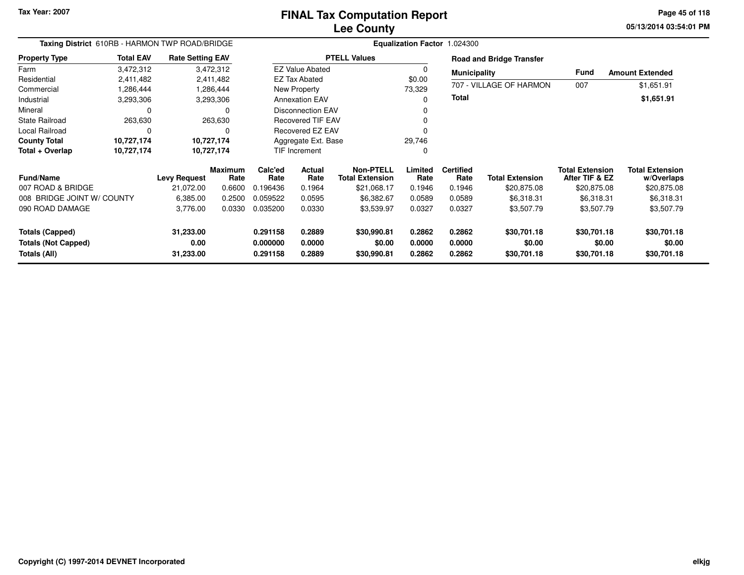**05/13/2014 03:54:01 PM Page 45 of 118**

| Taxing District 610RB - HARMON TWP ROAD/BRIDGE |                  |                         |                        | Equalization Factor 1.024300 |                          |                                            |                  |                          |                                 |                                          |                                      |  |  |  |
|------------------------------------------------|------------------|-------------------------|------------------------|------------------------------|--------------------------|--------------------------------------------|------------------|--------------------------|---------------------------------|------------------------------------------|--------------------------------------|--|--|--|
| <b>Property Type</b>                           | <b>Total EAV</b> | <b>Rate Setting EAV</b> |                        |                              |                          | <b>PTELL Values</b>                        |                  |                          | <b>Road and Bridge Transfer</b> |                                          |                                      |  |  |  |
| Farm                                           | 3,472,312        |                         | 3,472,312              |                              | <b>EZ Value Abated</b>   |                                            | $\Omega$         | <b>Municipality</b>      |                                 | Fund                                     | <b>Amount Extended</b>               |  |  |  |
| Residential                                    | 2,411,482        |                         | 2,411,482              |                              | <b>EZ Tax Abated</b>     |                                            | \$0.00           |                          |                                 |                                          |                                      |  |  |  |
| Commercial                                     | 1,286,444        |                         | 1,286,444              |                              | New Property             |                                            | 73,329           |                          | 707 - VILLAGE OF HARMON         | 007                                      | \$1,651.91                           |  |  |  |
| Industrial                                     | 3,293,306        |                         | 3,293,306              |                              | <b>Annexation EAV</b>    |                                            | $\Omega$         | <b>Total</b>             |                                 |                                          | \$1,651.91                           |  |  |  |
| Mineral                                        | C                |                         | $\Omega$               |                              | <b>Disconnection EAV</b> |                                            |                  |                          |                                 |                                          |                                      |  |  |  |
| <b>State Railroad</b>                          | 263,630          |                         | 263,630                |                              | <b>Recovered TIF EAV</b> |                                            |                  |                          |                                 |                                          |                                      |  |  |  |
| Local Railroad                                 | 0                |                         | $\Omega$               |                              | <b>Recovered EZ EAV</b>  |                                            |                  |                          |                                 |                                          |                                      |  |  |  |
| <b>County Total</b>                            | 10,727,174       |                         | 10,727,174             |                              | Aggregate Ext. Base      |                                            | 29,746           |                          |                                 |                                          |                                      |  |  |  |
| Total + Overlap                                | 10,727,174       |                         | 10,727,174             |                              | <b>TIF Increment</b>     |                                            | $\Omega$         |                          |                                 |                                          |                                      |  |  |  |
| <b>Fund/Name</b>                               |                  | <b>Levy Request</b>     | <b>Maximum</b><br>Rate | Calc'ed<br>Rate              | <b>Actual</b><br>Rate    | <b>Non-PTELL</b><br><b>Total Extension</b> | Limited<br>Rate  | <b>Certified</b><br>Rate | <b>Total Extension</b>          | <b>Total Extension</b><br>After TIF & EZ | <b>Total Extension</b><br>w/Overlaps |  |  |  |
| 007 ROAD & BRIDGE                              |                  | 21,072.00               | 0.6600                 | 0.196436                     | 0.1964                   | \$21,068.17                                | 0.1946           | 0.1946                   | \$20,875.08                     | \$20,875.08                              | \$20,875.08                          |  |  |  |
| 008 BRIDGE JOINT W/ COUNTY                     |                  | 6,385.00                | 0.2500                 | 0.059522                     | 0.0595                   | \$6,382.67                                 | 0.0589           | 0.0589                   | \$6,318.31                      | \$6,318.31                               | \$6,318.31                           |  |  |  |
| 090 ROAD DAMAGE                                |                  | 3,776.00                | 0.0330                 | 0.035200                     | 0.0330                   | \$3,539.97                                 | 0.0327           | 0.0327                   | \$3,507.79                      | \$3,507.79                               | \$3,507.79                           |  |  |  |
| <b>Totals (Capped)</b>                         |                  | 31,233.00               |                        | 0.291158                     | 0.2889                   | \$30,990.81                                | 0.2862           | 0.2862                   | \$30,701.18                     | \$30,701.18                              | \$30,701.18                          |  |  |  |
| <b>Totals (Not Capped)</b><br>Totals (All)     |                  | 0.00<br>31,233.00       |                        | 0.000000<br>0.291158         | 0.0000<br>0.2889         | \$0.00<br>\$30,990.81                      | 0.0000<br>0.2862 | 0.0000<br>0.2862         | \$0.00<br>\$30,701.18           | \$0.00<br>\$30,701.18                    | \$0.00<br>\$30,701.18                |  |  |  |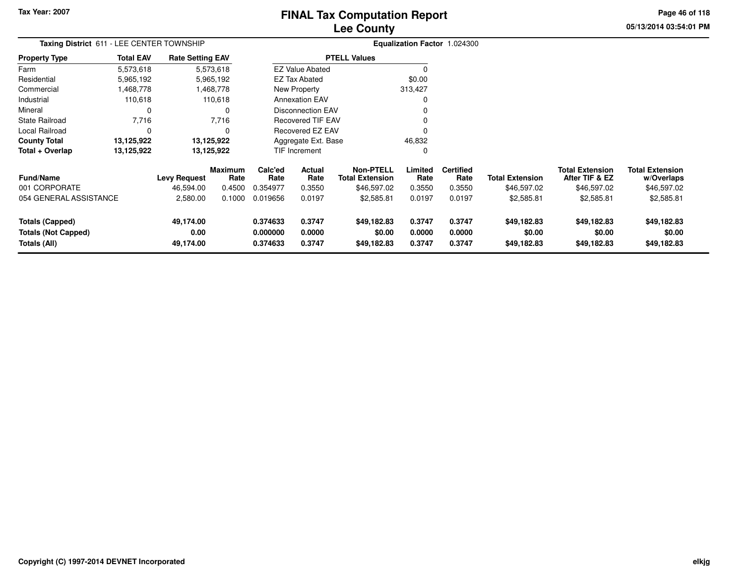### **Lee CountyFINAL Tax Computation Report**

**05/13/2014 03:54:01 PM Page 46 of 118**

| Taxing District 611 - LEE CENTER TOWNSHIP                            |                  |                                |                 | Equalization Factor 1.024300     |                            |                                            |                            |                            |                                      |                                          |                                      |
|----------------------------------------------------------------------|------------------|--------------------------------|-----------------|----------------------------------|----------------------------|--------------------------------------------|----------------------------|----------------------------|--------------------------------------|------------------------------------------|--------------------------------------|
| <b>Property Type</b>                                                 | <b>Total EAV</b> | <b>Rate Setting EAV</b>        |                 |                                  |                            | <b>PTELL Values</b>                        |                            |                            |                                      |                                          |                                      |
| Farm                                                                 | 5,573,618        |                                | 5,573,618       |                                  | <b>EZ Value Abated</b>     |                                            |                            |                            |                                      |                                          |                                      |
| Residential                                                          | 5,965,192        |                                | 5,965,192       |                                  | <b>EZ Tax Abated</b>       |                                            | \$0.00                     |                            |                                      |                                          |                                      |
| Commercial                                                           | 1,468,778        |                                | 1,468,778       |                                  | New Property               |                                            | 313,427                    |                            |                                      |                                          |                                      |
| Industrial                                                           | 110,618          |                                | 110,618         |                                  | <b>Annexation EAV</b>      |                                            |                            |                            |                                      |                                          |                                      |
| Mineral                                                              | 0                |                                |                 |                                  | <b>Disconnection EAV</b>   |                                            |                            |                            |                                      |                                          |                                      |
| <b>State Railroad</b>                                                | 7,716            |                                | 7,716           |                                  | <b>Recovered TIF EAV</b>   |                                            |                            |                            |                                      |                                          |                                      |
| Local Railroad                                                       | $\mathbf 0$      |                                |                 |                                  | Recovered EZ EAV           |                                            |                            |                            |                                      |                                          |                                      |
| <b>County Total</b>                                                  | 13,125,922       |                                | 13,125,922      |                                  | Aggregate Ext. Base        |                                            | 46,832                     |                            |                                      |                                          |                                      |
| Total + Overlap                                                      | 13,125,922       |                                | 13,125,922      |                                  | TIF Increment              |                                            | 0                          |                            |                                      |                                          |                                      |
| <b>Fund/Name</b>                                                     |                  | <b>Levy Request</b>            | Maximum<br>Rate | Calc'ed<br>Rate                  | Actual<br>Rate             | <b>Non-PTELL</b><br><b>Total Extension</b> | Limited<br>Rate            | <b>Certified</b><br>Rate   | <b>Total Extension</b>               | <b>Total Extension</b><br>After TIF & EZ | <b>Total Extension</b><br>w/Overlaps |
| 001 CORPORATE                                                        |                  | 46,594.00                      | 0.4500          | 0.354977                         | 0.3550                     | \$46,597.02                                | 0.3550                     | 0.3550                     | \$46,597.02                          | \$46,597.02                              | \$46,597.02                          |
| 054 GENERAL ASSISTANCE                                               |                  | 2,580.00                       | 0.1000          | 0.019656                         | 0.0197                     | \$2,585.81                                 | 0.0197                     | 0.0197                     | \$2,585.81                           | \$2,585.81                               | \$2,585.81                           |
| <b>Totals (Capped)</b><br><b>Totals (Not Capped)</b><br>Totals (All) |                  | 49,174.00<br>0.00<br>49,174.00 |                 | 0.374633<br>0.000000<br>0.374633 | 0.3747<br>0.0000<br>0.3747 | \$49,182.83<br>\$0.00<br>\$49,182.83       | 0.3747<br>0.0000<br>0.3747 | 0.3747<br>0.0000<br>0.3747 | \$49,182.83<br>\$0.00<br>\$49,182.83 | \$49,182.83<br>\$0.00<br>\$49,182.83     | \$49,182.83<br>\$0.00<br>\$49,182.83 |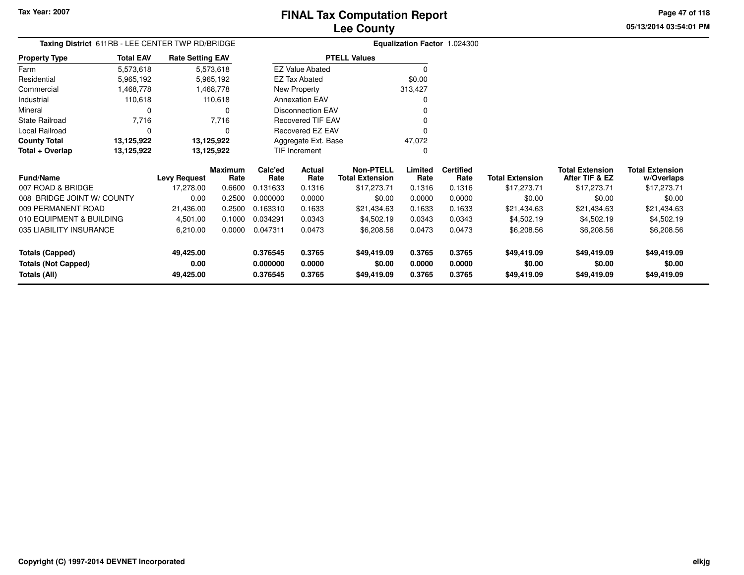**05/13/2014 03:54:01 PMPage 47 of 118**

### **Equalization Factor** 1.024300 **Taxing District** 611RB - LEE CENTER TWP RD/BRIDGE**Rate Setting EAV PTELL Values**

| <b>Property Type</b> | <b>Total EAV</b> | <b>Rate Setting EAV</b> | <b>PTELL Values</b>      |         |
|----------------------|------------------|-------------------------|--------------------------|---------|
| Farm                 | 5,573,618        | 5,573,618               | <b>EZ Value Abated</b>   |         |
| Residential          | 5,965,192        | 5,965,192               | EZ Tax Abated            | \$0.00  |
| Commercial           | 1,468,778        | 1,468,778               | New Property             | 313.427 |
| Industrial           | 110,618          | 110.618                 | <b>Annexation EAV</b>    | 0       |
| Mineral              | 0                | 0                       | <b>Disconnection EAV</b> | 0       |
| State Railroad       | 7.716            | 7.716                   | <b>Recovered TIF EAV</b> |         |
| Local Railroad       | O                | $\Omega$                | Recovered EZ EAV         | 0       |
| <b>County Total</b>  | 13,125,922       | 13,125,922              | Aggregate Ext. Base      | 47.072  |
| Total + Overlap      | 13,125,922       | 13,125,922              | <b>TIF Increment</b>     |         |

| <b>Fund/Name</b>           | <b>Levy Request</b> | <b>Maximum</b><br>Rate | Calc'ed<br>Rate | <b>Actual</b><br>Rate | Non-PTELL<br><b>Total Extension</b> | Limited<br>Rate | <b>Certified</b><br>Rate | <b>Total Extension</b> | <b>Total Extension</b><br>After TIF & EZ | <b>Total Extension</b><br>w/Overlaps |
|----------------------------|---------------------|------------------------|-----------------|-----------------------|-------------------------------------|-----------------|--------------------------|------------------------|------------------------------------------|--------------------------------------|
| 007 ROAD & BRIDGE          | 17.278.00           | 0.6600                 | .131633         | 0.1316                | \$17.273.71                         | 0.1316          | 0.1316                   | \$17.273.71            | \$17.273.71                              | \$17,273.71                          |
| 008 BRIDGE JOINT W/ COUNTY | 0.00                | 0.2500                 | 0.000000        | 0.0000                | \$0.00                              | 0.0000          | 0.0000                   | \$0.00                 | \$0.00                                   | \$0.00                               |
| 009 PERMANENT ROAD         | 21.436.00           | 0.2500                 | 0.163310        | 0.1633                | \$21,434.63                         | 0.1633          | 0.1633                   | \$21.434.63            | \$21,434.63                              | \$21,434.63                          |
| 010 EQUIPMENT & BUILDING   | 4.501.00            | 0.1000                 | 0.034291        | 0.0343                | \$4,502.19                          | 0.0343          | 0.0343                   | \$4,502.19             | \$4,502.19                               | \$4,502.19                           |
| 035 LIABILITY INSURANCE    | 6,210.00            | 0.0000                 | 0.047311        | 0.0473                | \$6,208.56                          | 0.0473          | 0.0473                   | \$6,208.56             | \$6,208.56                               | \$6,208.56                           |
| <b>Totals (Capped)</b>     | 49.425.00           |                        | 0.376545        | 0.3765                | \$49,419.09                         | 0.3765          | 0.3765                   | \$49,419.09            | \$49,419.09                              | \$49,419.09                          |
| <b>Totals (Not Capped)</b> | 0.00                |                        | 0.000000        | 0.0000                | \$0.00                              | 0.0000          | 0.0000                   | \$0.00                 | \$0.00                                   | \$0.00                               |
| Totals (All)               | 49.425.00           |                        | 0.376545        | 0.3765                | \$49,419.09                         | 0.3765          | 0.3765                   | \$49,419.09            | \$49,419.09                              | \$49,419.09                          |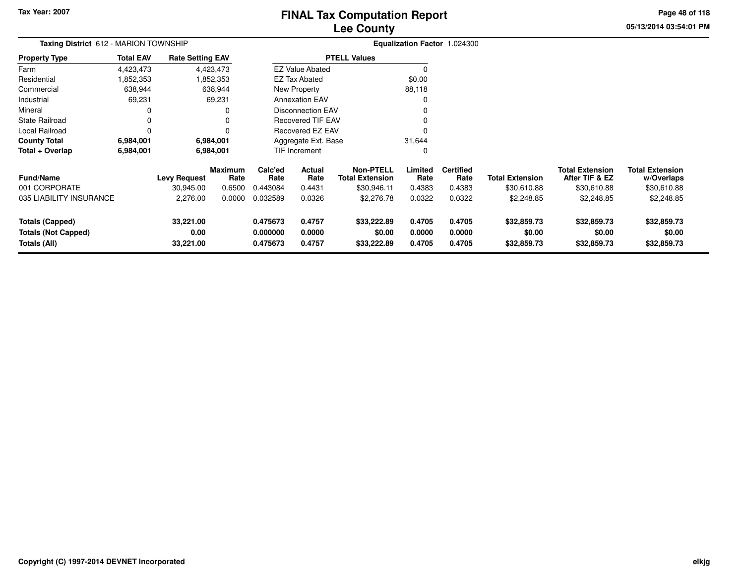### **Lee CountyFINAL Tax Computation Report**

**05/13/2014 03:54:01 PM Page 48 of 118**

| Taxing District 612 - MARION TOWNSHIP                                |                  |                                |                        |                                  |                            |                                            |                            | Equalization Factor 1.024300 |                                      |                                          |                                      |
|----------------------------------------------------------------------|------------------|--------------------------------|------------------------|----------------------------------|----------------------------|--------------------------------------------|----------------------------|------------------------------|--------------------------------------|------------------------------------------|--------------------------------------|
| <b>Property Type</b>                                                 | <b>Total EAV</b> | <b>Rate Setting EAV</b>        |                        |                                  |                            | <b>PTELL Values</b>                        |                            |                              |                                      |                                          |                                      |
| Farm                                                                 | 4,423,473        |                                | 4,423,473              |                                  | <b>EZ Value Abated</b>     |                                            |                            |                              |                                      |                                          |                                      |
| Residential                                                          | 1,852,353        |                                | 1,852,353              |                                  | <b>EZ Tax Abated</b>       |                                            | \$0.00                     |                              |                                      |                                          |                                      |
| Commercial                                                           | 638,944          |                                | 638,944                |                                  | New Property               |                                            | 88,118                     |                              |                                      |                                          |                                      |
| Industrial                                                           | 69,231           |                                | 69,231                 |                                  | <b>Annexation EAV</b>      |                                            |                            |                              |                                      |                                          |                                      |
| Mineral                                                              |                  |                                | 0                      |                                  | <b>Disconnection EAV</b>   |                                            |                            |                              |                                      |                                          |                                      |
| <b>State Railroad</b>                                                | 0                |                                | o                      |                                  | <b>Recovered TIF EAV</b>   |                                            |                            |                              |                                      |                                          |                                      |
| Local Railroad                                                       | $\Omega$         |                                | 0                      |                                  | <b>Recovered EZ EAV</b>    |                                            |                            |                              |                                      |                                          |                                      |
| <b>County Total</b>                                                  | 6,984,001        |                                | 6,984,001              |                                  | Aggregate Ext. Base        |                                            | 31,644                     |                              |                                      |                                          |                                      |
| Total + Overlap                                                      | 6,984,001        |                                | 6,984,001              |                                  | TIF Increment              |                                            |                            |                              |                                      |                                          |                                      |
| <b>Fund/Name</b>                                                     |                  | <b>Levy Request</b>            | <b>Maximum</b><br>Rate | Calc'ed<br>Rate                  | Actual<br>Rate             | <b>Non-PTELL</b><br><b>Total Extension</b> | Limited<br>Rate            | <b>Certified</b><br>Rate     | <b>Total Extension</b>               | <b>Total Extension</b><br>After TIF & EZ | <b>Total Extension</b><br>w/Overlaps |
| 001 CORPORATE                                                        |                  | 30,945.00                      | 0.6500                 | 0.443084                         | 0.4431                     | \$30,946.11                                | 0.4383                     | 0.4383                       | \$30,610.88                          | \$30,610.88                              | \$30,610.88                          |
| 035 LIABILITY INSURANCE                                              |                  | 2,276.00                       | 0.0000                 | 0.032589                         | 0.0326                     | \$2,276.78                                 | 0.0322                     | 0.0322                       | \$2,248.85                           | \$2,248.85                               | \$2,248.85                           |
| <b>Totals (Capped)</b><br><b>Totals (Not Capped)</b><br>Totals (All) |                  | 33,221.00<br>0.00<br>33,221.00 |                        | 0.475673<br>0.000000<br>0.475673 | 0.4757<br>0.0000<br>0.4757 | \$33,222.89<br>\$0.00<br>\$33,222.89       | 0.4705<br>0.0000<br>0.4705 | 0.4705<br>0.0000<br>0.4705   | \$32,859.73<br>\$0.00<br>\$32,859.73 | \$32,859.73<br>\$0.00<br>\$32,859.73     | \$32,859.73<br>\$0.00<br>\$32,859.73 |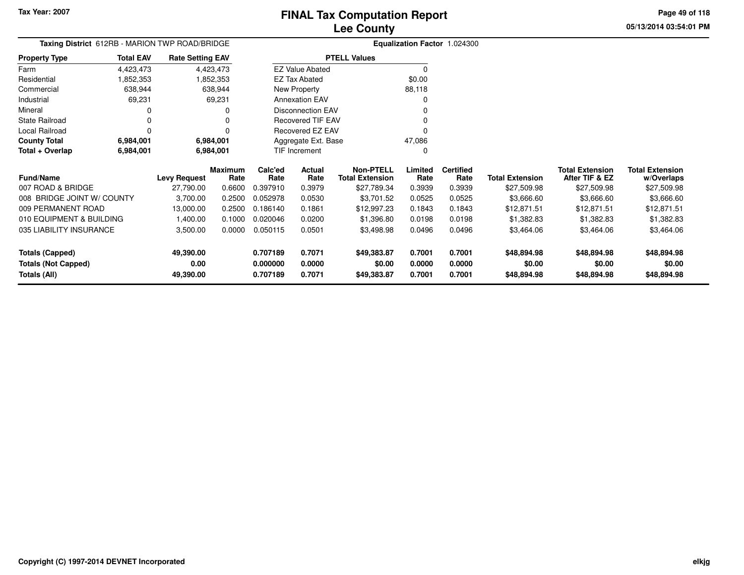**Totals (All)**

#### **Lee CountyFINAL Tax Computation Report**

**0.707189 0.7071 \$49,383.87 0.7001 0.7001 \$48,894.98 \$48,894.98 \$48,894.98**

**05/13/2014 03:54:01 PMPage 49 of 118**

|                            | Taxing District 612RB - MARION TWP ROAD/BRIDGE |                         |                        |                 |                          |                                            |                 | Equalization Factor 1.024300 |                        |                                          |                                      |
|----------------------------|------------------------------------------------|-------------------------|------------------------|-----------------|--------------------------|--------------------------------------------|-----------------|------------------------------|------------------------|------------------------------------------|--------------------------------------|
| Property Type              | <b>Total EAV</b>                               | <b>Rate Setting EAV</b> |                        |                 |                          | <b>PTELL Values</b>                        |                 |                              |                        |                                          |                                      |
| Farm                       | 4,423,473                                      |                         | 4,423,473              |                 | <b>EZ Value Abated</b>   |                                            | O               |                              |                        |                                          |                                      |
| Residential                | 1,852,353                                      |                         | 1,852,353              |                 | <b>EZ Tax Abated</b>     |                                            | \$0.00          |                              |                        |                                          |                                      |
| Commercial                 | 638,944                                        |                         | 638,944                |                 | New Property             |                                            | 88,118          |                              |                        |                                          |                                      |
| Industrial                 | 69,231                                         |                         | 69,231                 |                 | <b>Annexation EAV</b>    |                                            |                 |                              |                        |                                          |                                      |
| Mineral                    | 0                                              |                         |                        |                 | <b>Disconnection EAV</b> |                                            |                 |                              |                        |                                          |                                      |
| State Railroad             | 0                                              |                         |                        |                 | <b>Recovered TIF EAV</b> |                                            |                 |                              |                        |                                          |                                      |
| Local Railroad             | 0                                              |                         |                        |                 | Recovered EZ EAV         |                                            |                 |                              |                        |                                          |                                      |
| <b>County Total</b>        | 6,984,001                                      |                         | 6,984,001              |                 | Aggregate Ext. Base      |                                            | 47,086          |                              |                        |                                          |                                      |
| Total + Overlap            | 6,984,001                                      |                         | 6,984,001              |                 | TIF Increment            |                                            | 0               |                              |                        |                                          |                                      |
| <b>Fund/Name</b>           |                                                | <b>Levy Request</b>     | <b>Maximum</b><br>Rate | Calc'ed<br>Rate | Actual<br>Rate           | <b>Non-PTELL</b><br><b>Total Extension</b> | Limited<br>Rate | <b>Certified</b><br>Rate     | <b>Total Extension</b> | <b>Total Extension</b><br>After TIF & EZ | <b>Total Extension</b><br>w/Overlaps |
| 007 ROAD & BRIDGE          |                                                | 27,790.00               | 0.6600                 | 0.397910        | 0.3979                   | \$27,789.34                                | 0.3939          | 0.3939                       | \$27,509.98            | \$27,509.98                              | \$27,509.98                          |
| 008 BRIDGE JOINT W/ COUNTY |                                                | 3,700.00                | 0.2500                 | 0.052978        | 0.0530                   | \$3,701.52                                 | 0.0525          | 0.0525                       | \$3,666.60             | \$3,666.60                               | \$3,666.60                           |
| 009 PERMANENT ROAD         |                                                | 13,000.00               | 0.2500                 | 0.186140        | 0.1861                   | \$12,997.23                                | 0.1843          | 0.1843                       | \$12,871.51            | \$12,871.51                              | \$12,871.51                          |
| 010 EQUIPMENT & BUILDING   |                                                | 1,400.00                | 0.1000                 | 0.020046        | 0.0200                   | \$1,396.80                                 | 0.0198          | 0.0198                       | \$1,382.83             | \$1,382.83                               | \$1,382.83                           |
| 035 LIABILITY INSURANCE    |                                                | 3,500.00                | 0.0000                 | 0.050115        | 0.0501                   | \$3,498.98                                 | 0.0496          | 0.0496                       | \$3,464.06             | \$3,464.06                               | \$3,464.06                           |
| <b>Totals (Capped)</b>     |                                                | 49,390.00               |                        | 0.707189        | 0.7071                   | \$49,383.87                                | 0.7001          | 0.7001                       | \$48,894.98            | \$48,894.98                              | \$48,894.98                          |
| <b>Totals (Not Capped)</b> |                                                | 0.00                    |                        | 0.000000        | 0.0000                   | \$0.00                                     | 0.0000          | 0.0000                       | \$0.00                 | \$0.00                                   | \$0.00                               |

**49,390.00**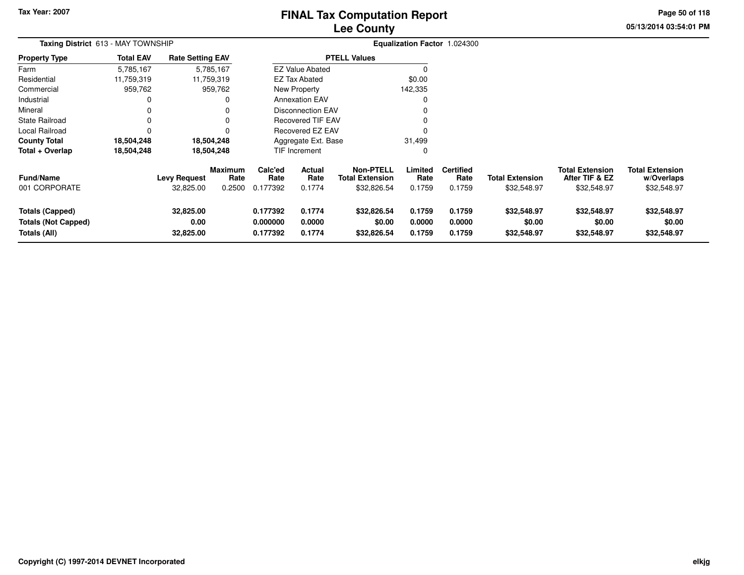### **Lee CountyFINAL Tax Computation Report**

**05/13/2014 03:54:01 PM Page 50 of 118**

| Taxing District 613 - MAY TOWNSHIP                                   |                  |                                  |                                  |                                  |                            |                                                           |                            | Equalization Factor 1.024300       |                                       |                                                         |                                                     |
|----------------------------------------------------------------------|------------------|----------------------------------|----------------------------------|----------------------------------|----------------------------|-----------------------------------------------------------|----------------------------|------------------------------------|---------------------------------------|---------------------------------------------------------|-----------------------------------------------------|
| <b>Property Type</b>                                                 | <b>Total EAV</b> | <b>Rate Setting EAV</b>          |                                  |                                  |                            | <b>PTELL Values</b>                                       |                            |                                    |                                       |                                                         |                                                     |
| Farm                                                                 | 5,785,167        |                                  | 5,785,167                        |                                  | <b>EZ Value Abated</b>     |                                                           |                            |                                    |                                       |                                                         |                                                     |
| Residential                                                          | 11,759,319       |                                  | 11,759,319                       |                                  | <b>EZ Tax Abated</b>       |                                                           | \$0.00                     |                                    |                                       |                                                         |                                                     |
| Commercial                                                           | 959,762          |                                  | 959,762                          |                                  | New Property               |                                                           | 142,335                    |                                    |                                       |                                                         |                                                     |
| Industrial                                                           | 0                |                                  |                                  |                                  | <b>Annexation EAV</b>      |                                                           |                            |                                    |                                       |                                                         |                                                     |
| Mineral                                                              | 0                |                                  |                                  |                                  | <b>Disconnection EAV</b>   |                                                           |                            |                                    |                                       |                                                         |                                                     |
| State Railroad                                                       | 0                |                                  |                                  |                                  | <b>Recovered TIF EAV</b>   |                                                           |                            |                                    |                                       |                                                         |                                                     |
| Local Railroad                                                       | 0                |                                  |                                  |                                  | Recovered EZ EAV           |                                                           |                            |                                    |                                       |                                                         |                                                     |
| County Total                                                         | 18,504,248       |                                  | 18,504,248                       |                                  | Aggregate Ext. Base        |                                                           | 31,499                     |                                    |                                       |                                                         |                                                     |
| Total + Overlap                                                      | 18,504,248       |                                  | 18,504,248                       |                                  | <b>TIF Increment</b>       |                                                           | 0                          |                                    |                                       |                                                         |                                                     |
| Fund/Name<br>001 CORPORATE                                           |                  | <b>Levy Request</b><br>32,825.00 | <b>Maximum</b><br>Rate<br>0.2500 | Calc'ed<br>Rate<br>0.177392      | Actual<br>Rate<br>0.1774   | <b>Non-PTELL</b><br><b>Total Extension</b><br>\$32,826.54 | Limited<br>Rate<br>0.1759  | <b>Certified</b><br>Rate<br>0.1759 | <b>Total Extension</b><br>\$32,548.97 | <b>Total Extension</b><br>After TIF & EZ<br>\$32,548.97 | <b>Total Extension</b><br>w/Overlaps<br>\$32,548.97 |
| <b>Totals (Capped)</b><br><b>Totals (Not Capped)</b><br>Totals (All) |                  | 32,825.00<br>0.00<br>32,825.00   |                                  | 0.177392<br>0.000000<br>0.177392 | 0.1774<br>0.0000<br>0.1774 | \$32,826.54<br>\$0.00<br>\$32,826.54                      | 0.1759<br>0.0000<br>0.1759 | 0.1759<br>0.0000<br>0.1759         | \$32,548.97<br>\$0.00<br>\$32,548.97  | \$32,548.97<br>\$0.00<br>\$32,548.97                    | \$32,548.97<br>\$0.00<br>\$32,548.97                |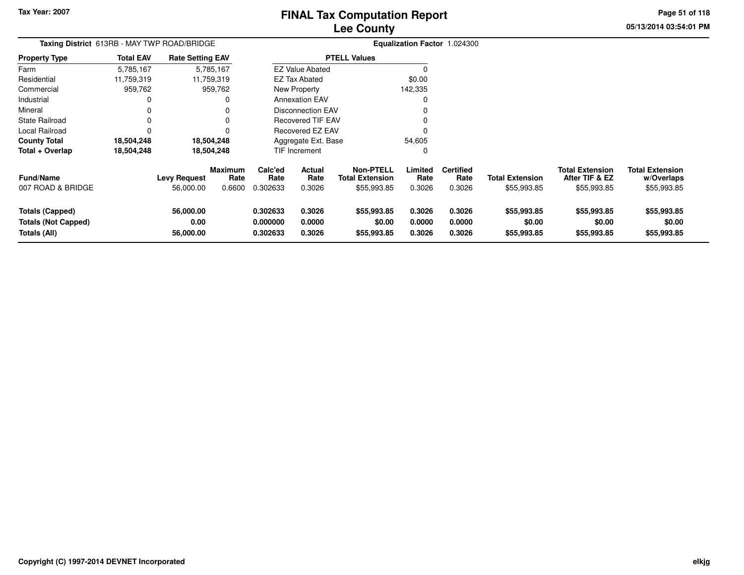### **Lee CountyFINAL Tax Computation Report**

**05/13/2014 03:54:01 PM Page 51 of 118**

| Taxing District 613RB - MAY TWP ROAD/BRIDGE                          |                  |                                |                                  |                                  |                            |                                                           |                            | Equalization Factor 1.024300       |                                       |                                                         |                                                     |
|----------------------------------------------------------------------|------------------|--------------------------------|----------------------------------|----------------------------------|----------------------------|-----------------------------------------------------------|----------------------------|------------------------------------|---------------------------------------|---------------------------------------------------------|-----------------------------------------------------|
| <b>Property Type</b>                                                 | <b>Total EAV</b> | <b>Rate Setting EAV</b>        |                                  |                                  |                            | <b>PTELL Values</b>                                       |                            |                                    |                                       |                                                         |                                                     |
| Farm                                                                 | 5,785,167        |                                | 5,785,167                        |                                  | <b>EZ Value Abated</b>     |                                                           |                            |                                    |                                       |                                                         |                                                     |
| Residential                                                          | 11,759,319       |                                | 11,759,319                       |                                  | <b>EZ Tax Abated</b>       |                                                           | \$0.00                     |                                    |                                       |                                                         |                                                     |
| Commercial                                                           | 959,762          |                                | 959,762                          |                                  | New Property               |                                                           | 142,335                    |                                    |                                       |                                                         |                                                     |
| Industrial                                                           | 0                |                                | 0                                |                                  | <b>Annexation EAV</b>      |                                                           |                            |                                    |                                       |                                                         |                                                     |
| Mineral                                                              | 0                |                                |                                  |                                  | <b>Disconnection EAV</b>   |                                                           |                            |                                    |                                       |                                                         |                                                     |
| <b>State Railroad</b>                                                | 0                |                                | 0                                |                                  | <b>Recovered TIF EAV</b>   |                                                           |                            |                                    |                                       |                                                         |                                                     |
| Local Railroad                                                       | 0                |                                | 0                                |                                  | Recovered EZ EAV           |                                                           |                            |                                    |                                       |                                                         |                                                     |
| <b>County Total</b>                                                  | 18,504,248       |                                | 18,504,248                       |                                  | Aggregate Ext. Base        |                                                           | 54,605                     |                                    |                                       |                                                         |                                                     |
| Total + Overlap                                                      | 18,504,248       |                                | 18,504,248                       |                                  | TIF Increment              |                                                           |                            |                                    |                                       |                                                         |                                                     |
| <b>Fund/Name</b><br>007 ROAD & BRIDGE                                |                  | Levy Request<br>56,000.00      | <b>Maximum</b><br>Rate<br>0.6600 | Calc'ed<br>Rate<br>0.302633      | Actual<br>Rate<br>0.3026   | <b>Non-PTELL</b><br><b>Total Extension</b><br>\$55,993.85 | Limited<br>Rate<br>0.3026  | <b>Certified</b><br>Rate<br>0.3026 | <b>Total Extension</b><br>\$55,993.85 | <b>Total Extension</b><br>After TIF & EZ<br>\$55,993.85 | <b>Total Extension</b><br>w/Overlaps<br>\$55,993.85 |
| <b>Totals (Capped)</b><br><b>Totals (Not Capped)</b><br>Totals (All) |                  | 56,000.00<br>0.00<br>56,000.00 |                                  | 0.302633<br>0.000000<br>0.302633 | 0.3026<br>0.0000<br>0.3026 | \$55,993.85<br>\$0.00<br>\$55,993.85                      | 0.3026<br>0.0000<br>0.3026 | 0.3026<br>0.0000<br>0.3026         | \$55,993.85<br>\$0.00<br>\$55,993.85  | \$55,993.85<br>\$0.00<br>\$55,993.85                    | \$55,993.85<br>\$0.00<br>\$55,993.85                |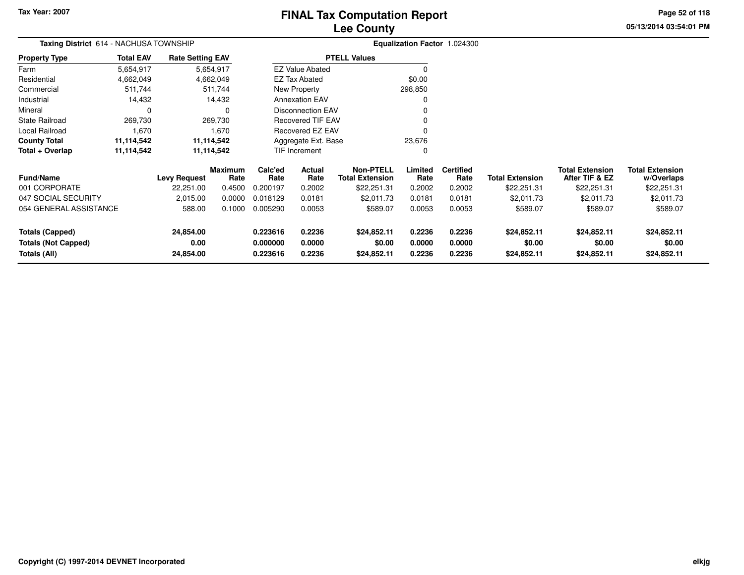### **Lee CountyFINAL Tax Computation Report**

**05/13/2014 03:54:01 PM Page 52 of 118**

| <b>Taxing District</b> 614 - NACHUSA TOWNSHIP |                  |                         |                        |                 |                        |                                            |                 | Equalization Factor 1.024300 |                        |                                          |                                      |
|-----------------------------------------------|------------------|-------------------------|------------------------|-----------------|------------------------|--------------------------------------------|-----------------|------------------------------|------------------------|------------------------------------------|--------------------------------------|
| Property Type                                 | <b>Total EAV</b> | <b>Rate Setting EAV</b> |                        |                 |                        | <b>PTELL Values</b>                        |                 |                              |                        |                                          |                                      |
| Farm                                          | 5,654,917        |                         | 5,654,917              |                 | <b>EZ Value Abated</b> |                                            | 0               |                              |                        |                                          |                                      |
| Residential                                   | 4,662,049        |                         | 4,662,049              |                 | <b>EZ Tax Abated</b>   |                                            | \$0.00          |                              |                        |                                          |                                      |
| Commercial                                    | 511,744          |                         | 511,744                |                 | New Property           |                                            | 298,850         |                              |                        |                                          |                                      |
| Industrial                                    | 14,432           |                         | 14,432                 |                 | <b>Annexation EAV</b>  |                                            | 0               |                              |                        |                                          |                                      |
| Mineral                                       | 0                |                         | 0                      |                 | Disconnection EAV      |                                            |                 |                              |                        |                                          |                                      |
| State Railroad                                | 269,730          |                         | 269,730                |                 | Recovered TIF EAV      |                                            | 0               |                              |                        |                                          |                                      |
| Local Railroad                                | 1,670            |                         | 1,670                  |                 | Recovered EZ EAV       |                                            | $\Omega$        |                              |                        |                                          |                                      |
| County Total                                  | 11,114,542       |                         | 11,114,542             |                 | Aggregate Ext. Base    |                                            | 23,676          |                              |                        |                                          |                                      |
| Total + Overlap                               | 11,114,542       |                         | 11,114,542             |                 | TIF Increment          |                                            | 0               |                              |                        |                                          |                                      |
| <b>Fund/Name</b>                              |                  | <b>Levy Request</b>     | <b>Maximum</b><br>Rate | Calc'ed<br>Rate | Actual<br>Rate         | <b>Non-PTELL</b><br><b>Total Extension</b> | Limited<br>Rate | <b>Certified</b><br>Rate     | <b>Total Extension</b> | <b>Total Extension</b><br>After TIF & EZ | <b>Total Extension</b><br>w/Overlaps |
| 001 CORPORATE                                 |                  | 22,251.00               | 0.4500                 | 0.200197        | 0.2002                 | \$22,251.31                                | 0.2002          | 0.2002                       | \$22,251.31            | \$22,251.31                              | \$22,251.31                          |
| 047 SOCIAL SECURITY                           |                  | 2,015.00                | 0.0000                 | 0.018129        | 0.0181                 | \$2,011.73                                 | 0.0181          | 0.0181                       | \$2,011.73             | \$2,011.73                               | \$2,011.73                           |
| 054 GENERAL ASSISTANCE                        |                  | 588.00                  | 0.1000                 | 0.005290        | 0.0053                 | \$589.07                                   | 0.0053          | 0.0053                       | \$589.07               | \$589.07                                 | \$589.07                             |
| <b>Totals (Capped)</b>                        |                  | 24,854.00               |                        | 0.223616        | 0.2236                 | \$24,852.11                                | 0.2236          | 0.2236                       | \$24,852.11            | \$24,852.11                              | \$24,852.11                          |
| <b>Totals (Not Capped)</b>                    |                  | 0.00                    |                        | 0.000000        | 0.0000                 | \$0.00                                     | 0.0000          | 0.0000                       | \$0.00                 | \$0.00                                   | \$0.00                               |
| Totals (All)                                  |                  | 24,854.00               |                        | 0.223616        | 0.2236                 | \$24,852.11                                | 0.2236          | 0.2236                       | \$24,852.11            | \$24,852.11                              | \$24,852.11                          |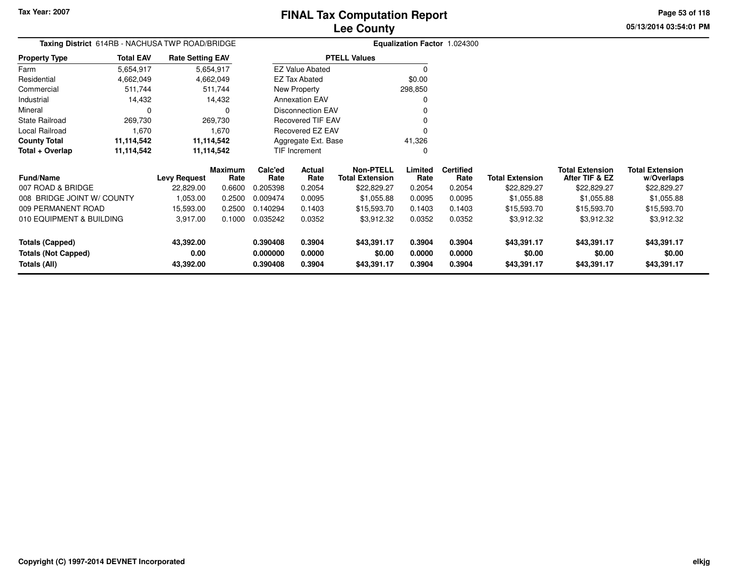**Property Type**

State Railroad 269,730

Local Railroad 1,670

FarmResidential

Mineral

#### **Lee CountyFINAL Tax Computation Report**

v o

 $\sim$  0

0 v

<sup>0</sup>

**05/13/2014 03:54:01 PMPage 53 of 118**

#### **Equalization Factor** 1.024300 **Taxing District** 614RB - NACHUSA TWP ROAD/BRIDGE4,662,049 4,662,049 511,744 Commercial 511,744 511,74414,432 Industrial 14,432 14,4325,654,9174,662,049 5,654,917**Total EAV Rate Setting EAV PTELL Values**  $\overline{0}$  \$0.00 298,850 $\overline{0}$ Annexation EAV New Property EZ Tax AbatedEZ Value Abated

Disconnection EAV

Recovered TIF EAV

Recovered EZ EAV

 $\mathbf 0$ 

269,730

1,670

0 0

| <b>County Total</b>        | 11.114.542 |                     | 11.114.542             |                 | Aggregate Ext. Base   |                                     | 41.326          |                          |                        |                                          |                                      |
|----------------------------|------------|---------------------|------------------------|-----------------|-----------------------|-------------------------------------|-----------------|--------------------------|------------------------|------------------------------------------|--------------------------------------|
| Total + Overlap            | 11,114,542 |                     | 11.114.542             |                 | TIF Increment         |                                     | 0               |                          |                        |                                          |                                      |
| <b>Fund/Name</b>           |            | <b>Levy Request</b> | <b>Maximum</b><br>Rate | Calc'ed<br>Rate | <b>Actual</b><br>Rate | Non-PTELL<br><b>Total Extension</b> | Limited<br>Rate | <b>Certified</b><br>Rate | <b>Total Extension</b> | <b>Total Extension</b><br>After TIF & EZ | <b>Total Extension</b><br>w/Overlaps |
| 007 ROAD & BRIDGE          |            | 22.829.00           | 0.6600                 | 0.205398        | 0.2054                | \$22,829.27                         | 0.2054          | 0.2054                   | \$22,829.27            | \$22,829.27                              | \$22,829.27                          |
| 008 BRIDGE JOINT W/ COUNTY |            | 1,053.00            | 0.2500                 | 0.009474        | 0.0095                | \$1.055.88                          | 0.0095          | 0.0095                   | \$1.055.88             | \$1.055.88                               | \$1,055.88                           |
| 009 PERMANENT ROAD         |            | 15.593.00           | 0.2500                 | 0.140294        | 0.1403                | \$15,593.70                         | 0.1403          | 0.1403                   | \$15,593.70            | \$15,593.70                              | \$15,593.70                          |
| 010 EQUIPMENT & BUILDING   |            | 3,917.00            | 0.1000                 | 0.035242        | 0.0352                | \$3,912.32                          | 0.0352          | 0.0352                   | \$3,912.32             | \$3,912.32                               | \$3,912.32                           |
| <b>Totals (Capped)</b>     |            | 43,392.00           |                        | 0.390408        | 0.3904                | \$43.391.17                         | 0.3904          | 0.3904                   | \$43,391.17            | \$43,391.17                              | \$43,391.17                          |
| <b>Totals (Not Capped)</b> |            | 0.00                |                        | 0.000000        | 0.0000                | \$0.00                              | 0.0000          | 0.0000                   | \$0.00                 | \$0.00                                   | \$0.00                               |
| Totals (All)               |            | 43,392.00           |                        | 0.390408        | 0.3904                | \$43,391.17                         | 0.3904          | 0.3904                   | \$43,391.17            | \$43,391.17                              | \$43,391.17                          |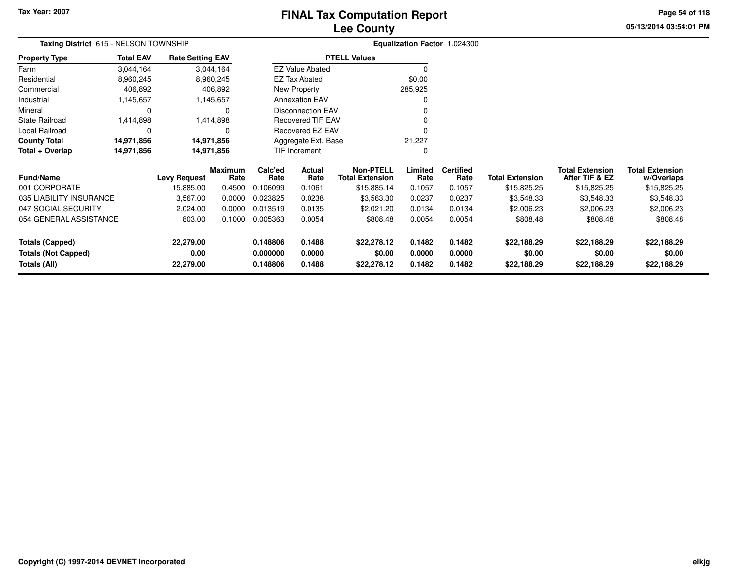### **Lee CountyFINAL Tax Computation Report**

**05/13/2014 03:54:01 PM Page 54 of 118**

| Taxing District 615 - NELSON TOWNSHIP      |                                       |                      |                          |                                            |                  | Equalization Factor 1.024300 |                        |                                          |                                      |
|--------------------------------------------|---------------------------------------|----------------------|--------------------------|--------------------------------------------|------------------|------------------------------|------------------------|------------------------------------------|--------------------------------------|
| <b>Total EAV</b><br>Property Type          | <b>Rate Setting EAV</b>               |                      |                          | <b>PTELL Values</b>                        |                  |                              |                        |                                          |                                      |
| 3,044,164<br>Farm                          | 3,044,164                             |                      | <b>EZ Value Abated</b>   |                                            |                  |                              |                        |                                          |                                      |
| Residential<br>8,960,245                   | 8,960,245                             |                      | <b>EZ Tax Abated</b>     |                                            | \$0.00           |                              |                        |                                          |                                      |
| Commercial<br>406,892                      | 406,892                               |                      | New Property             |                                            | 285,925          |                              |                        |                                          |                                      |
| Industrial<br>1,145,657                    | 1,145,657                             |                      | <b>Annexation EAV</b>    |                                            |                  |                              |                        |                                          |                                      |
| Mineral<br>0                               | 0                                     |                      | <b>Disconnection EAV</b> |                                            |                  |                              |                        |                                          |                                      |
| State Railroad<br>1,414,898                | 1,414,898                             |                      | Recovered TIF EAV        |                                            |                  |                              |                        |                                          |                                      |
| Local Railroad<br>0                        |                                       |                      | Recovered EZ EAV         |                                            |                  |                              |                        |                                          |                                      |
| County Total<br>14,971,856                 | 14,971,856                            |                      | Aggregate Ext. Base      |                                            | 21,227           |                              |                        |                                          |                                      |
| Total + Overlap<br>14,971,856              | 14,971,856                            |                      | TIF Increment            |                                            | 0                |                              |                        |                                          |                                      |
| <b>Fund/Name</b>                           | <b>Maximum</b><br><b>Levy Request</b> | Calc'ed<br>Rate      | Actual<br>Rate<br>Rate   | <b>Non-PTELL</b><br><b>Total Extension</b> | Limited<br>Rate  | <b>Certified</b><br>Rate     | <b>Total Extension</b> | <b>Total Extension</b><br>After TIF & EZ | <b>Total Extension</b><br>w/Overlaps |
| 001 CORPORATE                              | 15,885.00                             | 0.4500<br>0.106099   | 0.1061                   | \$15,885.14                                | 0.1057           | 0.1057                       | \$15,825.25            | \$15,825.25                              | \$15,825.25                          |
| 035 LIABILITY INSURANCE                    | 3,567.00                              | 0.0000<br>0.023825   | 0.0238                   | \$3,563.30                                 | 0.0237           | 0.0237                       | \$3,548.33             | \$3,548.33                               | \$3,548.33                           |
| 047 SOCIAL SECURITY                        | 2,024.00                              | 0.0000<br>0.013519   | 0.0135                   | \$2,021.20                                 | 0.0134           | 0.0134                       | \$2,006.23             | \$2,006.23                               | \$2,006.23                           |
| 054 GENERAL ASSISTANCE                     | 803.00                                | 0.1000<br>0.005363   | 0.0054                   | \$808.48                                   | 0.0054           | 0.0054                       | \$808.48               | \$808.48                                 | \$808.48                             |
| <b>Totals (Capped)</b>                     | 22,279.00                             | 0.148806             | 0.1488                   | \$22,278.12                                | 0.1482           | 0.1482                       | \$22,188.29            | \$22,188.29                              | \$22,188.29                          |
| <b>Totals (Not Capped)</b><br>Totals (All) | 0.00<br>22,279.00                     | 0.000000<br>0.148806 | 0.0000<br>0.1488         | \$0.00<br>\$22,278.12                      | 0.0000<br>0.1482 | 0.0000<br>0.1482             | \$0.00<br>\$22,188.29  | \$0.00<br>\$22,188.29                    | \$0.00<br>\$22,188.29                |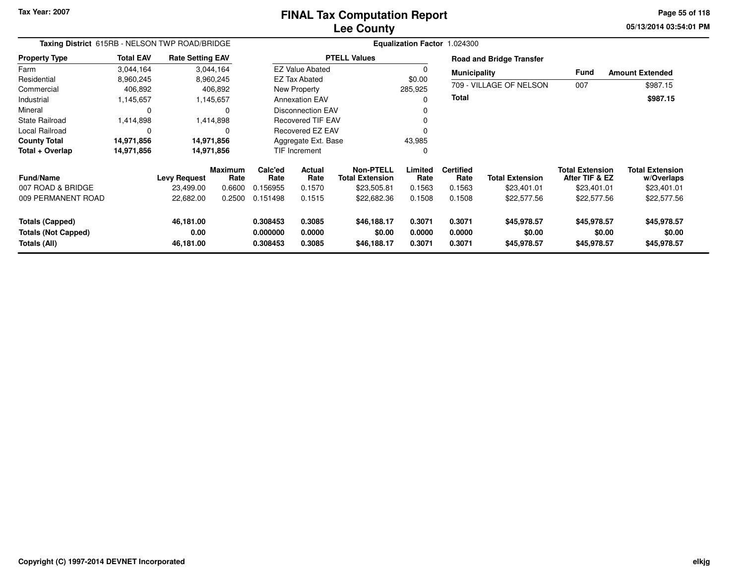#### **Lee CountyFINAL Tax Computation Report**

**05/13/2014 03:54:01 PM Page 55 of 118**

| Taxing District 615RB - NELSON TWP ROAD/BRIDGE                |                  |                                |                        |                                  |                            |                                            |                            | Equalization Factor 1.024300 |                                      |                                          |                                      |
|---------------------------------------------------------------|------------------|--------------------------------|------------------------|----------------------------------|----------------------------|--------------------------------------------|----------------------------|------------------------------|--------------------------------------|------------------------------------------|--------------------------------------|
| <b>Property Type</b>                                          | <b>Total EAV</b> | <b>Rate Setting EAV</b>        |                        |                                  |                            | <b>PTELL Values</b>                        |                            |                              | <b>Road and Bridge Transfer</b>      |                                          |                                      |
| Farm                                                          | 3,044,164        |                                | 3,044,164              |                                  | <b>EZ Value Abated</b>     |                                            |                            | <b>Municipality</b>          |                                      | <b>Fund</b>                              | <b>Amount Extended</b>               |
| Residential                                                   | 8,960,245        |                                | 8,960,245              |                                  | <b>EZ Tax Abated</b>       |                                            | \$0.00                     |                              |                                      |                                          |                                      |
| Commercial                                                    | 406,892          |                                | 406,892                |                                  | New Property               |                                            | 285,925                    |                              | 709 - VILLAGE OF NELSON              | 007                                      | \$987.15                             |
| Industrial                                                    | 1,145,657        |                                | 1,145,657              |                                  | <b>Annexation EAV</b>      |                                            |                            | <b>Total</b>                 |                                      |                                          | \$987.15                             |
| Mineral                                                       | $\Omega$         |                                | 0                      |                                  | <b>Disconnection EAV</b>   |                                            |                            |                              |                                      |                                          |                                      |
| <b>State Railroad</b>                                         | 1,414,898        |                                | 1,414,898              |                                  | <b>Recovered TIF EAV</b>   |                                            |                            |                              |                                      |                                          |                                      |
| <b>Local Railroad</b>                                         | $\Omega$         |                                | $\Omega$               |                                  | Recovered EZ EAV           |                                            |                            |                              |                                      |                                          |                                      |
| <b>County Total</b>                                           | 14,971,856       |                                | 14,971,856             |                                  | Aggregate Ext. Base        |                                            | 43,985                     |                              |                                      |                                          |                                      |
| Total + Overlap                                               | 14,971,856       |                                | 14,971,856             |                                  | <b>TIF Increment</b>       |                                            | 0                          |                              |                                      |                                          |                                      |
| <b>Fund/Name</b>                                              |                  | <b>Levy Request</b>            | <b>Maximum</b><br>Rate | Calc'ed<br>Rate                  | <b>Actual</b><br>Rate      | <b>Non-PTELL</b><br><b>Total Extension</b> | Limited<br>Rate            | <b>Certified</b><br>Rate     | <b>Total Extension</b>               | <b>Total Extension</b><br>After TIF & EZ | <b>Total Extension</b><br>w/Overlaps |
| 007 ROAD & BRIDGE                                             |                  | 23,499.00                      | 0.6600                 | 0.156955                         | 0.1570                     | \$23,505.81                                | 0.1563                     | 0.1563                       | \$23,401.01                          | \$23,401.01                              | \$23,401.01                          |
| 009 PERMANENT ROAD                                            |                  | 22,682.00                      | 0.2500                 | 0.151498                         | 0.1515                     | \$22,682.36                                | 0.1508                     | 0.1508                       | \$22,577.56                          | \$22,577.56                              | \$22,577.56                          |
| Totals (Capped)<br><b>Totals (Not Capped)</b><br>Totals (All) |                  | 46,181.00<br>0.00<br>46,181.00 |                        | 0.308453<br>0.000000<br>0.308453 | 0.3085<br>0.0000<br>0.3085 | \$46,188.17<br>\$0.00<br>\$46,188.17       | 0.3071<br>0.0000<br>0.3071 | 0.3071<br>0.0000<br>0.3071   | \$45,978.57<br>\$0.00<br>\$45,978.57 | \$45,978.57<br>\$0.00<br>\$45,978.57     | \$45,978.57<br>\$0.00<br>\$45,978.57 |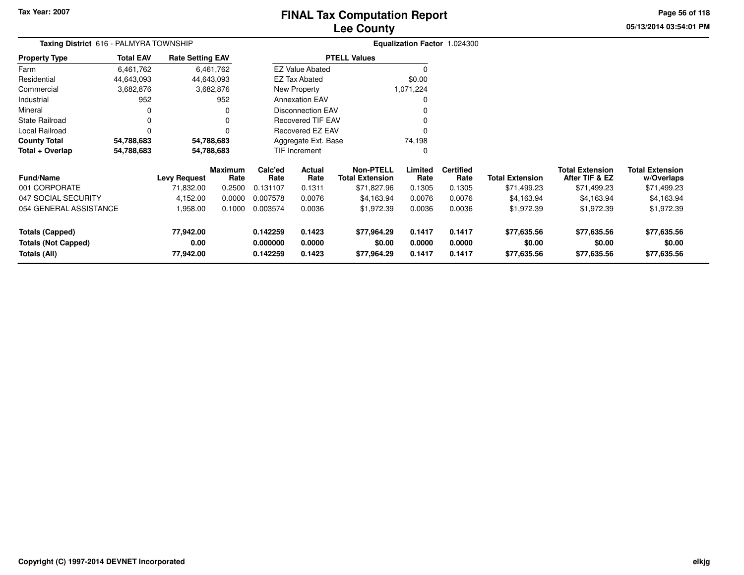### **Lee CountyFINAL Tax Computation Report**

**05/13/2014 03:54:01 PMPage 56 of 118**

| Taxing District 616 - PALMYRA TOWNSHIP     |                  |                         |                 |                      |                          |                                            |                  | Equalization Factor 1.024300 |                        |                                          |                                      |
|--------------------------------------------|------------------|-------------------------|-----------------|----------------------|--------------------------|--------------------------------------------|------------------|------------------------------|------------------------|------------------------------------------|--------------------------------------|
| <b>Property Type</b>                       | <b>Total EAV</b> | <b>Rate Setting EAV</b> |                 |                      |                          | <b>PTELL Values</b>                        |                  |                              |                        |                                          |                                      |
| Farm                                       | 6,461,762        |                         | 6,461,762       |                      | <b>EZ Value Abated</b>   |                                            |                  |                              |                        |                                          |                                      |
| Residential                                | 44,643,093       | 44,643,093              |                 |                      | <b>EZ Tax Abated</b>     |                                            | \$0.00           |                              |                        |                                          |                                      |
| Commercial                                 | 3,682,876        |                         | 3,682,876       |                      | New Property             |                                            | 1,071,224        |                              |                        |                                          |                                      |
| Industrial                                 | 952              |                         | 952             |                      | <b>Annexation EAV</b>    |                                            |                  |                              |                        |                                          |                                      |
| Mineral                                    |                  |                         | 0               |                      | <b>Disconnection EAV</b> |                                            |                  |                              |                        |                                          |                                      |
| <b>State Railroad</b>                      |                  |                         | 0               |                      | <b>Recovered TIF EAV</b> |                                            |                  |                              |                        |                                          |                                      |
| Local Railroad                             |                  |                         |                 |                      | <b>Recovered EZ EAV</b>  |                                            |                  |                              |                        |                                          |                                      |
| <b>County Total</b>                        | 54,788,683       | 54,788,683              |                 |                      | Aggregate Ext. Base      |                                            | 74,198           |                              |                        |                                          |                                      |
| Total + Overlap                            | 54,788,683       | 54,788,683              |                 |                      | TIF Increment            |                                            |                  |                              |                        |                                          |                                      |
| <b>Fund/Name</b>                           |                  | <b>Levy Request</b>     | Maximum<br>Rate | Calc'ed<br>Rate      | Actual<br>Rate           | <b>Non-PTELL</b><br><b>Total Extension</b> | Limited<br>Rate  | <b>Certified</b><br>Rate     | <b>Total Extension</b> | <b>Total Extension</b><br>After TIF & EZ | <b>Total Extension</b><br>w/Overlaps |
| 001 CORPORATE                              |                  | 71,832.00               | 0.2500          | 0.131107             | 0.1311                   | \$71,827.96                                | 0.1305           | 0.1305                       | \$71,499.23            | \$71,499.23                              | \$71,499.23                          |
| 047 SOCIAL SECURITY                        |                  | 4,152.00                | 0.0000          | 0.007578             | 0.0076                   | \$4,163.94                                 | 0.0076           | 0.0076                       | \$4,163.94             | \$4,163.94                               | \$4,163.94                           |
| 054 GENERAL ASSISTANCE                     |                  | 1,958.00                | 0.1000          | 0.003574             | 0.0036                   | \$1,972.39                                 | 0.0036           | 0.0036                       | \$1,972.39             | \$1,972.39                               | \$1,972.39                           |
| <b>Totals (Capped)</b>                     |                  | 77,942.00               |                 | 0.142259             | 0.1423                   | \$77,964.29                                | 0.1417           | 0.1417                       | \$77,635.56            | \$77,635.56                              | \$77,635.56                          |
| <b>Totals (Not Capped)</b><br>Totals (All) |                  | 0.00<br>77,942.00       |                 | 0.000000<br>0.142259 | 0.0000<br>0.1423         | \$0.00<br>\$77,964.29                      | 0.0000<br>0.1417 | 0.0000<br>0.1417             | \$0.00<br>\$77,635.56  | \$0.00<br>\$77,635.56                    | \$0.00<br>\$77,635.56                |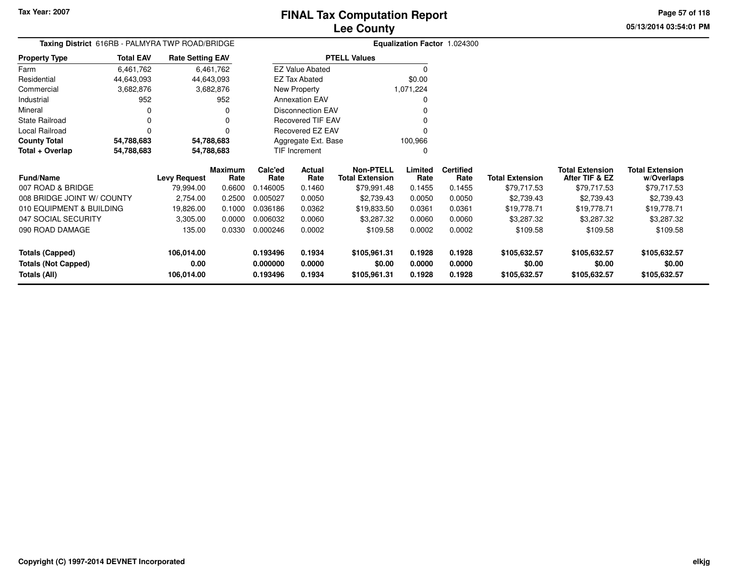**05/13/2014 03:54:01 PMPage 57 of 118**

## **Equalization Factor** 1.024300 **Taxing District** 616RB - PALMYRA TWP ROAD/BRIDGE

| <b>Property Type</b> | <b>Total EAV</b> | <b>Rate Setting EAV</b> |         |                          | <b>PTELL Values</b> |           |                  |
|----------------------|------------------|-------------------------|---------|--------------------------|---------------------|-----------|------------------|
| Farm                 | 6,461,762        | 6,461,762               |         | <b>EZ Value Abated</b>   |                     |           |                  |
| Residential          | 44,643,093       | 44,643,093              |         | <b>EZ Tax Abated</b>     |                     | \$0.00    |                  |
| Commercial           | 3,682,876        | 3,682,876               |         | New Property             |                     | 1,071,224 |                  |
| Industrial           | 952              | 952                     |         | <b>Annexation EAV</b>    |                     | 0         |                  |
| Mineral              | 0                | 0                       |         | Disconnection EAV        |                     | 0         |                  |
| State Railroad       | 0                | 0                       |         | <b>Recovered TIF EAV</b> |                     | $\Omega$  |                  |
| Local Railroad       | 0                | $\Omega$                |         | Recovered EZ EAV         |                     | 0         |                  |
| <b>County Total</b>  | 54,788,683       | 54,788,683              |         | Aggregate Ext. Base      |                     | 100.966   |                  |
| Total + Overlap      | 54,788,683       | 54,788,683              |         | TIF Increment            |                     | 0         |                  |
|                      |                  | <b>Maximum</b>          | Calc'ed | <b>Actual</b>            | <b>Non-PTELL</b>    | Limited   | <b>Certified</b> |

| <b>Fund/Name</b>           | <b>Levy Request</b> | <b>Maximum</b><br>Rate | Calc'ed<br>Rate | <b>Actual</b><br>Rate | <b>Non-PTELL</b><br><b>Total Extension</b> | Limited<br>Rate | <b>Certified</b><br>Rate | Total Extension | <b>Total Extension</b><br>After TIF & EZ | <b>Total Extension</b><br>w/Overlaps |
|----------------------------|---------------------|------------------------|-----------------|-----------------------|--------------------------------------------|-----------------|--------------------------|-----------------|------------------------------------------|--------------------------------------|
| 007 ROAD & BRIDGE          | 79.994.00           | 0.6600                 | 0.146005        | 0.1460                | \$79,991.48                                | 0.1455          | 0.1455                   | \$79,717.53     | \$79,717.53                              | \$79,717.53                          |
| 008 BRIDGE JOINT W/ COUNTY | 2,754.00            | 0.2500                 | 0.005027        | 0.0050                | \$2,739.43                                 | 0.0050          | 0.0050                   | \$2,739.43      | \$2,739.43                               | \$2,739.43                           |
| 010 EQUIPMENT & BUILDING   | 19.826.00           | 0.1000                 | 0.036186        | 0.0362                | \$19.833.50                                | 0.0361          | 0.0361                   | \$19,778.71     | \$19,778.71                              | \$19,778.71                          |
| 047 SOCIAL SECURITY        | 3,305.00            | 0.0000                 | 0.006032        | 0.0060                | \$3,287.32                                 | 0.0060          | 0.0060                   | \$3,287.32      | \$3,287.32                               | \$3,287.32                           |
| 090 ROAD DAMAGE            | 135.00              | 0.0330                 | 0.000246        | 0.0002                | \$109.58                                   | 0.0002          | 0.0002                   | \$109.58        | \$109.58                                 | \$109.58                             |
| Totals (Capped)            | 106.014.00          |                        | 0.193496        | 0.1934                | \$105.961.31                               | 0.1928          | 0.1928                   | \$105.632.57    | \$105,632.57                             | \$105,632.57                         |
| <b>Totals (Not Capped)</b> | 0.00                |                        | 0.000000        | 0.0000                | \$0.00                                     | 0.0000          | 0.0000                   | \$0.00          | \$0.00                                   | \$0.00                               |
| Totals (All)               | 106,014.00          |                        | 0.193496        | 0.1934                | \$105,961.31                               | 0.1928          | 0.1928                   | \$105,632.57    | \$105,632.57                             | \$105,632.57                         |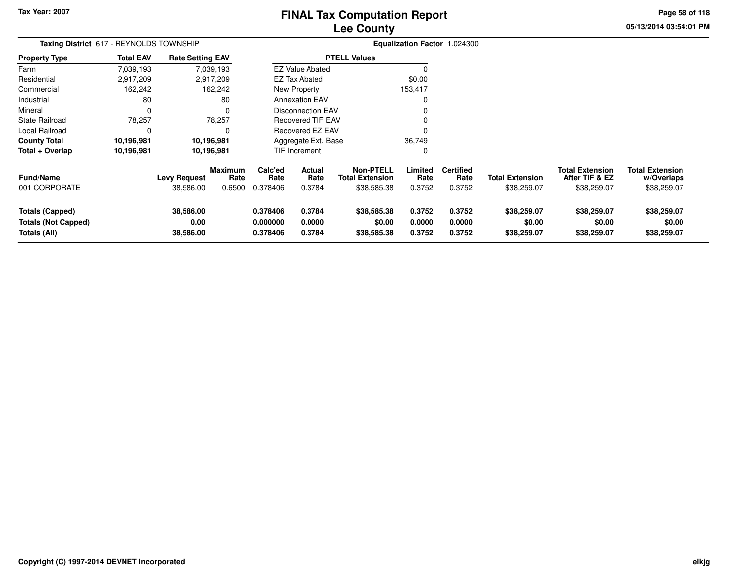### **Lee CountyFINAL Tax Computation Report**

**05/13/2014 03:54:01 PM Page 58 of 118**

| Taxing District 617 - REYNOLDS TOWNSHIP                              |                  |                                  |                                  |                                  |                            |                                                           |                            | Equalization Factor 1.024300       |                                       |                                                         |                                                     |
|----------------------------------------------------------------------|------------------|----------------------------------|----------------------------------|----------------------------------|----------------------------|-----------------------------------------------------------|----------------------------|------------------------------------|---------------------------------------|---------------------------------------------------------|-----------------------------------------------------|
| <b>Property Type</b>                                                 | <b>Total EAV</b> | <b>Rate Setting EAV</b>          |                                  |                                  |                            | <b>PTELL Values</b>                                       |                            |                                    |                                       |                                                         |                                                     |
| Farm                                                                 | 7,039,193        |                                  | 7,039,193                        |                                  | <b>EZ Value Abated</b>     |                                                           |                            |                                    |                                       |                                                         |                                                     |
| Residential                                                          | 2,917,209        |                                  | 2,917,209                        |                                  | EZ Tax Abated              |                                                           | \$0.00                     |                                    |                                       |                                                         |                                                     |
| Commercial                                                           | 162,242          |                                  | 162,242                          |                                  | New Property               |                                                           | 153,417                    |                                    |                                       |                                                         |                                                     |
| Industrial                                                           | 80               |                                  | 80                               |                                  | <b>Annexation EAV</b>      |                                                           |                            |                                    |                                       |                                                         |                                                     |
| Mineral                                                              | 0                |                                  | $\Omega$                         |                                  | <b>Disconnection EAV</b>   |                                                           |                            |                                    |                                       |                                                         |                                                     |
| <b>State Railroad</b>                                                | 78,257           |                                  | 78,257                           |                                  | <b>Recovered TIF EAV</b>   |                                                           |                            |                                    |                                       |                                                         |                                                     |
| Local Railroad                                                       | 0                |                                  | 0                                |                                  | Recovered EZ EAV           |                                                           |                            |                                    |                                       |                                                         |                                                     |
| <b>County Total</b>                                                  | 10,196,981       |                                  | 10,196,981                       |                                  | Aggregate Ext. Base        |                                                           | 36,749                     |                                    |                                       |                                                         |                                                     |
| Total + Overlap                                                      | 10,196,981       |                                  | 10,196,981                       |                                  | <b>TIF Increment</b>       |                                                           | C                          |                                    |                                       |                                                         |                                                     |
| <b>Fund/Name</b><br>001 CORPORATE                                    |                  | <b>Levy Request</b><br>38,586.00 | <b>Maximum</b><br>Rate<br>0.6500 | Calc'ed<br>Rate<br>0.378406      | Actual<br>Rate<br>0.3784   | <b>Non-PTELL</b><br><b>Total Extension</b><br>\$38,585.38 | Limited<br>Rate<br>0.3752  | <b>Certified</b><br>Rate<br>0.3752 | <b>Total Extension</b><br>\$38,259.07 | <b>Total Extension</b><br>After TIF & EZ<br>\$38,259.07 | <b>Total Extension</b><br>w/Overlaps<br>\$38,259.07 |
| <b>Totals (Capped)</b><br><b>Totals (Not Capped)</b><br>Totals (All) |                  | 38,586.00<br>0.00<br>38,586.00   |                                  | 0.378406<br>0.000000<br>0.378406 | 0.3784<br>0.0000<br>0.3784 | \$38,585.38<br>\$0.00<br>\$38,585.38                      | 0.3752<br>0.0000<br>0.3752 | 0.3752<br>0.0000<br>0.3752         | \$38,259.07<br>\$0.00<br>\$38,259.07  | \$38,259.07<br>\$0.00<br>\$38,259.07                    | \$38,259.07<br>\$0.00<br>\$38,259.07                |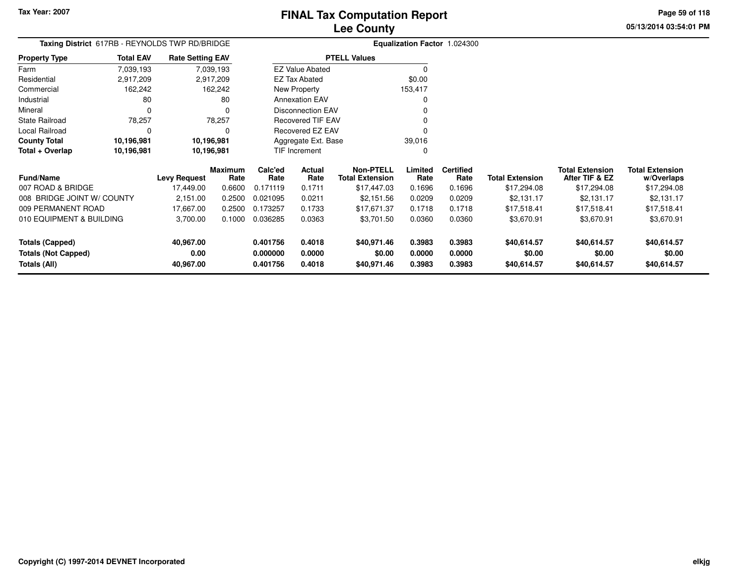**05/13/2014 03:54:01 PMPage 59 of 118**

|       | <b>Lee County</b>                   |  |
|-------|-------------------------------------|--|
| IDGE. | <b>Equalization Factor 1.024300</b> |  |

|                      |                  | Taxing District 617RB - REYNOLDS TWP RD/BRIDGE |                          | <b>Equalization Factor</b> |
|----------------------|------------------|------------------------------------------------|--------------------------|----------------------------|
| <b>Property Type</b> | <b>Total EAV</b> | <b>Rate Setting EAV</b>                        | <b>PTELL Values</b>      |                            |
| Farm                 | 7,039,193        | 7,039,193                                      | <b>EZ Value Abated</b>   |                            |
| Residential          | 2,917,209        | 2,917,209                                      | EZ Tax Abated            | \$0.00                     |
| Commercial           | 162,242          | 162.242                                        | New Property             | 153,417                    |
| Industrial           | 80               | 80                                             | <b>Annexation EAV</b>    | 0                          |
| Mineral              | 0                | 0                                              | <b>Disconnection EAV</b> | 0                          |
| State Railroad       | 78.257           | 78.257                                         | <b>Recovered TIF EAV</b> |                            |
| Local Railroad       | 0                | 0                                              | Recovered EZ EAV         | 0                          |
| <b>County Total</b>  | 10,196,981       | 10,196,981                                     | Aggregate Ext. Base      | 39,016                     |
| Total + Overlap      | 10,196,981       | 10,196,981                                     | <b>TIF Increment</b>     |                            |

| <b>Fund/Name</b>                           | <b>Levy Request</b> | Maximum<br>Rate | Calc'ed<br>Rate      | Actual<br>Rate   | Non-PTELL<br><b>Total Extension</b> | Limited<br>Rate  | <b>Certified</b><br>Rate | <b>Total Extension</b> | <b>Total Extension</b><br>After TIF & EZ | <b>Total Extension</b><br>w/Overlaps |
|--------------------------------------------|---------------------|-----------------|----------------------|------------------|-------------------------------------|------------------|--------------------------|------------------------|------------------------------------------|--------------------------------------|
| 007 ROAD & BRIDGE                          | 17.449.00           | 0.6600          | 0.171119             | 0.1711           | \$17.447.03                         | 0.1696           | 0.1696                   | \$17,294.08            | \$17,294.08                              | \$17,294.08                          |
| 008 BRIDGE JOINT W/ COUNTY                 | 2.151.00            | 0.2500          | 0.021095             | 0.0211           | \$2,151.56                          | 0.0209           | 0.0209                   | \$2.131.17             | \$2,131.17                               | \$2,131.17                           |
| 009 PERMANENT ROAD                         | 17.667.00           | 0.2500          | 0.173257             | 0.1733           | \$17.671.37                         | 0.1718           | 0.1718                   | \$17.518.41            | \$17.518.41                              | \$17.518.41                          |
| 010 EQUIPMENT & BUILDING                   | 3,700.00            | 0.1000          | 0.036285             | 0.0363           | \$3,701.50                          | 0.0360           | 0.0360                   | \$3,670.91             | \$3,670.91                               | \$3,670.91                           |
| Totals (Capped)                            | 40,967.00           |                 | 0.401756             | 0.4018           | \$40,971.46                         | 0.3983           | 0.3983                   | \$40,614.57            | \$40,614.57                              | \$40,614.57                          |
| <b>Totals (Not Capped)</b><br>Totals (All) | 0.00<br>40.967.00   |                 | 0.000000<br>0.401756 | 0.0000<br>0.4018 | \$0.00<br>\$40,971.46               | 0.0000<br>0.3983 | 0.0000<br>0.3983         | \$0.00<br>\$40,614.57  | \$0.00<br>\$40,614.57                    | \$0.00<br>\$40,614.57                |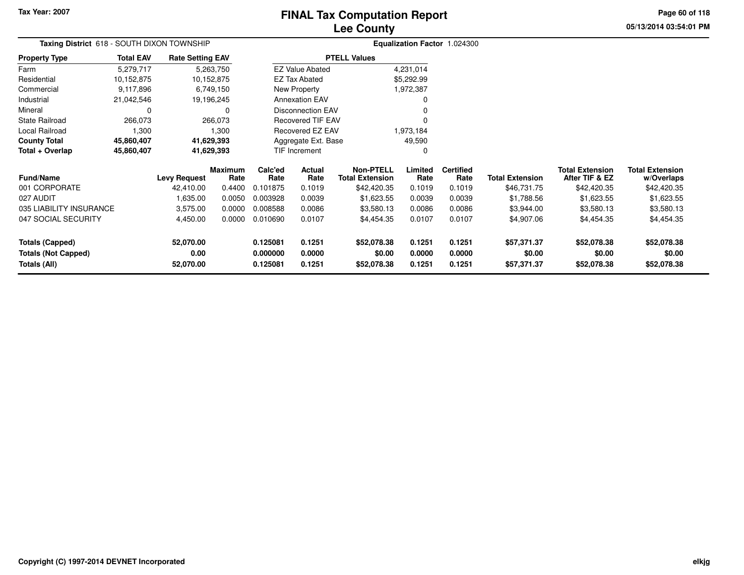### **Lee CountyFINAL Tax Computation Report**

**05/13/2014 03:54:01 PM Page 60 of 118**

| Taxing District 618 - SOUTH DIXON TOWNSHIP |                  |                         |                        |                      |                          |                                            |                  | Equalization Factor 1.024300 |                        |                                          |                                      |
|--------------------------------------------|------------------|-------------------------|------------------------|----------------------|--------------------------|--------------------------------------------|------------------|------------------------------|------------------------|------------------------------------------|--------------------------------------|
| <b>Property Type</b>                       | <b>Total EAV</b> | <b>Rate Setting EAV</b> |                        |                      |                          | <b>PTELL Values</b>                        |                  |                              |                        |                                          |                                      |
| Farm                                       | 5,279,717        |                         | 5,263,750              |                      | <b>EZ Value Abated</b>   |                                            | 4,231,014        |                              |                        |                                          |                                      |
| Residential                                | 10,152,875       | 10,152,875              |                        |                      | <b>EZ Tax Abated</b>     |                                            | \$5,292.99       |                              |                        |                                          |                                      |
| Commercial                                 | 9,117,896        |                         | 6,749,150              |                      | New Property             |                                            | 1,972,387        |                              |                        |                                          |                                      |
| Industrial                                 | 21,042,546       | 19,196,245              |                        |                      | <b>Annexation EAV</b>    |                                            | 0                |                              |                        |                                          |                                      |
| Mineral                                    | 0                |                         | 0                      |                      | <b>Disconnection EAV</b> |                                            |                  |                              |                        |                                          |                                      |
| State Railroad                             | 266,073          |                         | 266,073                |                      | <b>Recovered TIF EAV</b> |                                            |                  |                              |                        |                                          |                                      |
| Local Railroad                             | 1,300            |                         | 1,300                  |                      | Recovered EZ EAV         |                                            | 1,973,184        |                              |                        |                                          |                                      |
| <b>County Total</b>                        | 45,860,407       | 41,629,393              |                        |                      | Aggregate Ext. Base      |                                            | 49,590           |                              |                        |                                          |                                      |
| Total + Overlap                            | 45,860,407       | 41,629,393              |                        |                      | TIF Increment            |                                            |                  |                              |                        |                                          |                                      |
| <b>Fund/Name</b>                           |                  | <b>Levy Request</b>     | <b>Maximum</b><br>Rate | Calc'ed<br>Rate      | Actual<br>Rate           | <b>Non-PTELL</b><br><b>Total Extension</b> | Limited<br>Rate  | <b>Certified</b><br>Rate     | <b>Total Extension</b> | <b>Total Extension</b><br>After TIF & EZ | <b>Total Extension</b><br>w/Overlaps |
| 001 CORPORATE                              |                  | 42,410.00               | 0.4400                 | 0.101875             | 0.1019                   | \$42,420.35                                | 0.1019           | 0.1019                       | \$46,731.75            | \$42,420.35                              | \$42,420.35                          |
| 027 AUDIT                                  |                  | 1,635.00                | 0.0050                 | 0.003928             | 0.0039                   | \$1,623.55                                 | 0.0039           | 0.0039                       | \$1,788.56             | \$1,623.55                               | \$1,623.55                           |
| 035 LIABILITY INSURANCE                    |                  | 3,575.00                | 0.0000                 | 0.008588             | 0.0086                   | \$3,580.13                                 | 0.0086           | 0.0086                       | \$3,944.00             | \$3,580.13                               | \$3,580.13                           |
| 047 SOCIAL SECURITY                        |                  | 4,450.00                | 0.0000                 | 0.010690             | 0.0107                   | \$4,454.35                                 | 0.0107           | 0.0107                       | \$4,907.06             | \$4,454.35                               | \$4,454.35                           |
| <b>Totals (Capped)</b>                     |                  | 52,070.00               |                        | 0.125081             | 0.1251                   | \$52,078.38                                | 0.1251           | 0.1251                       | \$57,371.37            | \$52,078.38                              | \$52,078.38                          |
| <b>Totals (Not Capped)</b><br>Totals (All) |                  | 0.00<br>52,070.00       |                        | 0.000000<br>0.125081 | 0.0000<br>0.1251         | \$0.00<br>\$52,078.38                      | 0.0000<br>0.1251 | 0.0000<br>0.1251             | \$0.00<br>\$57,371.37  | \$0.00<br>\$52,078.38                    | \$0.00<br>\$52,078.38                |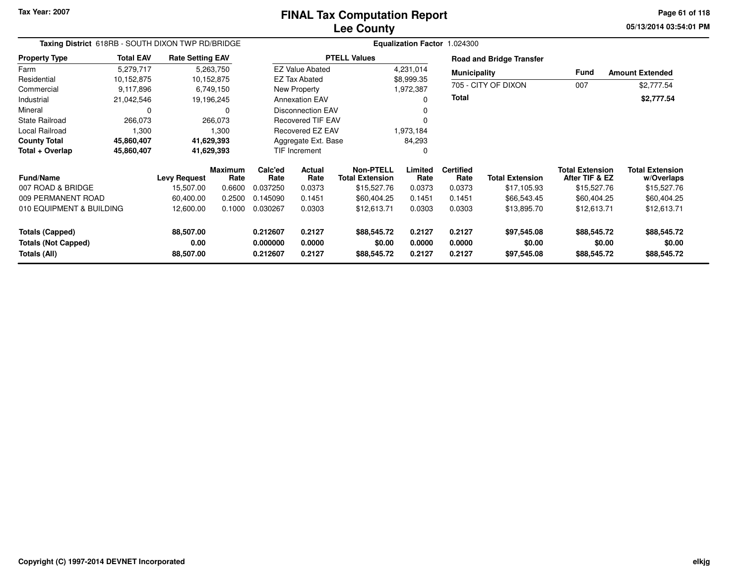**05/13/2014 03:54:01 PMPage 61 of 118**

| Taxing District 618RB - SOUTH DIXON TWP RD/BRIDGE |                  |                         |                        |                 | Equalization Factor 1.024300 |                                            |                 |                          |                                 |                                          |                                      |  |
|---------------------------------------------------|------------------|-------------------------|------------------------|-----------------|------------------------------|--------------------------------------------|-----------------|--------------------------|---------------------------------|------------------------------------------|--------------------------------------|--|
| <b>Property Type</b>                              | <b>Total EAV</b> | <b>Rate Setting EAV</b> |                        |                 |                              | <b>PTELL Values</b>                        |                 |                          | <b>Road and Bridge Transfer</b> |                                          |                                      |  |
| Farm                                              | 5,279,717        |                         | 5,263,750              |                 | <b>EZ Value Abated</b>       |                                            | 4,231,014       | <b>Municipality</b>      |                                 | Fund                                     | <b>Amount Extended</b>               |  |
| Residential                                       | 10,152,875       |                         | 10,152,875             |                 | <b>EZ Tax Abated</b>         |                                            | \$8,999.35      |                          |                                 |                                          |                                      |  |
| Commercial                                        | 9,117,896        |                         | 6,749,150              |                 | New Property                 |                                            | 1,972,387       |                          | 705 - CITY OF DIXON             | 007                                      | \$2,777.54                           |  |
| Industrial                                        | 21,042,546       |                         | 19,196,245             |                 | <b>Annexation EAV</b>        |                                            | 0               | Total                    |                                 |                                          | \$2,777.54                           |  |
| Mineral                                           | 0                |                         | 0                      |                 | <b>Disconnection EAV</b>     |                                            | 0               |                          |                                 |                                          |                                      |  |
| <b>State Railroad</b>                             | 266,073          |                         | 266,073                |                 | <b>Recovered TIF EAV</b>     |                                            |                 |                          |                                 |                                          |                                      |  |
| Local Railroad                                    | 1,300            |                         | 1,300                  |                 | Recovered EZ EAV             |                                            | 1,973,184       |                          |                                 |                                          |                                      |  |
| <b>County Total</b>                               | 45,860,407       |                         | 41,629,393             |                 | Aggregate Ext. Base          |                                            | 84,293          |                          |                                 |                                          |                                      |  |
| Total + Overlap                                   | 45,860,407       |                         | 41,629,393             |                 | <b>TIF Increment</b>         |                                            | 0               |                          |                                 |                                          |                                      |  |
| <b>Fund/Name</b>                                  |                  | <b>Levy Request</b>     | <b>Maximum</b><br>Rate | Calc'ed<br>Rate | Actual<br>Rate               | <b>Non-PTELL</b><br><b>Total Extension</b> | Limited<br>Rate | <b>Certified</b><br>Rate | <b>Total Extension</b>          | <b>Total Extension</b><br>After TIF & EZ | <b>Total Extension</b><br>w/Overlaps |  |
| 007 ROAD & BRIDGE                                 |                  | 15,507.00               | 0.6600                 | 0.037250        | 0.0373                       | \$15,527.76                                | 0.0373          | 0.0373                   | \$17,105.93                     | \$15,527.76                              | \$15,527.76                          |  |
| 009 PERMANENT ROAD                                |                  | 60,400.00               | 0.2500                 | 0.145090        | 0.1451                       | \$60,404.25                                | 0.1451          | 0.1451                   | \$66,543.45                     | \$60,404.25                              | \$60,404.25                          |  |
| 010 EQUIPMENT & BUILDING                          |                  | 12,600.00               | 0.1000                 | 0.030267        | 0.0303                       | \$12,613.71                                | 0.0303          | 0.0303                   | \$13,895.70                     | \$12,613.71                              | \$12,613.71                          |  |
| <b>Totals (Capped)</b>                            |                  | 88,507.00               |                        | 0.212607        | 0.2127                       | \$88,545.72                                | 0.2127          | 0.2127                   | \$97,545.08                     | \$88,545.72                              | \$88,545.72                          |  |
| <b>Totals (Not Capped)</b>                        |                  | 0.00                    |                        | 0.000000        | 0.0000<br>0.2127             | \$0.00                                     | 0.0000          | 0.0000<br>0.2127         | \$0.00                          | \$0.00                                   | \$0.00                               |  |
| Totals (All)                                      |                  | 88,507.00               |                        | 0.212607        |                              | \$88,545.72                                | 0.2127          |                          | \$97,545.08                     | \$88,545.72                              | \$88,545.72                          |  |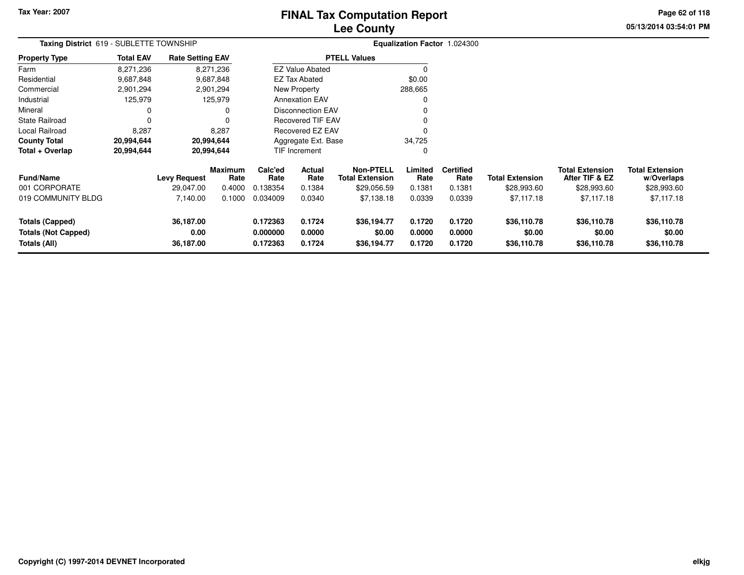### **Lee CountyFINAL Tax Computation Report**

**05/13/2014 03:54:01 PM Page 62 of 118**

| Taxing District 619 - SUBLETTE TOWNSHIP                              |                  |                                |                        |                                  |                            |                                            |                            | Equalization Factor 1.024300 |                                      |                                          |                                      |
|----------------------------------------------------------------------|------------------|--------------------------------|------------------------|----------------------------------|----------------------------|--------------------------------------------|----------------------------|------------------------------|--------------------------------------|------------------------------------------|--------------------------------------|
| <b>Property Type</b>                                                 | <b>Total EAV</b> | <b>Rate Setting EAV</b>        |                        |                                  |                            | <b>PTELL Values</b>                        |                            |                              |                                      |                                          |                                      |
| Farm                                                                 | 8,271,236        |                                | 8,271,236              |                                  | <b>EZ Value Abated</b>     |                                            | 0                          |                              |                                      |                                          |                                      |
| Residential                                                          | 9,687,848        |                                | 9,687,848              |                                  | <b>EZ Tax Abated</b>       |                                            | \$0.00                     |                              |                                      |                                          |                                      |
| Commercial                                                           | 2,901,294        |                                | 2,901,294              |                                  | New Property               |                                            | 288,665                    |                              |                                      |                                          |                                      |
| Industrial                                                           | 125,979          |                                | 125,979                |                                  | <b>Annexation EAV</b>      |                                            |                            |                              |                                      |                                          |                                      |
| Mineral                                                              | 0                |                                | O                      |                                  | <b>Disconnection EAV</b>   |                                            |                            |                              |                                      |                                          |                                      |
| <b>State Railroad</b>                                                | $\Omega$         |                                |                        |                                  | <b>Recovered TIF EAV</b>   |                                            |                            |                              |                                      |                                          |                                      |
| Local Railroad                                                       | 8,287            |                                | 8,287                  |                                  | Recovered EZ EAV           |                                            |                            |                              |                                      |                                          |                                      |
| <b>County Total</b>                                                  | 20,994,644       |                                | 20,994,644             |                                  | Aggregate Ext. Base        |                                            | 34,725                     |                              |                                      |                                          |                                      |
| Total + Overlap                                                      | 20,994,644       |                                | 20,994,644             |                                  | <b>TIF Increment</b>       |                                            | 0                          |                              |                                      |                                          |                                      |
| <b>Fund/Name</b>                                                     |                  | <b>Levy Request</b>            | <b>Maximum</b><br>Rate | Calc'ed<br>Rate                  | <b>Actual</b><br>Rate      | <b>Non-PTELL</b><br><b>Total Extension</b> | Limited<br>Rate            | <b>Certified</b><br>Rate     | <b>Total Extension</b>               | <b>Total Extension</b><br>After TIF & EZ | <b>Total Extension</b><br>w/Overlaps |
| 001 CORPORATE                                                        |                  | 29,047.00                      | 0.4000                 | 0.138354                         | 0.1384                     | \$29,056.59                                | 0.1381                     | 0.1381                       | \$28,993.60                          | \$28,993.60                              | \$28,993.60                          |
| 019 COMMUNITY BLDG                                                   |                  | 7,140.00                       | 0.1000                 | 0.034009                         | 0.0340                     | \$7,138.18                                 | 0.0339                     | 0.0339                       | \$7,117.18                           | \$7,117.18                               | \$7,117.18                           |
| <b>Totals (Capped)</b><br><b>Totals (Not Capped)</b><br>Totals (All) |                  | 36,187.00<br>0.00<br>36,187.00 |                        | 0.172363<br>0.000000<br>0.172363 | 0.1724<br>0.0000<br>0.1724 | \$36,194.77<br>\$0.00<br>\$36,194.77       | 0.1720<br>0.0000<br>0.1720 | 0.1720<br>0.0000<br>0.1720   | \$36,110.78<br>\$0.00<br>\$36,110.78 | \$36,110.78<br>\$0.00<br>\$36,110.78     | \$36,110.78<br>\$0.00<br>\$36,110.78 |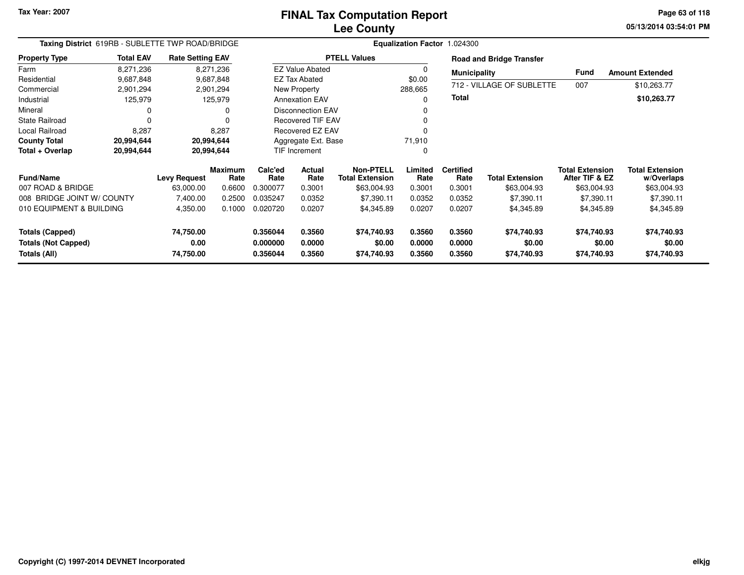**05/13/2014 03:54:01 PM Page 63 of 118**

| Taxing District 619RB - SUBLETTE TWP ROAD/BRIDGE |                  | Equalization Factor 1.024300 |                        |                      |                          |                                            |                  |                          |                                 |                                          |                                      |
|--------------------------------------------------|------------------|------------------------------|------------------------|----------------------|--------------------------|--------------------------------------------|------------------|--------------------------|---------------------------------|------------------------------------------|--------------------------------------|
| <b>Property Type</b>                             | <b>Total EAV</b> | <b>Rate Setting EAV</b>      |                        |                      |                          | <b>PTELL Values</b>                        |                  |                          | <b>Road and Bridge Transfer</b> |                                          |                                      |
| Farm                                             | 8,271,236        |                              | 8,271,236              |                      | <b>EZ Value Abated</b>   |                                            | 0                | <b>Municipality</b>      |                                 | Fund                                     | <b>Amount Extended</b>               |
| Residential                                      | 9,687,848        |                              | 9,687,848              |                      | EZ Tax Abated            |                                            | \$0.00           |                          |                                 |                                          |                                      |
| Commercial                                       | 2,901,294        |                              | 2,901,294              |                      | New Property             |                                            | 288,665          |                          | 712 - VILLAGE OF SUBLETTE       | 007                                      | \$10,263.77                          |
| Industrial                                       | 125,979          |                              | 125,979                |                      | <b>Annexation EAV</b>    |                                            | $\Omega$         | Total                    |                                 |                                          | \$10,263.77                          |
| Mineral                                          | 0                |                              |                        |                      | <b>Disconnection EAV</b> |                                            | $\Omega$         |                          |                                 |                                          |                                      |
| <b>State Railroad</b>                            | 0                |                              |                        |                      | <b>Recovered TIF EAV</b> |                                            |                  |                          |                                 |                                          |                                      |
| Local Railroad                                   | 8,287            |                              | 8,287                  |                      | Recovered EZ EAV         |                                            | ŋ                |                          |                                 |                                          |                                      |
| <b>County Total</b>                              | 20,994,644       |                              | 20,994,644             |                      | Aggregate Ext. Base      |                                            | 71,910           |                          |                                 |                                          |                                      |
| Total + Overlap                                  | 20,994,644       |                              | 20,994,644             |                      | TIF Increment            |                                            | 0                |                          |                                 |                                          |                                      |
| <b>Fund/Name</b>                                 |                  | <b>Levy Request</b>          | <b>Maximum</b><br>Rate | Calc'ed<br>Rate      | <b>Actual</b><br>Rate    | <b>Non-PTELL</b><br><b>Total Extension</b> | Limited<br>Rate  | <b>Certified</b><br>Rate | <b>Total Extension</b>          | <b>Total Extension</b><br>After TIF & EZ | <b>Total Extension</b><br>w/Overlaps |
| 007 ROAD & BRIDGE                                |                  | 63,000.00                    | 0.6600                 | 0.300077             | 0.3001                   | \$63,004.93                                | 0.3001           | 0.3001                   | \$63,004.93                     | \$63,004.93                              | \$63,004.93                          |
| 008 BRIDGE JOINT W/ COUNTY                       |                  | 7,400.00                     | 0.2500                 | 0.035247             | 0.0352                   | \$7,390.11                                 | 0.0352           | 0.0352                   | \$7,390.11                      | \$7,390.11                               | \$7,390.11                           |
| 010 EQUIPMENT & BUILDING                         |                  | 4,350.00                     | 0.1000                 | 0.020720             | 0.0207                   | \$4,345.89                                 | 0.0207           | 0.0207                   | \$4,345.89                      | \$4,345.89                               | \$4,345.89                           |
| <b>Totals (Capped)</b>                           |                  | 74,750.00                    |                        | 0.356044             | 0.3560                   | \$74,740.93                                | 0.3560           | 0.3560                   | \$74,740.93                     | \$74,740.93                              | \$74,740.93                          |
| <b>Totals (Not Capped)</b><br>Totals (All)       |                  | 0.00<br>74,750.00            |                        | 0.000000<br>0.356044 | 0.0000<br>0.3560         | \$0.00<br>\$74,740.93                      | 0.0000<br>0.3560 | 0.0000<br>0.3560         | \$0.00<br>\$74,740.93           | \$0.00<br>\$74,740.93                    | \$0.00<br>\$74,740.93                |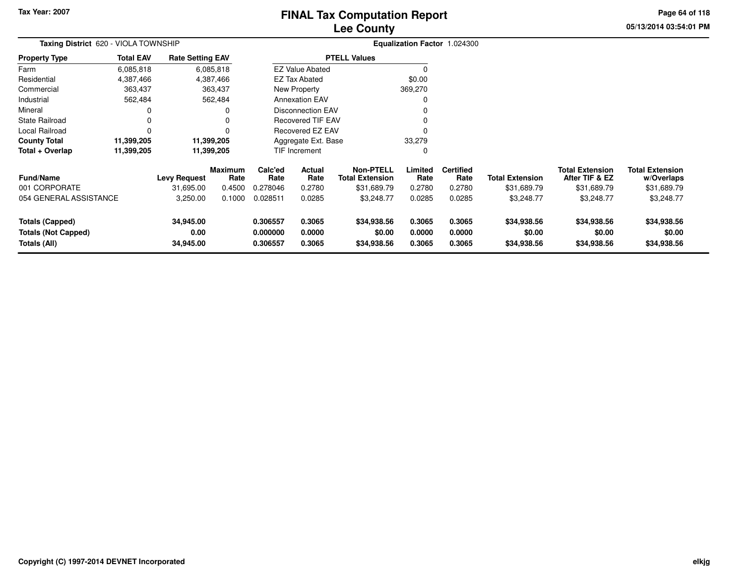### **Lee CountyFINAL Tax Computation Report**

**05/13/2014 03:54:01 PM Page 64 of 118**

| Taxing District 620 - VIOLA TOWNSHIP                                        |                  |                                |                        |                                  |                            |                                            |                            | Equalization Factor 1.024300 |                                      |                                          |                                      |
|-----------------------------------------------------------------------------|------------------|--------------------------------|------------------------|----------------------------------|----------------------------|--------------------------------------------|----------------------------|------------------------------|--------------------------------------|------------------------------------------|--------------------------------------|
| <b>Property Type</b>                                                        | <b>Total EAV</b> | <b>Rate Setting EAV</b>        |                        |                                  |                            | <b>PTELL Values</b>                        |                            |                              |                                      |                                          |                                      |
| Farm                                                                        | 6,085,818        |                                | 6,085,818              |                                  | <b>EZ Value Abated</b>     |                                            |                            |                              |                                      |                                          |                                      |
| Residential                                                                 | 4,387,466        |                                | 4,387,466              |                                  | <b>EZ Tax Abated</b>       |                                            | \$0.00                     |                              |                                      |                                          |                                      |
| Commercial                                                                  | 363,437          |                                | 363,437                |                                  | New Property               |                                            | 369,270                    |                              |                                      |                                          |                                      |
| Industrial                                                                  | 562,484          |                                | 562,484                |                                  | <b>Annexation EAV</b>      |                                            |                            |                              |                                      |                                          |                                      |
| Mineral                                                                     |                  |                                | o                      |                                  | <b>Disconnection EAV</b>   |                                            |                            |                              |                                      |                                          |                                      |
| <b>State Railroad</b>                                                       |                  |                                | 0                      |                                  | Recovered TIF EAV          |                                            |                            |                              |                                      |                                          |                                      |
| Local Railroad                                                              | O                |                                | 0                      |                                  | Recovered EZ EAV           |                                            |                            |                              |                                      |                                          |                                      |
| <b>County Total</b>                                                         | 11,399,205       |                                | 11,399,205             |                                  | Aggregate Ext. Base        |                                            | 33,279                     |                              |                                      |                                          |                                      |
| Total + Overlap                                                             | 11,399,205       |                                | 11,399,205             |                                  | TIF Increment              |                                            |                            |                              |                                      |                                          |                                      |
| <b>Fund/Name</b>                                                            |                  | <b>Levy Request</b>            | <b>Maximum</b><br>Rate | Calc'ed<br>Rate                  | Actual<br>Rate             | <b>Non-PTELL</b><br><b>Total Extension</b> | Limited<br>Rate            | <b>Certified</b><br>Rate     | <b>Total Extension</b>               | <b>Total Extension</b><br>After TIF & EZ | <b>Total Extension</b><br>w/Overlaps |
| 001 CORPORATE                                                               |                  | 31,695.00                      | 0.4500                 | 0.278046                         | 0.2780                     | \$31,689.79                                | 0.2780                     | 0.2780                       | \$31,689.79                          | \$31,689.79                              | \$31,689.79                          |
| 054 GENERAL ASSISTANCE                                                      |                  | 3,250.00                       | 0.1000                 | 0.028511                         | 0.0285                     | \$3,248.77                                 | 0.0285                     | 0.0285                       | \$3,248.77                           | \$3,248.77                               | \$3,248.77                           |
| <b>Totals (Capped)</b><br><b>Totals (Not Capped)</b><br><b>Totals (All)</b> |                  | 34,945.00<br>0.00<br>34,945.00 |                        | 0.306557<br>0.000000<br>0.306557 | 0.3065<br>0.0000<br>0.3065 | \$34,938.56<br>\$0.00<br>\$34,938.56       | 0.3065<br>0.0000<br>0.3065 | 0.3065<br>0.0000<br>0.3065   | \$34,938.56<br>\$0.00<br>\$34,938.56 | \$34,938.56<br>\$0.00<br>\$34,938.56     | \$34,938.56<br>\$0.00<br>\$34,938.56 |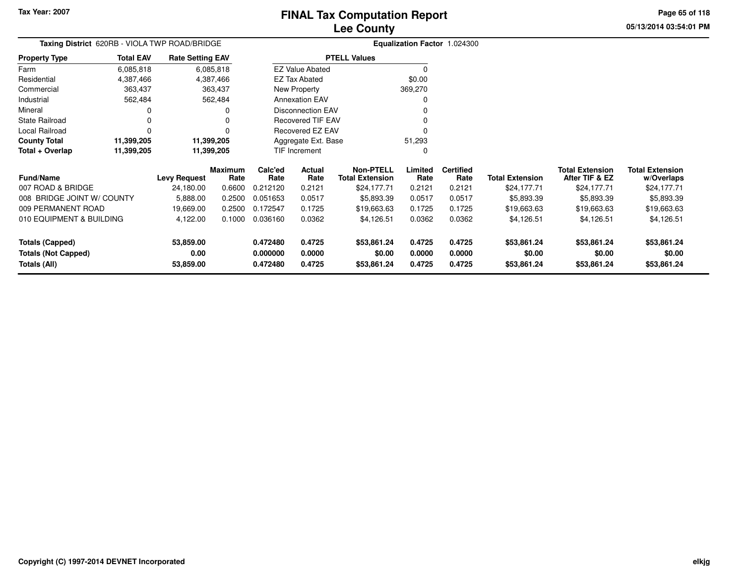**05/13/2014 03:54:01 PMPage 65 of 118**

|                      | Taxing District 620RB - VIOLA TWP ROAD/BRIDGE |                         | Equalization Factor 1.024300 |         |  |  |  |  |  |
|----------------------|-----------------------------------------------|-------------------------|------------------------------|---------|--|--|--|--|--|
| <b>Property Type</b> | <b>Total EAV</b>                              | <b>Rate Setting EAV</b> | <b>PTELL Values</b>          |         |  |  |  |  |  |
| Farm                 | 6,085,818                                     | 6,085,818               | <b>EZ Value Abated</b>       |         |  |  |  |  |  |
| Residential          | 4,387,466                                     | 4,387,466               | EZ Tax Abated                | \$0.00  |  |  |  |  |  |
| Commercial           | 363,437                                       | 363,437                 | New Property                 | 369,270 |  |  |  |  |  |
| Industrial           | 562.484                                       | 562.484                 | <b>Annexation EAV</b>        |         |  |  |  |  |  |
| Mineral              |                                               |                         | Disconnection EAV            |         |  |  |  |  |  |
| State Railroad       |                                               | 0                       | Recovered TIF EAV            |         |  |  |  |  |  |
| Local Railroad       |                                               |                         | Recovered EZ EAV             |         |  |  |  |  |  |
| <b>County Total</b>  | 11,399,205                                    | 11,399,205              | Aggregate Ext. Base          | 51.293  |  |  |  |  |  |
| Total + Overlap      | 11,399,205                                    | 11,399,205              | <b>TIF Increment</b>         |         |  |  |  |  |  |

| <b>Fund/Name</b>           | <b>Levy Request</b> | <b>Maximum</b><br>Rate | Calc'ed<br>Rate | <b>Actual</b><br>Rate | <b>Non-PTELL</b><br><b>Total Extension</b> | Limited<br>Rate | <b>Certified</b><br>Rate | <b>Total Extension</b> | <b>Total Extension</b><br>After TIF & EZ | <b>Total Extension</b><br>w/Overlaps |
|----------------------------|---------------------|------------------------|-----------------|-----------------------|--------------------------------------------|-----------------|--------------------------|------------------------|------------------------------------------|--------------------------------------|
| 007 ROAD & BRIDGE          | 24,180.00           | 0.6600                 | 0.212120        | 0.2121                | \$24,177.71                                | 0.2121          | 0.2121                   | \$24,177.71            | \$24,177.71                              | \$24,177.71                          |
| 008 BRIDGE JOINT W/ COUNTY | 5,888.00            | 0.2500                 | 0.051653        | 0.0517                | \$5,893.39                                 | 0.0517          | 0.0517                   | \$5,893.39             | \$5,893.39                               | \$5,893.39                           |
| 009 PERMANENT ROAD         | 19.669.00           | 0.2500                 | 0.172547        | 0.1725                | \$19,663.63                                | 0.1725          | 0.1725                   | \$19.663.63            | \$19,663.63                              | \$19,663.63                          |
| 010 EQUIPMENT & BUILDING   | 4.122.00            | 0.1000                 | 0.036160        | 0.0362                | \$4,126.51                                 | 0.0362          | 0.0362                   | \$4.126.51             | \$4,126.51                               | \$4,126.51                           |
| Totals (Capped)            | 53,859.00           |                        | 0.472480        | 0.4725                | \$53,861.24                                | 0.4725          | 0.4725                   | \$53,861.24            | \$53,861.24                              | \$53,861.24                          |
| <b>Totals (Not Capped)</b> | 0.00                |                        | 0.000000        | 0.0000                | \$0.00                                     | 0.0000          | 0.0000                   | \$0.00                 | \$0.00                                   | \$0.00                               |
| Totals (All)               | 53,859.00           |                        | 0.472480        | 0.4725                | \$53,861.24                                | 0.4725          | 0.4725                   | \$53,861.24            | \$53,861.24                              | \$53,861.24                          |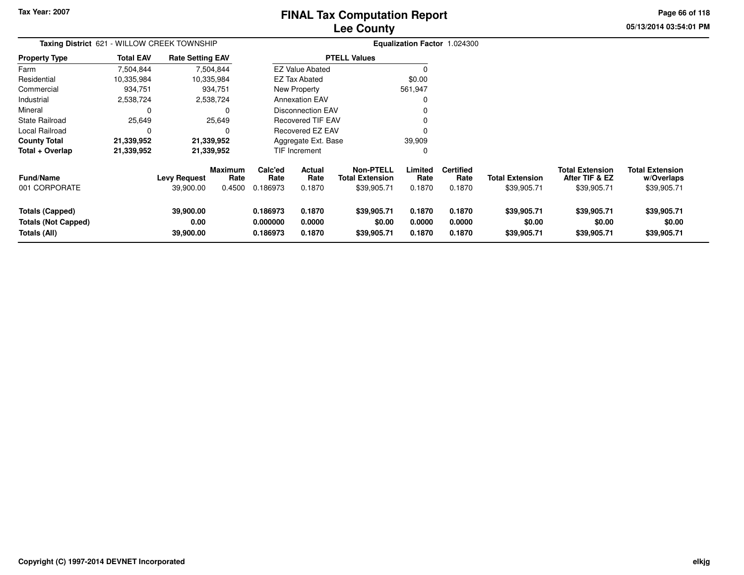### **Lee CountyFINAL Tax Computation Report**

**05/13/2014 03:54:01 PM Page 66 of 118**

| <b>Taxing District 621</b>                                    |                  | - WILLOW CREEK TOWNSHIP          |                                  | Equalization Factor 1.024300     |                            |                                                    |                            |                                    |                                       |                                                         |                                                     |
|---------------------------------------------------------------|------------------|----------------------------------|----------------------------------|----------------------------------|----------------------------|----------------------------------------------------|----------------------------|------------------------------------|---------------------------------------|---------------------------------------------------------|-----------------------------------------------------|
| <b>Property Type</b>                                          | <b>Total EAV</b> | <b>Rate Setting EAV</b>          |                                  |                                  |                            | <b>PTELL Values</b>                                |                            |                                    |                                       |                                                         |                                                     |
| Farm                                                          | 7,504,844        |                                  | 7,504,844                        |                                  | <b>EZ Value Abated</b>     |                                                    |                            |                                    |                                       |                                                         |                                                     |
| Residential                                                   | 10,335,984       |                                  | 10,335,984                       |                                  | <b>EZ Tax Abated</b>       |                                                    | \$0.00                     |                                    |                                       |                                                         |                                                     |
| Commercial                                                    | 934,751          |                                  | 934,751                          |                                  | New Property               |                                                    | 561,947                    |                                    |                                       |                                                         |                                                     |
| Industrial                                                    | 2,538,724        |                                  | 2,538,724                        |                                  | <b>Annexation EAV</b>      |                                                    |                            |                                    |                                       |                                                         |                                                     |
| Mineral                                                       | $\Omega$         |                                  |                                  |                                  | Disconnection EAV          |                                                    |                            |                                    |                                       |                                                         |                                                     |
| <b>State Railroad</b>                                         | 25,649           |                                  | 25,649                           |                                  | <b>Recovered TIF EAV</b>   |                                                    |                            |                                    |                                       |                                                         |                                                     |
| Local Railroad                                                | 0                |                                  |                                  |                                  | Recovered EZ EAV           |                                                    |                            |                                    |                                       |                                                         |                                                     |
| <b>County Total</b>                                           | 21,339,952       |                                  | 21,339,952                       |                                  | Aggregate Ext. Base        |                                                    | 39,909                     |                                    |                                       |                                                         |                                                     |
| Total + Overlap                                               | 21,339,952       |                                  | 21,339,952                       |                                  | TIF Increment              |                                                    | 0                          |                                    |                                       |                                                         |                                                     |
| <b>Fund/Name</b><br>001 CORPORATE                             |                  | <b>Levy Request</b><br>39,900.00 | <b>Maximum</b><br>Rate<br>0.4500 | Calc'ed<br>Rate<br>0.186973      | Actual<br>Rate<br>0.1870   | Non-PTELL<br><b>Total Extension</b><br>\$39,905.71 | Limited<br>Rate<br>0.1870  | <b>Certified</b><br>Rate<br>0.1870 | <b>Total Extension</b><br>\$39,905.71 | <b>Total Extension</b><br>After TIF & EZ<br>\$39,905.71 | <b>Total Extension</b><br>w/Overlaps<br>\$39,905.71 |
| Totals (Capped)<br><b>Totals (Not Capped)</b><br>Totals (All) |                  | 39,900.00<br>0.00<br>39,900.00   |                                  | 0.186973<br>0.000000<br>0.186973 | 0.1870<br>0.0000<br>0.1870 | \$39,905.71<br>\$0.00<br>\$39,905.71               | 0.1870<br>0.0000<br>0.1870 | 0.1870<br>0.0000<br>0.1870         | \$39,905.71<br>\$0.00<br>\$39,905.71  | \$39,905.71<br>\$0.00<br>\$39,905.71                    | \$39,905.71<br>\$0.00<br>\$39,905.71                |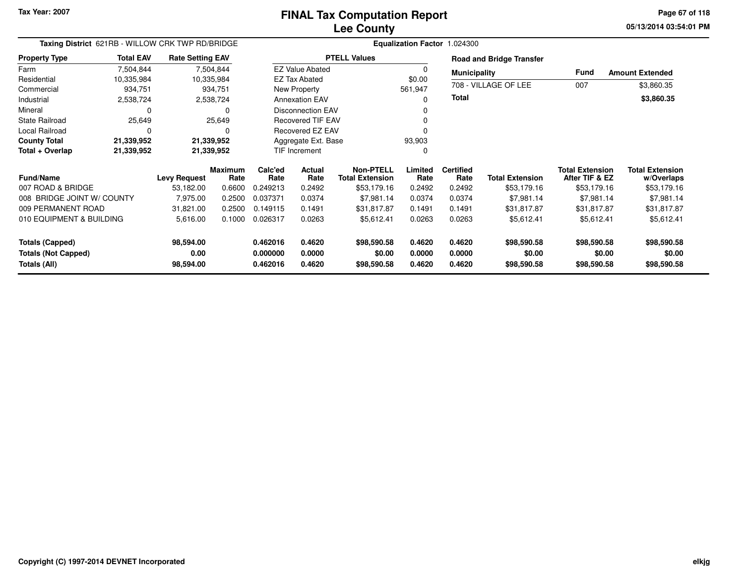**05/13/2014 03:54:01 PM Page 67 of 118**

| <b>Total EAV</b>           |                   |                                  |                                                                                                                                                                                                |                       |                                                                          |                                                                                                                                                                                                  |                  |                                                                |                                                                                               |                                              |
|----------------------------|-------------------|----------------------------------|------------------------------------------------------------------------------------------------------------------------------------------------------------------------------------------------|-----------------------|--------------------------------------------------------------------------|--------------------------------------------------------------------------------------------------------------------------------------------------------------------------------------------------|------------------|----------------------------------------------------------------|-----------------------------------------------------------------------------------------------|----------------------------------------------|
| 7,504,844                  |                   |                                  |                                                                                                                                                                                                |                       |                                                                          | 0                                                                                                                                                                                                |                  |                                                                |                                                                                               | <b>Amount Extended</b>                       |
| 10,335,984                 |                   |                                  |                                                                                                                                                                                                |                       |                                                                          | \$0.00                                                                                                                                                                                           |                  |                                                                |                                                                                               |                                              |
| 934,751                    |                   |                                  |                                                                                                                                                                                                | New Property          |                                                                          | 561,947                                                                                                                                                                                          |                  |                                                                |                                                                                               | \$3,860.35                                   |
| 2,538,724                  |                   |                                  |                                                                                                                                                                                                |                       |                                                                          | O                                                                                                                                                                                                |                  |                                                                |                                                                                               | \$3,860.35                                   |
| 0                          |                   | 0                                |                                                                                                                                                                                                |                       |                                                                          |                                                                                                                                                                                                  |                  |                                                                |                                                                                               |                                              |
| 25,649                     |                   |                                  |                                                                                                                                                                                                |                       |                                                                          | O                                                                                                                                                                                                |                  |                                                                |                                                                                               |                                              |
| 0                          |                   | 0                                |                                                                                                                                                                                                |                       |                                                                          |                                                                                                                                                                                                  |                  |                                                                |                                                                                               |                                              |
| 21,339,952                 |                   |                                  |                                                                                                                                                                                                |                       |                                                                          | 93,903                                                                                                                                                                                           |                  |                                                                |                                                                                               |                                              |
| 21,339,952                 |                   |                                  |                                                                                                                                                                                                |                       |                                                                          | 0                                                                                                                                                                                                |                  |                                                                |                                                                                               |                                              |
|                            |                   |                                  | Calc'ed<br>Rate                                                                                                                                                                                | <b>Actual</b><br>Rate | <b>Non-PTELL</b>                                                         | Limited<br>Rate                                                                                                                                                                                  | <b>Certified</b> | <b>Total Extension</b>                                         | <b>Total Extension</b>                                                                        | <b>Total Extension</b><br>w/Overlaps         |
|                            | 53,182.00         | 0.6600                           | 0.249213                                                                                                                                                                                       | 0.2492                | \$53,179.16                                                              | 0.2492                                                                                                                                                                                           | 0.2492           | \$53,179.16                                                    | \$53,179.16                                                                                   | \$53,179.16                                  |
| 008 BRIDGE JOINT W/ COUNTY | 7,975.00          | 0.2500                           | 0.037371                                                                                                                                                                                       | 0.0374                | \$7,981.14                                                               | 0.0374                                                                                                                                                                                           | 0.0374           | \$7,981.14                                                     | \$7,981.14                                                                                    | \$7,981.14                                   |
| 009 PERMANENT ROAD         | 31,821.00         | 0.2500                           | 0.149115                                                                                                                                                                                       | 0.1491                | \$31,817.87                                                              | 0.1491                                                                                                                                                                                           | 0.1491           | \$31,817.87                                                    | \$31,817.87                                                                                   | \$31,817.87                                  |
| 010 EQUIPMENT & BUILDING   | 5,616.00          | 0.1000                           | 0.026317                                                                                                                                                                                       | 0.0263                | \$5,612.41                                                               | 0.0263                                                                                                                                                                                           | 0.0263           | \$5,612.41                                                     | \$5,612.41                                                                                    | \$5,612.41                                   |
|                            | 98,594.00<br>0.00 |                                  | 0.462016<br>0.000000                                                                                                                                                                           | 0.4620<br>0.0000      | \$98,590.58<br>\$0.00                                                    | 0.4620<br>0.0000                                                                                                                                                                                 | 0.4620<br>0.0000 | \$98,590.58<br>\$0.00                                          | \$98,590.58<br>\$0.00                                                                         | \$98,590.58<br>\$0.00<br>\$98,590.58         |
|                            |                   | <b>Levy Request</b><br>98,594.00 | Taxing District 621RB - WILLOW CRK TWP RD/BRIDGE<br><b>Rate Setting EAV</b><br>7,504,844<br>10,335,984<br>934,751<br>2,538,724<br>25,649<br>21,339,952<br>21,339,952<br><b>Maximum</b><br>Rate | 0.462016              | <b>EZ Tax Abated</b><br><b>Annexation EAV</b><br>TIF Increment<br>0.4620 | <b>PTELL Values</b><br><b>EZ Value Abated</b><br><b>Disconnection EAV</b><br><b>Recovered TIF EAV</b><br><b>Recovered EZ EAV</b><br>Aggregate Ext. Base<br><b>Total Extension</b><br>\$98,590.58 | 0.4620           | Equalization Factor 1.024300<br><b>Total</b><br>Rate<br>0.4620 | <b>Road and Bridge Transfer</b><br><b>Municipality</b><br>708 - VILLAGE OF LEE<br>\$98,590.58 | Fund<br>007<br>After TIF & EZ<br>\$98,590.58 |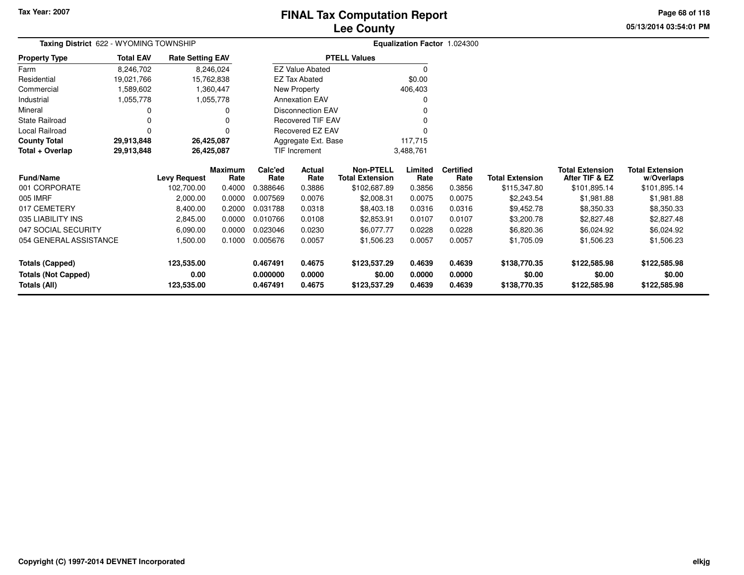### **Lee CountyFINAL Tax Computation Report**

**05/13/2014 03:54:01 PMPage 68 of 118**

| Taxing District 622 - WYOMING TOWNSHIP |                  |                         |                        |                 |                          |                                            |                 | Equalization Factor 1.024300 |                        |                                          |                                      |
|----------------------------------------|------------------|-------------------------|------------------------|-----------------|--------------------------|--------------------------------------------|-----------------|------------------------------|------------------------|------------------------------------------|--------------------------------------|
| <b>Property Type</b>                   | <b>Total EAV</b> | <b>Rate Setting EAV</b> |                        |                 |                          | <b>PTELL Values</b>                        |                 |                              |                        |                                          |                                      |
| Farm                                   | 8,246,702        |                         | 8,246,024              |                 | <b>EZ Value Abated</b>   |                                            | 0               |                              |                        |                                          |                                      |
| Residential                            | 19,021,766       |                         | 15,762,838             |                 | <b>EZ Tax Abated</b>     |                                            | \$0.00          |                              |                        |                                          |                                      |
| Commercial                             | 1,589,602        |                         | 1,360,447              |                 | New Property             |                                            | 406,403         |                              |                        |                                          |                                      |
| Industrial                             | 1,055,778        |                         | 1,055,778              |                 | <b>Annexation EAV</b>    |                                            |                 |                              |                        |                                          |                                      |
| Mineral                                | 0                |                         |                        |                 | <b>Disconnection EAV</b> |                                            |                 |                              |                        |                                          |                                      |
| <b>State Railroad</b>                  | 0                |                         |                        |                 | <b>Recovered TIF EAV</b> |                                            |                 |                              |                        |                                          |                                      |
| Local Railroad                         | $\Omega$         |                         |                        |                 | Recovered EZ EAV         |                                            |                 |                              |                        |                                          |                                      |
| <b>County Total</b>                    | 29,913,848       |                         | 26,425,087             |                 | Aggregate Ext. Base      |                                            | 117,715         |                              |                        |                                          |                                      |
| Total + Overlap                        | 29,913,848       |                         | 26,425,087             |                 | <b>TIF Increment</b>     |                                            | 3,488,761       |                              |                        |                                          |                                      |
| <b>Fund/Name</b>                       |                  | <b>Levy Request</b>     | <b>Maximum</b><br>Rate | Calc'ed<br>Rate | Actual<br>Rate           | <b>Non-PTELL</b><br><b>Total Extension</b> | Limited<br>Rate | <b>Certified</b><br>Rate     | <b>Total Extension</b> | <b>Total Extension</b><br>After TIF & EZ | <b>Total Extension</b><br>w/Overlaps |
| 001 CORPORATE                          |                  | 102,700.00              | 0.4000                 | 0.388646        | 0.3886                   | \$102,687.89                               | 0.3856          | 0.3856                       | \$115,347.80           | \$101,895.14                             | \$101,895.14                         |
| 005 IMRF                               |                  | 2,000.00                | 0.0000                 | 0.007569        | 0.0076                   | \$2,008.31                                 | 0.0075          | 0.0075                       | \$2,243.54             | \$1,981.88                               | \$1,981.88                           |
| 017 CEMETERY                           |                  | 8,400.00                | 0.2000                 | 0.031788        | 0.0318                   | \$8,403.18                                 | 0.0316          | 0.0316                       | \$9,452.78             | \$8,350.33                               | \$8,350.33                           |
| 035 LIABILITY INS                      |                  | 2,845.00                | 0.0000                 | 0.010766        | 0.0108                   | \$2,853.91                                 | 0.0107          | 0.0107                       | \$3,200.78             | \$2,827.48                               | \$2,827.48                           |
| 047 SOCIAL SECURITY                    |                  | 6,090.00                | 0.0000                 | 0.023046        | 0.0230                   | \$6,077.77                                 | 0.0228          | 0.0228                       | \$6,820.36             | \$6,024.92                               | \$6,024.92                           |
| 054 GENERAL ASSISTANCE                 |                  | 1,500.00                | 0.1000                 | 0.005676        | 0.0057                   | \$1,506.23                                 | 0.0057          | 0.0057                       | \$1,705.09             | \$1,506.23                               | \$1,506.23                           |
| <b>Totals (Capped)</b>                 |                  | 123,535.00              |                        | 0.467491        | 0.4675                   | \$123,537.29                               | 0.4639          | 0.4639                       | \$138,770.35           | \$122,585.98                             | \$122,585.98                         |
| <b>Totals (Not Capped)</b>             |                  | 0.00                    |                        | 0.000000        | 0.0000                   | \$0.00                                     | 0.0000          | 0.0000                       | \$0.00                 | \$0.00                                   | \$0.00                               |
| Totals (All)                           |                  | 123,535.00              |                        | 0.467491        | 0.4675                   | \$123,537.29                               | 0.4639          | 0.4639                       | \$138,770.35           | \$122,585.98                             | \$122,585.98                         |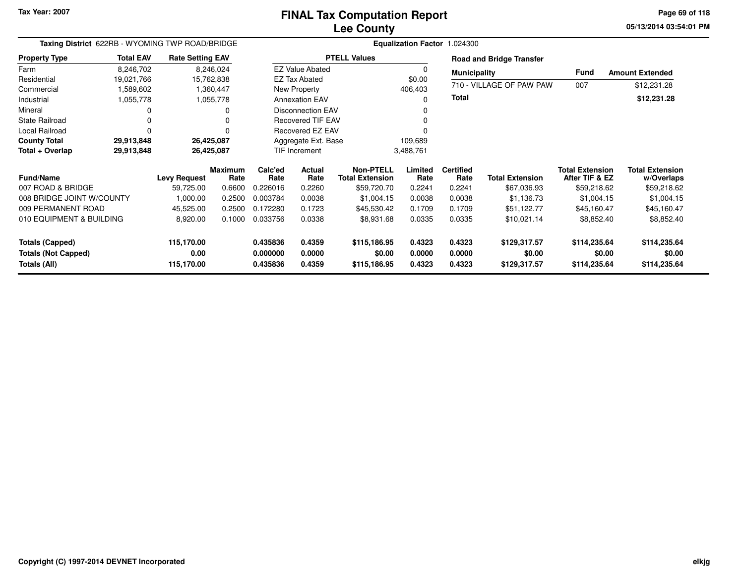**05/13/2014 03:54:01 PM Page 69 of 118**

| Taxing District 622RB - WYOMING TWP ROAD/BRIDGE |                  |                         |                        |                      |                          |                                            |                  | Equalization Factor 1.024300 |                                 |                                          |                                      |
|-------------------------------------------------|------------------|-------------------------|------------------------|----------------------|--------------------------|--------------------------------------------|------------------|------------------------------|---------------------------------|------------------------------------------|--------------------------------------|
| <b>Property Type</b>                            | <b>Total EAV</b> | <b>Rate Setting EAV</b> |                        |                      |                          | <b>PTELL Values</b>                        |                  |                              | <b>Road and Bridge Transfer</b> |                                          |                                      |
| Farm                                            | 8,246,702        |                         | 8,246,024              |                      | <b>EZ Value Abated</b>   |                                            | 0                | <b>Municipality</b>          |                                 | Fund                                     | <b>Amount Extended</b>               |
| Residential                                     | 19,021,766       |                         | 15,762,838             |                      | <b>EZ Tax Abated</b>     |                                            | \$0.00           |                              | 710 - VILLAGE OF PAW PAW        |                                          |                                      |
| Commercial                                      | 1,589,602        |                         | 1,360,447              |                      | New Property             |                                            | 406,403          |                              |                                 | 007                                      | \$12,231.28                          |
| Industrial                                      | 1,055,778        |                         | 1,055,778              |                      | <b>Annexation EAV</b>    |                                            | $\Omega$         | <b>Total</b>                 |                                 |                                          | \$12,231.28                          |
| Mineral                                         | O                |                         |                        |                      | <b>Disconnection EAV</b> |                                            |                  |                              |                                 |                                          |                                      |
| <b>State Railroad</b>                           | 0                |                         |                        |                      | <b>Recovered TIF EAV</b> |                                            | $\Omega$         |                              |                                 |                                          |                                      |
| Local Railroad                                  | 0                |                         |                        |                      | Recovered EZ EAV         |                                            |                  |                              |                                 |                                          |                                      |
| <b>County Total</b>                             | 29,913,848       | 26,425,087              |                        |                      | Aggregate Ext. Base      |                                            | 109,689          |                              |                                 |                                          |                                      |
| Total + Overlap                                 | 29,913,848       | 26,425,087              |                        |                      | TIF Increment            |                                            | 3,488,761        |                              |                                 |                                          |                                      |
| <b>Fund/Name</b>                                |                  | <b>Levy Request</b>     | <b>Maximum</b><br>Rate | Calc'ed<br>Rate      | Actual<br>Rate           | <b>Non-PTELL</b><br><b>Total Extension</b> | Limited<br>Rate  | <b>Certified</b><br>Rate     | <b>Total Extension</b>          | <b>Total Extension</b><br>After TIF & EZ | <b>Total Extension</b><br>w/Overlaps |
| 007 ROAD & BRIDGE                               |                  | 59,725.00               | 0.6600                 | 0.226016             | 0.2260                   | \$59,720.70                                | 0.2241           | 0.2241                       | \$67,036.93                     | \$59,218.62                              | \$59,218.62                          |
| 008 BRIDGE JOINT W/COUNTY                       |                  | 1,000.00                | 0.2500                 | 0.003784             | 0.0038                   | \$1,004.15                                 | 0.0038           | 0.0038                       | \$1,136.73                      | \$1,004.15                               | \$1,004.15                           |
| 009 PERMANENT ROAD                              |                  | 45,525.00               | 0.2500                 | 0.172280             | 0.1723                   | \$45,530.42                                | 0.1709           | 0.1709                       | \$51,122.77                     | \$45,160.47                              | \$45,160.47                          |
| 010 EQUIPMENT & BUILDING                        |                  | 8,920.00                | 0.1000                 | 0.033756             | 0.0338                   | \$8,931.68                                 | 0.0335           | 0.0335                       | \$10,021.14                     | \$8,852.40                               | \$8,852.40                           |
| <b>Totals (Capped)</b>                          |                  | 115,170.00              |                        | 0.435836             | 0.4359                   | \$115,186.95                               | 0.4323           | 0.4323                       | \$129,317.57                    | \$114,235.64                             | \$114,235.64                         |
| <b>Totals (Not Capped)</b><br>Totals (All)      |                  | 0.00<br>115,170.00      |                        | 0.000000<br>0.435836 | 0.0000<br>0.4359         | \$0.00<br>\$115,186.95                     | 0.0000<br>0.4323 | 0.0000<br>0.4323             | \$0.00<br>\$129,317.57          | \$0.00<br>\$114,235.64                   | \$0.00<br>\$114,235.64               |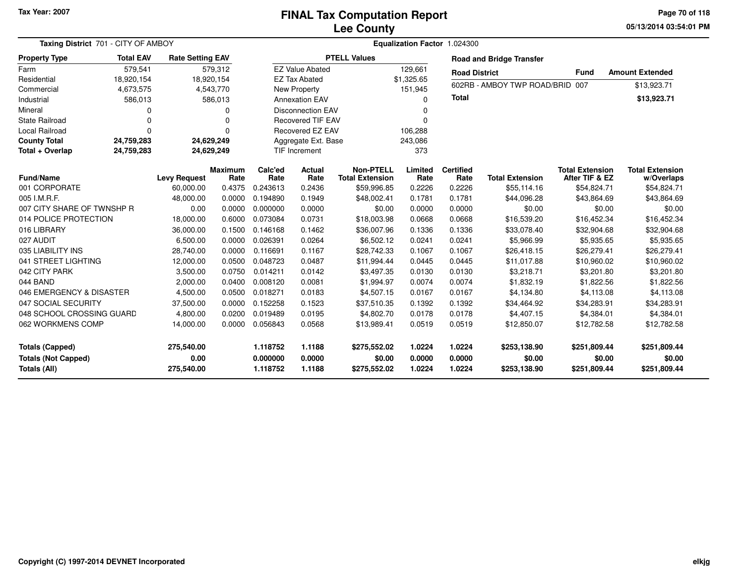#### **Lee CountyFINAL Tax Computation Report**

**05/13/2014 03:54:01 PM Page 70 of 118**

| Taxing District 701 - CITY OF AMBOY                                         |                  |                                  |                        |                                  |                            |                                            | Equalization Factor 1.024300 |                            |                                        |                                          |                                        |
|-----------------------------------------------------------------------------|------------------|----------------------------------|------------------------|----------------------------------|----------------------------|--------------------------------------------|------------------------------|----------------------------|----------------------------------------|------------------------------------------|----------------------------------------|
| <b>Property Type</b>                                                        | <b>Total EAV</b> | <b>Rate Setting EAV</b>          |                        |                                  |                            | <b>PTELL Values</b>                        |                              |                            | <b>Road and Bridge Transfer</b>        |                                          |                                        |
| Farm                                                                        | 579,541          |                                  | 579,312                |                                  | <b>EZ Value Abated</b>     |                                            | 129,661                      | <b>Road District</b>       |                                        | <b>Fund</b>                              | <b>Amount Extended</b>                 |
| Residential                                                                 | 18,920,154       |                                  | 18,920,154             |                                  | <b>EZ Tax Abated</b>       |                                            | \$1,325.65                   |                            |                                        |                                          |                                        |
| Commercial                                                                  | 4,673,575        |                                  | 4,543,770              |                                  | New Property               |                                            | 151,945                      |                            | 602RB - AMBOY TWP ROAD/BRID            | 007                                      | \$13,923.71                            |
| Industrial                                                                  | 586,013          |                                  | 586,013                |                                  | <b>Annexation EAV</b>      |                                            | $\Omega$                     | <b>Total</b>               |                                        |                                          | \$13,923.71                            |
| Mineral                                                                     | 0                |                                  | 0                      |                                  | <b>Disconnection EAV</b>   |                                            | O                            |                            |                                        |                                          |                                        |
| <b>State Railroad</b>                                                       | $\Omega$         |                                  | $\Omega$               |                                  | <b>Recovered TIF EAV</b>   |                                            | $\Omega$                     |                            |                                        |                                          |                                        |
| <b>Local Railroad</b>                                                       | $\Omega$         |                                  | 0                      |                                  | <b>Recovered EZ EAV</b>    |                                            | 106,288                      |                            |                                        |                                          |                                        |
| <b>County Total</b>                                                         | 24,759,283       |                                  | 24,629,249             |                                  | Aggregate Ext. Base        |                                            | 243,086                      |                            |                                        |                                          |                                        |
| Total + Overlap                                                             | 24,759,283       |                                  | 24,629,249             |                                  | <b>TIF Increment</b>       |                                            | 373                          |                            |                                        |                                          |                                        |
| <b>Fund/Name</b>                                                            |                  | <b>Levy Request</b>              | <b>Maximum</b><br>Rate | Calc'ed<br>Rate                  | Actual<br>Rate             | <b>Non-PTELL</b><br><b>Total Extension</b> | Limited<br>Rate              | <b>Certified</b><br>Rate   | <b>Total Extension</b>                 | <b>Total Extension</b><br>After TIF & EZ | <b>Total Extension</b><br>w/Overlaps   |
| 001 CORPORATE                                                               |                  | 60,000.00                        | 0.4375                 | 0.243613                         | 0.2436                     | \$59,996.85                                | 0.2226                       | 0.2226                     | \$55,114.16                            | \$54,824.71                              | \$54,824.71                            |
| 005 I.M.R.F.                                                                |                  | 48,000.00                        | 0.0000                 | 0.194890                         | 0.1949                     | \$48,002.41                                | 0.1781                       | 0.1781                     | \$44,096.28                            | \$43,864.69                              | \$43,864.69                            |
| 007 CITY SHARE OF TWNSHP R                                                  |                  | 0.00                             | 0.0000                 | 0.000000                         | 0.0000                     | \$0.00                                     | 0.0000                       | 0.0000                     | \$0.00                                 | \$0.00                                   | \$0.00                                 |
| 014 POLICE PROTECTION                                                       |                  | 18,000.00                        | 0.6000                 | 0.073084                         | 0.0731                     | \$18,003.98                                | 0.0668                       | 0.0668                     | \$16,539.20                            | \$16,452.34                              | \$16,452.34                            |
| 016 LIBRARY                                                                 |                  | 36,000.00                        | 0.1500                 | 0.146168                         | 0.1462                     | \$36,007.96                                | 0.1336                       | 0.1336                     | \$33,078.40                            | \$32,904.68                              | \$32,904.68                            |
| 027 AUDIT                                                                   |                  | 6,500.00                         | 0.0000                 | 0.026391                         | 0.0264                     | \$6,502.12                                 | 0.0241                       | 0.0241                     | \$5,966.99                             | \$5,935.65                               | \$5,935.65                             |
| 035 LIABILITY INS                                                           |                  | 28,740.00                        | 0.0000                 | 0.116691                         | 0.1167                     | \$28,742.33                                | 0.1067                       | 0.1067                     | \$26,418.15                            | \$26,279.41                              | \$26,279.41                            |
| 041 STREET LIGHTING                                                         |                  | 12,000.00                        | 0.0500                 | 0.048723                         | 0.0487                     | \$11,994.44                                | 0.0445                       | 0.0445                     | \$11,017.88                            | \$10,960.02                              | \$10,960.02                            |
| 042 CITY PARK                                                               |                  | 3,500.00                         | 0.0750                 | 0.014211                         | 0.0142                     | \$3,497.35                                 | 0.0130                       | 0.0130                     | \$3,218.71                             | \$3,201.80                               | \$3,201.80                             |
| 044 BAND                                                                    |                  | 2,000.00                         | 0.0400                 | 0.008120                         | 0.0081                     | \$1,994.97                                 | 0.0074                       | 0.0074                     | \$1,832.19                             | \$1,822.56                               | \$1,822.56                             |
| 046 EMERGENCY & DISASTER                                                    |                  | 4,500.00                         | 0.0500                 | 0.018271                         | 0.0183                     | \$4,507.15                                 | 0.0167                       | 0.0167                     | \$4,134.80                             | \$4,113.08                               | \$4,113.08                             |
| 047 SOCIAL SECURITY                                                         |                  | 37,500.00                        | 0.0000                 | 0.152258                         | 0.1523                     | \$37,510.35                                | 0.1392                       | 0.1392                     | \$34,464.92                            | \$34,283.91                              | \$34,283.91                            |
| 048 SCHOOL CROSSING GUARD                                                   |                  | 4,800.00                         | 0.0200                 | 0.019489                         | 0.0195                     | \$4,802.70                                 | 0.0178                       | 0.0178                     | \$4,407.15                             | \$4,384.01                               | \$4,384.01                             |
| 062 WORKMENS COMP                                                           |                  | 14,000.00                        | 0.0000                 | 0.056843                         | 0.0568                     | \$13,989.41                                | 0.0519                       | 0.0519                     | \$12,850.07                            | \$12,782.58                              | \$12,782.58                            |
| <b>Totals (Capped)</b><br><b>Totals (Not Capped)</b><br><b>Totals (All)</b> |                  | 275,540.00<br>0.00<br>275,540.00 |                        | 1.118752<br>0.000000<br>1.118752 | 1.1188<br>0.0000<br>1.1188 | \$275,552.02<br>\$0.00<br>\$275,552.02     | 1.0224<br>0.0000<br>1.0224   | 1.0224<br>0.0000<br>1.0224 | \$253,138.90<br>\$0.00<br>\$253,138.90 | \$251,809.44<br>\$0.00<br>\$251,809.44   | \$251,809.44<br>\$0.00<br>\$251,809.44 |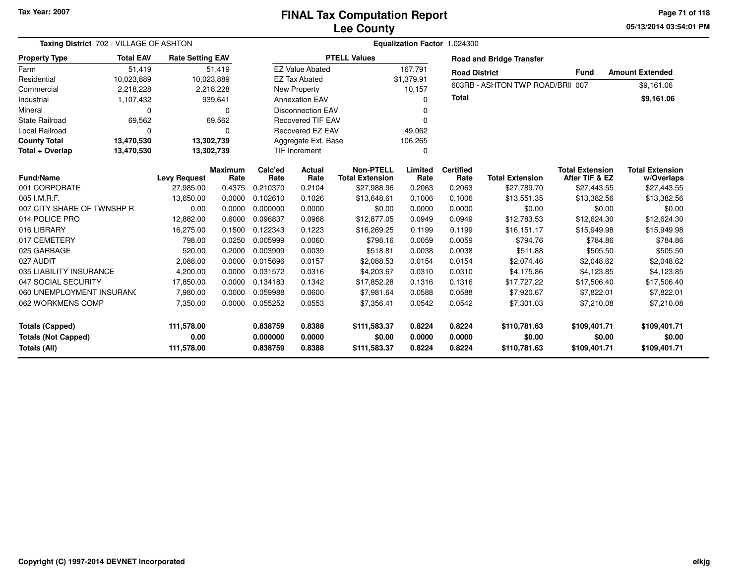**05/13/2014 03:54:01 PMPage 71 of 118**

| Taxing District 702 - VILLAGE OF ASHTON                              |                  |                                  |                        |                                  |                            |                                            | Equalization Factor 1.024300    |                            |                                        |                                          |                                        |  |  |
|----------------------------------------------------------------------|------------------|----------------------------------|------------------------|----------------------------------|----------------------------|--------------------------------------------|---------------------------------|----------------------------|----------------------------------------|------------------------------------------|----------------------------------------|--|--|
| <b>Property Type</b>                                                 | <b>Total EAV</b> | <b>Rate Setting EAV</b>          |                        |                                  |                            | <b>PTELL Values</b>                        |                                 |                            | <b>Road and Bridge Transfer</b>        |                                          |                                        |  |  |
| Farm                                                                 | 51,419           |                                  | 51,419                 |                                  | <b>EZ Value Abated</b>     |                                            | 167,791<br><b>Road District</b> |                            |                                        | <b>Fund</b>                              | <b>Amount Extended</b>                 |  |  |
| Residential                                                          | 10,023,889       |                                  | 10,023,889             |                                  | <b>EZ Tax Abated</b>       |                                            | \$1,379.91                      |                            | 603RB - ASHTON TWP ROAD/BRII 007       |                                          | \$9,161.06                             |  |  |
| Commercial                                                           | 2,218,228        |                                  | 2,218,228              |                                  | New Property               |                                            | 10,157                          |                            |                                        |                                          |                                        |  |  |
| Industrial<br>1,107,432<br>939,641                                   |                  |                                  | <b>Annexation EAV</b>  |                                  |                            | n                                          | <b>Total</b>                    |                            |                                        | \$9,161.06                               |                                        |  |  |
| Mineral                                                              | $\Omega$         |                                  | $\Omega$               |                                  | <b>Disconnection EAV</b>   |                                            |                                 |                            |                                        |                                          |                                        |  |  |
| <b>State Railroad</b>                                                | 69,562           |                                  | 69,562                 |                                  | <b>Recovered TIF EAV</b>   |                                            | n                               |                            |                                        |                                          |                                        |  |  |
| Local Railroad                                                       |                  |                                  | 0                      |                                  | Recovered EZ EAV           |                                            | 49,062                          |                            |                                        |                                          |                                        |  |  |
| <b>County Total</b>                                                  | 13,470,530       |                                  | 13,302,739             |                                  | Aggregate Ext. Base        |                                            | 106,265                         |                            |                                        |                                          |                                        |  |  |
| Total + Overlap                                                      | 13,470,530       |                                  | 13,302,739             |                                  | <b>TIF Increment</b>       |                                            | 0                               |                            |                                        |                                          |                                        |  |  |
| <b>Fund/Name</b>                                                     |                  | <b>Levy Request</b>              | <b>Maximum</b><br>Rate | Calc'ed<br>Rate                  | Actual<br>Rate             | <b>Non-PTELL</b><br><b>Total Extension</b> | Limited<br>Rate                 | <b>Certified</b><br>Rate   | <b>Total Extension</b>                 | <b>Total Extension</b><br>After TIF & EZ | <b>Total Extension</b><br>w/Overlaps   |  |  |
| 001 CORPORATE                                                        |                  | 27,985.00                        | 0.4375                 | 0.210370                         | 0.2104                     | \$27,988.96                                | 0.2063                          | 0.2063                     | \$27,789.70                            | \$27,443.55                              | \$27,443.55                            |  |  |
| 005 I.M.R.F.                                                         |                  | 13,650.00                        | 0.0000                 | 0.102610                         | 0.1026                     | \$13,648.61                                | 0.1006                          | 0.1006                     | \$13,551.35                            | \$13,382.56                              | \$13,382.56                            |  |  |
| 007 CITY SHARE OF TWNSHP R                                           |                  | 0.00                             | 0.0000                 | 0.000000                         | 0.0000                     | \$0.00                                     | 0.0000                          | 0.0000                     | \$0.00                                 | \$0.00                                   | \$0.00                                 |  |  |
| 014 POLICE PRO                                                       |                  | 12,882.00                        | 0.6000                 | 0.096837                         | 0.0968                     | \$12,877.05                                | 0.0949                          | 0.0949                     | \$12,783.53                            | \$12,624.30                              | \$12,624.30                            |  |  |
| 016 LIBRARY                                                          |                  | 16,275.00                        | 0.1500                 | 0.122343                         | 0.1223                     | \$16,269.25                                | 0.1199                          | 0.1199                     | \$16,151.17                            | \$15,949.98                              | \$15,949.98                            |  |  |
| 017 CEMETERY                                                         |                  | 798.00                           | 0.0250                 | 0.005999                         | 0.0060                     | \$798.16                                   | 0.0059                          | 0.0059                     | \$794.76                               | \$784.86                                 | \$784.86                               |  |  |
| 025 GARBAGE                                                          |                  | 520.00                           | 0.2000                 | 0.003909                         | 0.0039                     | \$518.81                                   | 0.0038                          | 0.0038                     | \$511.88                               | \$505.50                                 | \$505.50                               |  |  |
| 027 AUDIT                                                            |                  | 2,088.00                         | 0.0000                 | 0.015696                         | 0.0157                     | \$2,088.53                                 | 0.0154                          | 0.0154                     | \$2,074.46                             | \$2,048.62                               | \$2,048.62                             |  |  |
| 035 LIABILITY INSURANCE                                              |                  | 4,200.00                         | 0.0000                 | 0.031572                         | 0.0316                     | \$4,203.67                                 | 0.0310                          | 0.0310                     | \$4,175.86                             | \$4,123.85                               | \$4,123.85                             |  |  |
| 047 SOCIAL SECURITY                                                  |                  | 17,850.00                        | 0.0000                 | 0.134183                         | 0.1342                     | \$17,852.28                                | 0.1316                          | 0.1316                     | \$17,727.22                            | \$17,506.40                              | \$17,506.40                            |  |  |
| 060 UNEMPLOYMENT INSURAN(                                            |                  | 7,980.00                         | 0.0000                 | 0.059988                         | 0.0600                     | \$7,981.64                                 | 0.0588                          | 0.0588                     | \$7,920.67                             | \$7,822.01                               | \$7,822.01                             |  |  |
| 062 WORKMENS COMP                                                    |                  | 7,350.00                         | 0.0000                 | 0.055252                         | 0.0553                     | \$7,356.41                                 | 0.0542                          | 0.0542                     | \$7,301.03                             | \$7,210.08                               | \$7,210.08                             |  |  |
| <b>Totals (Capped)</b><br><b>Totals (Not Capped)</b><br>Totals (All) |                  | 111,578.00<br>0.00<br>111,578.00 |                        | 0.838759<br>0.000000<br>0.838759 | 0.8388<br>0.0000<br>0.8388 | \$111,583.37<br>\$0.00<br>\$111,583.37     | 0.8224<br>0.0000<br>0.8224      | 0.8224<br>0.0000<br>0.8224 | \$110,781.63<br>\$0.00<br>\$110,781.63 | \$109,401.71<br>\$0.00<br>\$109,401.71   | \$109,401.71<br>\$0.00<br>\$109,401.71 |  |  |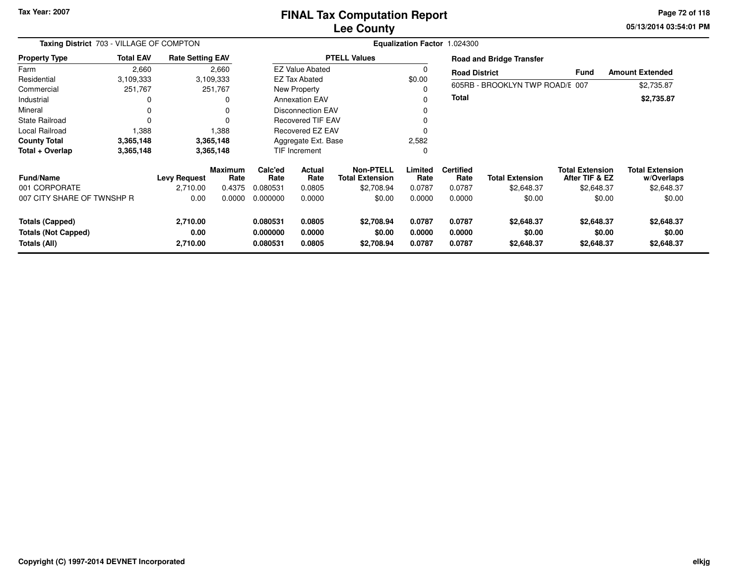#### **Lee CountyFINAL Tax Computation Report**

**05/13/2014 03:54:01 PM Page 72 of 118**

| Taxing District 703 - VILLAGE OF COMPTON |                  |                         |                        | Equalization Factor 1.024300 |                          |                                            |                 |                          |                                 |                                          |                                      |  |
|------------------------------------------|------------------|-------------------------|------------------------|------------------------------|--------------------------|--------------------------------------------|-----------------|--------------------------|---------------------------------|------------------------------------------|--------------------------------------|--|
| <b>Property Type</b>                     | <b>Total EAV</b> | <b>Rate Setting EAV</b> |                        |                              |                          | <b>PTELL Values</b>                        |                 |                          | <b>Road and Bridge Transfer</b> |                                          |                                      |  |
| Farm                                     | 2,660            |                         | 2,660                  |                              | <b>EZ Value Abated</b>   |                                            | $\Omega$        | <b>Road District</b>     |                                 | <b>Fund</b>                              | <b>Amount Extended</b>               |  |
| Residential                              | 3,109,333        |                         | 3,109,333              |                              | <b>EZ Tax Abated</b>     |                                            | \$0.00          |                          |                                 |                                          |                                      |  |
| Commercial                               | 251,767          |                         | 251,767                |                              | New Property             |                                            | 0               |                          | 605RB - BROOKLYN TWP ROAD/E 007 |                                          | \$2,735.87                           |  |
| Industrial                               |                  |                         | $\Omega$               |                              | <b>Annexation EAV</b>    |                                            |                 | Total                    |                                 |                                          | \$2,735.87                           |  |
| Mineral                                  |                  |                         | 0                      |                              | <b>Disconnection EAV</b> |                                            | 0               |                          |                                 |                                          |                                      |  |
| <b>State Railroad</b>                    |                  |                         |                        |                              | Recovered TIF EAV        |                                            |                 |                          |                                 |                                          |                                      |  |
| Local Railroad                           | 1,388            |                         | 1,388                  |                              | <b>Recovered EZ EAV</b>  |                                            | $\Omega$        |                          |                                 |                                          |                                      |  |
| <b>County Total</b>                      | 3,365,148        |                         | 3,365,148              |                              | Aggregate Ext. Base      |                                            | 2,582           |                          |                                 |                                          |                                      |  |
| Total + Overlap                          | 3,365,148        |                         | 3,365,148              |                              | TIF Increment            |                                            | $\Omega$        |                          |                                 |                                          |                                      |  |
| <b>Fund/Name</b>                         |                  | <b>Levy Request</b>     | <b>Maximum</b><br>Rate | Calc'ed<br>Rate              | <b>Actual</b><br>Rate    | <b>Non-PTELL</b><br><b>Total Extension</b> | Limited<br>Rate | <b>Certified</b><br>Rate | <b>Total Extension</b>          | <b>Total Extension</b><br>After TIF & EZ | <b>Total Extension</b><br>w/Overlaps |  |
| 001 CORPORATE                            |                  | 2,710.00                | 0.4375                 | 0.080531                     | 0.0805                   | \$2,708.94                                 | 0.0787          | 0.0787                   | \$2,648.37                      | \$2,648.37                               | \$2,648.37                           |  |
| 007 CITY SHARE OF TWNSHP R               |                  | 0.00                    | 0.0000                 | 0.000000                     | 0.0000                   | \$0.00                                     | 0.0000          | 0.0000                   | \$0.00                          | \$0.00                                   | \$0.00                               |  |
| <b>Totals (Capped)</b>                   |                  | 2,710.00                |                        | 0.080531                     | 0.0805                   | \$2,708.94                                 | 0.0787          | 0.0787                   | \$2,648.37                      | \$2,648.37                               | \$2,648.37                           |  |
| <b>Totals (Not Capped)</b>               |                  | 0.00                    |                        | 0.000000                     | 0.0000                   | \$0.00                                     | 0.0000          | 0.0000                   | \$0.00                          | \$0.00                                   | \$0.00                               |  |
| Totals (All)                             |                  | 2,710.00                |                        | 0.080531                     | 0.0805                   | \$2,708.94                                 | 0.0787          | 0.0787                   | \$2,648.37                      | \$2,648.37                               | \$2,648.37                           |  |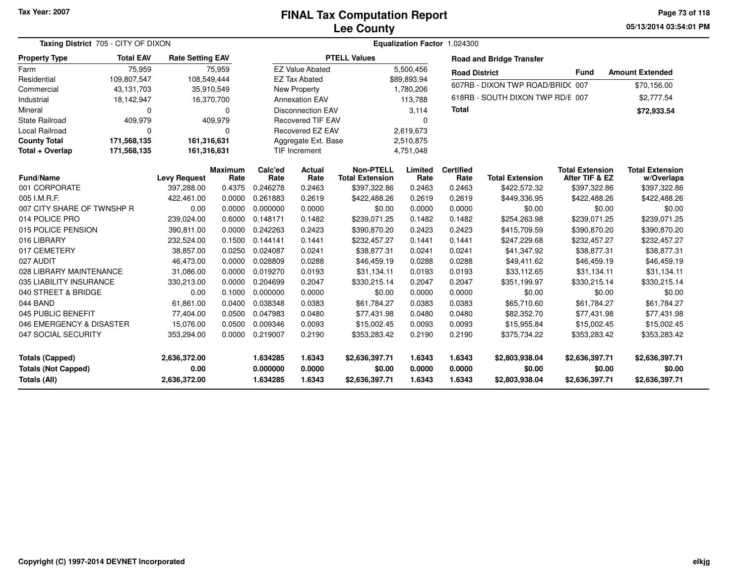**05/13/2014 03:54:01 PM Page 73 of 118**

|                            | Taxing District 705 - CITY OF DIXON |                         |                        |                 |                          |                                            |                 | Equalization Factor 1.024300 |                                  |                                          |                                      |
|----------------------------|-------------------------------------|-------------------------|------------------------|-----------------|--------------------------|--------------------------------------------|-----------------|------------------------------|----------------------------------|------------------------------------------|--------------------------------------|
| <b>Property Type</b>       | <b>Total EAV</b>                    | <b>Rate Setting EAV</b> |                        |                 |                          | <b>PTELL Values</b>                        |                 |                              | <b>Road and Bridge Transfer</b>  |                                          |                                      |
| Farm                       | 75,959                              |                         | 75,959                 |                 | <b>EZ Value Abated</b>   |                                            | 5,500,456       | <b>Road District</b>         |                                  | <b>Fund</b>                              | <b>Amount Extended</b>               |
| Residential                | 109,807,547                         | 108,549,444             |                        |                 | <b>EZ Tax Abated</b>     |                                            | \$89,893.94     |                              | 607RB - DIXON TWP ROAD/BRID(007  |                                          |                                      |
| Commercial                 | 43,131,703                          |                         | 35,910,549             |                 | New Property             |                                            | 1,780,206       |                              |                                  |                                          | \$70,156.00                          |
| Industrial                 | 18,142,947                          |                         | 16,370,700             |                 | <b>Annexation EAV</b>    |                                            | 113,788         |                              | 618RB - SOUTH DIXON TWP RD/E 007 |                                          | \$2,777.54                           |
| Mineral                    | 0                                   |                         | 0                      |                 | <b>Disconnection EAV</b> |                                            | 3,114           | <b>Total</b>                 |                                  |                                          | \$72,933.54                          |
| <b>State Railroad</b>      | 409,979                             |                         | 409,979                |                 | <b>Recovered TIF EAV</b> |                                            | $\Omega$        |                              |                                  |                                          |                                      |
| Local Railroad             | $\Omega$                            |                         | $\Omega$               |                 | Recovered EZ EAV         |                                            | 2,619,673       |                              |                                  |                                          |                                      |
| <b>County Total</b>        | 171,568,135                         | 161,316,631             |                        |                 | Aggregate Ext. Base      |                                            | 2,510,875       |                              |                                  |                                          |                                      |
| Total + Overlap            | 171,568,135                         | 161,316,631             |                        |                 | TIF Increment            |                                            | 4,751,048       |                              |                                  |                                          |                                      |
| Fund/Name                  |                                     | <b>Levy Request</b>     | <b>Maximum</b><br>Rate | Calc'ed<br>Rate | Actual<br>Rate           | <b>Non-PTELL</b><br><b>Total Extension</b> | Limited<br>Rate | <b>Certified</b><br>Rate     | <b>Total Extension</b>           | <b>Total Extension</b><br>After TIF & EZ | <b>Total Extension</b><br>w/Overlaps |
| 001 CORPORATE              |                                     | 397,288.00              | 0.4375                 | 0.246278        | 0.2463                   | \$397,322.86                               | 0.2463          | 0.2463                       | \$422,572.32                     | \$397,322.86                             | \$397,322.86                         |
| 005 I.M.R.F.               |                                     | 422,461.00              | 0.0000                 | 0.261883        | 0.2619                   | \$422,488.26                               | 0.2619          | 0.2619                       | \$449,336.95                     | \$422,488.26                             | \$422,488.26                         |
| 007 CITY SHARE OF TWNSHP R |                                     | 0.00                    | 0.0000                 | 0.000000        | 0.0000                   | \$0.00                                     | 0.0000          | 0.0000                       | \$0.00                           | \$0.00                                   | \$0.00                               |
| 014 POLICE PRO             |                                     | 239,024.00              | 0.6000                 | 0.148171        | 0.1482                   | \$239,071.25                               | 0.1482          | 0.1482                       | \$254,263.98                     | \$239,071.25                             | \$239,071.25                         |
| 015 POLICE PENSION         |                                     | 390,811.00              | 0.0000                 | 0.242263        | 0.2423                   | \$390,870.20                               | 0.2423          | 0.2423                       | \$415,709.59                     | \$390,870.20                             | \$390,870.20                         |
| 016 LIBRARY                |                                     | 232,524.00              | 0.1500                 | 0.144141        | 0.1441                   | \$232,457.27                               | 0.1441          | 0.1441                       | \$247,229.68                     | \$232,457.27                             | \$232,457.27                         |
| 017 CEMETERY               |                                     | 38,857.00               | 0.0250                 | 0.024087        | 0.0241                   | \$38,877.31                                | 0.0241          | 0.0241                       | \$41,347.92                      | \$38,877.31                              | \$38,877.31                          |
| 027 AUDIT                  |                                     | 46,473.00               | 0.0000                 | 0.028809        | 0.0288                   | \$46,459.19                                | 0.0288          | 0.0288                       | \$49,411.62                      | \$46,459.19                              | \$46,459.19                          |
| 028 LIBRARY MAINTENANCE    |                                     | 31,086.00               | 0.0000                 | 0.019270        | 0.0193                   | \$31,134.11                                | 0.0193          | 0.0193                       | \$33,112.65                      | \$31,134.11                              | \$31,134.11                          |
| 035 LIABILITY INSURANCE    |                                     | 330,213.00              | 0.0000                 | 0.204699        | 0.2047                   | \$330,215.14                               | 0.2047          | 0.2047                       | \$351,199.97                     | \$330,215.14                             | \$330,215.14                         |
| 040 STREET & BRIDGE        |                                     | 0.00                    | 0.1000                 | 0.000000        | 0.0000                   | \$0.00                                     | 0.0000          | 0.0000                       | \$0.00                           | \$0.00                                   | \$0.00                               |
| 044 BAND                   |                                     | 61,861.00               | 0.0400                 | 0.038348        | 0.0383                   | \$61,784.27                                | 0.0383          | 0.0383                       | \$65,710.60                      | \$61,784.27                              | \$61,784.27                          |
| 045 PUBLIC BENEFIT         |                                     | 77,404.00               | 0.0500                 | 0.047983        | 0.0480                   | \$77,431.98                                | 0.0480          | 0.0480                       | \$82,352.70                      | \$77,431.98                              | \$77,431.98                          |
| 046 EMERGENCY & DISASTER   |                                     | 15,076.00               | 0.0500                 | 0.009346        | 0.0093                   | \$15,002.45                                | 0.0093          | 0.0093                       | \$15,955.84                      | \$15,002.45                              | \$15,002.45                          |
| 047 SOCIAL SECURITY        |                                     | 353,294.00              | 0.0000                 | 0.219007        | 0.2190                   | \$353,283.42                               | 0.2190          | 0.2190                       | \$375,734.22                     | \$353,283.42                             | \$353,283.42                         |
| <b>Totals (Capped)</b>     |                                     | 2,636,372.00            |                        | 1.634285        | 1.6343                   | \$2,636,397.71                             | 1.6343          | 1.6343                       | \$2,803,938.04                   | \$2,636,397.71                           | \$2,636,397.71                       |
| <b>Totals (Not Capped)</b> |                                     | 0.00                    |                        | 0.000000        | 0.0000                   | \$0.00                                     | 0.0000          | 0.0000                       | \$0.00                           | \$0.00                                   | \$0.00                               |
| <b>Totals (All)</b>        |                                     | 2,636,372.00            |                        | 1.634285        | 1.6343                   | \$2,636,397.71                             | 1.6343          | 1.6343                       | \$2,803,938.04                   | \$2,636,397.71                           | \$2,636,397.71                       |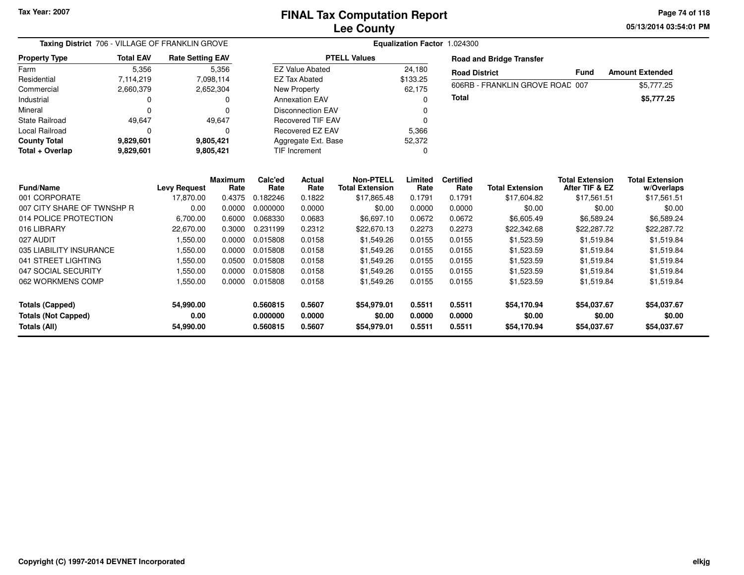**05/13/2014 03:54:01 PM Page 74 of 118**

| Taxing District 706 - VILLAGE OF FRANKLIN GROVE |                  | Equalization Factor 1.024300 |                        |                 |                          |                                            |                 |                          |                                 |                                          |                                      |  |
|-------------------------------------------------|------------------|------------------------------|------------------------|-----------------|--------------------------|--------------------------------------------|-----------------|--------------------------|---------------------------------|------------------------------------------|--------------------------------------|--|
| <b>Property Type</b>                            | <b>Total EAV</b> | <b>Rate Setting EAV</b>      |                        |                 |                          | <b>PTELL Values</b>                        |                 |                          | <b>Road and Bridge Transfer</b> |                                          |                                      |  |
| Farm                                            | 5,356            |                              | 5,356                  |                 | <b>EZ Value Abated</b>   |                                            | 24,180          | <b>Road District</b>     |                                 | <b>Fund</b>                              | <b>Amount Extended</b>               |  |
| Residential                                     | 7,114,219        |                              | 7,098,114              |                 | <b>EZ Tax Abated</b>     |                                            | \$133.25        |                          | 606RB - FRANKLIN GROVE ROAD 007 |                                          |                                      |  |
| Commercial                                      | 2,660,379        |                              | 2,652,304              |                 | <b>New Property</b>      |                                            | 62,175          |                          |                                 |                                          | \$5,777.25                           |  |
| Industrial                                      | 0                |                              | 0                      |                 | <b>Annexation EAV</b>    |                                            | 0               | Total                    |                                 |                                          | \$5,777.25                           |  |
| Mineral                                         | $\Omega$         |                              | 0                      |                 | <b>Disconnection EAV</b> |                                            |                 |                          |                                 |                                          |                                      |  |
| <b>State Railroad</b>                           | 49,647           |                              | 49,647                 |                 | <b>Recovered TIF EAV</b> |                                            | $\Omega$        |                          |                                 |                                          |                                      |  |
| Local Railroad                                  | ŋ                |                              | 0                      |                 | Recovered EZ EAV         |                                            | 5,366           |                          |                                 |                                          |                                      |  |
| <b>County Total</b>                             | 9,829,601        |                              | 9,805,421              |                 | Aggregate Ext. Base      |                                            | 52,372          |                          |                                 |                                          |                                      |  |
| Total + Overlap                                 | 9,829,601        |                              | 9,805,421              |                 | <b>TIF Increment</b>     |                                            | 0               |                          |                                 |                                          |                                      |  |
|                                                 |                  |                              |                        |                 |                          |                                            |                 |                          |                                 |                                          |                                      |  |
| <b>Fund/Name</b>                                |                  | <b>Levy Request</b>          | <b>Maximum</b><br>Rate | Calc'ed<br>Rate | Actual<br>Rate           | <b>Non-PTELL</b><br><b>Total Extension</b> | Limited<br>Rate | <b>Certified</b><br>Rate | <b>Total Extension</b>          | <b>Total Extension</b><br>After TIF & EZ | <b>Total Extension</b><br>w/Overlaps |  |
| 001 CORPORATE                                   |                  | 17,870.00                    | 0.4375                 | 0.182246        | 0.1822                   | \$17,865.48                                | 0.1791          | 0.1791                   | \$17,604.82                     | \$17,561.51                              | \$17,561.51                          |  |
| 007 CITY SHARE OF TWNSHP R                      |                  | 0.00                         | 0.0000                 | 0.000000        | 0.0000                   | \$0.00                                     | 0.0000          | 0.0000                   | \$0.00                          | \$0.00                                   | \$0.00                               |  |
| 014 POLICE PROTECTION                           |                  | 6,700.00                     | 0.6000                 | 0.068330        | 0.0683                   | \$6,697.10                                 | 0.0672          | 0.0672                   | \$6,605.49                      | \$6,589.24                               | \$6,589.24                           |  |
| 016 LIBRARY                                     |                  | 22.670.00                    | 0.3000                 | 0.231199        | 0.2312                   | \$22,670.13                                | 0.2273          | 0.2273                   | \$22,342.68                     | \$22,287.72                              | \$22,287.72                          |  |
| 027 AUDIT                                       |                  | 1,550.00                     | 0.0000                 | 0.015808        | 0.0158                   | \$1,549.26                                 | 0.0155          | 0.0155                   | \$1,523.59                      | \$1,519.84                               | \$1,519.84                           |  |
| 035 LIABILITY INSURANCE                         |                  | 1,550.00                     | 0.0000                 | 0.015808        | 0.0158                   | \$1,549.26                                 | 0.0155          | 0.0155                   | \$1,523.59                      | \$1,519.84                               | \$1,519.84                           |  |
| 041 STREET LIGHTING                             |                  | 1,550.00                     | 0.0500                 | 0.015808        | 0.0158                   | \$1,549.26                                 | 0.0155          | 0.0155                   | \$1,523.59                      | \$1,519.84                               | \$1,519.84                           |  |
| 047 SOCIAL SECURITY                             |                  | 1,550.00                     | 0.0000                 | 0.015808        | 0.0158                   | \$1,549.26                                 | 0.0155          | 0.0155                   | \$1,523.59                      | \$1,519.84                               | \$1,519.84                           |  |
| 062 WORKMENS COMP                               |                  | 1,550.00                     | 0.0000                 | 0.015808        | 0.0158                   | \$1,549.26                                 | 0.0155          | 0.0155                   | \$1,523.59                      | \$1,519.84                               | \$1,519.84                           |  |
|                                                 |                  |                              |                        |                 |                          |                                            |                 |                          |                                 |                                          |                                      |  |
| <b>Totals (Capped)</b>                          |                  | 54,990.00                    |                        | 0.560815        | 0.5607                   | \$54,979.01                                | 0.5511          | 0.5511                   | \$54,170.94                     | \$54,037.67                              | \$54,037.67                          |  |
| <b>Totals (Not Capped)</b>                      |                  | 0.00                         |                        | 0.000000        | 0.0000                   | \$0.00                                     | 0.0000          | 0.0000                   | \$0.00                          | \$0.00                                   | \$0.00                               |  |
| Totals (All)                                    |                  | 54,990.00                    |                        | 0.560815        | 0.5607                   | \$54,979.01                                | 0.5511          | 0.5511                   | \$54,170.94                     | \$54,037.67                              | \$54,037.67                          |  |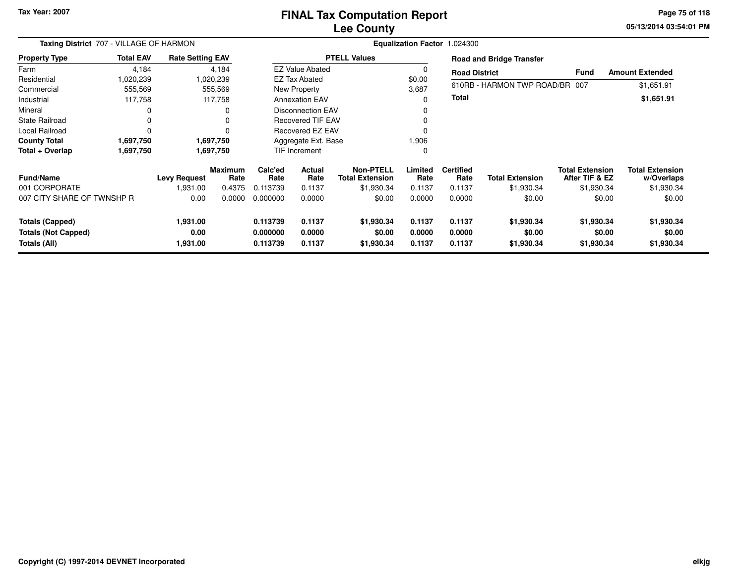## **Lee CountyFINAL Tax Computation Report**

**05/13/2014 03:54:01 PM Page 75 of 118**

| Taxing District 707 - VILLAGE OF HARMON |                  |                         |                        | Equalization Factor 1.024300 |                           |                                     |                 |                          |                                 |                                          |                                      |  |
|-----------------------------------------|------------------|-------------------------|------------------------|------------------------------|---------------------------|-------------------------------------|-----------------|--------------------------|---------------------------------|------------------------------------------|--------------------------------------|--|
| <b>Property Type</b>                    | <b>Total EAV</b> | <b>Rate Setting EAV</b> |                        |                              |                           | <b>PTELL Values</b>                 |                 |                          | <b>Road and Bridge Transfer</b> |                                          |                                      |  |
| Farm                                    | 4,184            |                         | 4,184                  |                              | <b>EZ Value Abated</b>    |                                     | 0               | <b>Road District</b>     |                                 | <b>Fund</b>                              | <b>Amount Extended</b>               |  |
| Residential                             | 1,020,239        |                         | 1,020,239              |                              | <b>EZ Tax Abated</b>      |                                     | \$0.00          |                          |                                 |                                          |                                      |  |
| Commercial                              | 555,569          |                         | 555,569                |                              | New Property              |                                     | 3,687           |                          | 610RB - HARMON TWP ROAD/BR 007  |                                          | \$1,651.91                           |  |
| Industrial                              | 117,758          |                         | 117,758                |                              | <b>Annexation EAV</b>     |                                     | $\Omega$        | <b>Total</b>             |                                 |                                          | \$1,651.91                           |  |
| Mineral                                 |                  |                         |                        |                              | <b>Disconnection EAV</b>  |                                     | 0               |                          |                                 |                                          |                                      |  |
| <b>State Railroad</b>                   |                  |                         |                        |                              | <b>Recovered TIF EAV</b>  |                                     |                 |                          |                                 |                                          |                                      |  |
| <b>Local Railroad</b>                   | $\Omega$         |                         |                        |                              | Recovered EZ EAV          |                                     |                 |                          |                                 |                                          |                                      |  |
| <b>County Total</b>                     | 1,697,750        |                         | 1,697,750              | Aggregate Ext. Base          |                           | 906. ا                              |                 |                          |                                 |                                          |                                      |  |
| Total + Overlap                         | 1,697,750        |                         | 1,697,750              |                              | <b>TIF Increment</b><br>0 |                                     |                 |                          |                                 |                                          |                                      |  |
| <b>Fund/Name</b>                        |                  | <b>Levy Request</b>     | <b>Maximum</b><br>Rate | Calc'ed<br>Rate              | Actual<br>Rate            | Non-PTELL<br><b>Total Extension</b> | Limited<br>Rate | <b>Certified</b><br>Rate | <b>Total Extension</b>          | <b>Total Extension</b><br>After TIF & EZ | <b>Total Extension</b><br>w/Overlaps |  |
| 001 CORPORATE                           |                  | 1,931.00                | 0.4375                 | 0.113739                     | 0.1137                    | \$1,930.34                          | 0.1137          | 0.1137                   | \$1,930.34                      | \$1,930.34                               | \$1,930.34                           |  |
| 007 CITY SHARE OF TWNSHP R              |                  | 0.00                    | 0.0000                 | 0.000000                     | 0.0000                    | \$0.00                              | 0.0000          | 0.0000                   | \$0.00                          | \$0.00                                   | \$0.00                               |  |
| <b>Totals (Capped)</b>                  |                  | 1,931.00                |                        | 0.113739                     | 0.1137                    | \$1,930.34                          | 0.1137          | 0.1137                   | \$1,930.34                      | \$1,930.34                               | \$1,930.34                           |  |
| <b>Totals (Not Capped)</b>              |                  | 0.00                    |                        | 0.000000                     | 0.0000                    | \$0.00                              | 0.0000          | 0.0000                   | \$0.00                          | \$0.00                                   | \$0.00                               |  |
| Totals (All)                            |                  | 1,931.00                |                        | 0.113739                     | 0.1137                    | \$1,930.34                          | 0.1137          | 0.1137                   | \$1,930.34                      | \$1,930.34                               | \$1,930.34                           |  |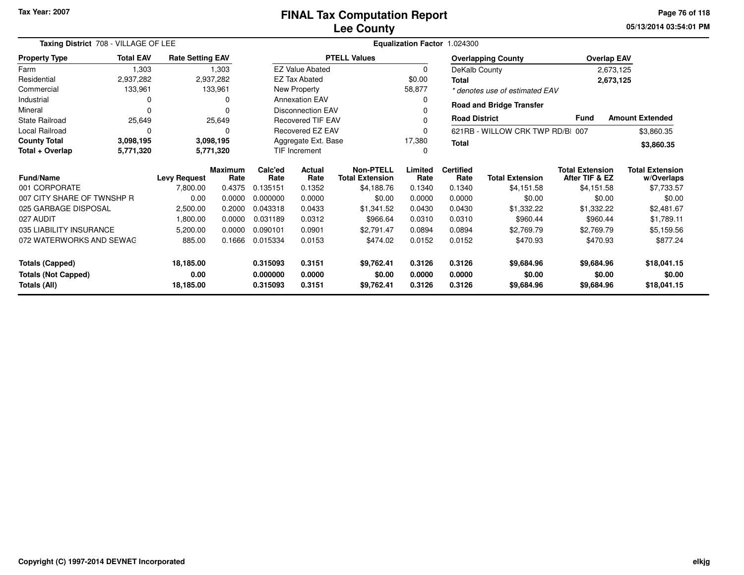**05/13/2014 03:54:01 PMPage 76 of 118**

| Taxing District 708 - VILLAGE OF LEE |                  |                         | Equalization Factor 1.024300 |                      |                          |                                            |                 |                          |                                  |                                          |                                      |
|--------------------------------------|------------------|-------------------------|------------------------------|----------------------|--------------------------|--------------------------------------------|-----------------|--------------------------|----------------------------------|------------------------------------------|--------------------------------------|
| <b>Property Type</b>                 | <b>Total EAV</b> | <b>Rate Setting EAV</b> |                              |                      |                          | <b>PTELL Values</b>                        |                 |                          | <b>Overlapping County</b>        | <b>Overlap EAV</b>                       |                                      |
| Farm                                 | 1,303            |                         | 1,303                        |                      | <b>EZ Value Abated</b>   |                                            | $\mathbf 0$     | DeKalb County            |                                  |                                          | 2,673,125                            |
| Residential                          | 2,937,282        |                         | 2,937,282                    |                      | <b>EZ Tax Abated</b>     |                                            | \$0.00          | <b>Total</b>             |                                  |                                          | 2,673,125                            |
| Commercial                           | 133,961          |                         | 133,961                      |                      | New Property             |                                            | 58,877          |                          | * denotes use of estimated EAV   |                                          |                                      |
| Industrial                           |                  |                         |                              |                      | <b>Annexation EAV</b>    |                                            | 0               |                          | <b>Road and Bridge Transfer</b>  |                                          |                                      |
| Mineral                              |                  |                         |                              |                      | <b>Disconnection EAV</b> |                                            |                 |                          |                                  |                                          |                                      |
| <b>State Railroad</b>                | 25,649           |                         | 25,649                       |                      | <b>Recovered TIF EAV</b> |                                            | 0               | <b>Road District</b>     |                                  | <b>Fund</b>                              | <b>Amount Extended</b>               |
| Local Railroad                       | n                |                         |                              |                      | Recovered EZ EAV         |                                            | 0               |                          | 621RB - WILLOW CRK TWP RD/B  007 |                                          | \$3,860.35                           |
| <b>County Total</b>                  | 3,098,195        |                         | 3,098,195                    |                      | Aggregate Ext. Base      |                                            | 17,380          | <b>Total</b>             |                                  |                                          | \$3,860.35                           |
| Total + Overlap                      | 5,771,320        |                         | 5,771,320                    | <b>TIF Increment</b> |                          |                                            | n               |                          |                                  |                                          |                                      |
| Fund/Name                            |                  | <b>Levy Request</b>     | <b>Maximum</b><br>Rate       | Calc'ed<br>Rate      | Actual<br>Rate           | <b>Non-PTELL</b><br><b>Total Extension</b> | Limited<br>Rate | <b>Certified</b><br>Rate | <b>Total Extension</b>           | <b>Total Extension</b><br>After TIF & EZ | <b>Total Extension</b><br>w/Overlaps |
| 001 CORPORATE                        |                  | 7,800.00                | 0.4375                       | 0.135151             | 0.1352                   | \$4,188.76                                 | 0.1340          | 0.1340                   | \$4,151.58                       | \$4,151.58                               | \$7,733.57                           |
| 007 CITY SHARE OF TWNSHP R           |                  | 0.00                    | 0.0000                       | 0.000000             | 0.0000                   | \$0.00                                     | 0.0000          | 0.0000                   | \$0.00                           | \$0.00                                   | \$0.00                               |
| 025 GARBAGE DISPOSAL                 |                  | 2,500.00                | 0.2000                       | 0.043318             | 0.0433                   | \$1,341.52                                 | 0.0430          | 0.0430                   | \$1,332.22                       | \$1,332.22                               | \$2,481.67                           |
| 027 AUDIT                            |                  | 1,800.00                | 0.0000                       | 0.031189             | 0.0312                   | \$966.64                                   | 0.0310          | 0.0310                   | \$960.44                         | \$960.44                                 | \$1,789.11                           |
| 035 LIABILITY INSURANCE              |                  | 5,200.00                | 0.0000                       | 0.090101             | 0.0901                   | \$2,791.47                                 | 0.0894          | 0.0894                   | \$2,769.79                       | \$2,769.79                               | \$5,159.56                           |
| 072 WATERWORKS AND SEWAG             |                  | 885.00                  | 0.1666                       | 0.015334             | 0.0153                   | \$474.02                                   | 0.0152          | 0.0152                   | \$470.93                         | \$470.93                                 | \$877.24                             |
| <b>Totals (Capped)</b>               |                  | 18,185.00               |                              | 0.315093             | 0.3151                   | \$9,762.41                                 | 0.3126          | 0.3126                   | \$9,684.96                       | \$9,684.96                               | \$18,041.15                          |
| <b>Totals (Not Capped)</b>           |                  | 0.00                    |                              | 0.000000             | 0.0000                   | \$0.00                                     | 0.0000          | 0.0000                   | \$0.00                           | \$0.00                                   | \$0.00                               |
| Totals (All)<br>18,185.00            |                  |                         |                              | 0.315093             | 0.3151                   | \$9,762.41                                 | 0.3126          | 0.3126                   | \$9,684.96                       | \$9,684.96                               | \$18,041.15                          |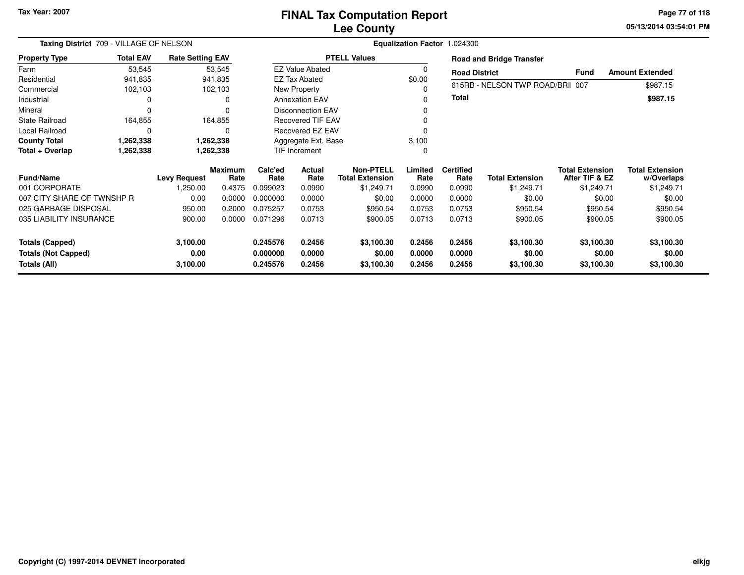**05/13/2014 03:54:01 PM Page 77 of 118**

| Taxing District 709 - VILLAGE OF NELSON    |                  | Equalization Factor 1.024300 |                        |                           |                          |                                            |                  |                          |                                 |                                          |                                      |
|--------------------------------------------|------------------|------------------------------|------------------------|---------------------------|--------------------------|--------------------------------------------|------------------|--------------------------|---------------------------------|------------------------------------------|--------------------------------------|
| <b>Property Type</b>                       | <b>Total EAV</b> | <b>Rate Setting EAV</b>      |                        |                           |                          | <b>PTELL Values</b>                        |                  |                          | <b>Road and Bridge Transfer</b> |                                          |                                      |
| Farm                                       | 53,545           |                              | 53,545                 |                           | <b>EZ Value Abated</b>   |                                            |                  | <b>Road District</b>     |                                 | <b>Fund</b>                              | <b>Amount Extended</b>               |
| Residential                                | 941,835          |                              | 941,835                |                           | <b>EZ Tax Abated</b>     |                                            | \$0.00           |                          |                                 |                                          |                                      |
| Commercial                                 | 102,103          |                              | 102,103                |                           | New Property             |                                            |                  |                          | 615RB - NELSON TWP ROAD/BRI 007 |                                          | \$987.15                             |
| Industrial                                 | 0                |                              | 0                      |                           | <b>Annexation EAV</b>    |                                            |                  | <b>Total</b>             |                                 |                                          | \$987.15                             |
| Mineral                                    | 0                |                              | $\Omega$               |                           | <b>Disconnection EAV</b> |                                            |                  |                          |                                 |                                          |                                      |
| <b>State Railroad</b>                      | 164,855          |                              | 164,855                |                           | <b>Recovered TIF EAV</b> |                                            |                  |                          |                                 |                                          |                                      |
| Local Railroad                             | $\Omega$         |                              | 0                      |                           | Recovered EZ EAV         |                                            |                  |                          |                                 |                                          |                                      |
| <b>County Total</b>                        | 1,262,338        |                              | 1,262,338              | Aggregate Ext. Base       |                          |                                            | 3,100            |                          |                                 |                                          |                                      |
| Total + Overlap                            | 1,262,338        |                              | 1,262,338              | <b>TIF Increment</b><br>0 |                          |                                            |                  |                          |                                 |                                          |                                      |
| <b>Fund/Name</b>                           |                  | <b>Levy Request</b>          | <b>Maximum</b><br>Rate | Calc'ed<br>Rate           | Actual<br>Rate           | <b>Non-PTELL</b><br><b>Total Extension</b> | Limited<br>Rate  | <b>Certified</b><br>Rate | <b>Total Extension</b>          | <b>Total Extension</b><br>After TIF & EZ | <b>Total Extension</b><br>w/Overlaps |
| 001 CORPORATE                              |                  | 1,250.00                     | 0.4375                 | 0.099023                  | 0.0990                   | \$1,249.71                                 | 0.0990           | 0.0990                   | \$1,249.71                      | \$1,249.71                               | \$1,249.71                           |
| 007 CITY SHARE OF TWNSHP R                 |                  | 0.00                         | 0.0000                 | 0.000000                  | 0.0000                   | \$0.00                                     | 0.0000           | 0.0000                   | \$0.00                          | \$0.00                                   | \$0.00                               |
| 025 GARBAGE DISPOSAL                       |                  | 950.00                       | 0.2000                 | 0.075257                  | 0.0753                   | \$950.54                                   | 0.0753           | 0.0753                   | \$950.54                        | \$950.54                                 | \$950.54                             |
| 035 LIABILITY INSURANCE                    |                  | 900.00                       | 0.0000                 | 0.071296                  | 0.0713                   | \$900.05                                   | 0.0713           | 0.0713                   | \$900.05                        | \$900.05                                 | \$900.05                             |
| <b>Totals (Capped)</b>                     |                  | 3,100.00                     |                        | 0.245576                  | 0.2456                   | \$3,100.30                                 | 0.2456           | 0.2456                   | \$3,100.30                      | \$3,100.30                               | \$3,100.30                           |
| <b>Totals (Not Capped)</b><br>Totals (All) |                  | 0.00<br>3,100.00             |                        | 0.000000<br>0.245576      | 0.0000<br>0.2456         | \$0.00<br>\$3,100.30                       | 0.0000<br>0.2456 | 0.0000<br>0.2456         | \$0.00<br>\$3,100.30            | \$0.00<br>\$3,100.30                     | \$0.00<br>\$3,100.30                 |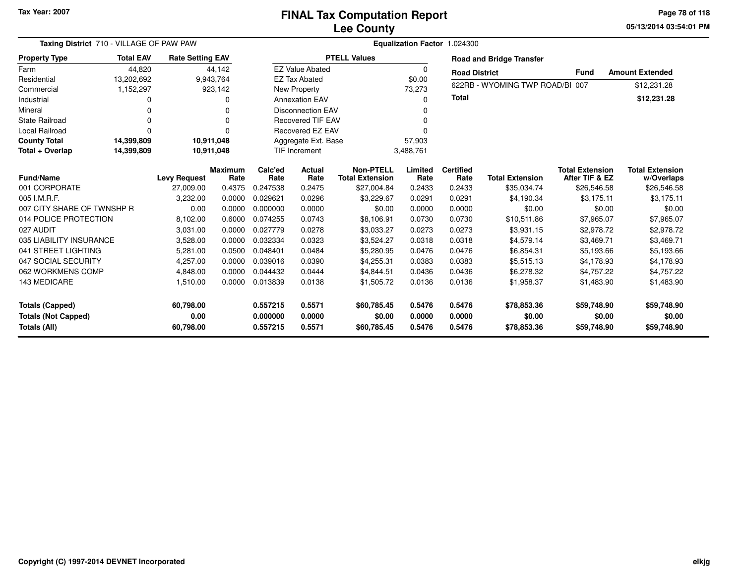**05/13/2014 03:54:01 PM Page 78 of 118**

| Taxing District 710 - VILLAGE OF PAW PAW |                  |                         | Equalization Factor 1.024300 |          |                          |                        |             |                      |                                 |                        |                        |
|------------------------------------------|------------------|-------------------------|------------------------------|----------|--------------------------|------------------------|-------------|----------------------|---------------------------------|------------------------|------------------------|
| <b>Property Type</b>                     | <b>Total EAV</b> | <b>Rate Setting EAV</b> |                              |          |                          | <b>PTELL Values</b>    |             |                      | <b>Road and Bridge Transfer</b> |                        |                        |
| Farm                                     | 44,820           |                         | 44,142                       |          | <b>EZ Value Abated</b>   |                        | $\mathbf 0$ | <b>Road District</b> |                                 | <b>Fund</b>            | <b>Amount Extended</b> |
| Residential                              | 13,202,692       |                         | 9,943,764                    |          | <b>EZ Tax Abated</b>     |                        | \$0.00      |                      |                                 |                        |                        |
| Commercial                               | 1,152,297        |                         | 923,142                      |          | New Property             |                        | 73,273      |                      | 622RB - WYOMING TWP ROAD/BI 007 |                        | \$12,231.28            |
| Industrial                               |                  |                         | 0                            |          | <b>Annexation EAV</b>    |                        | 0           | <b>Total</b>         |                                 |                        | \$12,231.28            |
| Mineral                                  | n                |                         | 0                            |          | <b>Disconnection EAV</b> |                        | $\Omega$    |                      |                                 |                        |                        |
| <b>State Railroad</b>                    |                  |                         | 0                            |          | <b>Recovered TIF EAV</b> |                        | $\Omega$    |                      |                                 |                        |                        |
| <b>Local Railroad</b>                    | $\Omega$         |                         | $\Omega$                     |          | <b>Recovered EZ EAV</b>  |                        | $\Omega$    |                      |                                 |                        |                        |
| <b>County Total</b>                      | 14,399,809       | 10,911,048              |                              |          | Aggregate Ext. Base      |                        | 57,903      |                      |                                 |                        |                        |
| Total + Overlap                          | 14,399,809       | 10,911,048              |                              |          | <b>TIF Increment</b>     |                        | 3,488,761   |                      |                                 |                        |                        |
|                                          |                  |                         | <b>Maximum</b>               | Calc'ed  | Actual                   | <b>Non-PTELL</b>       | Limited     | <b>Certified</b>     |                                 | <b>Total Extension</b> | <b>Total Extension</b> |
| <b>Fund/Name</b><br>001 CORPORATE        |                  | <b>Levy Request</b>     | Rate                         | Rate     | Rate                     | <b>Total Extension</b> | Rate        | Rate<br>0.2433       | <b>Total Extension</b>          | After TIF & EZ         | w/Overlaps             |
| 005 I.M.R.F.                             |                  | 27,009.00               | 0.4375                       | 0.247538 | 0.2475                   | \$27,004.84            | 0.2433      |                      | \$35,034.74                     | \$26,546.58            | \$26,546.58            |
|                                          |                  | 3,232.00                | 0.0000                       | 0.029621 | 0.0296                   | \$3,229.67             | 0.0291      | 0.0291               | \$4,190.34                      | \$3,175.11             | \$3,175.11             |
| 007 CITY SHARE OF TWNSHP R               |                  | 0.00                    | 0.0000                       | 0.000000 | 0.0000                   | \$0.00                 | 0.0000      | 0.0000               | \$0.00                          | \$0.00                 | \$0.00                 |
| 014 POLICE PROTECTION                    |                  | 8,102.00                | 0.6000                       | 0.074255 | 0.0743                   | \$8,106.91             | 0.0730      | 0.0730               | \$10.511.86                     | \$7,965.07             | \$7,965.07             |
| 027 AUDIT                                |                  | 3,031.00                | 0.0000                       | 0.027779 | 0.0278                   | \$3,033.27             | 0.0273      | 0.0273               | \$3,931.15                      | \$2,978.72             | \$2,978.72             |
| 035 LIABILITY INSURANCE                  |                  | 3,528.00                | 0.0000                       | 0.032334 | 0.0323                   | \$3,524.27             | 0.0318      | 0.0318               | \$4,579.14                      | \$3,469.71             | \$3,469.71             |
| 041 STREET LIGHTING                      |                  | 5,281.00                | 0.0500                       | 0.048401 | 0.0484                   | \$5,280.95             | 0.0476      | 0.0476               | \$6,854.31                      | \$5,193.66             | \$5,193.66             |
| 047 SOCIAL SECURITY                      |                  | 4,257.00                | 0.0000                       | 0.039016 | 0.0390                   | \$4,255.31             | 0.0383      | 0.0383               | \$5,515.13                      | \$4,178.93             | \$4,178.93             |
| 062 WORKMENS COMP                        |                  | 4,848.00                | 0.0000                       | 0.044432 | 0.0444                   | \$4,844.51             | 0.0436      | 0.0436               | \$6,278.32                      | \$4,757.22             | \$4,757.22             |
| 143 MEDICARE                             |                  | 1,510.00                | 0.0000                       | 0.013839 | 0.0138                   | \$1,505.72             | 0.0136      | 0.0136               | \$1,958.37                      | \$1,483.90             | \$1,483.90             |
| <b>Totals (Capped)</b>                   |                  | 60,798.00               |                              | 0.557215 | 0.5571                   | \$60,785.45            | 0.5476      | 0.5476               | \$78,853.36                     | \$59,748.90            | \$59,748.90            |
| <b>Totals (Not Capped)</b>               |                  | 0.00                    |                              | 0.000000 | 0.0000                   | \$0.00                 | 0.0000      | 0.0000               | \$0.00                          | \$0.00                 | \$0.00                 |
| Totals (All)                             |                  | 60,798.00               |                              | 0.557215 | 0.5571                   | \$60,785.45            | 0.5476      | 0.5476               | \$78,853.36                     | \$59,748.90            | \$59,748.90            |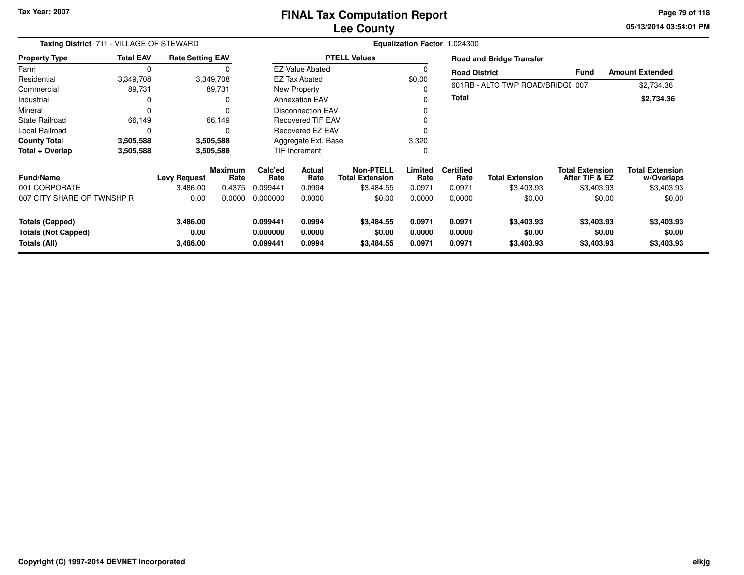**05/13/2014 03:54:01 PM Page 79 of 118**

| Taxing District 711 - VILLAGE OF STEWARD<br><b>Total EAV</b><br><b>Rate Setting EAV</b> |           |                              |                 |                                  | Equalization Factor 1.024300 |                                            |                            |                            |                                    |                                          |                                      |  |  |  |
|-----------------------------------------------------------------------------------------|-----------|------------------------------|-----------------|----------------------------------|------------------------------|--------------------------------------------|----------------------------|----------------------------|------------------------------------|------------------------------------------|--------------------------------------|--|--|--|
| <b>Property Type</b>                                                                    |           |                              |                 |                                  |                              | <b>PTELL Values</b>                        |                            |                            | <b>Road and Bridge Transfer</b>    |                                          |                                      |  |  |  |
| Farm                                                                                    | 0         |                              |                 |                                  | <b>EZ Value Abated</b>       |                                            |                            | <b>Road District</b>       |                                    | <b>Fund</b>                              | <b>Amount Extended</b>               |  |  |  |
| Residential                                                                             | 3,349,708 |                              | 3,349,708       |                                  | <b>EZ Tax Abated</b>         |                                            | \$0.00                     |                            |                                    |                                          |                                      |  |  |  |
| Commercial                                                                              | 89,731    |                              | 89,731          |                                  | New Property                 |                                            |                            |                            | 601RB - ALTO TWP ROAD/BRIDGI 007   |                                          | \$2,734.36                           |  |  |  |
| Industrial                                                                              | 0         |                              | O               |                                  | <b>Annexation EAV</b>        |                                            |                            | <b>Total</b>               |                                    |                                          | \$2,734.36                           |  |  |  |
| Mineral                                                                                 | 0         |                              |                 |                                  | <b>Disconnection EAV</b>     |                                            |                            |                            |                                    |                                          |                                      |  |  |  |
| <b>State Railroad</b>                                                                   | 66,149    |                              | 66,149          |                                  | <b>Recovered TIF EAV</b>     |                                            |                            |                            |                                    |                                          |                                      |  |  |  |
| Local Railroad                                                                          | $\Omega$  |                              |                 | Recovered EZ EAV                 |                              |                                            |                            |                            |                                    |                                          |                                      |  |  |  |
| <b>County Total</b>                                                                     | 3,505,588 |                              | 3,505,588       | Aggregate Ext. Base              |                              | 3,320                                      |                            |                            |                                    |                                          |                                      |  |  |  |
| Total + Overlap                                                                         | 3,505,588 |                              | 3,505,588       |                                  | <b>TIF Increment</b>         |                                            | 0                          |                            |                                    |                                          |                                      |  |  |  |
| <b>Fund/Name</b>                                                                        |           | <b>Levy Request</b>          | Maximum<br>Rate | Calc'ed<br>Rate                  | Actual<br>Rate               | <b>Non-PTELL</b><br><b>Total Extension</b> | Limited<br>Rate            | <b>Certified</b><br>Rate   | <b>Total Extension</b>             | <b>Total Extension</b><br>After TIF & EZ | <b>Total Extension</b><br>w/Overlaps |  |  |  |
| 001 CORPORATE                                                                           |           | 3.486.00                     | 0.4375          | 0.099441                         | 0.0994                       | \$3,484.55                                 | 0.0971                     | 0.0971                     | \$3,403.93                         | \$3,403.93                               | \$3,403.93                           |  |  |  |
| 007 CITY SHARE OF TWNSHP R                                                              |           | 0.00                         | 0.0000          | 0.000000                         | 0.0000                       | \$0.00                                     | 0.0000                     | 0.0000                     | \$0.00                             | \$0.00                                   | \$0.00                               |  |  |  |
| <b>Totals (Capped)</b><br><b>Totals (Not Capped)</b><br>Totals (All)                    |           | 3,486.00<br>0.00<br>3,486.00 |                 | 0.099441<br>0.000000<br>0.099441 | 0.0994<br>0.0000<br>0.0994   | \$3,484.55<br>\$0.00<br>\$3,484.55         | 0.0971<br>0.0000<br>0.0971 | 0.0971<br>0.0000<br>0.0971 | \$3,403.93<br>\$0.00<br>\$3,403.93 | \$3,403.93<br>\$0.00<br>\$3,403.93       | \$3,403.93<br>\$0.00<br>\$3,403.93   |  |  |  |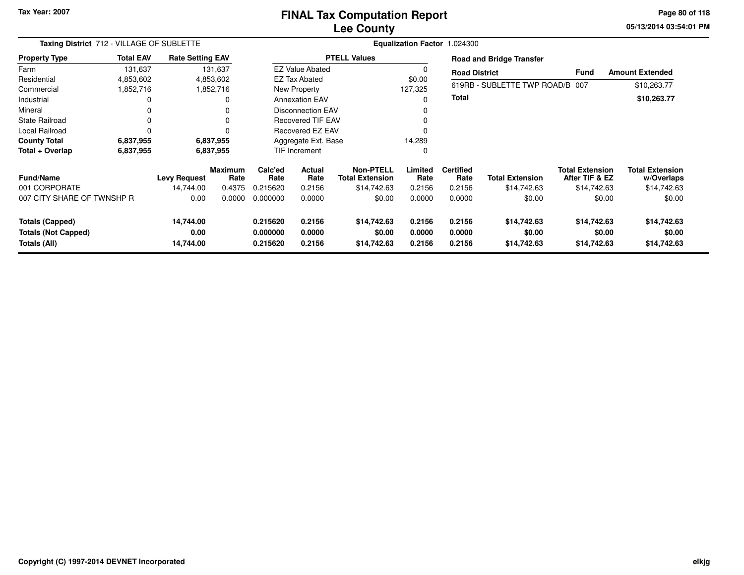### **Lee CountyFINAL Tax Computation Report**

**05/13/2014 03:54:01 PM Page 80 of 118**

|                                                                      | Taxing District 712 - VILLAGE OF SUBLETTE<br><b>Total EAV</b><br><b>Rate Setting EAV</b> |                                |                        |                                  |                            |                                      | Equalization Factor 1.024300 |                            |                                      |                                          |                                      |
|----------------------------------------------------------------------|------------------------------------------------------------------------------------------|--------------------------------|------------------------|----------------------------------|----------------------------|--------------------------------------|------------------------------|----------------------------|--------------------------------------|------------------------------------------|--------------------------------------|
| <b>Property Type</b>                                                 |                                                                                          |                                |                        |                                  |                            | <b>PTELL Values</b>                  |                              |                            | <b>Road and Bridge Transfer</b>      |                                          |                                      |
| Farm                                                                 | 131,637                                                                                  |                                | 131,637                |                                  | <b>EZ Value Abated</b>     |                                      |                              | <b>Road District</b>       |                                      | <b>Fund</b>                              | <b>Amount Extended</b>               |
| Residential                                                          | 4,853,602                                                                                |                                | 4,853,602              |                                  | <b>EZ Tax Abated</b>       |                                      | \$0.00                       |                            |                                      |                                          |                                      |
| Commercial                                                           | 1,852,716                                                                                |                                | 1,852,716              |                                  | New Property               |                                      | 127,325                      |                            | 619RB - SUBLETTE TWP ROAD/B 007      |                                          | \$10,263.77                          |
| Industrial                                                           |                                                                                          |                                | 0                      |                                  | <b>Annexation EAV</b>      |                                      |                              | <b>Total</b>               |                                      |                                          | \$10,263.77                          |
| Mineral                                                              |                                                                                          |                                | 0                      |                                  | <b>Disconnection EAV</b>   |                                      |                              |                            |                                      |                                          |                                      |
| <b>State Railroad</b>                                                |                                                                                          |                                | 0                      |                                  | <b>Recovered TIF EAV</b>   |                                      |                              |                            |                                      |                                          |                                      |
| <b>Local Railroad</b>                                                | $\Omega$                                                                                 |                                | 0                      | Recovered EZ EAV                 |                            |                                      |                              |                            |                                      |                                          |                                      |
| <b>County Total</b>                                                  | 6,837,955                                                                                |                                | 6,837,955              | Aggregate Ext. Base              |                            | 14,289                               |                              |                            |                                      |                                          |                                      |
| Total + Overlap                                                      | 6,837,955                                                                                |                                | 6,837,955              |                                  | TIF Increment              |                                      | 0                            |                            |                                      |                                          |                                      |
| <b>Fund/Name</b>                                                     |                                                                                          | <b>Levy Request</b>            | <b>Maximum</b><br>Rate | Calc'ed<br>Rate                  | Actual<br>Rate             | Non-PTELL<br><b>Total Extension</b>  | Limited<br>Rate              | <b>Certified</b><br>Rate   | <b>Total Extension</b>               | <b>Total Extension</b><br>After TIF & EZ | <b>Total Extension</b><br>w/Overlaps |
| 001 CORPORATE                                                        |                                                                                          | 14.744.00                      | 0.4375                 | 0.215620                         | 0.2156                     | \$14,742.63                          | 0.2156                       | 0.2156                     | \$14,742.63                          | \$14,742.63                              | \$14,742.63                          |
| 007 CITY SHARE OF TWNSHP R                                           |                                                                                          | 0.00                           | 0.0000                 | 0.000000                         | 0.0000                     | \$0.00                               | 0.0000                       | 0.0000                     | \$0.00                               | \$0.00                                   | \$0.00                               |
| <b>Totals (Capped)</b><br><b>Totals (Not Capped)</b><br>Totals (All) |                                                                                          | 14,744.00<br>0.00<br>14,744.00 |                        | 0.215620<br>0.000000<br>0.215620 | 0.2156<br>0.0000<br>0.2156 | \$14,742.63<br>\$0.00<br>\$14,742.63 | 0.2156<br>0.0000<br>0.2156   | 0.2156<br>0.0000<br>0.2156 | \$14,742.63<br>\$0.00<br>\$14,742.63 | \$14,742.63<br>\$0.00<br>\$14,742.63     | \$14,742.63<br>\$0.00<br>\$14,742.63 |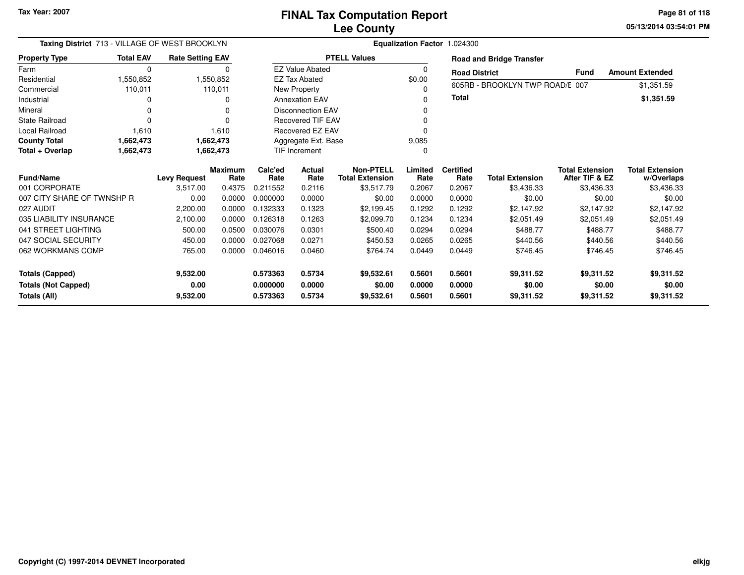**05/13/2014 03:54:01 PMPage 81 of 118**

|                            | Taxing District 713 - VILLAGE OF WEST BROOKLYN<br>Equalization Factor 1.024300 |                         |                        |                      |                          |                                            |                 |                          |                                 |                                          |                                      |
|----------------------------|--------------------------------------------------------------------------------|-------------------------|------------------------|----------------------|--------------------------|--------------------------------------------|-----------------|--------------------------|---------------------------------|------------------------------------------|--------------------------------------|
| <b>Property Type</b>       | <b>Total EAV</b>                                                               | <b>Rate Setting EAV</b> |                        |                      |                          | <b>PTELL Values</b>                        |                 |                          | <b>Road and Bridge Transfer</b> |                                          |                                      |
| Farm                       | $\mathbf 0$                                                                    |                         | 0                      |                      | <b>EZ Value Abated</b>   |                                            | 0               | <b>Road District</b>     |                                 | <b>Fund</b>                              | <b>Amount Extended</b>               |
| Residential                | 1,550,852                                                                      |                         | 1,550,852              |                      | <b>EZ Tax Abated</b>     |                                            | \$0.00          |                          |                                 |                                          |                                      |
| Commercial                 | 110,011                                                                        |                         | 110,011                |                      | New Property             |                                            | 0               |                          | 605RB - BROOKLYN TWP ROAD/E 007 |                                          | \$1,351.59                           |
| Industrial                 | O                                                                              |                         | O                      |                      | <b>Annexation EAV</b>    |                                            | 0               | Total                    |                                 |                                          | \$1,351.59                           |
| Mineral                    | 0                                                                              |                         |                        |                      | <b>Disconnection EAV</b> |                                            | 0               |                          |                                 |                                          |                                      |
| <b>State Railroad</b>      | $\Omega$                                                                       |                         |                        |                      | <b>Recovered TIF EAV</b> |                                            |                 |                          |                                 |                                          |                                      |
| <b>Local Railroad</b>      | 1,610                                                                          |                         | 1,610                  |                      | Recovered EZ EAV         |                                            | 0               |                          |                                 |                                          |                                      |
| <b>County Total</b>        | 1,662,473                                                                      |                         | 1,662,473              | Aggregate Ext. Base  |                          |                                            | 9,085           |                          |                                 |                                          |                                      |
| Total + Overlap            | 1,662,473                                                                      |                         | 1,662,473              | <b>TIF Increment</b> |                          | 0                                          |                 |                          |                                 |                                          |                                      |
| <b>Fund/Name</b>           |                                                                                | <b>Levy Request</b>     | <b>Maximum</b><br>Rate | Calc'ed<br>Rate      | Actual<br>Rate           | <b>Non-PTELL</b><br><b>Total Extension</b> | Limited<br>Rate | <b>Certified</b><br>Rate | <b>Total Extension</b>          | <b>Total Extension</b><br>After TIF & EZ | <b>Total Extension</b><br>w/Overlaps |
| 001 CORPORATE              |                                                                                | 3,517.00                | 0.4375                 | 0.211552             | 0.2116                   | \$3,517.79                                 | 0.2067          | 0.2067                   | \$3,436.33                      | \$3,436.33                               | \$3,436.33                           |
| 007 CITY SHARE OF TWNSHP R |                                                                                | 0.00                    | 0.0000                 | 0.000000             | 0.0000                   | \$0.00                                     | 0.0000          | 0.0000                   | \$0.00                          | \$0.00                                   | \$0.00                               |
| 027 AUDIT                  |                                                                                | 2,200.00                | 0.0000                 | 0.132333             | 0.1323                   | \$2,199.45                                 | 0.1292          | 0.1292                   | \$2,147.92                      | \$2,147.92                               | \$2,147.92                           |
| 035 LIABILITY INSURANCE    |                                                                                | 2,100.00                | 0.0000                 | 0.126318             | 0.1263                   | \$2,099.70                                 | 0.1234          | 0.1234                   | \$2,051.49                      | \$2,051.49                               | \$2,051.49                           |
| 041 STREET LIGHTING        |                                                                                | 500.00                  | 0.0500                 | 0.030076             | 0.0301                   | \$500.40                                   | 0.0294          | 0.0294                   | \$488.77                        | \$488.77                                 | \$488.77                             |
| 047 SOCIAL SECURITY        |                                                                                | 450.00                  | 0.0000                 | 0.027068             | 0.0271                   | \$450.53                                   | 0.0265          | 0.0265                   | \$440.56                        | \$440.56                                 | \$440.56                             |
| 062 WORKMANS COMP          |                                                                                | 765.00                  | 0.0000                 | 0.046016             | 0.0460                   | \$764.74                                   | 0.0449          | 0.0449                   | \$746.45                        | \$746.45                                 | \$746.45                             |
| <b>Totals (Capped)</b>     |                                                                                | 9,532.00                |                        | 0.573363             | 0.5734                   | \$9,532.61                                 | 0.5601          | 0.5601                   | \$9,311.52                      | \$9,311.52                               | \$9,311.52                           |
| <b>Totals (Not Capped)</b> |                                                                                | 0.00                    |                        | 0.000000             | 0.0000                   | \$0.00                                     | 0.0000          | 0.0000                   | \$0.00                          | \$0.00                                   | \$0.00                               |
| Totals (All)               |                                                                                | 9,532.00                |                        | 0.573363             | 0.5734                   | \$9,532.61                                 | 0.5601          | 0.5601                   | \$9,311.52                      | \$9,311.52                               | \$9,311.52                           |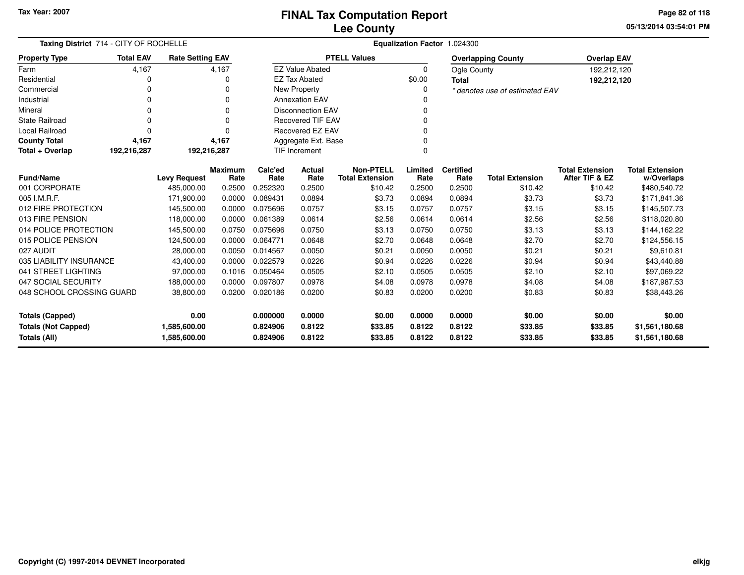**05/13/2014 03:54:01 PMPage 82 of 118**

| Taxing District 714 - CITY OF ROCHELLE |                  |                         |                |          | Equalization Factor 1.024300 |                        |          |                    |                                |                        |                        |  |  |  |
|----------------------------------------|------------------|-------------------------|----------------|----------|------------------------------|------------------------|----------|--------------------|--------------------------------|------------------------|------------------------|--|--|--|
| <b>Property Type</b>                   | <b>Total EAV</b> | <b>Rate Setting EAV</b> |                |          |                              | <b>PTELL Values</b>    |          |                    | <b>Overlapping County</b>      | <b>Overlap EAV</b>     |                        |  |  |  |
| Farm                                   | 4,167            |                         | 4,167          |          | <b>EZ Value Abated</b>       |                        | $\Omega$ | <b>Ogle County</b> |                                | 192,212,120            |                        |  |  |  |
| Residential                            | 0                |                         | 0              |          | <b>EZ Tax Abated</b>         |                        | \$0.00   | <b>Total</b>       |                                | 192,212,120            |                        |  |  |  |
| Commercial                             | 0                |                         | 0              |          | <b>New Property</b>          |                        |          |                    | * denotes use of estimated EAV |                        |                        |  |  |  |
| Industrial                             | 0                |                         | 0              |          | <b>Annexation EAV</b>        |                        |          |                    |                                |                        |                        |  |  |  |
| Mineral                                | 0                |                         | 0              |          | <b>Disconnection EAV</b>     |                        |          |                    |                                |                        |                        |  |  |  |
| <b>State Railroad</b>                  | 0                |                         | 0              |          | <b>Recovered TIF EAV</b>     |                        |          |                    |                                |                        |                        |  |  |  |
| <b>Local Railroad</b>                  | 0                |                         | $\Omega$       |          | Recovered EZ EAV             |                        |          |                    |                                |                        |                        |  |  |  |
| <b>County Total</b>                    | 4,167            |                         | 4,167          |          | Aggregate Ext. Base          |                        |          |                    |                                |                        |                        |  |  |  |
| Total + Overlap                        | 192,216,287      | 192,216,287             |                |          | TIF Increment                |                        |          |                    |                                |                        |                        |  |  |  |
|                                        |                  |                         | <b>Maximum</b> | Calc'ed  | Actual                       | <b>Non-PTELL</b>       | Limited  | <b>Certified</b>   |                                | <b>Total Extension</b> | <b>Total Extension</b> |  |  |  |
| <b>Fund/Name</b>                       |                  | <b>Levy Request</b>     | Rate           | Rate     | Rate                         | <b>Total Extension</b> | Rate     | Rate               | <b>Total Extension</b>         | After TIF & EZ         | w/Overlaps             |  |  |  |
| 001 CORPORATE                          |                  | 485,000.00              | 0.2500         | 0.252320 | 0.2500                       | \$10.42                | 0.2500   | 0.2500             | \$10.42                        | \$10.42                | \$480,540.72           |  |  |  |
| 005 I.M.R.F.                           |                  | 171,900.00              | 0.0000         | 0.089431 | 0.0894                       | \$3.73                 | 0.0894   | 0.0894             | \$3.73                         | \$3.73                 | \$171,841.36           |  |  |  |
| 012 FIRE PROTECTION                    |                  | 145,500.00              | 0.0000         | 0.075696 | 0.0757                       | \$3.15                 | 0.0757   | 0.0757             | \$3.15                         | \$3.15                 | \$145,507.73           |  |  |  |
| 013 FIRE PENSION                       |                  | 118,000.00              | 0.0000         | 0.061389 | 0.0614                       | \$2.56                 | 0.0614   | 0.0614             | \$2.56                         | \$2.56                 | \$118,020.80           |  |  |  |
| 014 POLICE PROTECTION                  |                  | 145,500.00              | 0.0750         | 0.075696 | 0.0750                       | \$3.13                 | 0.0750   | 0.0750             | \$3.13                         | \$3.13                 | \$144,162.22           |  |  |  |
| 015 POLICE PENSION                     |                  | 124,500.00              | 0.0000         | 0.064771 | 0.0648                       | \$2.70                 | 0.0648   | 0.0648             | \$2.70                         | \$2.70                 | \$124,556.15           |  |  |  |
| 027 AUDIT                              |                  | 28,000.00               | 0.0050         | 0.014567 | 0.0050                       | \$0.21                 | 0.0050   | 0.0050             | \$0.21                         | \$0.21                 | \$9,610.81             |  |  |  |
| 035 LIABILITY INSURANCE                |                  | 43,400.00               | 0.0000         | 0.022579 | 0.0226                       | \$0.94                 | 0.0226   | 0.0226             | \$0.94                         | \$0.94                 | \$43,440.88            |  |  |  |
| 041 STREET LIGHTING                    |                  | 97,000.00               | 0.1016         | 0.050464 | 0.0505                       | \$2.10                 | 0.0505   | 0.0505             | \$2.10                         | \$2.10                 | \$97,069.22            |  |  |  |
| 047 SOCIAL SECURITY                    |                  | 188,000.00              | 0.0000         | 0.097807 | 0.0978                       | \$4.08                 | 0.0978   | 0.0978             | \$4.08                         | \$4.08                 | \$187,987.53           |  |  |  |
| 048 SCHOOL CROSSING GUARD              |                  | 38,800.00               | 0.0200         | 0.020186 | 0.0200                       | \$0.83                 | 0.0200   | 0.0200             | \$0.83                         | \$0.83                 | \$38,443.26            |  |  |  |
| 0.00<br><b>Totals (Capped)</b>         |                  |                         | 0.000000       | 0.0000   | \$0.00                       | 0.0000                 | 0.0000   | \$0.00             | \$0.00                         | \$0.00                 |                        |  |  |  |
| <b>Totals (Not Capped)</b>             |                  | 1,585,600.00            |                | 0.824906 | 0.8122                       | \$33.85                | 0.8122   | 0.8122             | \$33.85                        | \$33.85                | \$1,561,180.68         |  |  |  |
| Totals (All)                           |                  | 1,585,600.00            |                | 0.824906 | 0.8122                       | \$33.85                | 0.8122   | 0.8122             | \$33.85                        | \$33.85                | \$1,561,180.68         |  |  |  |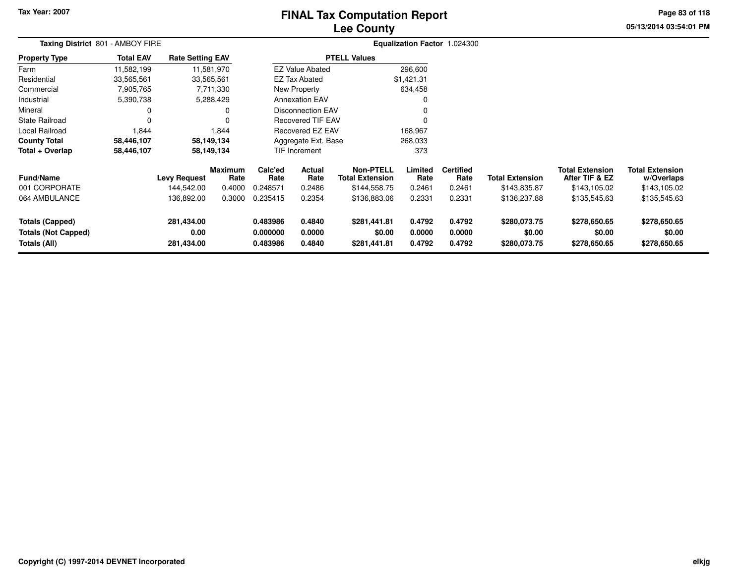# **Lee CountyFINAL Tax Computation Report**

**05/13/2014 03:54:01 PM Page 83 of 118**

| Taxing District 801 - AMBOY FIRE                                     |                  |                                  |                        | Equalization Factor 1.024300     |                            |                                            |                            |                            |                                        |                                          |                                        |  |
|----------------------------------------------------------------------|------------------|----------------------------------|------------------------|----------------------------------|----------------------------|--------------------------------------------|----------------------------|----------------------------|----------------------------------------|------------------------------------------|----------------------------------------|--|
| <b>Property Type</b>                                                 | <b>Total EAV</b> | <b>Rate Setting EAV</b>          |                        |                                  |                            | <b>PTELL Values</b>                        |                            |                            |                                        |                                          |                                        |  |
| Farm                                                                 | 11,582,199       |                                  | 11,581,970             |                                  | <b>EZ Value Abated</b>     |                                            | 296,600                    |                            |                                        |                                          |                                        |  |
| Residential                                                          | 33,565,561       | 33,565,561                       |                        |                                  | EZ Tax Abated              |                                            | \$1,421.31                 |                            |                                        |                                          |                                        |  |
| Commercial                                                           | 7,905,765        |                                  | 7,711,330              |                                  | New Property               |                                            | 634,458                    |                            |                                        |                                          |                                        |  |
| Industrial                                                           | 5,390,738        |                                  | 5,288,429              |                                  | <b>Annexation EAV</b>      |                                            | 0                          |                            |                                        |                                          |                                        |  |
| Mineral                                                              | 0                |                                  |                        |                                  | <b>Disconnection EAV</b>   |                                            | 0                          |                            |                                        |                                          |                                        |  |
| State Railroad                                                       | 0                |                                  |                        |                                  | <b>Recovered TIF EAV</b>   |                                            | 0                          |                            |                                        |                                          |                                        |  |
| Local Railroad                                                       | 1,844            |                                  | 1,844                  |                                  | Recovered EZ EAV           |                                            | 168,967                    |                            |                                        |                                          |                                        |  |
| <b>County Total</b>                                                  | 58,446,107       |                                  | 58,149,134             |                                  | Aggregate Ext. Base        |                                            | 268,033                    |                            |                                        |                                          |                                        |  |
| Total + Overlap                                                      | 58,446,107       |                                  | 58,149,134             |                                  | TIF Increment              |                                            | 373                        |                            |                                        |                                          |                                        |  |
| <b>Fund/Name</b>                                                     |                  | <b>Levy Request</b>              | <b>Maximum</b><br>Rate | Calc'ed<br>Rate                  | Actual<br>Rate             | <b>Non-PTELL</b><br><b>Total Extension</b> | Limited<br>Rate            | <b>Certified</b><br>Rate   | <b>Total Extension</b>                 | <b>Total Extension</b><br>After TIF & EZ | <b>Total Extension</b><br>w/Overlaps   |  |
| 001 CORPORATE                                                        |                  | 144,542.00                       | 0.4000                 | 0.248571                         | 0.2486                     | \$144,558.75                               | 0.2461                     | 0.2461                     | \$143,835.87                           | \$143,105.02                             | \$143,105.02                           |  |
| 064 AMBULANCE                                                        |                  | 136,892.00                       | 0.3000                 | 0.235415                         | 0.2354                     | \$136,883.06                               | 0.2331                     | 0.2331                     | \$136,237.88                           | \$135,545.63                             | \$135,545.63                           |  |
| <b>Totals (Capped)</b><br><b>Totals (Not Capped)</b><br>Totals (All) |                  | 281,434.00<br>0.00<br>281,434.00 |                        | 0.483986<br>0.000000<br>0.483986 | 0.4840<br>0.0000<br>0.4840 | \$281,441.81<br>\$0.00<br>\$281,441.81     | 0.4792<br>0.0000<br>0.4792 | 0.4792<br>0.0000<br>0.4792 | \$280,073.75<br>\$0.00<br>\$280,073.75 | \$278,650.65<br>\$0.00<br>\$278,650.65   | \$278,650.65<br>\$0.00<br>\$278,650.65 |  |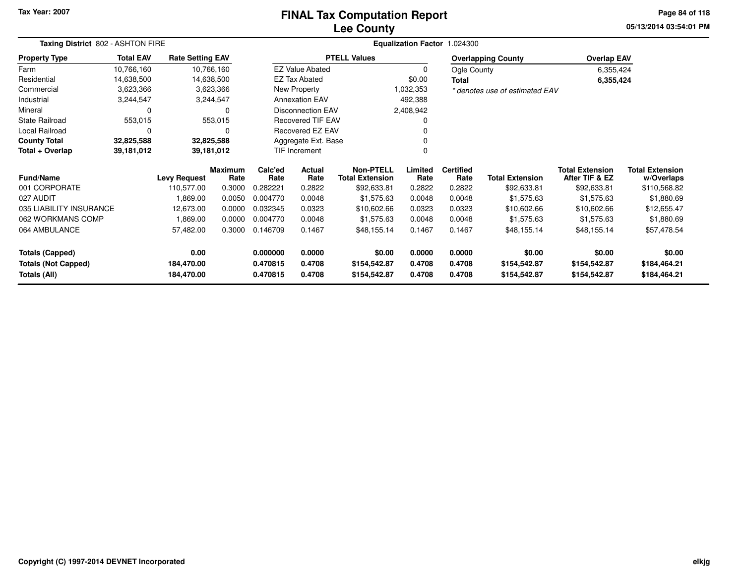### **Lee CountyFINAL Tax Computation Report**

**05/13/2014 03:54:01 PM Page 84 of 118**

| Taxing District 802 - ASHTON FIRE |                  |                         |                        |                 | Equalization Factor 1.024300 |                                            |                 |                          |                                |                                          |                                      |  |  |  |
|-----------------------------------|------------------|-------------------------|------------------------|-----------------|------------------------------|--------------------------------------------|-----------------|--------------------------|--------------------------------|------------------------------------------|--------------------------------------|--|--|--|
| <b>Property Type</b>              | <b>Total EAV</b> | <b>Rate Setting EAV</b> |                        |                 |                              | <b>PTELL Values</b>                        |                 |                          | <b>Overlapping County</b>      | <b>Overlap EAV</b>                       |                                      |  |  |  |
| Farm                              | 10,766,160       |                         | 10,766,160             |                 | <b>EZ Value Abated</b>       |                                            | 0               | Ogle County              |                                | 6,355,424                                |                                      |  |  |  |
| Residential                       | 14,638,500       |                         | 14,638,500             |                 | <b>EZ Tax Abated</b>         |                                            | \$0.00          | Total                    |                                | 6,355,424                                |                                      |  |  |  |
| Commercial                        | 3,623,366        |                         | 3,623,366              |                 | New Property                 |                                            | 1,032,353       |                          | * denotes use of estimated EAV |                                          |                                      |  |  |  |
| Industrial                        | 3,244,547        |                         | 3,244,547              |                 | <b>Annexation EAV</b>        |                                            | 492,388         |                          |                                |                                          |                                      |  |  |  |
| Mineral                           | 0                |                         | 0                      |                 | <b>Disconnection EAV</b>     |                                            | 2,408,942       |                          |                                |                                          |                                      |  |  |  |
| <b>State Railroad</b>             | 553,015          |                         | 553,015                |                 | <b>Recovered TIF EAV</b>     |                                            |                 |                          |                                |                                          |                                      |  |  |  |
| Local Railroad                    | 0                |                         | $\Omega$               |                 | Recovered EZ EAV             |                                            |                 |                          |                                |                                          |                                      |  |  |  |
| <b>County Total</b>               | 32,825,588       |                         | 32,825,588             |                 | Aggregate Ext. Base          |                                            |                 |                          |                                |                                          |                                      |  |  |  |
| Total + Overlap                   | 39,181,012       |                         | 39,181,012             |                 | TIF Increment                |                                            | 0               |                          |                                |                                          |                                      |  |  |  |
| Fund/Name                         |                  | <b>Levy Request</b>     | <b>Maximum</b><br>Rate | Calc'ed<br>Rate | Actual<br>Rate               | <b>Non-PTELL</b><br><b>Total Extension</b> | Limited<br>Rate | <b>Certified</b><br>Rate | <b>Total Extension</b>         | <b>Total Extension</b><br>After TIF & EZ | <b>Total Extension</b><br>w/Overlaps |  |  |  |
| 001 CORPORATE                     |                  | 110,577.00              | 0.3000                 | 0.282221        | 0.2822                       | \$92,633.81                                | 0.2822          | 0.2822                   | \$92,633.81                    | \$92,633.81                              | \$110,568.82                         |  |  |  |
| 027 AUDIT                         |                  | 1,869.00                | 0.0050                 | 0.004770        | 0.0048                       | \$1,575.63                                 | 0.0048          | 0.0048                   | \$1,575.63                     | \$1,575.63                               | \$1,880.69                           |  |  |  |
| 035 LIABILITY INSURANCE           |                  | 12,673.00               | 0.0000                 | 0.032345        | 0.0323                       | \$10,602.66                                | 0.0323          | 0.0323                   | \$10,602.66                    | \$10,602.66                              | \$12,655.47                          |  |  |  |
| 062 WORKMANS COMP                 |                  | 1,869.00                | 0.0000                 | 0.004770        | 0.0048                       | \$1,575.63                                 | 0.0048          | 0.0048                   | \$1,575.63                     | \$1,575.63                               | \$1,880.69                           |  |  |  |
| 064 AMBULANCE                     |                  | 57,482.00               | 0.3000                 | 0.146709        | 0.1467                       | \$48,155.14                                | 0.1467          | 0.1467                   | \$48,155.14                    | \$48,155.14                              | \$57,478.54                          |  |  |  |
| <b>Totals (Capped)</b>            |                  | 0.00                    |                        | 0.000000        | 0.0000                       | \$0.00                                     | 0.0000          | 0.0000                   | \$0.00                         | \$0.00                                   | \$0.00                               |  |  |  |
| <b>Totals (Not Capped)</b>        |                  | 184,470.00              |                        | 0.470815        | 0.4708                       | \$154,542.87                               | 0.4708          | 0.4708                   | \$154,542.87                   | \$154,542.87                             | \$184,464.21                         |  |  |  |
| Totals (All)                      |                  | 184,470.00              |                        | 0.470815        | 0.4708                       | \$154,542.87                               | 0.4708          | 0.4708                   | \$154,542.87                   | \$154,542.87                             | \$184,464.21                         |  |  |  |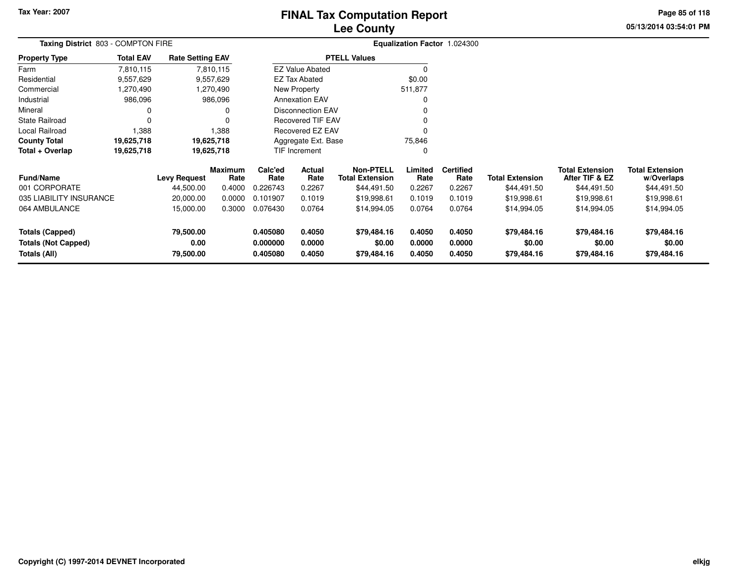# **Lee CountyFINAL Tax Computation Report**

**05/13/2014 03:54:01 PM Page 85 of 118**

| Taxing District 803 - COMPTON FIRE |                  |                         |                 |                 |                          | Equalization Factor 1.024300               |                 |                          |                        |                                          |                                      |
|------------------------------------|------------------|-------------------------|-----------------|-----------------|--------------------------|--------------------------------------------|-----------------|--------------------------|------------------------|------------------------------------------|--------------------------------------|
| <b>Property Type</b>               | <b>Total EAV</b> | <b>Rate Setting EAV</b> |                 |                 |                          | <b>PTELL Values</b>                        |                 |                          |                        |                                          |                                      |
| Farm                               | 7,810,115        |                         | 7,810,115       |                 | <b>EZ Value Abated</b>   |                                            |                 |                          |                        |                                          |                                      |
| Residential                        | 9,557,629        |                         | 9,557,629       |                 | <b>EZ Tax Abated</b>     |                                            | \$0.00          |                          |                        |                                          |                                      |
| Commercial                         | 270,490. ا       |                         | 1,270,490       |                 | New Property             |                                            | 511,877         |                          |                        |                                          |                                      |
| Industrial                         | 986,096          |                         | 986,096         |                 | <b>Annexation EAV</b>    |                                            |                 |                          |                        |                                          |                                      |
| Mineral                            | 0                |                         |                 |                 | <b>Disconnection EAV</b> |                                            |                 |                          |                        |                                          |                                      |
| State Railroad                     | $\Omega$         |                         |                 |                 | <b>Recovered TIF EAV</b> |                                            |                 |                          |                        |                                          |                                      |
| Local Railroad<br>1,388            |                  |                         | 1,388           |                 | Recovered EZ EAV         |                                            |                 |                          |                        |                                          |                                      |
| <b>County Total</b><br>19,625,718  |                  | 19,625,718              |                 |                 | Aggregate Ext. Base      |                                            | 75,846          |                          |                        |                                          |                                      |
| Total + Overlap                    | 19,625,718       | 19,625,718              |                 |                 | TIF Increment            |                                            |                 |                          |                        |                                          |                                      |
| <b>Fund/Name</b>                   |                  | <b>Levy Request</b>     | Maximum<br>Rate | Calc'ed<br>Rate | Actual<br>Rate           | <b>Non-PTELL</b><br><b>Total Extension</b> | Limited<br>Rate | <b>Certified</b><br>Rate | <b>Total Extension</b> | <b>Total Extension</b><br>After TIF & EZ | <b>Total Extension</b><br>w/Overlaps |
| 001 CORPORATE                      |                  | 44,500.00               | 0.4000          | 0.226743        | 0.2267                   | \$44,491.50                                | 0.2267          | 0.2267                   | \$44,491.50            | \$44,491.50                              | \$44,491.50                          |
| 035 LIABILITY INSURANCE            |                  | 20,000.00               | 0.0000          | 0.101907        | 0.1019                   | \$19,998.61                                | 0.1019          | 0.1019                   | \$19,998.61            | \$19,998.61                              | \$19,998.61                          |
| 064 AMBULANCE                      |                  | 15,000.00               | 0.3000          | 0.076430        | 0.0764                   | \$14,994.05                                | 0.0764          | 0.0764                   | \$14,994.05            | \$14,994.05                              | \$14,994.05                          |
| <b>Totals (Capped)</b>             |                  | 79,500.00               |                 | 0.405080        | 0.4050                   | \$79,484.16                                | 0.4050          | 0.4050                   | \$79,484.16            | \$79,484.16                              | \$79,484.16                          |
| <b>Totals (Not Capped)</b>         |                  | 0.00                    |                 | 0.000000        | 0.0000                   | \$0.00                                     | 0.0000          | 0.0000                   | \$0.00                 | \$0.00                                   | \$0.00                               |
| Totals (All)                       |                  | 79,500.00               |                 | 0.405080        | 0.4050                   | \$79,484.16                                | 0.4050          | 0.4050                   | \$79,484.16            | \$79,484.16                              | \$79,484.16                          |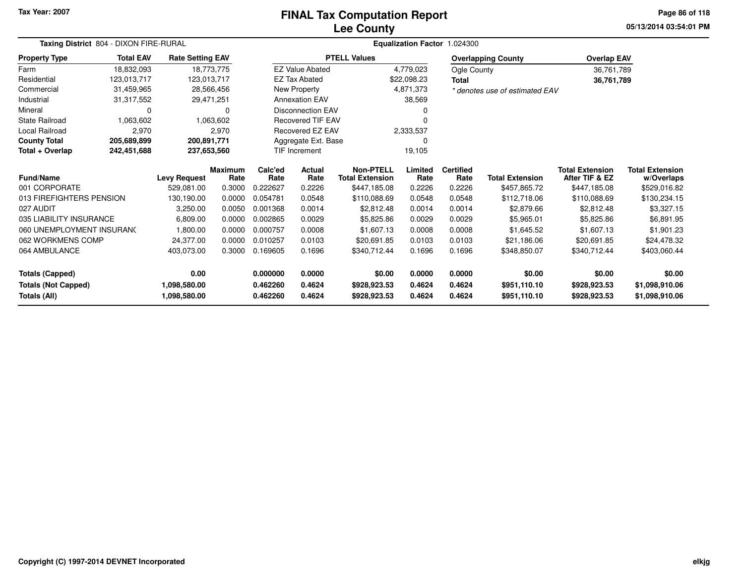#### **Lee CountyFINAL Tax Computation Report**

**05/13/2014 03:54:01 PM Page 86 of 118**

| Taxing District 804 - DIXON FIRE-RURAL |                  |                         |                 |                 | Equalization Factor 1.024300 |                                            |                 |                          |                                |                                          |                                      |  |  |
|----------------------------------------|------------------|-------------------------|-----------------|-----------------|------------------------------|--------------------------------------------|-----------------|--------------------------|--------------------------------|------------------------------------------|--------------------------------------|--|--|
| <b>Property Type</b>                   | <b>Total EAV</b> | <b>Rate Setting EAV</b> |                 |                 |                              | <b>PTELL Values</b>                        |                 |                          | <b>Overlapping County</b>      | <b>Overlap EAV</b>                       |                                      |  |  |
| Farm                                   | 18,832,093       |                         | 18,773,775      |                 | <b>EZ Value Abated</b>       |                                            | 4,779,023       | Ogle County              |                                | 36,761,789                               |                                      |  |  |
| Residential                            | 123.013.717      |                         | 123,013,717     |                 | <b>EZ Tax Abated</b>         |                                            | \$22,098.23     | <b>Total</b>             |                                | 36,761,789                               |                                      |  |  |
| Commercial                             | 31,459,965       |                         | 28,566,456      |                 | New Property                 |                                            | 4,871,373       |                          | * denotes use of estimated EAV |                                          |                                      |  |  |
| Industrial                             | 31,317,552       |                         | 29,471,251      |                 | <b>Annexation EAV</b>        |                                            | 38,569          |                          |                                |                                          |                                      |  |  |
| Mineral                                | 0                |                         | 0               |                 | <b>Disconnection EAV</b>     |                                            | 0               |                          |                                |                                          |                                      |  |  |
| <b>State Railroad</b>                  | 1.063.602        |                         | 1.063.602       |                 | <b>Recovered TIF EAV</b>     |                                            |                 |                          |                                |                                          |                                      |  |  |
| <b>Local Railroad</b>                  | 2,970            |                         | 2,970           |                 | Recovered EZ EAV             |                                            | 2,333,537       |                          |                                |                                          |                                      |  |  |
| <b>County Total</b>                    | 205,689,899      | 200,891,771             |                 |                 | Aggregate Ext. Base          |                                            |                 |                          |                                |                                          |                                      |  |  |
| Total + Overlap                        | 242,451,688      | 237,653,560             |                 |                 | <b>TIF Increment</b>         |                                            | 19,105          |                          |                                |                                          |                                      |  |  |
| <b>Fund/Name</b>                       |                  | <b>Levy Request</b>     | Maximum<br>Rate | Calc'ed<br>Rate | <b>Actual</b><br>Rate        | <b>Non-PTELL</b><br><b>Total Extension</b> | Limited<br>Rate | <b>Certified</b><br>Rate | <b>Total Extension</b>         | <b>Total Extension</b><br>After TIF & EZ | <b>Total Extension</b><br>w/Overlaps |  |  |
| 001 CORPORATE                          |                  | 529.081.00              | 0.3000          | 0.222627        | 0.2226                       | \$447,185.08                               | 0.2226          | 0.2226                   | \$457,865.72                   | \$447,185.08                             | \$529,016.82                         |  |  |
| 013 FIREFIGHTERS PENSION               |                  | 130.190.00              | 0.0000          | 0.054781        | 0.0548                       | \$110,088.69                               | 0.0548          | 0.0548                   | \$112,718.06                   | \$110,088.69                             | \$130,234.15                         |  |  |
| 027 AUDIT                              |                  | 3,250.00                | 0.0050          | 0.001368        | 0.0014                       | \$2.812.48                                 | 0.0014          | 0.0014                   | \$2,879.66                     | \$2,812.48                               | \$3,327.15                           |  |  |
| 035 LIABILITY INSURANCE                |                  | 6,809.00                | 0.0000          | 0.002865        | 0.0029                       | \$5,825.86                                 | 0.0029          | 0.0029                   | \$5,965.01                     | \$5,825.86                               | \$6,891.95                           |  |  |
| 060 UNEMPLOYMENT INSURANC              |                  | 1,800.00                | 0.0000          | 0.000757        | 0.0008                       | \$1,607.13                                 | 0.0008          | 0.0008                   | \$1,645.52                     | \$1,607.13                               | \$1,901.23                           |  |  |
| 062 WORKMENS COMP                      |                  | 24,377.00               | 0.0000          | 0.010257        | 0.0103                       | \$20,691.85                                | 0.0103          | 0.0103                   | \$21,186.06                    | \$20,691.85                              | \$24,478.32                          |  |  |
| 064 AMBULANCE                          |                  | 403,073.00              | 0.3000          | 0.169605        | 0.1696                       | \$340,712.44                               | 0.1696          | 0.1696                   | \$348,850.07                   | \$340,712.44                             | \$403,060.44                         |  |  |
| <b>Totals (Capped)</b>                 |                  | 0.00                    |                 | 0.000000        | 0.0000                       | \$0.00                                     | 0.0000          | 0.0000                   | \$0.00                         | \$0.00                                   | \$0.00                               |  |  |
| <b>Totals (Not Capped)</b>             |                  | 1,098,580.00            |                 | 0.462260        | 0.4624                       | \$928,923.53                               | 0.4624          | 0.4624                   | \$951,110.10                   | \$928,923.53                             | \$1,098,910.06                       |  |  |
| Totals (All)                           |                  | 1,098,580.00            |                 | 0.462260        | 0.4624                       | \$928,923.53                               | 0.4624          | 0.4624                   | \$951,110.10                   | \$928,923.53                             | \$1,098,910.06                       |  |  |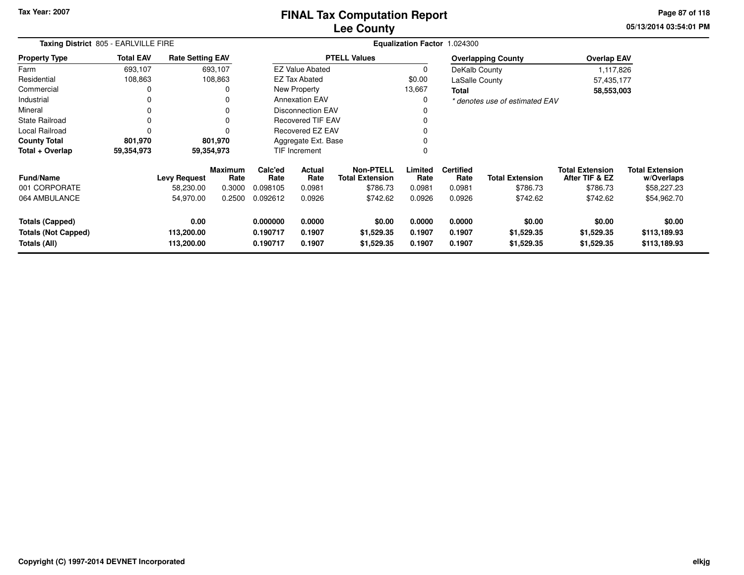### **Lee CountyFINAL Tax Computation Report**

**05/13/2014 03:54:01 PM Page 87 of 118**

| Taxing District 805 - EARLVILLE FIRE                                 |                  |                                  |                 |                                  |                            | Equalization Factor 1.024300               |                            |                            |                                    |                                          |                                        |
|----------------------------------------------------------------------|------------------|----------------------------------|-----------------|----------------------------------|----------------------------|--------------------------------------------|----------------------------|----------------------------|------------------------------------|------------------------------------------|----------------------------------------|
| <b>Property Type</b>                                                 | <b>Total EAV</b> | <b>Rate Setting EAV</b>          |                 |                                  |                            | <b>PTELL Values</b>                        |                            |                            | <b>Overlapping County</b>          | <b>Overlap EAV</b>                       |                                        |
| Farm                                                                 | 693,107          |                                  | 693,107         |                                  | <b>EZ Value Abated</b>     |                                            | 0                          | DeKalb County              |                                    | 1,117,826                                |                                        |
| Residential                                                          | 108,863          |                                  | 108,863         |                                  | <b>EZ Tax Abated</b>       |                                            | \$0.00                     | LaSalle County             |                                    | 57,435,177                               |                                        |
| Commercial                                                           | 0                |                                  | 0               |                                  | New Property               |                                            | 13,667                     | <b>Total</b>               |                                    | 58,553,003                               |                                        |
| Industrial                                                           | 0                |                                  | 0               |                                  | <b>Annexation EAV</b>      |                                            | 0                          |                            | * denotes use of estimated EAV     |                                          |                                        |
| Mineral                                                              | 0                |                                  | 0               |                                  | <b>Disconnection EAV</b>   |                                            |                            |                            |                                    |                                          |                                        |
| State Railroad                                                       | 0                |                                  | 0               |                                  | <b>Recovered TIF EAV</b>   |                                            |                            |                            |                                    |                                          |                                        |
| <b>Local Railroad</b>                                                | 0                |                                  | 0               | Recovered EZ EAV                 |                            |                                            | 0                          |                            |                                    |                                          |                                        |
| <b>County Total</b>                                                  | 801,970          |                                  | 801,970         |                                  | Aggregate Ext. Base        |                                            | 0                          |                            |                                    |                                          |                                        |
| Total + Overlap                                                      | 59,354,973       |                                  | 59,354,973      |                                  | TIF Increment              |                                            | $\mathbf 0$                |                            |                                    |                                          |                                        |
| <b>Fund/Name</b>                                                     |                  | <b>Levy Request</b>              | Maximum<br>Rate | Calc'ed<br>Rate                  | <b>Actual</b><br>Rate      | <b>Non-PTELL</b><br><b>Total Extension</b> | Limited<br>Rate            | <b>Certified</b><br>Rate   | <b>Total Extension</b>             | <b>Total Extension</b><br>After TIF & EZ | <b>Total Extension</b><br>w/Overlaps   |
| 001 CORPORATE                                                        |                  | 58,230.00                        | 0.3000          | 0.098105                         | 0.0981                     | \$786.73                                   | 0.0981                     | 0.0981                     | \$786.73                           | \$786.73                                 | \$58,227.23                            |
| 064 AMBULANCE                                                        |                  | 54,970.00                        | 0.2500          | 0.092612                         | 0.0926                     | \$742.62                                   | 0.0926                     | 0.0926                     | \$742.62                           | \$742.62                                 | \$54,962.70                            |
| <b>Totals (Capped)</b><br><b>Totals (Not Capped)</b><br>Totals (All) |                  | 0.00<br>113,200.00<br>113,200.00 |                 | 0.000000<br>0.190717<br>0.190717 | 0.0000<br>0.1907<br>0.1907 | \$0.00<br>\$1,529.35<br>\$1,529.35         | 0.0000<br>0.1907<br>0.1907 | 0.0000<br>0.1907<br>0.1907 | \$0.00<br>\$1,529.35<br>\$1,529.35 | \$0.00<br>\$1,529.35<br>\$1,529.35       | \$0.00<br>\$113,189.93<br>\$113,189.93 |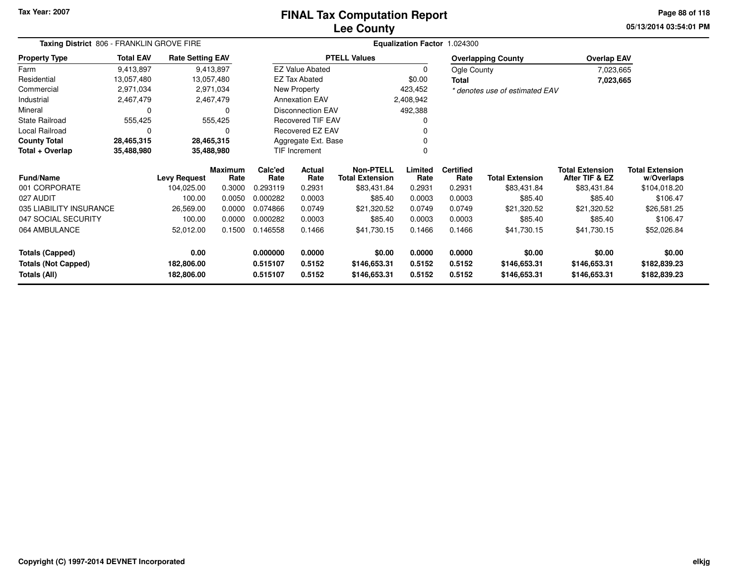### **Lee CountyFINAL Tax Computation Report**

**05/13/2014 03:54:01 PM Page 88 of 118**

| Taxing District 806 - FRANKLIN GROVE FIRE | Equalization Factor 1.024300 |                         |                        |                 |                          |                                            |                 |                          |                                |                                          |                                      |
|-------------------------------------------|------------------------------|-------------------------|------------------------|-----------------|--------------------------|--------------------------------------------|-----------------|--------------------------|--------------------------------|------------------------------------------|--------------------------------------|
| <b>Property Type</b>                      | <b>Total EAV</b>             | <b>Rate Setting EAV</b> |                        |                 |                          | <b>PTELL Values</b>                        |                 |                          | <b>Overlapping County</b>      | <b>Overlap EAV</b>                       |                                      |
| Farm                                      | 9,413,897                    |                         | 9,413,897              |                 | <b>EZ Value Abated</b>   |                                            | $\Omega$        | Ogle County              |                                | 7,023,665                                |                                      |
| Residential                               | 13,057,480                   | 13,057,480              |                        |                 | <b>EZ Tax Abated</b>     |                                            | \$0.00          | <b>Total</b>             |                                | 7,023,665                                |                                      |
| Commercial                                | 2,971,034                    |                         | 2,971,034              |                 | New Property             |                                            | 423,452         |                          | * denotes use of estimated EAV |                                          |                                      |
| Industrial                                | 2,467,479                    |                         | 2,467,479              |                 | <b>Annexation EAV</b>    |                                            | 2,408,942       |                          |                                |                                          |                                      |
| Mineral                                   | 0                            |                         | $\Omega$               |                 | <b>Disconnection EAV</b> |                                            | 492,388         |                          |                                |                                          |                                      |
| <b>State Railroad</b>                     | 555,425                      |                         | 555,425                |                 | <b>Recovered TIF EAV</b> |                                            |                 |                          |                                |                                          |                                      |
| Local Railroad                            | 0                            |                         | ∩                      |                 | Recovered EZ EAV         |                                            |                 |                          |                                |                                          |                                      |
| <b>County Total</b>                       | 28,465,315                   | 28,465,315              |                        |                 | Aggregate Ext. Base      |                                            |                 |                          |                                |                                          |                                      |
| 35,488,980<br>Total + Overlap             |                              | 35,488,980              |                        |                 | TIF Increment            |                                            |                 |                          |                                |                                          |                                      |
| <b>Fund/Name</b>                          |                              | <b>Levy Request</b>     | <b>Maximum</b><br>Rate | Calc'ed<br>Rate | Actual<br>Rate           | <b>Non-PTELL</b><br><b>Total Extension</b> | Limited<br>Rate | <b>Certified</b><br>Rate | <b>Total Extension</b>         | <b>Total Extension</b><br>After TIF & EZ | <b>Total Extension</b><br>w/Overlaps |
| 001 CORPORATE                             |                              | 104,025.00              | 0.3000                 | 0.293119        | 0.2931                   | \$83,431.84                                | 0.2931          | 0.2931                   | \$83,431.84                    | \$83,431.84                              | \$104,018.20                         |
| 027 AUDIT                                 |                              | 100.00                  | 0.0050                 | 0.000282        | 0.0003                   | \$85.40                                    | 0.0003          | 0.0003                   | \$85.40                        | \$85.40                                  | \$106.47                             |
| 035 LIABILITY INSURANCE                   |                              | 26,569.00               | 0.0000                 | 0.074866        | 0.0749                   | \$21,320.52                                | 0.0749          | 0.0749                   | \$21,320.52                    | \$21,320.52                              | \$26,581.25                          |
| 047 SOCIAL SECURITY                       |                              | 100.00                  | 0.0000                 | 0.000282        | 0.0003                   | \$85.40                                    | 0.0003          | 0.0003                   | \$85.40                        | \$85.40                                  | \$106.47                             |
| 064 AMBULANCE                             |                              | 52,012.00               | 0.1500                 | 0.146558        | 0.1466                   | \$41,730.15                                | 0.1466          | 0.1466                   | \$41,730.15                    | \$41,730.15                              | \$52,026.84                          |
| Totals (Capped)                           |                              | 0.00                    |                        | 0.000000        | 0.0000                   | \$0.00                                     | 0.0000          | 0.0000                   | \$0.00                         | \$0.00                                   | \$0.00                               |
| <b>Totals (Not Capped)</b>                |                              | 182,806.00              |                        | 0.515107        | 0.5152                   | \$146,653.31                               | 0.5152          | 0.5152                   | \$146,653.31                   | \$146,653.31                             | \$182,839.23                         |
| Totals (All)                              |                              | 182,806.00              |                        | 0.515107        | 0.5152                   | \$146,653.31                               | 0.5152          | 0.5152                   | \$146,653.31                   | \$146,653.31                             | \$182,839.23                         |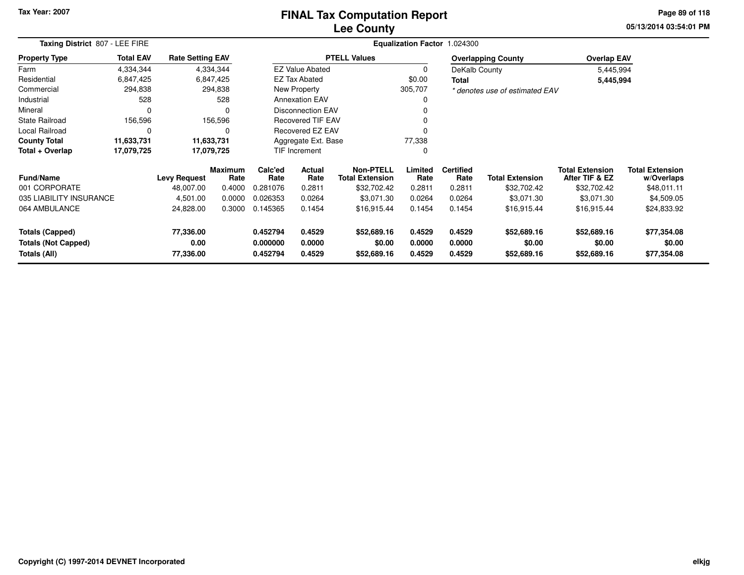#### **Lee CountyFINAL Tax Computation Report**

**05/13/2014 03:54:01 PM Page 89 of 118**

| Taxing District 807 - LEE FIRE             |                  | Equalization Factor 1.024300 |                        |                      |                          |                                     |                  |                          |                                |                                          |                                      |
|--------------------------------------------|------------------|------------------------------|------------------------|----------------------|--------------------------|-------------------------------------|------------------|--------------------------|--------------------------------|------------------------------------------|--------------------------------------|
| <b>Property Type</b>                       | <b>Total EAV</b> | <b>Rate Setting EAV</b>      |                        |                      |                          | <b>PTELL Values</b>                 |                  |                          | <b>Overlapping County</b>      | <b>Overlap EAV</b>                       |                                      |
| Farm                                       | 4,334,344        |                              | 4,334,344              |                      | <b>EZ Value Abated</b>   |                                     |                  | DeKalb County            |                                | 5,445,994                                |                                      |
| Residential                                | 6,847,425        |                              | 6,847,425              |                      | <b>EZ Tax Abated</b>     |                                     | \$0.00           | <b>Total</b>             |                                | 5,445,994                                |                                      |
| Commercial                                 | 294,838          |                              | 294,838                |                      | New Property             |                                     | 305,707          |                          | * denotes use of estimated EAV |                                          |                                      |
| Industrial                                 | 528              |                              | 528                    |                      | <b>Annexation EAV</b>    |                                     |                  |                          |                                |                                          |                                      |
| Mineral                                    | 0                |                              | 0                      |                      | <b>Disconnection EAV</b> |                                     |                  |                          |                                |                                          |                                      |
| <b>State Railroad</b>                      | 156,596          |                              | 156,596                |                      | <b>Recovered TIF EAV</b> |                                     |                  |                          |                                |                                          |                                      |
| Local Railroad                             | 0                |                              | 0                      |                      | <b>Recovered EZ EAV</b>  |                                     |                  |                          |                                |                                          |                                      |
| <b>County Total</b>                        | 11,633,731       |                              | 11,633,731             | Aggregate Ext. Base  |                          |                                     | 77,338           |                          |                                |                                          |                                      |
| Total + Overlap                            | 17,079,725       |                              | 17,079,725             | TIF Increment        |                          |                                     |                  |                          |                                |                                          |                                      |
| <b>Fund/Name</b>                           |                  | <b>Levy Request</b>          | <b>Maximum</b><br>Rate | Calc'ed<br>Rate      | Actual<br>Rate           | Non-PTELL<br><b>Total Extension</b> | Limited<br>Rate  | <b>Certified</b><br>Rate | <b>Total Extension</b>         | <b>Total Extension</b><br>After TIF & EZ | <b>Total Extension</b><br>w/Overlaps |
| 001 CORPORATE                              |                  | 48,007.00                    | 0.4000                 | 0.281076             | 0.2811                   | \$32,702.42                         | 0.2811           | 0.2811                   | \$32,702.42                    | \$32,702.42                              | \$48,011.11                          |
| 035 LIABILITY INSURANCE                    |                  | 4,501.00                     | 0.0000                 | 0.026353             | 0.0264                   | \$3,071.30                          | 0.0264           | 0.0264                   | \$3,071.30                     | \$3,071.30                               | \$4,509.05                           |
| 064 AMBULANCE                              |                  | 24,828.00                    | 0.3000                 | 0.145365             | 0.1454                   | \$16,915.44                         | 0.1454           | 0.1454                   | \$16,915.44                    | \$16,915.44                              | \$24,833.92                          |
| <b>Totals (Capped)</b>                     |                  | 77,336.00                    |                        | 0.452794             | 0.4529                   | \$52,689.16                         | 0.4529           | 0.4529                   | \$52,689.16                    | \$52,689.16                              | \$77,354.08                          |
| <b>Totals (Not Capped)</b><br>Totals (All) |                  | 0.00<br>77,336.00            |                        | 0.000000<br>0.452794 | 0.0000<br>0.4529         | \$0.00<br>\$52,689.16               | 0.0000<br>0.4529 | 0.0000<br>0.4529         | \$0.00<br>\$52,689.16          | \$0.00<br>\$52,689.16                    | \$0.00<br>\$77,354.08                |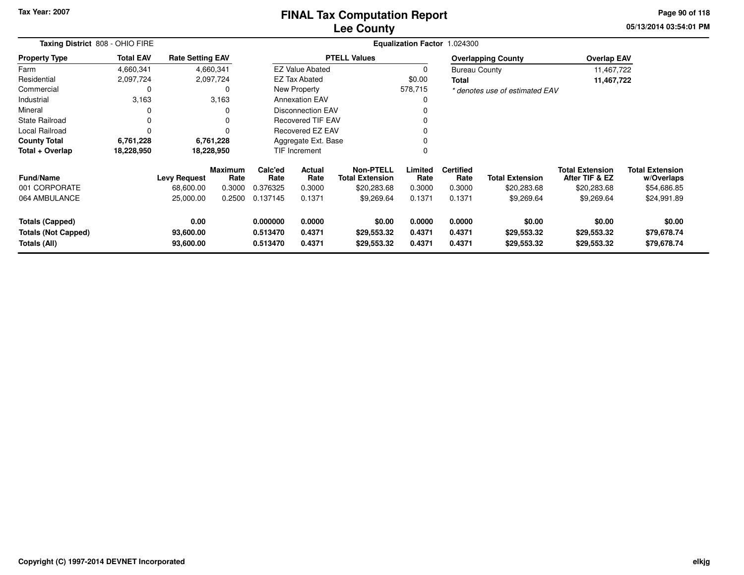# **Lee CountyFINAL Tax Computation Report**

**05/13/2014 03:54:01 PM Page 90 of 118**

| Taxing District 808 - OHIO FIRE |                  |                         |                        |                 |                          |                                            | <b>Equalization Factor</b> | 1.024300                 |                                |                                          |                                      |
|---------------------------------|------------------|-------------------------|------------------------|-----------------|--------------------------|--------------------------------------------|----------------------------|--------------------------|--------------------------------|------------------------------------------|--------------------------------------|
| <b>Property Type</b>            | <b>Total EAV</b> | <b>Rate Setting EAV</b> |                        |                 |                          | <b>PTELL Values</b>                        |                            |                          | <b>Overlapping County</b>      | <b>Overlap EAV</b>                       |                                      |
| Farm                            | 4,660,341        |                         | 4,660,341              |                 | <b>EZ Value Abated</b>   |                                            | 0                          | <b>Bureau County</b>     |                                | 11,467,722                               |                                      |
| Residential                     | 2,097,724        |                         | 2,097,724              |                 | <b>EZ Tax Abated</b>     |                                            | \$0.00                     | Total                    |                                | 11,467,722                               |                                      |
| Commercial                      | 0                |                         | 0                      |                 | New Property             |                                            | 578,715                    |                          | * denotes use of estimated EAV |                                          |                                      |
| Industrial                      | 3,163            |                         | 3,163                  |                 | <b>Annexation EAV</b>    |                                            | 0                          |                          |                                |                                          |                                      |
| Mineral                         |                  |                         | $\Omega$               |                 | <b>Disconnection EAV</b> |                                            | 0                          |                          |                                |                                          |                                      |
| <b>State Railroad</b>           | 0                |                         | $\Omega$               |                 | <b>Recovered TIF EAV</b> |                                            | 0                          |                          |                                |                                          |                                      |
| Local Railroad                  |                  |                         | $\Omega$               |                 | <b>Recovered EZ EAV</b>  |                                            | 0                          |                          |                                |                                          |                                      |
| <b>County Total</b>             | 6,761,228        |                         | 6,761,228              |                 | Aggregate Ext. Base      |                                            | 0                          |                          |                                |                                          |                                      |
| Total + Overlap                 | 18,228,950       | 18,228,950              |                        |                 | TIF Increment            |                                            | 0                          |                          |                                |                                          |                                      |
| <b>Fund/Name</b>                |                  | <b>Levy Request</b>     | <b>Maximum</b><br>Rate | Calc'ed<br>Rate | Actual<br>Rate           | <b>Non-PTELL</b><br><b>Total Extension</b> | Limited<br>Rate            | <b>Certified</b><br>Rate | <b>Total Extension</b>         | <b>Total Extension</b><br>After TIF & EZ | <b>Total Extension</b><br>w/Overlaps |
| 001 CORPORATE                   |                  | 68,600.00               | 0.3000                 | 0.376325        | 0.3000                   | \$20,283.68                                | 0.3000                     | 0.3000                   | \$20,283.68                    | \$20,283.68                              | \$54,686.85                          |
| 064 AMBULANCE                   |                  | 25,000.00               | 0.2500                 | 0.137145        | 0.1371                   | \$9,269.64                                 | 0.1371                     | 0.1371                   | \$9,269.64                     | \$9,269.64                               | \$24,991.89                          |
| Totals (Capped)                 |                  | 0.00                    |                        | 0.000000        | 0.0000                   | \$0.00                                     | 0.0000                     | 0.0000                   | \$0.00                         | \$0.00                                   | \$0.00                               |
| <b>Totals (Not Capped)</b>      |                  | 93,600.00               |                        | 0.513470        | 0.4371                   | \$29,553.32                                | 0.4371                     | 0.4371                   | \$29,553.32                    | \$29,553.32                              | \$79,678.74                          |
| Totals (All)                    |                  | 93,600.00               |                        | 0.513470        | 0.4371                   | \$29,553.32                                | 0.4371                     | 0.4371                   | \$29,553.32                    | \$29,553.32                              | \$79,678.74                          |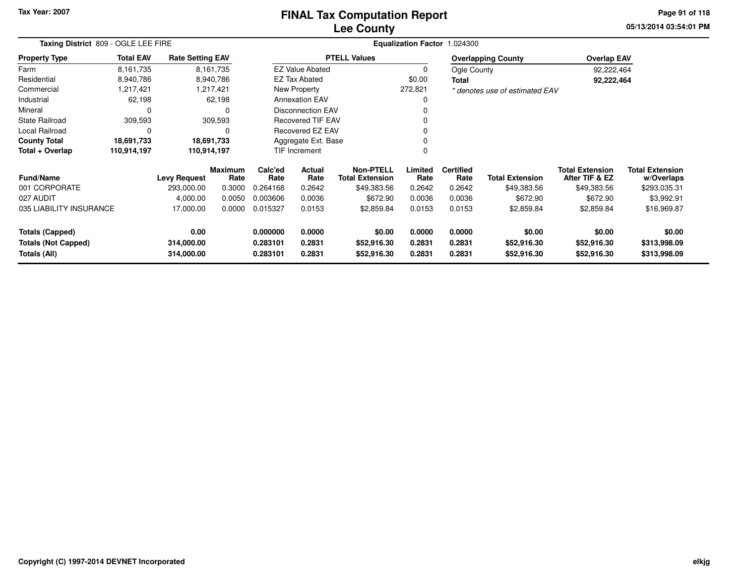# **Lee CountyFINAL Tax Computation Report**

**05/13/2014 03:54:01 PM Page 91 of 118**

| Taxing District 809 - OGLE LEE FIRE        |                  |                          |                        |                                          |                                                              | Equalization Factor 1.024300 |                  |                          |                                |                                          |                                      |
|--------------------------------------------|------------------|--------------------------|------------------------|------------------------------------------|--------------------------------------------------------------|------------------------------|------------------|--------------------------|--------------------------------|------------------------------------------|--------------------------------------|
| <b>Property Type</b>                       | <b>Total EAV</b> | <b>Rate Setting EAV</b>  |                        |                                          |                                                              | <b>PTELL Values</b>          |                  |                          | <b>Overlapping County</b>      | <b>Overlap EAV</b>                       |                                      |
| Farm                                       | 8,161,735        |                          | 8,161,735              |                                          | <b>EZ Value Abated</b>                                       |                              | $\Omega$         | Ogle County              |                                | 92,222,464                               |                                      |
| Residential                                | 8,940,786        |                          | 8,940,786              |                                          | <b>EZ Tax Abated</b>                                         |                              | \$0.00           | <b>Total</b>             |                                | 92,222,464                               |                                      |
| Commercial                                 | 1,217,421        |                          | 1,217,421              |                                          | New Property                                                 |                              | 272,821          |                          | * denotes use of estimated EAV |                                          |                                      |
| Industrial                                 | 62,198           |                          | 62,198                 |                                          | <b>Annexation EAV</b>                                        |                              |                  |                          |                                |                                          |                                      |
| Mineral                                    | 0                |                          | 0                      |                                          | <b>Disconnection EAV</b>                                     |                              |                  |                          |                                |                                          |                                      |
| <b>State Railroad</b>                      | 309,593          |                          | 309,593                |                                          | <b>Recovered TIF EAV</b>                                     |                              |                  |                          |                                |                                          |                                      |
| Local Railroad                             | 0                |                          | 0                      |                                          | Recovered EZ EAV                                             |                              |                  |                          |                                |                                          |                                      |
| <b>County Total</b>                        | 18,691,733       |                          | 18,691,733             |                                          | Aggregate Ext. Base                                          |                              |                  |                          |                                |                                          |                                      |
| Total + Overlap                            | 110,914,197      |                          | 110,914,197            | TIF Increment                            |                                                              |                              |                  |                          |                                |                                          |                                      |
| <b>Fund/Name</b>                           |                  | <b>Levy Request</b>      | <b>Maximum</b><br>Rate | Calc'ed<br>Rate                          | <b>Non-PTELL</b><br>Actual<br><b>Total Extension</b><br>Rate |                              | Limited<br>Rate  | <b>Certified</b><br>Rate | <b>Total Extension</b>         | <b>Total Extension</b><br>After TIF & EZ | <b>Total Extension</b><br>w/Overlaps |
| 001 CORPORATE                              |                  | 293,000.00               | 0.3000                 | 0.264168                                 | 0.2642                                                       | \$49,383.56                  | 0.2642           | 0.2642                   | \$49,383.56                    | \$49,383.56                              | \$293,035.31                         |
| 027 AUDIT                                  |                  | 4,000.00                 | 0.0050                 | 0.003606                                 | 0.0036                                                       | \$672.90                     | 0.0036           | 0.0036                   | \$672.90                       | \$672.90                                 | \$3,992.91                           |
| 035 LIABILITY INSURANCE                    |                  | 17,000.00                | 0.0000                 | 0.015327                                 | 0.0153                                                       | \$2,859.84                   | 0.0153           | 0.0153                   | \$2,859.84                     | \$2,859.84                               | \$16,969.87                          |
| <b>Totals (Capped)</b>                     |                  | 0.00                     |                        | 0.000000                                 | 0.0000                                                       | \$0.00                       | 0.0000           | 0.0000                   | \$0.00                         | \$0.00                                   | \$0.00                               |
| <b>Totals (Not Capped)</b><br>Totals (All) |                  | 314,000.00<br>314,000.00 |                        | 0.283101<br>0.2831<br>0.283101<br>0.2831 |                                                              | \$52,916.30<br>\$52,916.30   | 0.2831<br>0.2831 | 0.2831<br>0.2831         | \$52,916.30<br>\$52,916.30     | \$52,916.30<br>\$52,916.30               | \$313,998.09<br>\$313,998.09         |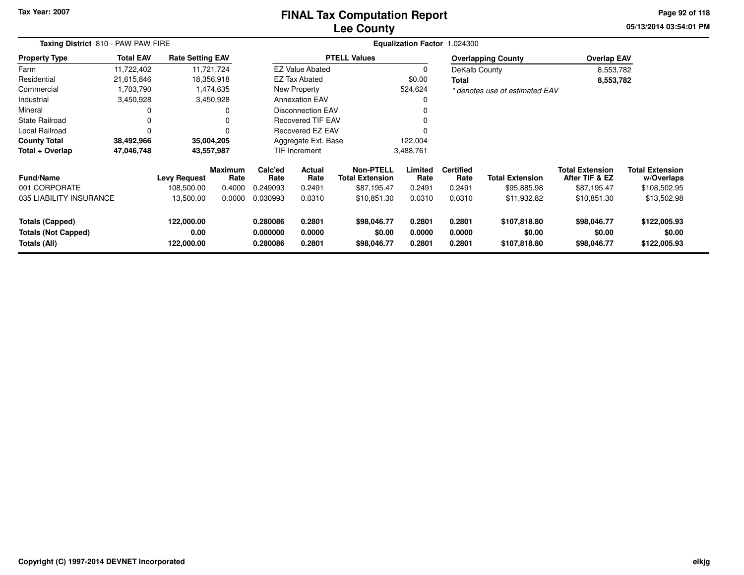### **Lee CountyFINAL Tax Computation Report**

**05/13/2014 03:54:01 PM Page 92 of 118**

| Taxing District 810 - PAW PAW FIRE                                   |                                   |                                  |                        | Equalization Factor 1.024300     |                            |                                      |                            |                            |                                        |                                          |                                        |  |  |
|----------------------------------------------------------------------|-----------------------------------|----------------------------------|------------------------|----------------------------------|----------------------------|--------------------------------------|----------------------------|----------------------------|----------------------------------------|------------------------------------------|----------------------------------------|--|--|
| <b>Property Type</b>                                                 | <b>Total EAV</b>                  | <b>Rate Setting EAV</b>          |                        |                                  |                            | <b>PTELL Values</b>                  |                            |                            | <b>Overlapping County</b>              | <b>Overlap EAV</b>                       |                                        |  |  |
| Farm                                                                 | 11,722,402                        |                                  | 11,721,724             |                                  | <b>EZ Value Abated</b>     |                                      | 0                          | DeKalb County              |                                        | 8,553,782                                |                                        |  |  |
| Residential                                                          | 21,615,846                        |                                  | 18,356,918             |                                  | <b>EZ Tax Abated</b>       |                                      | \$0.00                     | <b>Total</b>               |                                        | 8,553,782                                |                                        |  |  |
| Commercial                                                           | 1,703,790                         |                                  | 1,474,635              |                                  | New Property               |                                      | 524,624                    |                            | * denotes use of estimated EAV         |                                          |                                        |  |  |
| Industrial                                                           | 3,450,928                         |                                  | 3,450,928              |                                  | <b>Annexation EAV</b>      |                                      | 0                          |                            |                                        |                                          |                                        |  |  |
| Mineral                                                              | 0                                 |                                  | 0                      | <b>Disconnection EAV</b>         |                            |                                      | 0                          |                            |                                        |                                          |                                        |  |  |
| <b>State Railroad</b>                                                |                                   |                                  |                        | <b>Recovered TIF EAV</b>         |                            |                                      |                            |                            |                                        |                                          |                                        |  |  |
| <b>Local Railroad</b>                                                | 0                                 |                                  |                        |                                  | Recovered EZ EAV           |                                      | $\Omega$                   |                            |                                        |                                          |                                        |  |  |
| <b>County Total</b>                                                  | 38,492,966                        |                                  | 35,004,205             |                                  | Aggregate Ext. Base        |                                      | 122,004                    |                            |                                        |                                          |                                        |  |  |
| Total + Overlap                                                      | 47,046,748                        |                                  |                        |                                  | <b>TIF Increment</b>       |                                      | 3,488,761                  |                            |                                        |                                          |                                        |  |  |
| <b>Fund/Name</b>                                                     | 43,557,987<br><b>Levy Request</b> |                                  | <b>Maximum</b><br>Rate | Calc'ed<br>Rate                  | <b>Actual</b><br>Rate      | Non-PTELL<br><b>Total Extension</b>  | Limited<br>Rate            | <b>Certified</b><br>Rate   | <b>Total Extension</b>                 | <b>Total Extension</b><br>After TIF & EZ | <b>Total Extension</b><br>w/Overlaps   |  |  |
| 001 CORPORATE                                                        |                                   | 108,500.00                       | 0.4000                 | 0.249093                         | 0.2491                     | \$87,195.47                          | 0.2491                     | 0.2491                     | \$95,885.98                            | \$87,195.47                              | \$108,502.95                           |  |  |
| 035 LIABILITY INSURANCE                                              |                                   | 13,500.00                        | 0.0000                 | 0.030993                         | 0.0310                     | \$10,851.30                          | 0.0310                     | 0.0310                     | \$11,932.82                            | \$10,851.30                              | \$13,502.98                            |  |  |
| <b>Totals (Capped)</b><br><b>Totals (Not Capped)</b><br>Totals (All) |                                   | 122,000.00<br>0.00<br>122,000.00 |                        | 0.280086<br>0.000000<br>0.280086 | 0.2801<br>0.0000<br>0.2801 | \$98,046.77<br>\$0.00<br>\$98,046.77 | 0.2801<br>0.0000<br>0.2801 | 0.2801<br>0.0000<br>0.2801 | \$107,818.80<br>\$0.00<br>\$107,818.80 | \$98,046.77<br>\$0.00<br>\$98,046.77     | \$122,005.93<br>\$0.00<br>\$122,005.93 |  |  |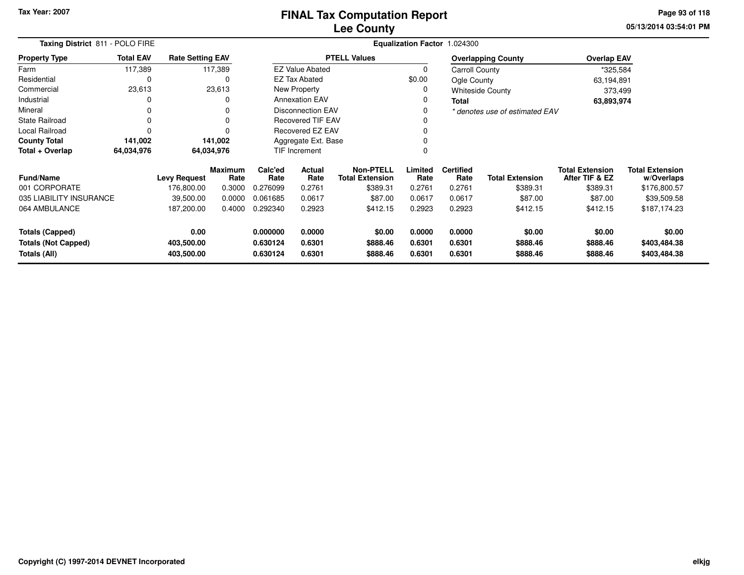# **Lee CountyFINAL Tax Computation Report**

**05/13/2014 03:54:01 PM Page 93 of 118**

|                                            | Taxing District 811 - POLO FIRE |                          |                        |                          |                          |                                            |                  | Equalization Factor 1.024300 |                                |                                          |                                      |  |
|--------------------------------------------|---------------------------------|--------------------------|------------------------|--------------------------|--------------------------|--------------------------------------------|------------------|------------------------------|--------------------------------|------------------------------------------|--------------------------------------|--|
| <b>Property Type</b>                       | <b>Total EAV</b>                | <b>Rate Setting EAV</b>  |                        |                          |                          | <b>PTELL Values</b>                        |                  |                              | <b>Overlapping County</b>      | <b>Overlap EAV</b>                       |                                      |  |
| Farm                                       | 117,389                         |                          | 117,389                |                          | <b>EZ Value Abated</b>   |                                            | $\Omega$         | Carroll County               |                                | *325,584                                 |                                      |  |
| Residential                                | 0                               |                          | 0                      |                          | <b>EZ Tax Abated</b>     |                                            | \$0.00           | Ogle County                  |                                | 63,194,891                               |                                      |  |
| Commercial                                 | 23,613                          |                          | 23,613                 |                          | New Property             |                                            |                  |                              | <b>Whiteside County</b>        | 373,499                                  |                                      |  |
| Industrial                                 |                                 |                          | 0                      |                          | <b>Annexation EAV</b>    |                                            |                  | <b>Total</b>                 |                                |                                          | 63,893,974                           |  |
| Mineral                                    |                                 |                          | 0                      |                          | <b>Disconnection EAV</b> |                                            |                  |                              | * denotes use of estimated EAV |                                          |                                      |  |
| <b>State Railroad</b>                      |                                 |                          | 0                      | <b>Recovered TIF EAV</b> |                          |                                            |                  |                              |                                |                                          |                                      |  |
| Local Railroad                             |                                 |                          | ∩                      | <b>Recovered EZ EAV</b>  |                          |                                            |                  |                              |                                |                                          |                                      |  |
| <b>County Total</b>                        | 141,002                         |                          | 141,002                |                          | Aggregate Ext. Base      |                                            |                  |                              |                                |                                          |                                      |  |
| Total + Overlap                            | 64,034,976                      |                          | 64,034,976             | TIF Increment            |                          |                                            |                  |                              |                                |                                          |                                      |  |
| <b>Fund/Name</b>                           |                                 | Levy Request             | <b>Maximum</b><br>Rate | Calc'ed<br>Rate          | Actual<br>Rate           | <b>Non-PTELL</b><br><b>Total Extension</b> | Limited<br>Rate  | <b>Certified</b><br>Rate     | <b>Total Extension</b>         | <b>Total Extension</b><br>After TIF & EZ | <b>Total Extension</b><br>w/Overlaps |  |
| 001 CORPORATE                              |                                 | 176,800.00               | 0.3000                 | 0.276099                 | 0.2761                   | \$389.31                                   | 0.2761           | 0.2761                       | \$389.31                       | \$389.31                                 | \$176,800.57                         |  |
| 035 LIABILITY INSURANCE                    |                                 | 39,500.00                | 0.0000                 | 0.061685                 | 0.0617                   | \$87.00                                    | 0.0617           | 0.0617                       | \$87.00                        | \$87.00                                  | \$39,509.58                          |  |
| 064 AMBULANCE                              |                                 | 187,200.00               | 0.4000                 | 0.292340                 | 0.2923                   | \$412.15                                   | 0.2923           | 0.2923                       | \$412.15                       | \$412.15                                 | \$187,174.23                         |  |
| <b>Totals (Capped)</b>                     |                                 | 0.00                     |                        | 0.000000                 | 0.0000                   | \$0.00                                     | 0.0000           | 0.0000                       | \$0.00                         | \$0.00                                   | \$0.00                               |  |
| <b>Totals (Not Capped)</b><br>Totals (All) |                                 | 403,500.00<br>403,500.00 |                        | 0.630124<br>0.630124     | 0.6301<br>0.6301         | \$888.46<br>\$888.46                       | 0.6301<br>0.6301 | 0.6301<br>0.6301             | \$888.46<br>\$888.46           | \$888.46<br>\$888.46                     | \$403,484.38<br>\$403,484.38         |  |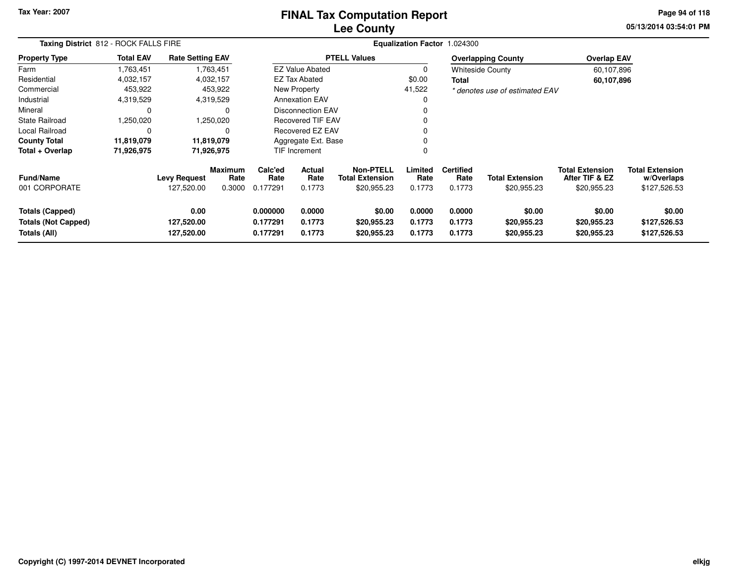#### **Lee CountyFINAL Tax Computation Report**

**05/13/2014 03:54:01 PM Page 94 of 118**

| Taxing District 812 - ROCK FALLS FIRE                                |                  |                                   |                           |                                  |                            |                                                           |                            | Equalization Factor 1.024300       |                                       |                                                         |                                                      |
|----------------------------------------------------------------------|------------------|-----------------------------------|---------------------------|----------------------------------|----------------------------|-----------------------------------------------------------|----------------------------|------------------------------------|---------------------------------------|---------------------------------------------------------|------------------------------------------------------|
| <b>Property Type</b>                                                 | <b>Total EAV</b> | <b>Rate Setting EAV</b>           |                           |                                  |                            | <b>PTELL Values</b>                                       |                            |                                    | <b>Overlapping County</b>             | <b>Overlap EAV</b>                                      |                                                      |
| Farm                                                                 | 1,763,451        |                                   | 1,763,451                 |                                  | <b>EZ Value Abated</b>     |                                                           | 0                          |                                    | <b>Whiteside County</b>               | 60,107,896                                              |                                                      |
| Residential                                                          | 4,032,157        |                                   | 4,032,157                 |                                  | EZ Tax Abated              |                                                           | \$0.00                     | Total                              |                                       | 60,107,896                                              |                                                      |
| Commercial                                                           | 453,922          |                                   | 453,922                   |                                  | New Property               |                                                           | 41,522                     |                                    | * denotes use of estimated EAV        |                                                         |                                                      |
| Industrial                                                           | 4,319,529        |                                   | 4,319,529                 |                                  | <b>Annexation EAV</b>      |                                                           | 0                          |                                    |                                       |                                                         |                                                      |
| Mineral                                                              |                  |                                   |                           |                                  | <b>Disconnection EAV</b>   |                                                           | 0                          |                                    |                                       |                                                         |                                                      |
| <b>State Railroad</b>                                                | 1,250,020        |                                   | 1,250,020                 |                                  | <b>Recovered TIF EAV</b>   |                                                           | 0                          |                                    |                                       |                                                         |                                                      |
| Local Railroad                                                       | 0                |                                   |                           |                                  | <b>Recovered EZ EAV</b>    |                                                           | 0                          |                                    |                                       |                                                         |                                                      |
| <b>County Total</b>                                                  | 11,819,079       |                                   | 11,819,079                |                                  | Aggregate Ext. Base        |                                                           | 0                          |                                    |                                       |                                                         |                                                      |
| Total + Overlap                                                      | 71,926,975       |                                   | 71,926,975                | <b>TIF Increment</b>             |                            |                                                           | 0                          |                                    |                                       |                                                         |                                                      |
| Fund/Name<br>001 CORPORATE                                           |                  | <b>Levy Request</b><br>127,520.00 | Maximum<br>Rate<br>0.3000 | Calc'ed<br>Rate<br>0.177291      | Actual<br>Rate<br>0.1773   | <b>Non-PTELL</b><br><b>Total Extension</b><br>\$20,955.23 | Limited<br>Rate<br>0.1773  | <b>Certified</b><br>Rate<br>0.1773 | <b>Total Extension</b><br>\$20,955.23 | <b>Total Extension</b><br>After TIF & EZ<br>\$20,955.23 | <b>Total Extension</b><br>w/Overlaps<br>\$127,526.53 |
| <b>Totals (Capped)</b><br><b>Totals (Not Capped)</b><br>Totals (All) |                  | 0.00<br>127,520.00<br>127,520.00  |                           | 0.000000<br>0.177291<br>0.177291 | 0.0000<br>0.1773<br>0.1773 | \$0.00<br>\$20,955.23<br>\$20,955.23                      | 0.0000<br>0.1773<br>0.1773 | 0.0000<br>0.1773<br>0.1773         | \$0.00<br>\$20,955.23<br>\$20,955.23  | \$0.00<br>\$20,955.23<br>\$20,955.23                    | \$0.00<br>\$127,526.53<br>\$127,526.53               |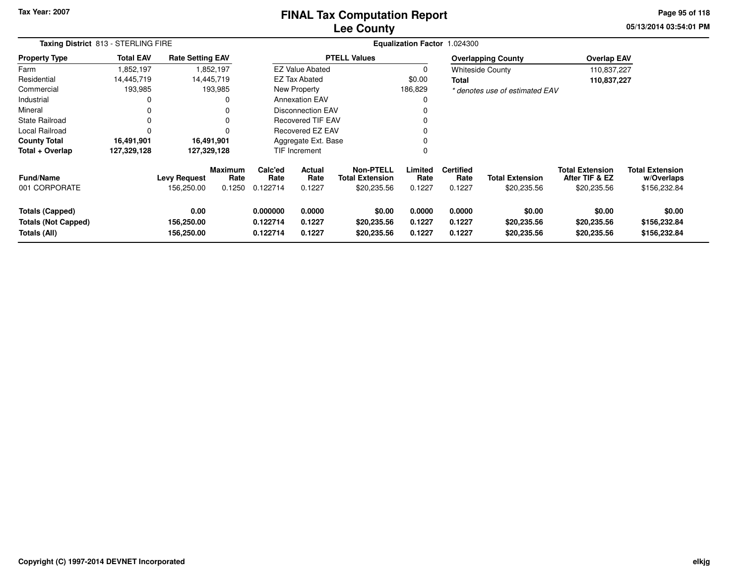### **Lee CountyFINAL Tax Computation Report**

**05/13/2014 03:54:01 PM Page 95 of 118**

| Taxing District 813 - STERLING FIRE                                  |                  |                                   |                                  |                                  |                            | Equalization Factor 1.024300                              |                            |                                    |                                       |                                                         |                                                      |
|----------------------------------------------------------------------|------------------|-----------------------------------|----------------------------------|----------------------------------|----------------------------|-----------------------------------------------------------|----------------------------|------------------------------------|---------------------------------------|---------------------------------------------------------|------------------------------------------------------|
| <b>Property Type</b>                                                 | <b>Total EAV</b> | <b>Rate Setting EAV</b>           |                                  |                                  |                            | <b>PTELL Values</b>                                       |                            |                                    | <b>Overlapping County</b>             | <b>Overlap EAV</b>                                      |                                                      |
| Farm                                                                 | 1,852,197        |                                   | 1,852,197                        |                                  | <b>EZ Value Abated</b>     |                                                           | 0                          |                                    | <b>Whiteside County</b>               | 110,837,227                                             |                                                      |
| Residential                                                          | 14.445.719       |                                   | 14,445,719                       |                                  | <b>EZ Tax Abated</b>       |                                                           | \$0.00                     | <b>Total</b>                       |                                       | 110,837,227                                             |                                                      |
| Commercial                                                           | 193,985          |                                   | 193,985                          |                                  | New Property               |                                                           | 186,829                    |                                    | * denotes use of estimated EAV        |                                                         |                                                      |
| Industrial                                                           |                  |                                   | O                                |                                  | <b>Annexation EAV</b>      |                                                           | 0                          |                                    |                                       |                                                         |                                                      |
| Mineral                                                              | 0                |                                   | 0                                |                                  | Disconnection EAV          |                                                           | $\Omega$                   |                                    |                                       |                                                         |                                                      |
| <b>State Railroad</b>                                                | 0                |                                   | 0                                |                                  | <b>Recovered TIF EAV</b>   |                                                           | 0                          |                                    |                                       |                                                         |                                                      |
| <b>Local Railroad</b>                                                | 0                |                                   | O                                |                                  | <b>Recovered EZ EAV</b>    |                                                           | 0                          |                                    |                                       |                                                         |                                                      |
| <b>County Total</b>                                                  | 16,491,901       |                                   | 16,491,901                       | Aggregate Ext. Base              |                            |                                                           | 0                          |                                    |                                       |                                                         |                                                      |
| Total + Overlap                                                      | 127,329,128      |                                   | 127,329,128                      | <b>TIF Increment</b>             |                            |                                                           | 0                          |                                    |                                       |                                                         |                                                      |
| <b>Fund/Name</b><br>001 CORPORATE                                    |                  | <b>Levy Request</b><br>156,250.00 | <b>Maximum</b><br>Rate<br>0.1250 | Calc'ed<br>Rate<br>0.122714      | Actual<br>Rate<br>0.1227   | <b>Non-PTELL</b><br><b>Total Extension</b><br>\$20,235.56 | Limited<br>Rate<br>0.1227  | <b>Certified</b><br>Rate<br>0.1227 | <b>Total Extension</b><br>\$20,235.56 | <b>Total Extension</b><br>After TIF & EZ<br>\$20,235.56 | <b>Total Extension</b><br>w/Overlaps<br>\$156,232.84 |
| <b>Totals (Capped)</b><br><b>Totals (Not Capped)</b><br>Totals (All) |                  | 0.00<br>156,250.00<br>156,250.00  |                                  | 0.000000<br>0.122714<br>0.122714 | 0.0000<br>0.1227<br>0.1227 | \$0.00<br>\$20,235.56<br>\$20,235.56                      | 0.0000<br>0.1227<br>0.1227 | 0.0000<br>0.1227<br>0.1227         | \$0.00<br>\$20,235.56<br>\$20,235.56  | \$0.00<br>\$20,235.56<br>\$20,235.56                    | \$0.00<br>\$156,232.84<br>\$156,232.84               |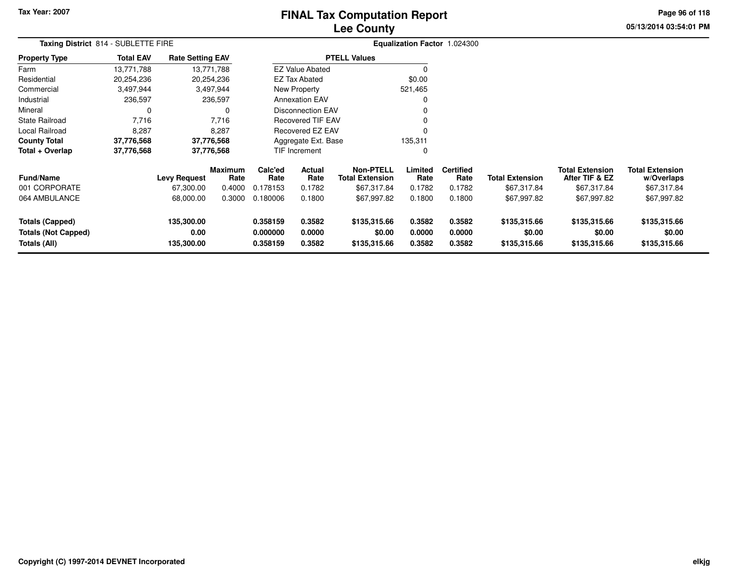# **Lee CountyFINAL Tax Computation Report**

**05/13/2014 03:54:01 PM Page 96 of 118**

|                                                                      | Taxing District 814 - SUBLETTE FIRE |                                  |                 |                                  |                                          |                                        |                            | Equalization Factor 1.024300 |                                        |                                          |                                        |  |
|----------------------------------------------------------------------|-------------------------------------|----------------------------------|-----------------|----------------------------------|------------------------------------------|----------------------------------------|----------------------------|------------------------------|----------------------------------------|------------------------------------------|----------------------------------------|--|
| <b>Property Type</b>                                                 | <b>Total EAV</b>                    | <b>Rate Setting EAV</b>          |                 |                                  |                                          | <b>PTELL Values</b>                    |                            |                              |                                        |                                          |                                        |  |
| Farm                                                                 | 13,771,788                          |                                  | 13,771,788      |                                  | <b>EZ Value Abated</b>                   |                                        | 0                          |                              |                                        |                                          |                                        |  |
| Residential                                                          | 20,254,236                          |                                  | 20,254,236      |                                  | <b>EZ Tax Abated</b>                     |                                        | \$0.00                     |                              |                                        |                                          |                                        |  |
| Commercial                                                           | 3,497,944                           |                                  | 3,497,944       |                                  | New Property                             |                                        | 521,465                    |                              |                                        |                                          |                                        |  |
| Industrial                                                           | 236,597                             |                                  | 236,597         |                                  | <b>Annexation EAV</b>                    |                                        | 0                          |                              |                                        |                                          |                                        |  |
| Mineral                                                              | 0                                   |                                  | 0               | <b>Disconnection EAV</b>         |                                          |                                        | 0                          |                              |                                        |                                          |                                        |  |
| <b>State Railroad</b>                                                | 7,716                               |                                  | 7,716           | <b>Recovered TIF EAV</b>         |                                          |                                        | 0                          |                              |                                        |                                          |                                        |  |
| Local Railroad                                                       | 8,287                               |                                  | 8,287           | Recovered EZ EAV                 |                                          |                                        | $\Omega$                   |                              |                                        |                                          |                                        |  |
| <b>County Total</b>                                                  | 37,776,568                          |                                  | 37,776,568      |                                  | Aggregate Ext. Base                      |                                        | 135,311                    |                              |                                        |                                          |                                        |  |
| Total + Overlap                                                      | 37,776,568                          |                                  | 37,776,568      |                                  | TIF Increment                            |                                        | 0                          |                              |                                        |                                          |                                        |  |
| <b>Fund/Name</b>                                                     |                                     | <b>Levy Request</b>              | Maximum<br>Rate | Calc'ed<br>Rate                  | Actual<br>Rate<br><b>Total Extension</b> |                                        | Limited<br>Rate            | <b>Certified</b><br>Rate     | <b>Total Extension</b>                 | <b>Total Extension</b><br>After TIF & EZ | <b>Total Extension</b><br>w/Overlaps   |  |
| 001 CORPORATE                                                        |                                     | 67,300.00                        | 0.4000          | 0.178153                         | 0.1782                                   | \$67,317.84                            | 0.1782                     | 0.1782                       | \$67,317.84                            | \$67,317.84                              | \$67,317.84                            |  |
| 064 AMBULANCE                                                        |                                     | 68,000.00                        | 0.3000          | 0.180006                         | 0.1800                                   | \$67,997.82                            | 0.1800                     | 0.1800                       | \$67,997.82                            | \$67,997.82                              | \$67,997.82                            |  |
| <b>Totals (Capped)</b><br><b>Totals (Not Capped)</b><br>Totals (All) |                                     | 135,300.00<br>0.00<br>135,300.00 |                 | 0.358159<br>0.000000<br>0.358159 | 0.3582<br>0.0000<br>0.3582               | \$135,315.66<br>\$0.00<br>\$135,315.66 | 0.3582<br>0.0000<br>0.3582 | 0.3582<br>0.0000<br>0.3582   | \$135,315.66<br>\$0.00<br>\$135,315.66 | \$135,315.66<br>\$0.00<br>\$135,315.66   | \$135,315.66<br>\$0.00<br>\$135,315.66 |  |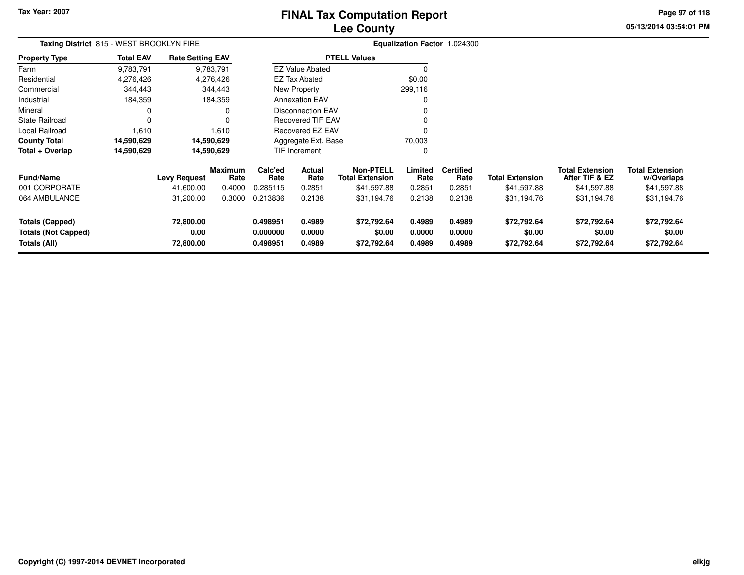# **Lee CountyFINAL Tax Computation Report**

**05/13/2014 03:54:01 PM Page 97 of 118**

| Taxing District 815 - WEST BROOKLYN FIRE                             |                  |                                |                        |                                  |                            | <b>Equalization Factor 1.024300</b>  |                            |                            |                                      |                                          |                                      |
|----------------------------------------------------------------------|------------------|--------------------------------|------------------------|----------------------------------|----------------------------|--------------------------------------|----------------------------|----------------------------|--------------------------------------|------------------------------------------|--------------------------------------|
| <b>Property Type</b>                                                 | <b>Total EAV</b> | <b>Rate Setting EAV</b>        |                        |                                  |                            | <b>PTELL Values</b>                  |                            |                            |                                      |                                          |                                      |
| Farm                                                                 | 9,783,791        |                                | 9,783,791              |                                  | <b>EZ Value Abated</b>     |                                      |                            |                            |                                      |                                          |                                      |
| Residential                                                          | 4,276,426        |                                | 4,276,426              |                                  | <b>EZ Tax Abated</b>       |                                      | \$0.00                     |                            |                                      |                                          |                                      |
| Commercial                                                           | 344,443          |                                | 344,443                |                                  | New Property               |                                      | 299,116                    |                            |                                      |                                          |                                      |
| Industrial                                                           | 184,359          |                                | 184,359                |                                  | <b>Annexation EAV</b>      |                                      |                            |                            |                                      |                                          |                                      |
| Mineral                                                              | 0                |                                |                        |                                  | <b>Disconnection EAV</b>   |                                      |                            |                            |                                      |                                          |                                      |
| <b>State Railroad</b>                                                | 0                |                                |                        |                                  | <b>Recovered TIF EAV</b>   |                                      |                            |                            |                                      |                                          |                                      |
| <b>Local Railroad</b>                                                | 1,610            |                                | 1,610                  |                                  | <b>Recovered EZ EAV</b>    |                                      |                            |                            |                                      |                                          |                                      |
| <b>County Total</b>                                                  | 14,590,629       |                                | 14,590,629             |                                  | Aggregate Ext. Base        |                                      | 70,003                     |                            |                                      |                                          |                                      |
| Total + Overlap                                                      | 14,590,629       |                                | 14,590,629             |                                  | TIF Increment              |                                      |                            |                            |                                      |                                          |                                      |
| <b>Fund/Name</b>                                                     |                  | <b>Levy Request</b>            | <b>Maximum</b><br>Rate | Calc'ed<br>Rate                  | <b>Actual</b><br>Rate      | Non-PTELL<br><b>Total Extension</b>  | Limited<br>Rate            | <b>Certified</b><br>Rate   | <b>Total Extension</b>               | <b>Total Extension</b><br>After TIF & EZ | <b>Total Extension</b><br>w/Overlaps |
| 001 CORPORATE                                                        |                  | 41,600.00                      | 0.4000                 | 0.285115                         | 0.2851                     | \$41,597.88                          | 0.2851                     | 0.2851                     | \$41,597.88                          | \$41,597.88                              | \$41,597.88                          |
| 064 AMBULANCE                                                        |                  | 31,200.00                      | 0.3000                 | 0.213836                         | 0.2138                     | \$31,194.76                          | 0.2138                     | 0.2138                     | \$31,194.76                          | \$31,194.76                              | \$31,194.76                          |
| <b>Totals (Capped)</b><br><b>Totals (Not Capped)</b><br>Totals (All) |                  | 72,800.00<br>0.00<br>72,800.00 |                        | 0.498951<br>0.000000<br>0.498951 | 0.4989<br>0.0000<br>0.4989 | \$72,792.64<br>\$0.00<br>\$72,792.64 | 0.4989<br>0.0000<br>0.4989 | 0.4989<br>0.0000<br>0.4989 | \$72,792.64<br>\$0.00<br>\$72,792.64 | \$72,792.64<br>\$0.00<br>\$72,792.64     | \$72,792.64<br>\$0.00<br>\$72,792.64 |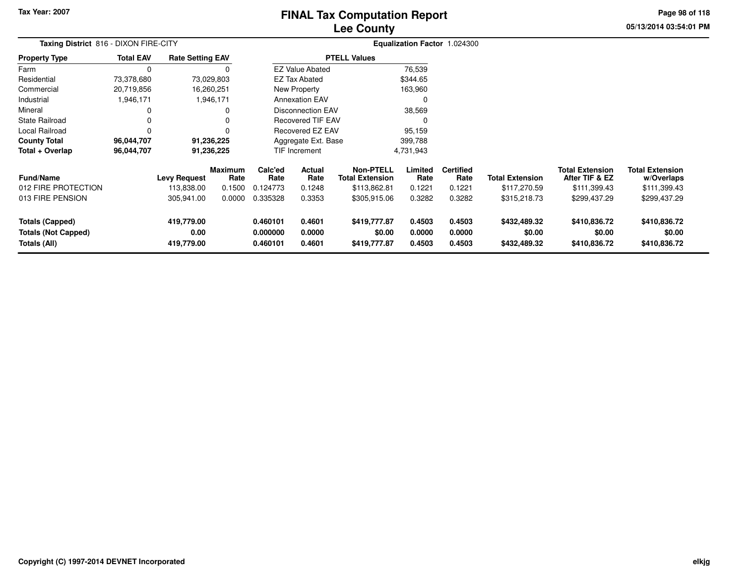**05/13/2014 03:54:01 PM Page 98 of 118**

| Taxing District 816 - DIXON FIRE-CITY                                |                  |                                  |                        |                                  |                            | Equalization Factor 1.024300               |                            |                            |                                        |                                          |                                        |  |
|----------------------------------------------------------------------|------------------|----------------------------------|------------------------|----------------------------------|----------------------------|--------------------------------------------|----------------------------|----------------------------|----------------------------------------|------------------------------------------|----------------------------------------|--|
| <b>Property Type</b>                                                 | <b>Total EAV</b> | <b>Rate Setting EAV</b>          |                        |                                  |                            | <b>PTELL Values</b>                        |                            |                            |                                        |                                          |                                        |  |
| Farm                                                                 | 0                |                                  |                        |                                  | <b>EZ Value Abated</b>     |                                            | 76,539                     |                            |                                        |                                          |                                        |  |
| Residential                                                          | 73,378,680       | 73,029,803                       |                        |                                  | <b>EZ Tax Abated</b>       |                                            | \$344.65                   |                            |                                        |                                          |                                        |  |
| Commercial                                                           | 20,719,856       | 16,260,251                       |                        |                                  | New Property               |                                            | 163,960                    |                            |                                        |                                          |                                        |  |
| Industrial                                                           | 1,946,171        |                                  | 1,946,171              |                                  | <b>Annexation EAV</b>      |                                            | 0                          |                            |                                        |                                          |                                        |  |
| Mineral                                                              | 0                |                                  |                        |                                  | Disconnection EAV          |                                            | 38,569                     |                            |                                        |                                          |                                        |  |
| State Railroad                                                       | 0                |                                  |                        |                                  | <b>Recovered TIF EAV</b>   |                                            | 0                          |                            |                                        |                                          |                                        |  |
| Local Railroad                                                       | 0                |                                  |                        |                                  | Recovered EZ EAV           |                                            | 95,159                     |                            |                                        |                                          |                                        |  |
| <b>County Total</b>                                                  | 96,044,707       | 91,236,225                       |                        |                                  | Aggregate Ext. Base        |                                            | 399,788                    |                            |                                        |                                          |                                        |  |
| Total + Overlap                                                      | 96,044,707       | 91,236,225                       |                        |                                  | TIF Increment              |                                            | 4,731,943                  |                            |                                        |                                          |                                        |  |
| <b>Fund/Name</b>                                                     |                  | <b>Levy Request</b>              | <b>Maximum</b><br>Rate | Calc'ed<br>Rate                  | Actual<br>Rate             | <b>Non-PTELL</b><br><b>Total Extension</b> | Limited<br>Rate            | <b>Certified</b><br>Rate   | <b>Total Extension</b>                 | <b>Total Extension</b><br>After TIF & EZ | <b>Total Extension</b><br>w/Overlaps   |  |
| 012 FIRE PROTECTION                                                  |                  | 113,838.00                       | 0.1500                 | 0.124773                         | 0.1248                     | \$113,862.81                               | 0.1221                     | 0.1221                     | \$117,270.59                           | \$111,399.43                             | \$111,399.43                           |  |
| 013 FIRE PENSION                                                     |                  | 305,941.00                       | 0.0000                 | 0.335328                         | 0.3353                     | \$305,915.06                               | 0.3282                     | 0.3282                     | \$315,218.73                           | \$299,437.29                             | \$299,437.29                           |  |
| <b>Totals (Capped)</b><br><b>Totals (Not Capped)</b><br>Totals (All) |                  | 419,779.00<br>0.00<br>419,779.00 |                        | 0.460101<br>0.000000<br>0.460101 | 0.4601<br>0.0000<br>0.4601 | \$419,777.87<br>\$0.00<br>\$419,777.87     | 0.4503<br>0.0000<br>0.4503 | 0.4503<br>0.0000<br>0.4503 | \$432,489.32<br>\$0.00<br>\$432,489.32 | \$410,836.72<br>\$0.00<br>\$410,836.72   | \$410,836.72<br>\$0.00<br>\$410,836.72 |  |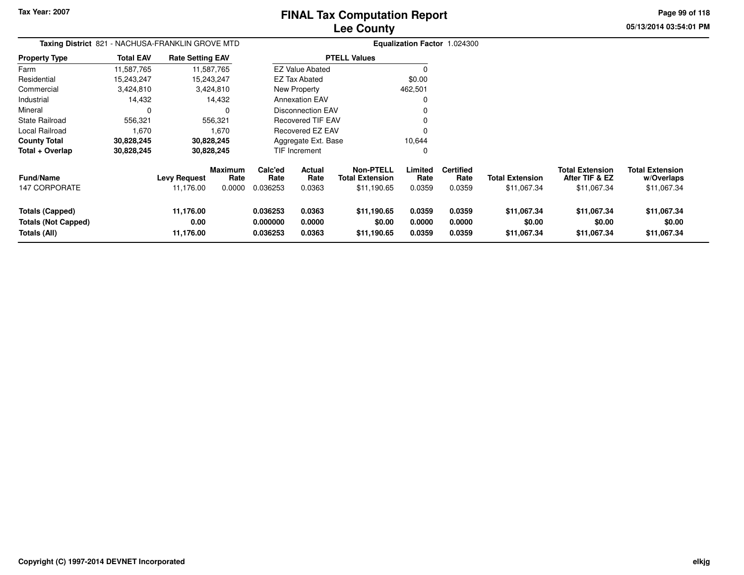**05/13/2014 03:54:01 PM Page 99 of 118**

| Taxing District 821 - NACHUSA-FRANKLIN GROVE MTD |                  |                         |                        |                      |                          |                                            |                  | Equalization Factor 1.024300 |                        |                                          |                                      |
|--------------------------------------------------|------------------|-------------------------|------------------------|----------------------|--------------------------|--------------------------------------------|------------------|------------------------------|------------------------|------------------------------------------|--------------------------------------|
| <b>Property Type</b>                             | <b>Total EAV</b> | <b>Rate Setting EAV</b> |                        |                      |                          | <b>PTELL Values</b>                        |                  |                              |                        |                                          |                                      |
| Farm                                             | 11,587,765       |                         | 11,587,765             |                      | <b>EZ Value Abated</b>   |                                            | $\Omega$         |                              |                        |                                          |                                      |
| Residential                                      | 15,243,247       |                         | 15,243,247             |                      | EZ Tax Abated            |                                            | \$0.00           |                              |                        |                                          |                                      |
| Commercial                                       | 3,424,810        |                         | 3,424,810              |                      | New Property             |                                            | 462,501          |                              |                        |                                          |                                      |
| Industrial                                       | 14,432           |                         | 14,432                 |                      | <b>Annexation EAV</b>    |                                            | $\Omega$         |                              |                        |                                          |                                      |
| Mineral                                          | $\Omega$         |                         | $\Omega$               |                      | <b>Disconnection EAV</b> |                                            | 0                |                              |                        |                                          |                                      |
| <b>State Railroad</b>                            | 556,321          |                         | 556,321                |                      | Recovered TIF EAV        |                                            | $\Omega$         |                              |                        |                                          |                                      |
| Local Railroad                                   | 1,670            |                         | 1,670                  |                      | Recovered EZ EAV         |                                            | $\Omega$         |                              |                        |                                          |                                      |
| <b>County Total</b>                              | 30,828,245       |                         | 30,828,245             |                      | Aggregate Ext. Base      |                                            | 10,644           |                              |                        |                                          |                                      |
| Total + Overlap                                  | 30,828,245       |                         | 30,828,245             |                      | TIF Increment            |                                            | 0                |                              |                        |                                          |                                      |
| <b>Fund/Name</b>                                 |                  | <b>Levy Request</b>     | <b>Maximum</b><br>Rate | Calc'ed<br>Rate      | Actual<br>Rate           | <b>Non-PTELL</b><br><b>Total Extension</b> | Limited<br>Rate  | <b>Certified</b><br>Rate     | <b>Total Extension</b> | <b>Total Extension</b><br>After TIF & EZ | <b>Total Extension</b><br>w/Overlaps |
| <b>147 CORPORATE</b>                             |                  | 11,176.00               | 0.0000                 | 0.036253             | 0.0363                   | \$11,190.65                                | 0.0359           | 0.0359                       | \$11,067.34            | \$11,067.34                              | \$11,067.34                          |
| Totals (Capped)<br><b>Totals (Not Capped)</b>    |                  | 11,176.00<br>0.00       |                        | 0.036253<br>0.000000 | 0.0363<br>0.0000         | \$11,190.65<br>\$0.00                      | 0.0359<br>0.0000 | 0.0359<br>0.0000             | \$11,067.34<br>\$0.00  | \$11,067.34<br>\$0.00                    | \$11,067.34<br>\$0.00                |
| Totals (All)                                     |                  | 11,176.00               |                        | 0.036253             | 0.0363                   | \$11,190.65                                | 0.0359           | 0.0359                       | \$11,067.34            | \$11,067.34                              | \$11,067.34                          |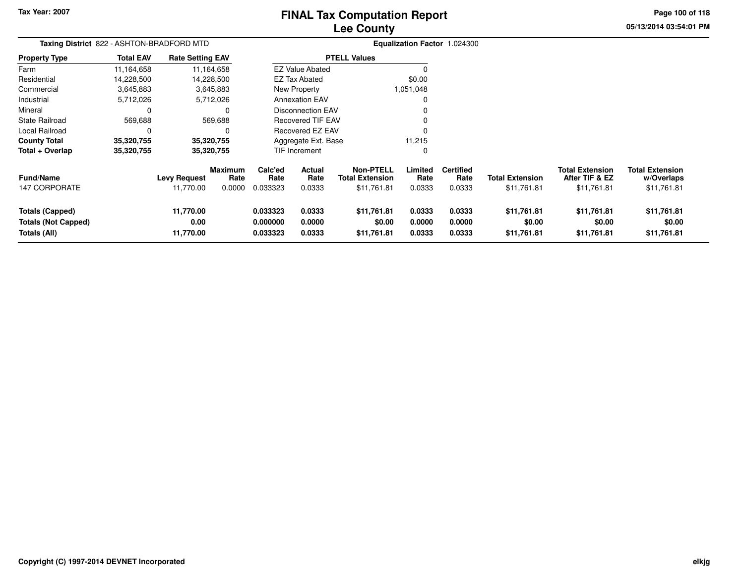# **Lee CountyFINAL Tax Computation Report**

**05/13/2014 03:54:01 PM**

**Page 100 of 118**

| Taxing District 822 - ASHTON-BRADFORD MTD                            |                  |                                |                 |                                  |                            |                                            |                            | Equalization Factor 1.024300 |                                      |                                          |                                      |
|----------------------------------------------------------------------|------------------|--------------------------------|-----------------|----------------------------------|----------------------------|--------------------------------------------|----------------------------|------------------------------|--------------------------------------|------------------------------------------|--------------------------------------|
| <b>Property Type</b>                                                 | <b>Total EAV</b> | <b>Rate Setting EAV</b>        |                 |                                  |                            | <b>PTELL Values</b>                        |                            |                              |                                      |                                          |                                      |
| Farm                                                                 | 11,164,658       |                                | 11,164,658      |                                  | <b>EZ Value Abated</b>     |                                            | 0                          |                              |                                      |                                          |                                      |
| Residential                                                          | 14,228,500       |                                | 14,228,500      |                                  | EZ Tax Abated              |                                            | \$0.00                     |                              |                                      |                                          |                                      |
| Commercial                                                           | 3,645,883        |                                | 3,645,883       |                                  | New Property               |                                            | 1,051,048                  |                              |                                      |                                          |                                      |
| Industrial                                                           | 5,712,026        |                                | 5,712,026       |                                  | <b>Annexation EAV</b>      |                                            | 0                          |                              |                                      |                                          |                                      |
| Mineral                                                              | 0                |                                | 0               |                                  | <b>Disconnection EAV</b>   |                                            | 0                          |                              |                                      |                                          |                                      |
| <b>State Railroad</b>                                                | 569,688          |                                | 569,688         |                                  | <b>Recovered TIF EAV</b>   |                                            | 0                          |                              |                                      |                                          |                                      |
| Local Railroad                                                       | 0                |                                |                 |                                  | <b>Recovered EZ EAV</b>    |                                            | $\Omega$                   |                              |                                      |                                          |                                      |
| <b>County Total</b>                                                  | 35,320,755       |                                | 35,320,755      |                                  | Aggregate Ext. Base        |                                            | 11,215                     |                              |                                      |                                          |                                      |
| Total + Overlap                                                      | 35,320,755       |                                | 35,320,755      |                                  | <b>TIF Increment</b>       |                                            | 0                          |                              |                                      |                                          |                                      |
| <b>Fund/Name</b>                                                     |                  | <b>Levy Request</b>            | Maximum<br>Rate | Calc'ed<br>Rate                  | <b>Actual</b><br>Rate      | <b>Non-PTELL</b><br><b>Total Extension</b> | Limited<br>Rate            | <b>Certified</b><br>Rate     | <b>Total Extension</b>               | <b>Total Extension</b><br>After TIF & EZ | <b>Total Extension</b><br>w/Overlaps |
| 147 CORPORATE                                                        |                  | 11,770.00                      | 0.0000          | 0.033323                         | 0.0333                     | \$11,761.81                                | 0.0333                     | 0.0333                       | \$11,761.81                          | \$11,761.81                              | \$11,761.81                          |
| <b>Totals (Capped)</b><br><b>Totals (Not Capped)</b><br>Totals (All) |                  | 11,770.00<br>0.00<br>11,770.00 |                 | 0.033323<br>0.000000<br>0.033323 | 0.0333<br>0.0000<br>0.0333 | \$11,761.81<br>\$0.00<br>\$11,761.81       | 0.0333<br>0.0000<br>0.0333 | 0.0333<br>0.0000<br>0.0333   | \$11,761.81<br>\$0.00<br>\$11,761.81 | \$11,761.81<br>\$0.00<br>\$11,761.81     | \$11,761.81<br>\$0.00<br>\$11,761.81 |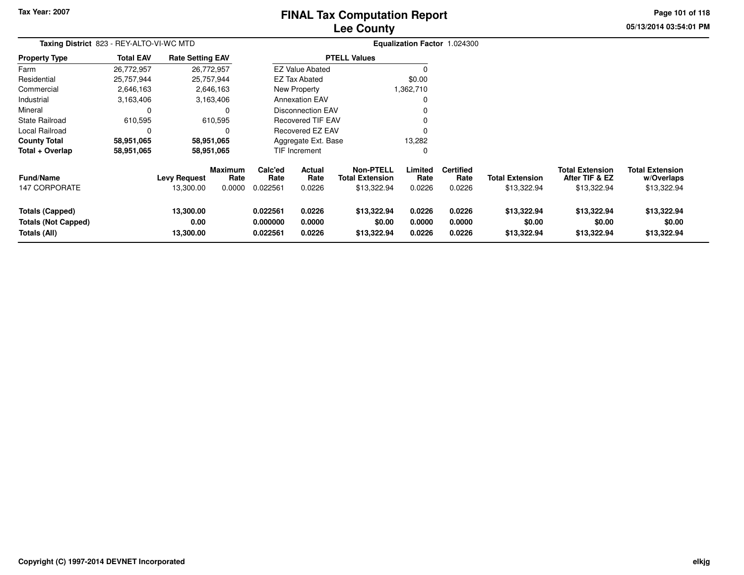Local Railroad 0<br> **County Total** 58,951,065

**58,951,065 58,951,065**

 $County$  **Total** 

**Total + Overlap**

## **Lee CountyFINAL Tax Computation Report**

**05/13/2014 03:54:01 PM**

**Page 101 of 118**

|                       |                                          |                         | <b>Lee County</b>      |                              | UJ/ 13/2014 US.3 |
|-----------------------|------------------------------------------|-------------------------|------------------------|------------------------------|------------------|
|                       | Taxing District 823 - REY-ALTO-VI-WC MTD |                         |                        | Equalization Factor 1.024300 |                  |
| <b>Property Type</b>  | <b>Total EAV</b>                         | <b>Rate Setting EAV</b> | <b>PTELL Values</b>    |                              |                  |
| Farm                  | 26,772,957                               | 26,772,957              | <b>EZ Value Abated</b> |                              |                  |
| Residential           | 25.757.944                               | 25.757.944              | EZ Tax Abated          | \$0.00                       |                  |
| Commercial            | 2,646,163                                | 2,646,163               | New Property           | 1,362,710                    |                  |
| Industrial            | 3,163,406                                | 3.163.406               | <b>Annexation EAV</b>  |                              |                  |
| Mineral               |                                          |                         | Disconnection EAV      | 0                            |                  |
| <b>State Railroad</b> | 610,595                                  | 610,595                 | Recovered TIF EAV      | 0                            |                  |
|                       |                                          |                         |                        |                              |                  |

<sup>0</sup>

0

13,282 $\pmb{0}$ 

| <b>Fund/Name</b><br>147 CORPORATE             | <b>Levy Request</b><br>13.300.00 | <b>Maximum</b><br>Rate<br>0.0000 | Calc'ed<br>Rate<br>0.022561 | <b>Actual</b><br>Rate<br>0.0226 | Non-PTELL<br><b>Total Extension</b><br>\$13,322.94 | Limited<br>Rate<br>0.0226 | <b>Certified</b><br>Rate<br>0.0226 | <b>Total Extension</b><br>\$13,322.94 | <b>Total Extension</b><br>After TIF & EZ<br>\$13,322.94 | <b>Total Extension</b><br>w/Overlaps<br>\$13,322.94 |
|-----------------------------------------------|----------------------------------|----------------------------------|-----------------------------|---------------------------------|----------------------------------------------------|---------------------------|------------------------------------|---------------------------------------|---------------------------------------------------------|-----------------------------------------------------|
| Totals (Capped)<br><b>Totals (Not Capped)</b> | 13,300.00<br>0.00                |                                  | 0.022561<br>0.000000        | 0.0226<br>0.0000                | \$13,322.94<br>\$0.00                              | 0.0226<br>0.0000          | 0.0226<br>0.0000                   | \$13,322.94<br>\$0.00                 | \$13,322.94<br>\$0.00                                   | \$13,322.94<br>\$0.00                               |
| Totals (All)                                  | 13,300.00                        |                                  | 0.022561                    | 0.0226                          | \$13,322.94                                        | 0.0226                    | 0.0226                             | \$13,322.94                           | \$13,322.94                                             | \$13,322.94                                         |

Recovered EZ EAV

Aggregate Ext. BaseTIF Increment

 $\mathsf 0$ 

58,951,065

58,951,065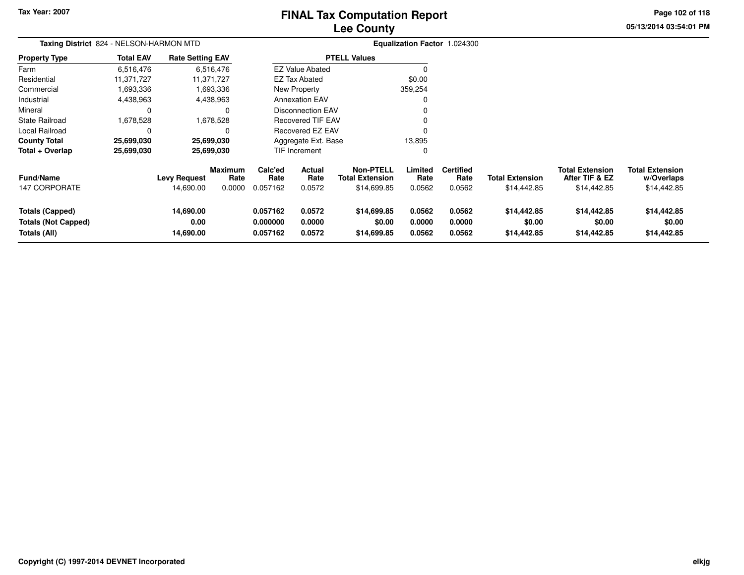## **Lee CountyFINAL Tax Computation Report**

**05/13/2014 03:54:01 PM**

**Page 102 of 118**

| Taxing District 824 - NELSON-HARMON MTD                              |                  |                                |                        |                                  |                            |                                      |                            | Equalization Factor 1.024300 |                                      |                                          |                                      |  |
|----------------------------------------------------------------------|------------------|--------------------------------|------------------------|----------------------------------|----------------------------|--------------------------------------|----------------------------|------------------------------|--------------------------------------|------------------------------------------|--------------------------------------|--|
| <b>Property Type</b>                                                 | <b>Total EAV</b> | <b>Rate Setting EAV</b>        |                        |                                  |                            | <b>PTELL Values</b>                  |                            |                              |                                      |                                          |                                      |  |
| Farm                                                                 | 6,516,476        |                                | 6,516,476              |                                  | <b>EZ Value Abated</b>     |                                      |                            |                              |                                      |                                          |                                      |  |
| Residential                                                          | 11,371,727       |                                | 11,371,727             |                                  | <b>EZ Tax Abated</b>       |                                      | \$0.00                     |                              |                                      |                                          |                                      |  |
| Commercial                                                           | 1,693,336        |                                | 1,693,336              |                                  | New Property               |                                      | 359,254                    |                              |                                      |                                          |                                      |  |
| Industrial                                                           | 4,438,963        |                                | 4,438,963              |                                  | <b>Annexation EAV</b>      |                                      |                            |                              |                                      |                                          |                                      |  |
| Mineral                                                              | 0                |                                | 0                      |                                  | <b>Disconnection EAV</b>   |                                      |                            |                              |                                      |                                          |                                      |  |
| <b>State Railroad</b>                                                | 1,678,528        |                                | 1,678,528              |                                  | <b>Recovered TIF EAV</b>   |                                      |                            |                              |                                      |                                          |                                      |  |
| Local Railroad                                                       | 0                |                                |                        |                                  | Recovered EZ EAV           |                                      | $\Omega$                   |                              |                                      |                                          |                                      |  |
| <b>County Total</b>                                                  | 25,699,030       |                                | 25,699,030             |                                  | Aggregate Ext. Base        |                                      | 13,895                     |                              |                                      |                                          |                                      |  |
| Total + Overlap                                                      | 25,699,030       |                                | 25,699,030             |                                  | TIF Increment              |                                      | 0                          |                              |                                      |                                          |                                      |  |
| <b>Fund/Name</b>                                                     |                  | <b>Levy Request</b>            | <b>Maximum</b><br>Rate | Calc'ed<br>Rate                  | Actual<br>Rate             | Non-PTELL<br><b>Total Extension</b>  | Limited<br>Rate            | <b>Certified</b><br>Rate     | <b>Total Extension</b>               | <b>Total Extension</b><br>After TIF & EZ | <b>Total Extension</b><br>w/Overlaps |  |
| <b>147 CORPORATE</b>                                                 |                  | 14,690.00                      | 0.0000                 | 0.057162                         | 0.0572                     | \$14,699.85                          | 0.0562                     | 0.0562                       | \$14,442.85                          | \$14,442.85                              | \$14,442.85                          |  |
| <b>Totals (Capped)</b><br><b>Totals (Not Capped)</b><br>Totals (All) |                  | 14,690.00<br>0.00<br>14,690.00 |                        | 0.057162<br>0.000000<br>0.057162 | 0.0572<br>0.0000<br>0.0572 | \$14,699.85<br>\$0.00<br>\$14,699.85 | 0.0562<br>0.0000<br>0.0562 | 0.0562<br>0.0000<br>0.0562   | \$14,442.85<br>\$0.00<br>\$14,442.85 | \$14,442.85<br>\$0.00<br>\$14,442.85     | \$14,442.85<br>\$0.00<br>\$14,442.85 |  |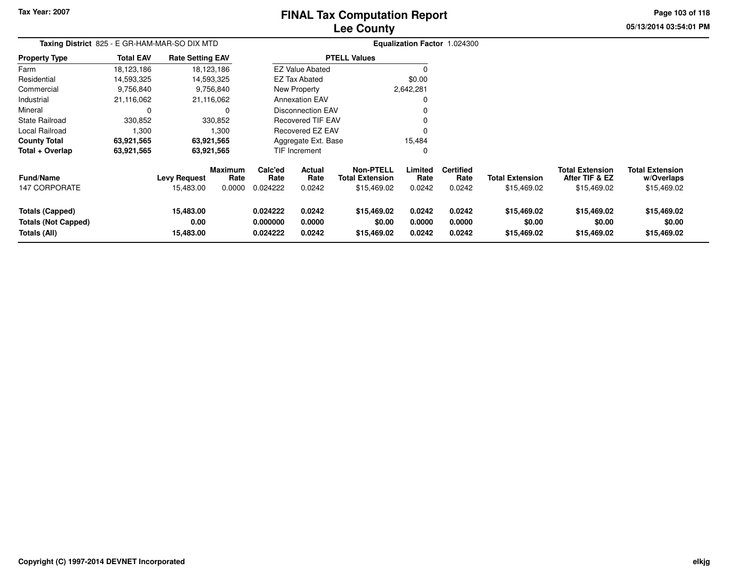# **Lee CountyFINAL Tax Computation Report**

**05/13/2014 03:54:01 PM**

**Page 103 of 118**

| Taxing District 825 - E GR-HAM-MAR-SO DIX MTD                        |                  |                                |                        |                                  |                            |                                            |                            | Equalization Factor 1.024300 |                                      |                                          |                                      |
|----------------------------------------------------------------------|------------------|--------------------------------|------------------------|----------------------------------|----------------------------|--------------------------------------------|----------------------------|------------------------------|--------------------------------------|------------------------------------------|--------------------------------------|
| <b>Property Type</b>                                                 | <b>Total EAV</b> | <b>Rate Setting EAV</b>        |                        |                                  |                            | <b>PTELL Values</b>                        |                            |                              |                                      |                                          |                                      |
| Farm                                                                 | 18,123,186       |                                | 18,123,186             |                                  | <b>EZ Value Abated</b>     |                                            | $\Omega$                   |                              |                                      |                                          |                                      |
| Residential                                                          | 14,593,325       |                                | 14,593,325             |                                  | EZ Tax Abated              |                                            | \$0.00                     |                              |                                      |                                          |                                      |
| Commercial                                                           | 9,756,840        |                                | 9,756,840              |                                  | New Property               |                                            | 2,642,281                  |                              |                                      |                                          |                                      |
| Industrial                                                           | 21,116,062       |                                | 21,116,062             |                                  | <b>Annexation EAV</b>      |                                            | 0                          |                              |                                      |                                          |                                      |
| Mineral                                                              | 0                |                                | $\Omega$               |                                  | <b>Disconnection EAV</b>   |                                            | 0                          |                              |                                      |                                          |                                      |
| <b>State Railroad</b>                                                | 330,852          |                                | 330,852                |                                  | <b>Recovered TIF EAV</b>   |                                            | $\Omega$                   |                              |                                      |                                          |                                      |
| Local Railroad                                                       | 1,300            |                                | 1,300                  |                                  | <b>Recovered EZ EAV</b>    |                                            | $\Omega$                   |                              |                                      |                                          |                                      |
| <b>County Total</b>                                                  | 63,921,565       |                                | 63,921,565             |                                  | Aggregate Ext. Base        |                                            | 15,484                     |                              |                                      |                                          |                                      |
| Total + Overlap                                                      | 63,921,565       |                                | 63,921,565             |                                  | <b>TIF Increment</b>       |                                            | 0                          |                              |                                      |                                          |                                      |
| <b>Fund/Name</b>                                                     |                  | <b>Levy Request</b>            | <b>Maximum</b><br>Rate | Calc'ed<br>Rate                  | Actual<br>Rate             | <b>Non-PTELL</b><br><b>Total Extension</b> | Limited<br>Rate            | <b>Certified</b><br>Rate     | <b>Total Extension</b>               | <b>Total Extension</b><br>After TIF & EZ | <b>Total Extension</b><br>w/Overlaps |
| <b>147 CORPORATE</b>                                                 |                  | 15,483.00                      | 0.0000                 | 0.024222                         | 0.0242                     | \$15,469.02                                | 0.0242                     | 0.0242                       | \$15,469.02                          | \$15,469.02                              | \$15,469.02                          |
| <b>Totals (Capped)</b><br><b>Totals (Not Capped)</b><br>Totals (All) |                  | 15,483.00<br>0.00<br>15,483.00 |                        | 0.024222<br>0.000000<br>0.024222 | 0.0242<br>0.0000<br>0.0242 | \$15,469.02<br>\$0.00<br>\$15,469.02       | 0.0242<br>0.0000<br>0.0242 | 0.0242<br>0.0000<br>0.0242   | \$15,469.02<br>\$0.00<br>\$15,469.02 | \$15,469.02<br>\$0.00<br>\$15,469.02     | \$15,469.02<br>\$0.00<br>\$15,469.02 |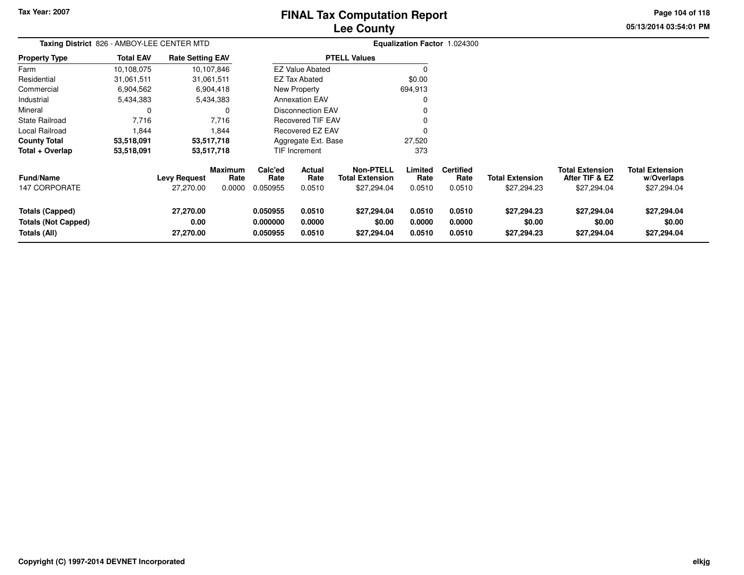# **Lee CountyFINAL Tax Computation Report**

**05/13/2014 03:54:01 PM**

**Page 104 of 118**

| Taxing District 826 - AMBOY-LEE CENTER MTD                           |                  |                                  |                                  |                                  |                            | Equalization Factor 1.024300                              |                            |                                    |                                       |                                                         |                                                     |
|----------------------------------------------------------------------|------------------|----------------------------------|----------------------------------|----------------------------------|----------------------------|-----------------------------------------------------------|----------------------------|------------------------------------|---------------------------------------|---------------------------------------------------------|-----------------------------------------------------|
| <b>Property Type</b>                                                 | <b>Total EAV</b> | <b>Rate Setting EAV</b>          |                                  |                                  |                            | <b>PTELL Values</b>                                       |                            |                                    |                                       |                                                         |                                                     |
| Farm                                                                 | 10,108,075       |                                  | 10,107,846                       |                                  | <b>EZ Value Abated</b>     |                                                           |                            |                                    |                                       |                                                         |                                                     |
| Residential                                                          | 31,061,511       |                                  | 31,061,511                       |                                  | <b>EZ Tax Abated</b>       |                                                           | \$0.00                     |                                    |                                       |                                                         |                                                     |
| Commercial                                                           | 6,904,562        |                                  | 6,904,418                        |                                  | New Property               |                                                           | 694,913                    |                                    |                                       |                                                         |                                                     |
| Industrial                                                           | 5,434,383        |                                  | 5,434,383                        |                                  | <b>Annexation EAV</b>      |                                                           | $\Omega$                   |                                    |                                       |                                                         |                                                     |
| Mineral                                                              |                  |                                  | $\Omega$                         |                                  | <b>Disconnection EAV</b>   |                                                           |                            |                                    |                                       |                                                         |                                                     |
| <b>State Railroad</b>                                                | 7,716            |                                  | 7,716                            |                                  | Recovered TIF EAV          |                                                           | 0                          |                                    |                                       |                                                         |                                                     |
| Local Railroad                                                       | 1,844            |                                  | 1,844                            |                                  | Recovered EZ EAV           |                                                           | O                          |                                    |                                       |                                                         |                                                     |
| <b>County Total</b>                                                  | 53,518,091       |                                  | 53,517,718                       |                                  | Aggregate Ext. Base        |                                                           | 27,520                     |                                    |                                       |                                                         |                                                     |
| Total + Overlap                                                      | 53,518,091       |                                  | 53,517,718                       |                                  | TIF Increment              |                                                           | 373                        |                                    |                                       |                                                         |                                                     |
| <b>Fund/Name</b><br><b>147 CORPORATE</b>                             |                  | <b>Levy Request</b><br>27,270.00 | <b>Maximum</b><br>Rate<br>0.0000 | Calc'ed<br>Rate<br>0.050955      | Actual<br>Rate<br>0.0510   | <b>Non-PTELL</b><br><b>Total Extension</b><br>\$27,294.04 | Limited<br>Rate<br>0.0510  | <b>Certified</b><br>Rate<br>0.0510 | <b>Total Extension</b><br>\$27,294.23 | <b>Total Extension</b><br>After TIF & EZ<br>\$27,294.04 | <b>Total Extension</b><br>w/Overlaps<br>\$27,294.04 |
| <b>Totals (Capped)</b><br><b>Totals (Not Capped)</b><br>Totals (All) |                  | 27,270.00<br>0.00<br>27,270.00   |                                  | 0.050955<br>0.000000<br>0.050955 | 0.0510<br>0.0000<br>0.0510 | \$27,294.04<br>\$0.00<br>\$27,294.04                      | 0.0510<br>0.0000<br>0.0510 | 0.0510<br>0.0000<br>0.0510         | \$27,294.23<br>\$0.00<br>\$27,294.23  | \$27,294.04<br>\$0.00<br>\$27,294.04                    | \$27,294.04<br>\$0.00<br>\$27,294.04                |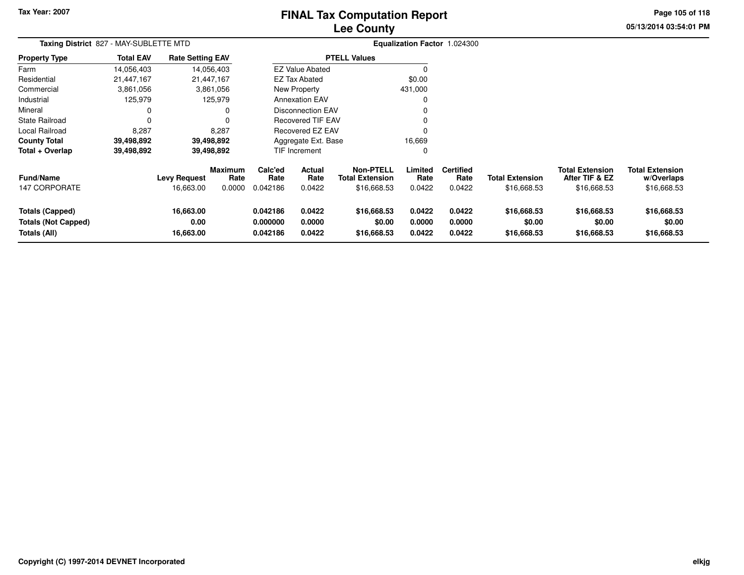### **Lee CountyFINAL Tax Computation Report**

**05/13/2014 03:54:01 PM**

**Page 105 of 118**

| Taxing District 827 - MAY-SUBLETTE MTD                        |                  |                                |                        |                                  |                            | Equalization Factor 1.024300               |                            |                            |                                      |                                          |                                      |  |
|---------------------------------------------------------------|------------------|--------------------------------|------------------------|----------------------------------|----------------------------|--------------------------------------------|----------------------------|----------------------------|--------------------------------------|------------------------------------------|--------------------------------------|--|
| <b>Property Type</b>                                          | <b>Total EAV</b> | <b>Rate Setting EAV</b>        |                        |                                  |                            | <b>PTELL Values</b>                        |                            |                            |                                      |                                          |                                      |  |
| Farm                                                          | 14,056,403       |                                | 14,056,403             |                                  | <b>EZ Value Abated</b>     |                                            |                            |                            |                                      |                                          |                                      |  |
| Residential                                                   | 21,447,167       |                                | 21,447,167             |                                  | EZ Tax Abated              |                                            | \$0.00                     |                            |                                      |                                          |                                      |  |
| Commercial                                                    | 3,861,056        |                                | 3,861,056              |                                  | New Property               |                                            | 431,000                    |                            |                                      |                                          |                                      |  |
| Industrial                                                    | 125,979          |                                | 125,979                |                                  | <b>Annexation EAV</b>      |                                            |                            |                            |                                      |                                          |                                      |  |
| Mineral                                                       | 0                |                                | 0                      |                                  | <b>Disconnection EAV</b>   |                                            |                            |                            |                                      |                                          |                                      |  |
| <b>State Railroad</b>                                         | 0                |                                |                        |                                  | <b>Recovered TIF EAV</b>   |                                            |                            |                            |                                      |                                          |                                      |  |
| Local Railroad                                                | 8,287            |                                | 8,287                  |                                  | <b>Recovered EZ EAV</b>    |                                            |                            |                            |                                      |                                          |                                      |  |
| <b>County Total</b>                                           | 39,498,892       |                                | 39,498,892             |                                  | Aggregate Ext. Base        |                                            | 16,669                     |                            |                                      |                                          |                                      |  |
| Total + Overlap                                               | 39,498,892       |                                | 39,498,892             |                                  | TIF Increment              |                                            | 0                          |                            |                                      |                                          |                                      |  |
| <b>Fund/Name</b>                                              |                  | <b>Levy Request</b>            | <b>Maximum</b><br>Rate | Calc'ed<br>Rate                  | <b>Actual</b><br>Rate      | <b>Non-PTELL</b><br><b>Total Extension</b> | Limited<br>Rate            | <b>Certified</b><br>Rate   | <b>Total Extension</b>               | <b>Total Extension</b><br>After TIF & EZ | <b>Total Extension</b><br>w/Overlaps |  |
| <b>147 CORPORATE</b>                                          |                  | 16,663.00                      | 0.0000                 | 0.042186                         | 0.0422                     | \$16,668.53                                | 0.0422                     | 0.0422                     | \$16,668.53                          | \$16,668.53                              | \$16,668.53                          |  |
| Totals (Capped)<br><b>Totals (Not Capped)</b><br>Totals (All) |                  | 16,663.00<br>0.00<br>16,663.00 |                        | 0.042186<br>0.000000<br>0.042186 | 0.0422<br>0.0000<br>0.0422 | \$16,668.53<br>\$0.00<br>\$16,668.53       | 0.0422<br>0.0000<br>0.0422 | 0.0422<br>0.0000<br>0.0422 | \$16,668.53<br>\$0.00<br>\$16,668.53 | \$16,668.53<br>\$0.00<br>\$16,668.53     | \$16,668.53<br>\$0.00<br>\$16,668.53 |  |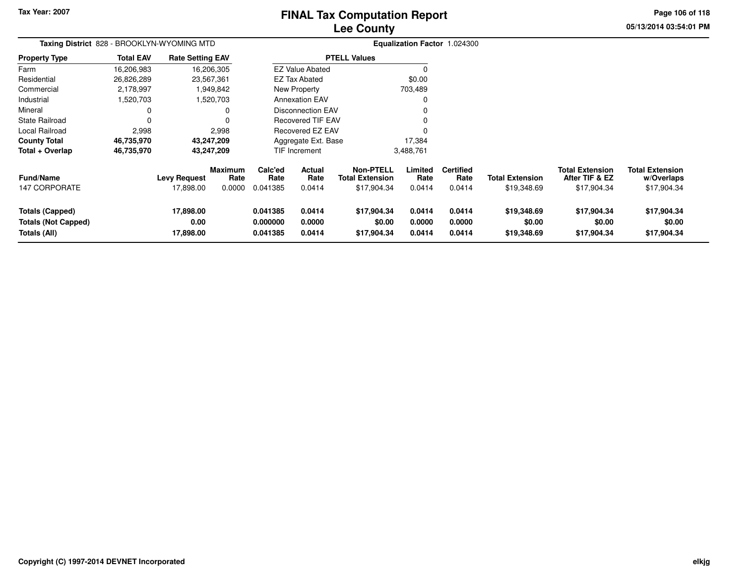# **Lee CountyFINAL Tax Computation Report**

**05/13/2014 03:54:01 PM Page 106 of 118**

| Taxing District 828 - BROOKLYN-WYOMING MTD                           |                  | <b>Equalization Factor 1.024300</b> |                           |                                  |                            |                                                           |                            |                                    |                                       |                                                         |                                                     |
|----------------------------------------------------------------------|------------------|-------------------------------------|---------------------------|----------------------------------|----------------------------|-----------------------------------------------------------|----------------------------|------------------------------------|---------------------------------------|---------------------------------------------------------|-----------------------------------------------------|
| <b>Property Type</b>                                                 | <b>Total EAV</b> | <b>Rate Setting EAV</b>             |                           |                                  |                            | <b>PTELL Values</b>                                       |                            |                                    |                                       |                                                         |                                                     |
| Farm                                                                 | 16,206,983       |                                     | 16,206,305                |                                  | <b>EZ Value Abated</b>     |                                                           | 0                          |                                    |                                       |                                                         |                                                     |
| Residential                                                          | 26,826,289       |                                     | 23,567,361                |                                  | <b>EZ Tax Abated</b>       |                                                           | \$0.00                     |                                    |                                       |                                                         |                                                     |
| Commercial                                                           | 2,178,997        |                                     | 1,949,842                 |                                  | New Property               |                                                           | 703,489                    |                                    |                                       |                                                         |                                                     |
| Industrial                                                           | 1,520,703        |                                     | 1,520,703                 |                                  | <b>Annexation EAV</b>      |                                                           | 0                          |                                    |                                       |                                                         |                                                     |
| Mineral                                                              | 0                |                                     | 0                         |                                  | <b>Disconnection EAV</b>   |                                                           |                            |                                    |                                       |                                                         |                                                     |
| <b>State Railroad</b>                                                | $\Omega$         |                                     | 0                         |                                  | <b>Recovered TIF EAV</b>   |                                                           |                            |                                    |                                       |                                                         |                                                     |
| Local Railroad                                                       | 2,998            |                                     | 2,998                     |                                  | Recovered EZ EAV           |                                                           |                            |                                    |                                       |                                                         |                                                     |
| <b>County Total</b>                                                  | 46,735,970       |                                     | 43,247,209                |                                  | Aggregate Ext. Base        |                                                           | 17,384                     |                                    |                                       |                                                         |                                                     |
| Total + Overlap                                                      | 46,735,970       |                                     | 43,247,209                |                                  | TIF Increment              |                                                           | 3,488,761                  |                                    |                                       |                                                         |                                                     |
| <b>Fund/Name</b><br><b>147 CORPORATE</b>                             |                  | <b>Levy Request</b><br>17,898.00    | Maximum<br>Rate<br>0.0000 | Calc'ed<br>Rate<br>0.041385      | Actual<br>Rate<br>0.0414   | <b>Non-PTELL</b><br><b>Total Extension</b><br>\$17,904.34 | Limited<br>Rate<br>0.0414  | <b>Certified</b><br>Rate<br>0.0414 | <b>Total Extension</b><br>\$19,348.69 | <b>Total Extension</b><br>After TIF & EZ<br>\$17,904.34 | <b>Total Extension</b><br>w/Overlaps<br>\$17,904.34 |
| <b>Totals (Capped)</b><br><b>Totals (Not Capped)</b><br>Totals (All) |                  | 17,898.00<br>0.00<br>17,898.00      |                           | 0.041385<br>0.000000<br>0.041385 | 0.0414<br>0.0000<br>0.0414 | \$17,904.34<br>\$0.00<br>\$17,904.34                      | 0.0414<br>0.0000<br>0.0414 | 0.0414<br>0.0000<br>0.0414         | \$19,348.69<br>\$0.00<br>\$19,348.69  | \$17,904.34<br>\$0.00<br>\$17,904.34                    | \$17,904.34<br>\$0.00<br>\$17,904.34                |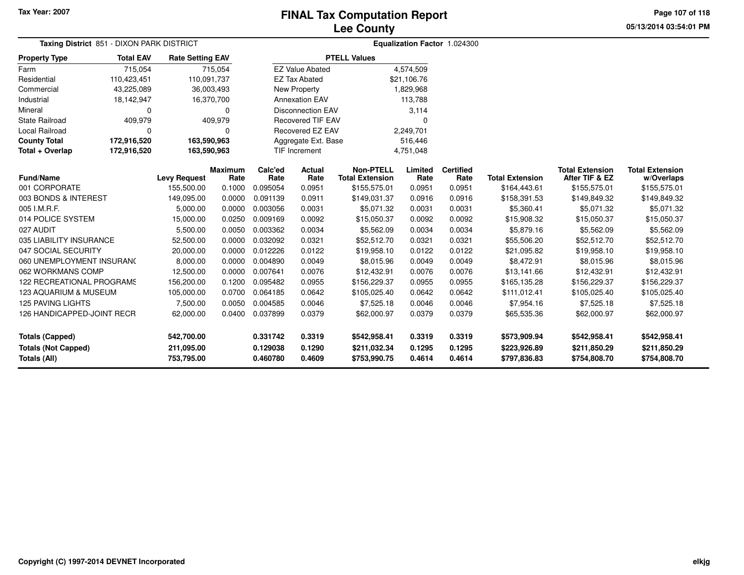**05/13/2014 03:54:01 PM Page 107 of 118**

| Taxing District 851 - DIXON PARK DISTRICT |                  | Equalization Factor 1.024300 |                        |                 |                          |                                            |                 |                          |                        |                                          |                                      |
|-------------------------------------------|------------------|------------------------------|------------------------|-----------------|--------------------------|--------------------------------------------|-----------------|--------------------------|------------------------|------------------------------------------|--------------------------------------|
| <b>Property Type</b>                      | <b>Total EAV</b> | <b>Rate Setting EAV</b>      |                        |                 |                          | <b>PTELL Values</b>                        |                 |                          |                        |                                          |                                      |
| Farm                                      | 715,054          |                              | 715,054                |                 | <b>EZ Value Abated</b>   |                                            | 4,574,509       |                          |                        |                                          |                                      |
| Residential                               | 110,423,451      | 110,091,737                  |                        |                 | <b>EZ Tax Abated</b>     |                                            | \$21,106.76     |                          |                        |                                          |                                      |
| Commercial                                | 43,225,089       | 36,003,493                   |                        |                 | <b>New Property</b>      |                                            | 1,829,968       |                          |                        |                                          |                                      |
| Industrial                                | 18,142,947       | 16,370,700                   |                        |                 | <b>Annexation EAV</b>    |                                            | 113,788         |                          |                        |                                          |                                      |
| Mineral                                   | 0                |                              | 0                      |                 | <b>Disconnection EAV</b> |                                            | 3,114           |                          |                        |                                          |                                      |
| <b>State Railroad</b>                     | 409,979          |                              | 409,979                |                 | <b>Recovered TIF EAV</b> |                                            | $\Omega$        |                          |                        |                                          |                                      |
| <b>Local Railroad</b>                     | $\Omega$         |                              | $\Omega$               |                 | <b>Recovered EZ EAV</b>  |                                            | 2,249,701       |                          |                        |                                          |                                      |
| <b>County Total</b>                       | 172,916,520      | 163,590,963                  |                        |                 | Aggregate Ext. Base      |                                            | 516,446         |                          |                        |                                          |                                      |
| Total + Overlap                           | 172,916,520      | 163,590,963                  |                        |                 | TIF Increment            |                                            | 4,751,048       |                          |                        |                                          |                                      |
| Fund/Name                                 |                  | <b>Levy Request</b>          | <b>Maximum</b><br>Rate | Calc'ed<br>Rate | Actual<br>Rate           | <b>Non-PTELL</b><br><b>Total Extension</b> | Limited<br>Rate | <b>Certified</b><br>Rate | <b>Total Extension</b> | <b>Total Extension</b><br>After TIF & EZ | <b>Total Extension</b><br>w/Overlaps |
| 001 CORPORATE                             |                  | 155,500.00                   | 0.1000                 | 0.095054        | 0.0951                   | \$155,575.01                               | 0.0951          | 0.0951                   | \$164,443.61           | \$155,575.01                             | \$155,575.01                         |
| 003 BONDS & INTEREST                      |                  | 149,095.00                   | 0.0000                 | 0.091139        | 0.0911                   | \$149,031.37                               | 0.0916          | 0.0916                   | \$158,391.53           | \$149,849.32                             | \$149,849.32                         |
| 005 I.M.R.F.                              |                  | 5,000.00                     | 0.0000                 | 0.003056        | 0.0031                   | \$5,071.32                                 | 0.0031          | 0.0031                   | \$5,360.41             | \$5,071.32                               | \$5,071.32                           |
| 014 POLICE SYSTEM                         |                  | 15,000.00                    | 0.0250                 | 0.009169        | 0.0092                   | \$15,050.37                                | 0.0092          | 0.0092                   | \$15,908.32            | \$15,050.37                              | \$15,050.37                          |
| 027 AUDIT                                 |                  | 5,500.00                     | 0.0050                 | 0.003362        | 0.0034                   | \$5,562.09                                 | 0.0034          | 0.0034                   | \$5,879.16             | \$5,562.09                               | \$5,562.09                           |
| 035 LIABILITY INSURANCE                   |                  | 52,500.00                    | 0.0000                 | 0.032092        | 0.0321                   | \$52,512.70                                | 0.0321          | 0.0321                   | \$55,506.20            | \$52,512.70                              | \$52,512.70                          |
| 047 SOCIAL SECURITY                       |                  | 20,000.00                    | 0.0000                 | 0.012226        | 0.0122                   | \$19,958.10                                | 0.0122          | 0.0122                   | \$21,095.82            | \$19,958.10                              | \$19,958.10                          |
| 060 UNEMPLOYMENT INSURANC                 |                  | 8,000.00                     | 0.0000                 | 0.004890        | 0.0049                   | \$8,015.96                                 | 0.0049          | 0.0049                   | \$8,472.91             | \$8,015.96                               | \$8,015.96                           |
| 062 WORKMANS COMP                         |                  | 12,500.00                    | 0.0000                 | 0.007641        | 0.0076                   | \$12,432.91                                | 0.0076          | 0.0076                   | \$13,141.66            | \$12,432.91                              | \$12,432.91                          |
| 122 RECREATIONAL PROGRAMS                 |                  | 156,200.00                   | 0.1200                 | 0.095482        | 0.0955                   | \$156,229.37                               | 0.0955          | 0.0955                   | \$165,135.28           | \$156,229.37                             | \$156,229.37                         |
| 123 AQUARIUM & MUSEUM                     |                  | 105,000.00                   | 0.0700                 | 0.064185        | 0.0642                   | \$105,025.40                               | 0.0642          | 0.0642                   | \$111,012.41           | \$105,025.40                             | \$105,025.40                         |
| <b>125 PAVING LIGHTS</b>                  |                  | 7,500.00                     | 0.0050                 | 0.004585        | 0.0046                   | \$7,525.18                                 | 0.0046          | 0.0046                   | \$7,954.16             | \$7,525.18                               | \$7,525.18                           |
| 126 HANDICAPPED-JOINT RECR                |                  | 62,000.00                    | 0.0400                 | 0.037899        | 0.0379                   | \$62,000.97                                | 0.0379          | 0.0379                   | \$65,535.36            | \$62,000.97                              | \$62,000.97                          |
| <b>Totals (Capped)</b>                    |                  | 542,700.00                   |                        | 0.331742        | 0.3319                   | \$542,958.41                               | 0.3319          | 0.3319                   | \$573,909.94           | \$542,958.41                             | \$542,958.41                         |
| <b>Totals (Not Capped)</b>                |                  | 211,095.00                   |                        | 0.129038        | 0.1290                   | \$211,032.34                               | 0.1295          | 0.1295                   | \$223,926.89           | \$211,850.29                             | \$211,850.29                         |
| <b>Totals (All)</b>                       |                  | 753,795.00                   |                        | 0.460780        | 0.4609                   | \$753,990.75                               | 0.4614          | 0.4614                   | \$797,836.83           | \$754,808.70                             | \$754,808.70                         |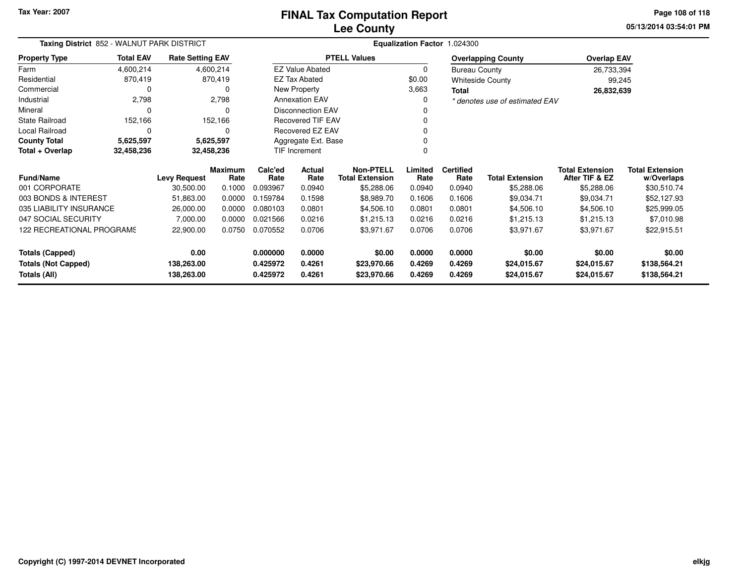**05/13/2014 03:54:01 PM Page 108 of 118**

| <b>Total Extension</b><br>w/Overlaps |
|--------------------------------------|
| \$30,510.74                          |
| \$52,127.93                          |
| \$25,999.05                          |
| \$7,010.98                           |
| \$22,915.51                          |
| \$0.00                               |
| \$138,564.21<br>\$138,564.21         |
|                                      |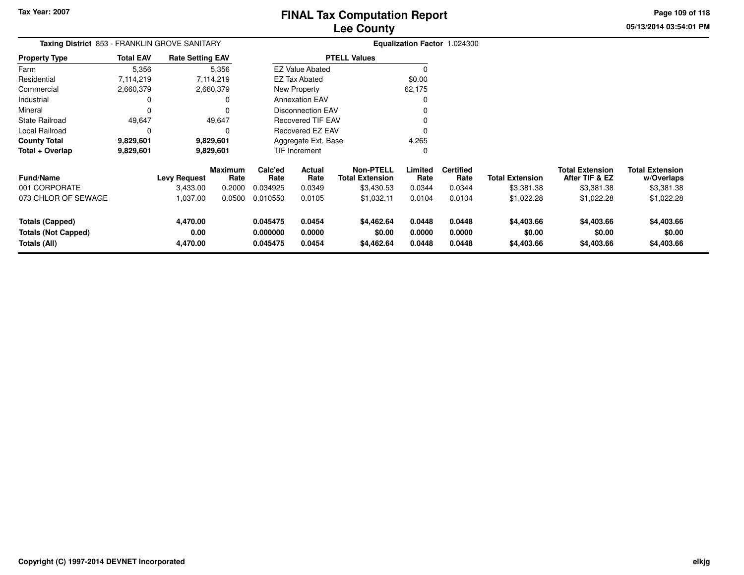**Page 109 of 118**

**05/13/2014 03:54:01 PM**

| <b>Taxing District</b> 853 - FRANKLIN GROVE SANITARY |                  |                         |                 | <b>Equalization Factor 1.024300</b> |                          |                                            |                  |                          |                        |                                          |                                      |
|------------------------------------------------------|------------------|-------------------------|-----------------|-------------------------------------|--------------------------|--------------------------------------------|------------------|--------------------------|------------------------|------------------------------------------|--------------------------------------|
| <b>Property Type</b>                                 | <b>Total EAV</b> | <b>Rate Setting EAV</b> |                 |                                     |                          | <b>PTELL Values</b>                        |                  |                          |                        |                                          |                                      |
| Farm                                                 | 5,356            |                         | 5,356           |                                     | <b>EZ Value Abated</b>   |                                            | $\Omega$         |                          |                        |                                          |                                      |
| Residential                                          | 7,114,219        |                         | 7,114,219       |                                     | EZ Tax Abated            |                                            | \$0.00           |                          |                        |                                          |                                      |
| Commercial                                           | 2,660,379        |                         | 2,660,379       |                                     | New Property             |                                            | 62,175           |                          |                        |                                          |                                      |
| Industrial                                           | 0                |                         | 0               |                                     | <b>Annexation EAV</b>    |                                            |                  |                          |                        |                                          |                                      |
| Mineral                                              | $\Omega$         |                         | 0               |                                     | <b>Disconnection EAV</b> |                                            |                  |                          |                        |                                          |                                      |
| <b>State Railroad</b>                                | 49,647           |                         | 49,647          |                                     | <b>Recovered TIF EAV</b> |                                            |                  |                          |                        |                                          |                                      |
| Local Railroad                                       | $\Omega$         |                         | $\Omega$        |                                     | Recovered EZ EAV         |                                            | 0                |                          |                        |                                          |                                      |
| <b>County Total</b>                                  | 9,829,601        |                         | 9,829,601       |                                     | Aggregate Ext. Base      |                                            | 4,265            |                          |                        |                                          |                                      |
| Total + Overlap                                      | 9,829,601        |                         | 9,829,601       |                                     | TIF Increment            |                                            | $\Omega$         |                          |                        |                                          |                                      |
| <b>Fund/Name</b>                                     |                  | <b>Levy Request</b>     | Maximum<br>Rate | Calc'ed<br>Rate                     | Actual<br>Rate           | <b>Non-PTELL</b><br><b>Total Extension</b> | Limited<br>Rate  | <b>Certified</b><br>Rate | <b>Total Extension</b> | <b>Total Extension</b><br>After TIF & EZ | <b>Total Extension</b><br>w/Overlaps |
| 001 CORPORATE                                        |                  | 3,433.00                | 0.2000          | 0.034925                            | 0.0349                   | \$3,430.53                                 | 0.0344           | 0.0344                   | \$3,381.38             | \$3,381.38                               | \$3,381.38                           |
| 073 CHLOR OF SEWAGE                                  |                  | 1,037.00                | 0.0500          | 0.010550                            | 0.0105                   | \$1,032.11                                 | 0.0104           | 0.0104                   | \$1,022.28             | \$1,022.28                               | \$1,022.28                           |
| Totals (Capped)                                      |                  | 4,470.00                |                 | 0.045475                            | 0.0454                   | \$4,462.64                                 | 0.0448           | 0.0448                   | \$4,403.66             | \$4,403.66                               | \$4,403.66                           |
| <b>Totals (Not Capped)</b><br>Totals (All)           |                  | 0.00<br>4,470.00        |                 | 0.000000<br>0.045475                | 0.0000<br>0.0454         | \$0.00<br>\$4,462.64                       | 0.0000<br>0.0448 | 0.0000<br>0.0448         | \$0.00<br>\$4,403.66   | \$0.00<br>\$4,403.66                     | \$0.00<br>\$4,403.66                 |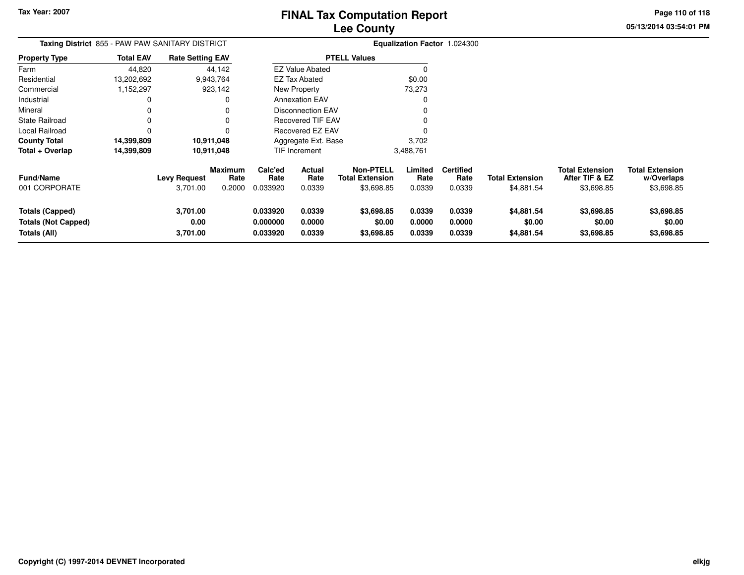**05/13/2014 03:54:01 PMPage 110 of 118**

> **w/Overlaps**\$3,698.85

|                                                                      | Taxing District 855 - PAW PAW SANITARY DISTRICT |                              |                                  |                                  |                            |                                                          |                            | Equalization Factor 1.024300       |                                      |                                                        |                                                    |
|----------------------------------------------------------------------|-------------------------------------------------|------------------------------|----------------------------------|----------------------------------|----------------------------|----------------------------------------------------------|----------------------------|------------------------------------|--------------------------------------|--------------------------------------------------------|----------------------------------------------------|
| Property Type                                                        | <b>Total EAV</b>                                | <b>Rate Setting EAV</b>      |                                  |                                  |                            | <b>PTELL Values</b>                                      |                            |                                    |                                      |                                                        |                                                    |
| Farm                                                                 | 44,820                                          |                              | 44,142                           |                                  | <b>EZ Value Abated</b>     |                                                          |                            |                                    |                                      |                                                        |                                                    |
| Residential                                                          | 13,202,692                                      |                              | 9,943,764                        |                                  | <b>EZ Tax Abated</b>       |                                                          | \$0.00                     |                                    |                                      |                                                        |                                                    |
| Commercial                                                           | 1,152,297                                       |                              | 923,142                          |                                  | New Property               |                                                          | 73,273                     |                                    |                                      |                                                        |                                                    |
| Industrial                                                           |                                                 |                              |                                  |                                  | <b>Annexation EAV</b>      |                                                          |                            |                                    |                                      |                                                        |                                                    |
| Mineral                                                              |                                                 |                              |                                  |                                  | <b>Disconnection EAV</b>   |                                                          |                            |                                    |                                      |                                                        |                                                    |
| State Railroad                                                       |                                                 |                              |                                  |                                  | <b>Recovered TIF EAV</b>   |                                                          |                            |                                    |                                      |                                                        |                                                    |
| Local Railroad                                                       |                                                 |                              |                                  |                                  | Recovered EZ EAV           |                                                          |                            |                                    |                                      |                                                        |                                                    |
| County Total                                                         | 14,399,809                                      |                              | 10,911,048                       |                                  | Aggregate Ext. Base        |                                                          | 3,702                      |                                    |                                      |                                                        |                                                    |
| Total + Overlap                                                      | 14,399,809                                      |                              | 10,911,048                       |                                  | TIF Increment              |                                                          | 3,488,761                  |                                    |                                      |                                                        |                                                    |
| Fund/Name<br>001 CORPORATE                                           |                                                 | Levy Request<br>3,701.00     | <b>Maximum</b><br>Rate<br>0.2000 | Calc'ed<br>Rate<br>0.033920      | Actual<br>Rate<br>0.0339   | <b>Non-PTELL</b><br><b>Total Extension</b><br>\$3,698.85 | Limited<br>Rate<br>0.0339  | <b>Certified</b><br>Rate<br>0.0339 | <b>Total Extension</b><br>\$4,881.54 | <b>Total Extension</b><br>After TIF & EZ<br>\$3,698.85 | <b>Total Extension</b><br>w/Overlaps<br>\$3,698.85 |
| <b>Totals (Capped)</b><br><b>Totals (Not Capped)</b><br>Totals (All) |                                                 | 3,701.00<br>0.00<br>3,701.00 |                                  | 0.033920<br>0.000000<br>0.033920 | 0.0339<br>0.0000<br>0.0339 | \$3,698.85<br>\$0.00<br>\$3,698.85                       | 0.0339<br>0.0000<br>0.0339 | 0.0339<br>0.0000<br>0.0339         | \$4,881.54<br>\$0.00<br>\$4,881.54   | \$3,698.85<br>\$0.00<br>\$3,698.85                     | \$3,698.85<br>\$0.00<br>\$3,698.85                 |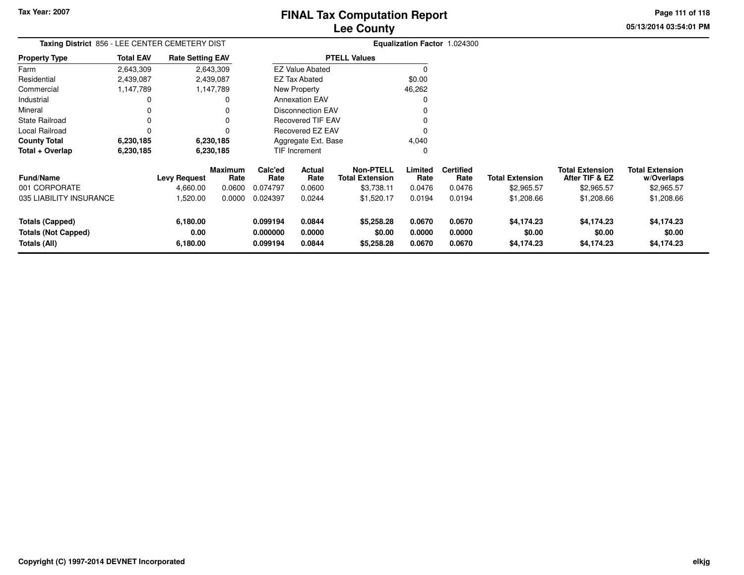**Tax Year: 2007**

# **Lee CountyFINAL Tax Computation Report**

**05/13/2014 03:54:01 PM Page 111 of 118**

| Taxing District 856 - LEE CENTER CEMETERY DIST |                  |                         |                 |                      |                          |                                            |                  | Equalization Factor 1.024300 |                        |                                          |                                      |
|------------------------------------------------|------------------|-------------------------|-----------------|----------------------|--------------------------|--------------------------------------------|------------------|------------------------------|------------------------|------------------------------------------|--------------------------------------|
| <b>Property Type</b>                           | <b>Total EAV</b> | <b>Rate Setting EAV</b> |                 |                      |                          | <b>PTELL Values</b>                        |                  |                              |                        |                                          |                                      |
| Farm                                           | 2,643,309        |                         | 2,643,309       |                      | <b>EZ Value Abated</b>   |                                            | $\Omega$         |                              |                        |                                          |                                      |
| Residential                                    | 2,439,087        |                         | 2,439,087       |                      | EZ Tax Abated            |                                            | \$0.00           |                              |                        |                                          |                                      |
| Commercial                                     | 1,147,789        |                         | 1,147,789       |                      | New Property             |                                            | 46,262           |                              |                        |                                          |                                      |
| Industrial                                     | 0                |                         | 0               |                      | <b>Annexation EAV</b>    |                                            | $\Omega$         |                              |                        |                                          |                                      |
| Mineral                                        | 0                |                         |                 |                      | <b>Disconnection EAV</b> |                                            |                  |                              |                        |                                          |                                      |
| <b>State Railroad</b>                          | 0                |                         | 0               |                      | <b>Recovered TIF EAV</b> |                                            |                  |                              |                        |                                          |                                      |
| Local Railroad                                 | 0                |                         |                 |                      | Recovered EZ EAV         |                                            | O                |                              |                        |                                          |                                      |
| <b>County Total</b>                            | 6,230,185        |                         | 6,230,185       |                      | Aggregate Ext. Base      |                                            | 4,040            |                              |                        |                                          |                                      |
| Total + Overlap                                | 6,230,185        |                         | 6,230,185       |                      | TIF Increment            |                                            | 0                |                              |                        |                                          |                                      |
| <b>Fund/Name</b>                               |                  | <b>Levy Request</b>     | Maximum<br>Rate | Calc'ed<br>Rate      | Actual<br>Rate           | <b>Non-PTELL</b><br><b>Total Extension</b> | Limited<br>Rate  | <b>Certified</b><br>Rate     | <b>Total Extension</b> | <b>Total Extension</b><br>After TIF & EZ | <b>Total Extension</b><br>w/Overlaps |
| 001 CORPORATE                                  |                  | 4,660.00                | 0.0600          | 0.074797             | 0.0600                   | \$3,738.11                                 | 0.0476           | 0.0476                       | \$2,965.57             | \$2,965.57                               | \$2,965.57                           |
| 035 LIABILITY INSURANCE                        |                  | 1,520.00                | 0.0000          | 0.024397             | 0.0244                   | \$1,520.17                                 | 0.0194           | 0.0194                       | \$1,208.66             | \$1,208.66                               | \$1,208.66                           |
| Totals (Capped)<br><b>Totals (Not Capped)</b>  |                  | 6,180.00<br>0.00        |                 | 0.099194<br>0.000000 | 0.0844<br>0.0000         | \$5,258.28<br>\$0.00                       | 0.0670<br>0.0000 | 0.0670<br>0.0000             | \$4,174.23<br>\$0.00   | \$4,174.23<br>\$0.00                     | \$4,174.23<br>\$0.00                 |
| Totals (All)                                   |                  | 6,180.00                |                 | 0.099194             | 0.0844                   | \$5,258.28                                 | 0.0670           | 0.0670                       | \$4,174.23             | \$4,174.23                               | \$4,174.23                           |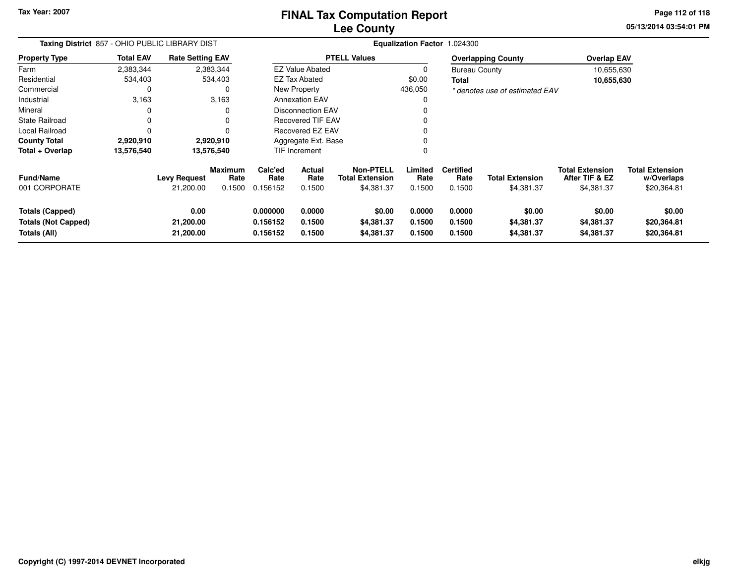**Tax Year: 2007**

## **Lee CountyFINAL Tax Computation Report**

**05/13/2014 03:54:01 PM Page 112 of 118**

| Taxing District 857 - OHIO PUBLIC LIBRARY DIST                |                  | Equalization Factor 1.024300   |                                  |                                  |                                 |                                                   |                            |                                    |                                      |                                                        |                                                     |
|---------------------------------------------------------------|------------------|--------------------------------|----------------------------------|----------------------------------|---------------------------------|---------------------------------------------------|----------------------------|------------------------------------|--------------------------------------|--------------------------------------------------------|-----------------------------------------------------|
| <b>Property Type</b>                                          | <b>Total EAV</b> | <b>Rate Setting EAV</b>        |                                  |                                  |                                 | <b>PTELL Values</b>                               |                            |                                    | <b>Overlapping County</b>            | <b>Overlap EAV</b>                                     |                                                     |
| Farm                                                          | 2,383,344        |                                | 2,383,344                        |                                  | <b>EZ Value Abated</b>          |                                                   | $\Omega$                   | <b>Bureau County</b>               |                                      | 10,655,630                                             |                                                     |
| Residential                                                   | 534,403          |                                | 534,403                          |                                  | <b>EZ Tax Abated</b>            |                                                   | \$0.00                     | Total                              |                                      | 10,655,630                                             |                                                     |
| Commercial                                                    | 0                |                                | 0                                |                                  | New Property                    |                                                   | 436,050                    |                                    | * denotes use of estimated EAV       |                                                        |                                                     |
| Industrial                                                    | 3,163            |                                | 3,163                            |                                  | <b>Annexation EAV</b>           |                                                   |                            |                                    |                                      |                                                        |                                                     |
| Mineral                                                       |                  |                                | 0                                |                                  | <b>Disconnection EAV</b>        |                                                   |                            |                                    |                                      |                                                        |                                                     |
| State Railroad                                                | $\Omega$         |                                | $\Omega$                         |                                  | <b>Recovered TIF EAV</b>        |                                                   |                            |                                    |                                      |                                                        |                                                     |
| Local Railroad                                                |                  |                                | $\Omega$                         |                                  | Recovered EZ EAV                |                                                   |                            |                                    |                                      |                                                        |                                                     |
| <b>County Total</b>                                           | 2,920,910        |                                | 2,920,910                        |                                  | Aggregate Ext. Base             |                                                   |                            |                                    |                                      |                                                        |                                                     |
| Total + Overlap                                               | 13,576,540       |                                | 13,576,540                       |                                  | TIF Increment                   |                                                   | 0                          |                                    |                                      |                                                        |                                                     |
| <b>Fund/Name</b><br>001 CORPORATE                             |                  | Levy Request<br>21,200.00      | <b>Maximum</b><br>Rate<br>0.1500 | Calc'ed<br>Rate<br>0.156152      | <b>Actual</b><br>Rate<br>0.1500 | Non-PTELL<br><b>Total Extension</b><br>\$4,381.37 | Limited<br>Rate<br>0.1500  | <b>Certified</b><br>Rate<br>0.1500 | <b>Total Extension</b><br>\$4,381.37 | <b>Total Extension</b><br>After TIF & EZ<br>\$4,381.37 | <b>Total Extension</b><br>w/Overlaps<br>\$20,364.81 |
| Totals (Capped)<br><b>Totals (Not Capped)</b><br>Totals (All) |                  | 0.00<br>21,200.00<br>21,200.00 |                                  | 0.000000<br>0.156152<br>0.156152 | 0.0000<br>0.1500<br>0.1500      | \$0.00<br>\$4,381.37<br>\$4,381.37                | 0.0000<br>0.1500<br>0.1500 | 0.0000<br>0.1500<br>0.1500         | \$0.00<br>\$4,381.37<br>\$4,381.37   | \$0.00<br>\$4,381.37<br>\$4,381.37                     | \$0.00<br>\$20,364.81<br>\$20,364.81                |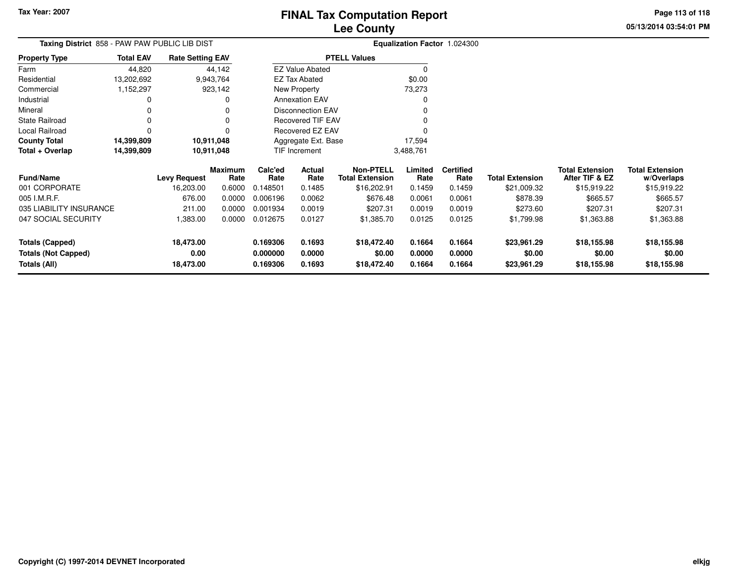**Tax Year: 2007**

# **Lee CountyFINAL Tax Computation Report**

**05/13/2014 03:54:01 PMPage 113 of 118**

| Taxing District  858 - PAW PAW PUBLIC LIB DIST |                  |                         |                 |                      |                          | <b>Equalization Factor 1.024300</b>        |                  |                          |                        |                                          |                                      |
|------------------------------------------------|------------------|-------------------------|-----------------|----------------------|--------------------------|--------------------------------------------|------------------|--------------------------|------------------------|------------------------------------------|--------------------------------------|
| <b>Property Type</b>                           | <b>Total EAV</b> | <b>Rate Setting EAV</b> |                 |                      |                          | <b>PTELL Values</b>                        |                  |                          |                        |                                          |                                      |
| Farm                                           | 44,820           |                         | 44,142          |                      | <b>EZ Value Abated</b>   |                                            | $\Omega$         |                          |                        |                                          |                                      |
| Residential                                    | 13,202,692       |                         | 9,943,764       |                      | <b>EZ Tax Abated</b>     |                                            | \$0.00           |                          |                        |                                          |                                      |
| Commercial                                     | 1,152,297        |                         | 923,142         |                      | New Property             |                                            | 73,273           |                          |                        |                                          |                                      |
| Industrial                                     |                  |                         | 0               |                      | <b>Annexation EAV</b>    |                                            |                  |                          |                        |                                          |                                      |
| Mineral                                        |                  |                         | 0               |                      | <b>Disconnection EAV</b> |                                            |                  |                          |                        |                                          |                                      |
| <b>State Railroad</b>                          |                  |                         | 0               |                      | <b>Recovered TIF EAV</b> |                                            |                  |                          |                        |                                          |                                      |
| Local Railroad                                 |                  |                         | $\Omega$        |                      | Recovered EZ EAV         |                                            |                  |                          |                        |                                          |                                      |
| <b>County Total</b>                            | 14,399,809       | 10,911,048              |                 |                      | Aggregate Ext. Base      |                                            | 17,594           |                          |                        |                                          |                                      |
| Total + Overlap                                | 14,399,809       | 10,911,048              |                 |                      | TIF Increment            |                                            | 3,488,761        |                          |                        |                                          |                                      |
| <b>Fund/Name</b>                               |                  | <b>Levy Request</b>     | Maximum<br>Rate | Calc'ed<br>Rate      | Actual<br>Rate           | <b>Non-PTELL</b><br><b>Total Extension</b> | Limited<br>Rate  | <b>Certified</b><br>Rate | <b>Total Extension</b> | <b>Total Extension</b><br>After TIF & EZ | <b>Total Extension</b><br>w/Overlaps |
| 001 CORPORATE                                  |                  | 16,203.00               | 0.6000          | 0.148501             | 0.1485                   | \$16,202.91                                | 0.1459           | 0.1459                   | \$21,009.32            | \$15,919.22                              | \$15,919.22                          |
| 005 I.M.R.F.                                   |                  | 676.00                  | 0.0000          | 0.006196             | 0.0062                   | \$676.48                                   | 0.0061           | 0.0061                   | \$878.39               | \$665.57                                 | \$665.57                             |
| 035 LIABILITY INSURANCE                        |                  | 211.00                  | 0.0000          | 0.001934             | 0.0019                   | \$207.31                                   | 0.0019           | 0.0019                   | \$273.60               | \$207.31                                 | \$207.31                             |
| 047 SOCIAL SECURITY                            |                  | 1,383.00                | 0.0000          | 0.012675             | 0.0127                   | \$1,385.70                                 | 0.0125           | 0.0125                   | \$1,799.98             | \$1,363.88                               | \$1,363.88                           |
| <b>Totals (Capped)</b>                         |                  | 18,473.00               |                 | 0.169306             | 0.1693                   | \$18,472.40                                | 0.1664           | 0.1664                   | \$23,961.29            | \$18,155.98                              | \$18,155.98                          |
| <b>Totals (Not Capped)</b>                     |                  | 0.00<br>18,473.00       |                 | 0.000000<br>0.169306 | 0.0000<br>0.1693         | \$0.00                                     | 0.0000<br>0.1664 | 0.0000<br>0.1664         | \$0.00                 | \$0.00                                   | \$0.00                               |
| Totals (All)                                   |                  |                         |                 |                      |                          | \$18,472.40                                |                  |                          | \$23,961.29            | \$18,155.98                              | \$18,155.98                          |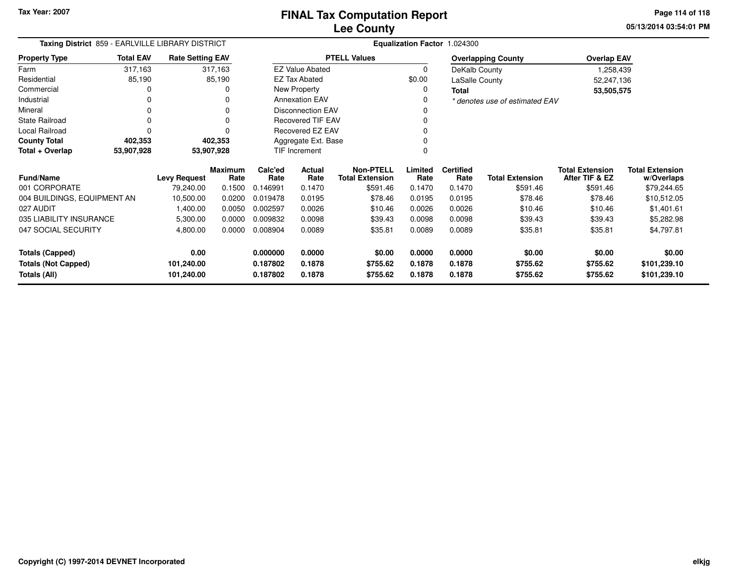**05/13/2014 03:54:01 PM Page 114 of 118**

| Taxing District 859 - EARLVILLE LIBRARY DISTRICT |                  |                         |                        |                 |                          |                                            |                 | Equalization Factor 1.024300 |                                |                                          |                                      |
|--------------------------------------------------|------------------|-------------------------|------------------------|-----------------|--------------------------|--------------------------------------------|-----------------|------------------------------|--------------------------------|------------------------------------------|--------------------------------------|
| <b>Property Type</b>                             | <b>Total EAV</b> | <b>Rate Setting EAV</b> |                        |                 |                          | <b>PTELL Values</b>                        |                 |                              | <b>Overlapping County</b>      | <b>Overlap EAV</b>                       |                                      |
| Farm                                             | 317,163          |                         | 317,163                |                 | <b>EZ Value Abated</b>   |                                            | 0               | DeKalb County                |                                | 1,258,439                                |                                      |
| Residential                                      | 85,190           |                         | 85,190                 |                 | <b>EZ Tax Abated</b>     |                                            | \$0.00          | LaSalle County               |                                | 52,247,136                               |                                      |
| Commercial                                       | 0                |                         | 0                      |                 | New Property             |                                            | 0               | <b>Total</b>                 |                                | 53,505,575                               |                                      |
| Industrial                                       | 0                |                         |                        |                 | <b>Annexation EAV</b>    |                                            | 0               |                              | * denotes use of estimated EAV |                                          |                                      |
| Mineral                                          | 0                |                         |                        |                 | <b>Disconnection EAV</b> |                                            |                 |                              |                                |                                          |                                      |
| <b>State Railroad</b>                            | 0                |                         |                        |                 | Recovered TIF EAV        |                                            |                 |                              |                                |                                          |                                      |
| Local Railroad                                   |                  |                         |                        |                 | Recovered EZ EAV         |                                            |                 |                              |                                |                                          |                                      |
| <b>County Total</b>                              | 402,353          |                         | 402,353                |                 | Aggregate Ext. Base      |                                            |                 |                              |                                |                                          |                                      |
| Total + Overlap                                  | 53,907,928       |                         | 53,907,928             |                 | <b>TIF Increment</b>     | 0                                          |                 |                              |                                |                                          |                                      |
| <b>Fund/Name</b>                                 |                  | <b>Levy Request</b>     | <b>Maximum</b><br>Rate | Calc'ed<br>Rate | <b>Actual</b><br>Rate    | <b>Non-PTELL</b><br><b>Total Extension</b> | Limited<br>Rate | <b>Certified</b><br>Rate     | <b>Total Extension</b>         | <b>Total Extension</b><br>After TIF & EZ | <b>Total Extension</b><br>w/Overlaps |
| 001 CORPORATE                                    |                  | 79,240.00               | 0.1500                 | 0.146991        | 0.1470                   | \$591.46                                   | 0.1470          | 0.1470                       | \$591.46                       | \$591.46                                 | \$79,244.65                          |
| 004 BUILDINGS, EQUIPMENT AN                      |                  | 10,500.00               | 0.0200                 | 0.019478        | 0.0195                   | \$78.46                                    | 0.0195          | 0.0195                       | \$78.46                        | \$78.46                                  | \$10,512.05                          |
| 027 AUDIT                                        |                  | 1,400.00                | 0.0050                 | 0.002597        | 0.0026                   | \$10.46                                    | 0.0026          | 0.0026                       | \$10.46                        | \$10.46                                  | \$1,401.61                           |
| 035 LIABILITY INSURANCE                          |                  | 5,300.00                | 0.0000                 | 0.009832        | 0.0098                   | \$39.43                                    | 0.0098          | 0.0098                       | \$39.43                        | \$39.43                                  | \$5,282.98                           |
| 047 SOCIAL SECURITY                              |                  | 4,800.00                | 0.0000                 | 0.008904        | 0.0089                   | \$35.81                                    | 0.0089          | 0.0089                       | \$35.81                        | \$35.81                                  | \$4,797.81                           |
| <b>Totals (Capped)</b>                           |                  | 0.00                    |                        | 0.000000        | 0.0000                   | \$0.00                                     | 0.0000          | 0.0000                       | \$0.00                         | \$0.00                                   | \$0.00                               |
| <b>Totals (Not Capped)</b>                       |                  | 101,240.00              |                        | 0.187802        | 0.1878                   | \$755.62                                   | 0.1878          | 0.1878                       | \$755.62                       | \$755.62                                 | \$101,239.10                         |
| Totals (All)                                     |                  | 101,240.00              |                        | 0.187802        | 0.1878                   | \$755.62                                   | 0.1878          | 0.1878                       | \$755.62                       | \$755.62                                 | \$101,239.10                         |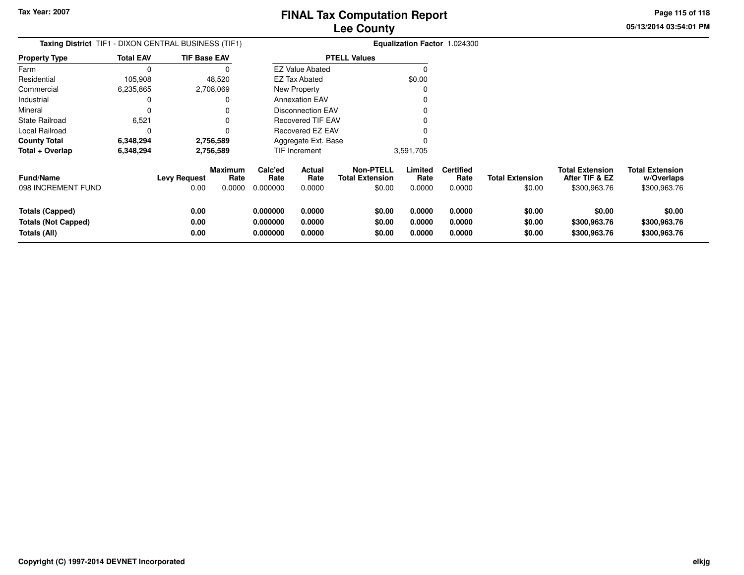**05/13/2014 03:54:01 PMPage 115 of 118**

| <b>Taxing District</b> TIF1 - DIXON CENTRAL BUSINESS (TIF1)   |                  |                             |                                  |                                  |                            | Equalization Factor 1.024300                         |                            |                                    |                                  |                                                          |                                                      |
|---------------------------------------------------------------|------------------|-----------------------------|----------------------------------|----------------------------------|----------------------------|------------------------------------------------------|----------------------------|------------------------------------|----------------------------------|----------------------------------------------------------|------------------------------------------------------|
| <b>Property Type</b>                                          | <b>Total EAV</b> | <b>TIF Base EAV</b>         |                                  |                                  |                            | <b>PTELL Values</b>                                  |                            |                                    |                                  |                                                          |                                                      |
| Farm                                                          | $\Omega$         |                             |                                  |                                  | <b>EZ Value Abated</b>     |                                                      |                            |                                    |                                  |                                                          |                                                      |
| Residential                                                   | 105,908          |                             | 48,520                           |                                  | <b>EZ Tax Abated</b>       |                                                      | \$0.00                     |                                    |                                  |                                                          |                                                      |
| Commercial                                                    | 6,235,865        |                             | 2,708,069                        |                                  | New Property               |                                                      |                            |                                    |                                  |                                                          |                                                      |
| Industrial                                                    | 0                |                             |                                  |                                  | <b>Annexation EAV</b>      |                                                      |                            |                                    |                                  |                                                          |                                                      |
| Mineral                                                       | 0                |                             |                                  |                                  | <b>Disconnection EAV</b>   |                                                      |                            |                                    |                                  |                                                          |                                                      |
| <b>State Railroad</b>                                         | 6,521            |                             |                                  |                                  | Recovered TIF EAV          |                                                      |                            |                                    |                                  |                                                          |                                                      |
| Local Railroad                                                | 0                |                             |                                  |                                  | Recovered EZ EAV           |                                                      |                            |                                    |                                  |                                                          |                                                      |
| <b>County Total</b>                                           | 6,348,294        |                             | 2,756,589                        |                                  | Aggregate Ext. Base        |                                                      |                            |                                    |                                  |                                                          |                                                      |
| Total + Overlap                                               | 6,348,294        |                             | 2,756,589                        |                                  | <b>TIF Increment</b>       |                                                      | 3,591,705                  |                                    |                                  |                                                          |                                                      |
| <b>Fund/Name</b><br>098 INCREMENT FUND                        |                  | <b>Levy Request</b><br>0.00 | <b>Maximum</b><br>Rate<br>0.0000 | Calc'ed<br>Rate<br>0.000000      | Actual<br>Rate<br>0.0000   | <b>Non-PTELL</b><br><b>Total Extension</b><br>\$0.00 | Limited<br>Rate<br>0.0000  | <b>Certified</b><br>Rate<br>0.0000 | <b>Total Extension</b><br>\$0.00 | <b>Total Extension</b><br>After TIF & EZ<br>\$300,963.76 | <b>Total Extension</b><br>w/Overlaps<br>\$300,963.76 |
| Totals (Capped)<br><b>Totals (Not Capped)</b><br>Totals (All) |                  | 0.00<br>0.00<br>0.00        |                                  | 0.000000<br>0.000000<br>0.000000 | 0.0000<br>0.0000<br>0.0000 | \$0.00<br>\$0.00<br>\$0.00                           | 0.0000<br>0.0000<br>0.0000 | 0.0000<br>0.0000<br>0.0000         | \$0.00<br>\$0.00<br>\$0.00       | \$0.00<br>\$300,963.76<br>\$300,963.76                   | \$0.00<br>\$300,963.76<br>\$300,963.76               |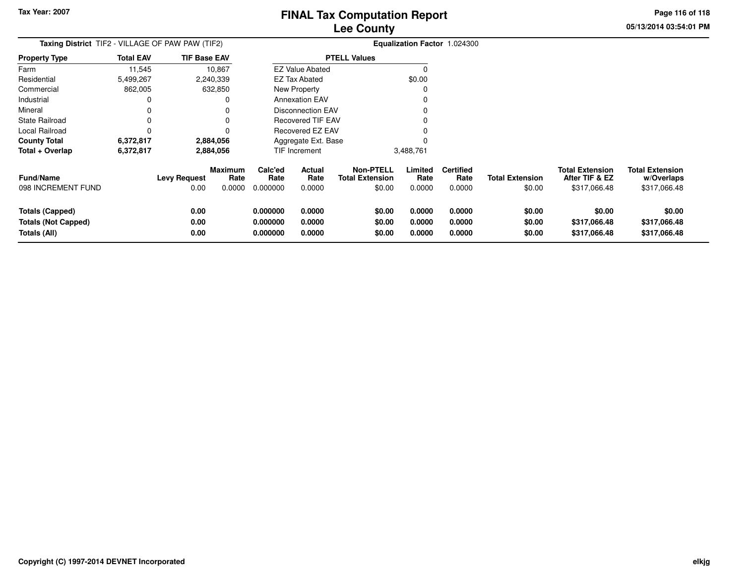**05/13/2014 03:54:01 PMPage 116 of 118**

| Taxing District TIF2 - VILLAGE OF PAW PAW (TIF2)                     |                  |                             |                                  |                                  |                            |                                                      |                            | Equalization Factor 1.024300       |                                  |                                                          |                                                      |
|----------------------------------------------------------------------|------------------|-----------------------------|----------------------------------|----------------------------------|----------------------------|------------------------------------------------------|----------------------------|------------------------------------|----------------------------------|----------------------------------------------------------|------------------------------------------------------|
| Property Type                                                        | <b>Total EAV</b> | <b>TIF Base EAV</b>         |                                  |                                  |                            | <b>PTELL Values</b>                                  |                            |                                    |                                  |                                                          |                                                      |
| Farm                                                                 | 11,545           |                             | 10,867                           |                                  | <b>EZ Value Abated</b>     |                                                      | O                          |                                    |                                  |                                                          |                                                      |
| Residential                                                          | 5,499,267        |                             | 2,240,339                        |                                  | <b>EZ Tax Abated</b>       |                                                      | \$0.00                     |                                    |                                  |                                                          |                                                      |
| Commercial                                                           | 862,005          |                             | 632,850                          |                                  | New Property               |                                                      |                            |                                    |                                  |                                                          |                                                      |
| Industrial                                                           | 0                |                             |                                  |                                  | <b>Annexation EAV</b>      |                                                      |                            |                                    |                                  |                                                          |                                                      |
| Mineral                                                              | 0                |                             |                                  |                                  | Disconnection EAV          |                                                      |                            |                                    |                                  |                                                          |                                                      |
| State Railroad                                                       | 0                |                             |                                  |                                  | <b>Recovered TIF EAV</b>   |                                                      |                            |                                    |                                  |                                                          |                                                      |
| Local Railroad                                                       | 0                |                             |                                  |                                  | Recovered EZ EAV           |                                                      |                            |                                    |                                  |                                                          |                                                      |
| County Total                                                         | 6,372,817        |                             | 2,884,056                        |                                  | Aggregate Ext. Base        |                                                      |                            |                                    |                                  |                                                          |                                                      |
| Total + Overlap                                                      | 6,372,817        |                             | 2,884,056                        |                                  | TIF Increment              |                                                      | 3,488,761                  |                                    |                                  |                                                          |                                                      |
| <b>Fund/Name</b><br>098 INCREMENT FUND                               |                  | <b>Levy Request</b><br>0.00 | <b>Maximum</b><br>Rate<br>0.0000 | Calc'ed<br>Rate<br>0.000000      | Actual<br>Rate<br>0.0000   | <b>Non-PTELL</b><br><b>Total Extension</b><br>\$0.00 | Limited<br>Rate<br>0.0000  | <b>Certified</b><br>Rate<br>0.0000 | <b>Total Extension</b><br>\$0.00 | <b>Total Extension</b><br>After TIF & EZ<br>\$317,066.48 | <b>Total Extension</b><br>w/Overlaps<br>\$317,066.48 |
| <b>Totals (Capped)</b><br><b>Totals (Not Capped)</b><br>Totals (All) |                  | 0.00<br>0.00<br>0.00        |                                  | 0.000000<br>0.000000<br>0.000000 | 0.0000<br>0.0000<br>0.0000 | \$0.00<br>\$0.00<br>\$0.00                           | 0.0000<br>0.0000<br>0.0000 | 0.0000<br>0.0000<br>0.0000         | \$0.00<br>\$0.00<br>\$0.00       | \$0.00<br>\$317,066.48<br>\$317,066.48                   | \$0.00<br>\$317,066.48<br>\$317,066.48               |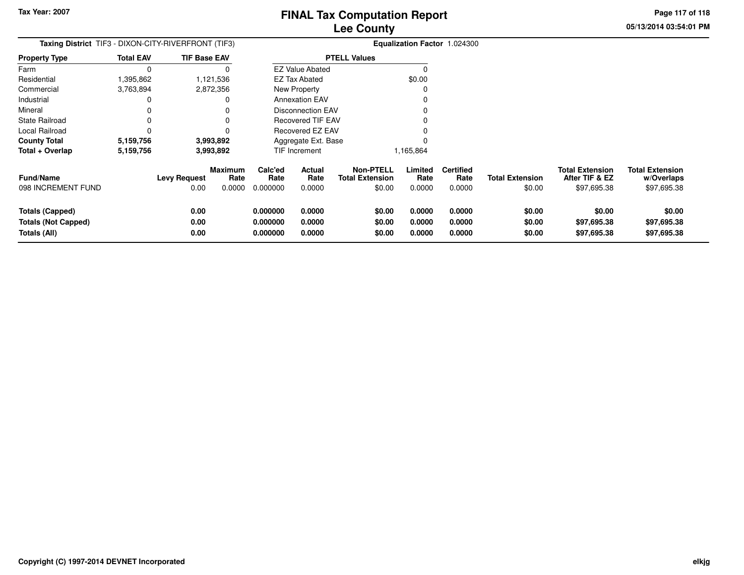**05/13/2014 03:54:01 PMPage 117 of 118**

| <b>Taxing District</b> TIF3 - DIXON-CITY-RIVERFRONT (TIF3)           |                  |                      |                        |                                  |                            |                                            |                            | Equalization Factor 1.024300 |                            |                                          |                                      |
|----------------------------------------------------------------------|------------------|----------------------|------------------------|----------------------------------|----------------------------|--------------------------------------------|----------------------------|------------------------------|----------------------------|------------------------------------------|--------------------------------------|
| <b>Property Type</b>                                                 | <b>Total EAV</b> | <b>TIF Base EAV</b>  |                        |                                  |                            | <b>PTELL Values</b>                        |                            |                              |                            |                                          |                                      |
| Farm                                                                 | $\Omega$         |                      |                        |                                  | <b>EZ Value Abated</b>     |                                            |                            |                              |                            |                                          |                                      |
| Residential                                                          | 1,395,862        |                      | 1,121,536              |                                  | <b>EZ Tax Abated</b>       |                                            | \$0.00                     |                              |                            |                                          |                                      |
| Commercial                                                           | 3,763,894        |                      | 2,872,356              |                                  | New Property               |                                            |                            |                              |                            |                                          |                                      |
| Industrial                                                           | 0                |                      |                        |                                  | <b>Annexation EAV</b>      |                                            |                            |                              |                            |                                          |                                      |
| Mineral                                                              |                  |                      |                        |                                  | <b>Disconnection EAV</b>   |                                            |                            |                              |                            |                                          |                                      |
| State Railroad                                                       |                  |                      |                        |                                  | Recovered TIF EAV          |                                            |                            |                              |                            |                                          |                                      |
| Local Railroad                                                       | 0                |                      |                        |                                  | Recovered EZ EAV           |                                            |                            |                              |                            |                                          |                                      |
| <b>County Total</b>                                                  | 5,159,756        |                      | 3,993,892              |                                  | Aggregate Ext. Base        |                                            |                            |                              |                            |                                          |                                      |
| Total + Overlap                                                      | 5,159,756        |                      | 3,993,892              |                                  | TIF Increment              |                                            | 1,165,864                  |                              |                            |                                          |                                      |
| Fund/Name                                                            |                  | <b>Levy Request</b>  | <b>Maximum</b><br>Rate | Calc'ed<br>Rate                  | Actual<br>Rate             | <b>Non-PTELL</b><br><b>Total Extension</b> | Limited<br>Rate            | <b>Certified</b><br>Rate     | <b>Total Extension</b>     | <b>Total Extension</b><br>After TIF & EZ | <b>Total Extension</b><br>w/Overlaps |
| 098 INCREMENT FUND                                                   |                  | 0.00                 | 0.0000                 | 0.000000                         | 0.0000                     | \$0.00                                     | 0.0000                     | 0.0000                       | \$0.00                     | \$97,695.38                              | \$97,695.38                          |
| <b>Totals (Capped)</b><br><b>Totals (Not Capped)</b><br>Totals (All) |                  | 0.00<br>0.00<br>0.00 |                        | 0.000000<br>0.000000<br>0.000000 | 0.0000<br>0.0000<br>0.0000 | \$0.00<br>\$0.00<br>\$0.00                 | 0.0000<br>0.0000<br>0.0000 | 0.0000<br>0.0000<br>0.0000   | \$0.00<br>\$0.00<br>\$0.00 | \$0.00<br>\$97,695.38<br>\$97,695.38     | \$0.00<br>\$97,695.38<br>\$97,695.38 |